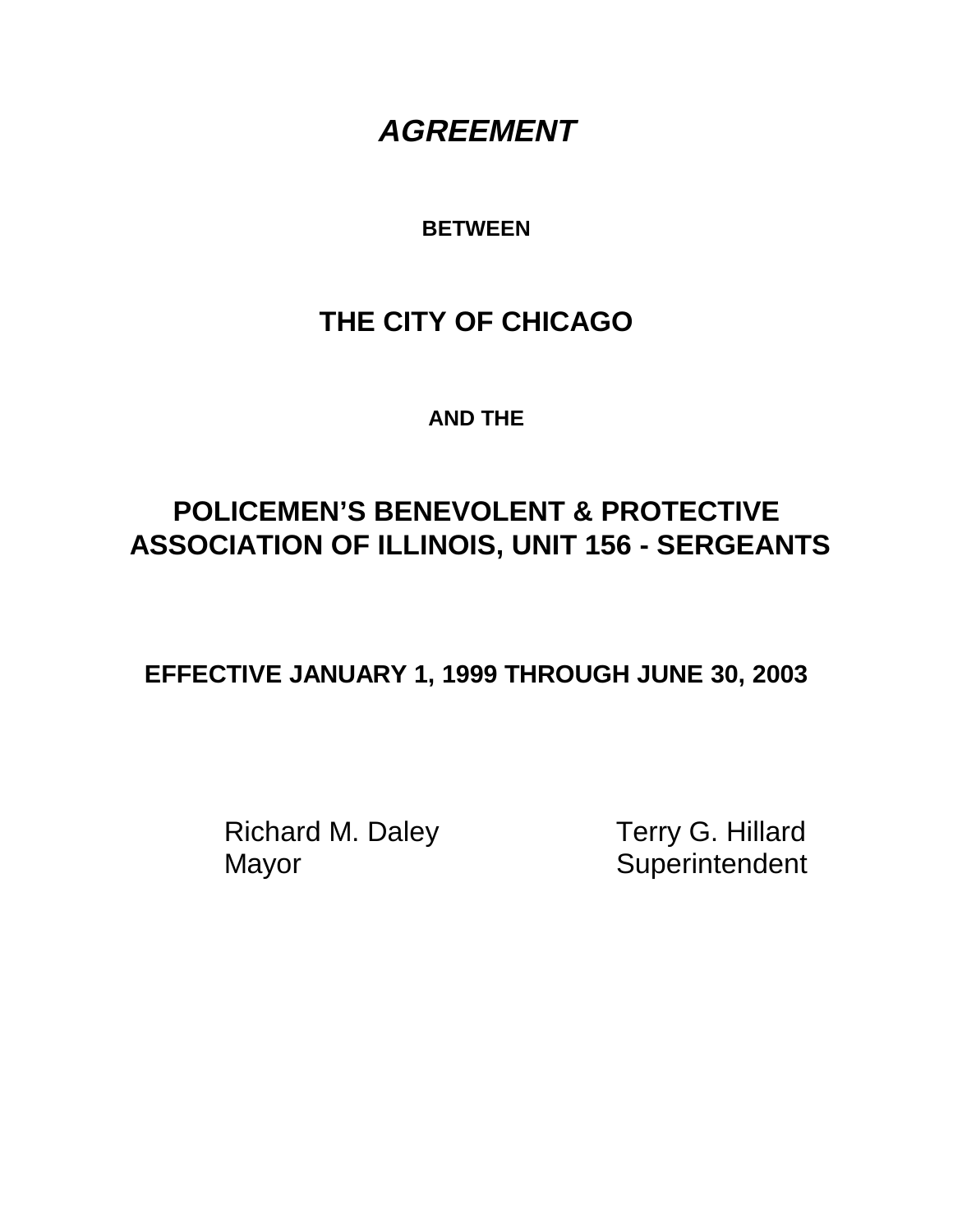# **AGREEMENT**

## **BETWEEN**

# **THE CITY OF CHICAGO**

**AND THE**

# **POLICEMEN'S BENEVOLENT & PROTECTIVE ASSOCIATION OF ILLINOIS, UNIT 156 - SERGEANTS**

**EFFECTIVE JANUARY 1, 1999 THROUGH JUNE 30, 2003**

Richard M. Daley Terry G. Hillard Mayor Superintendent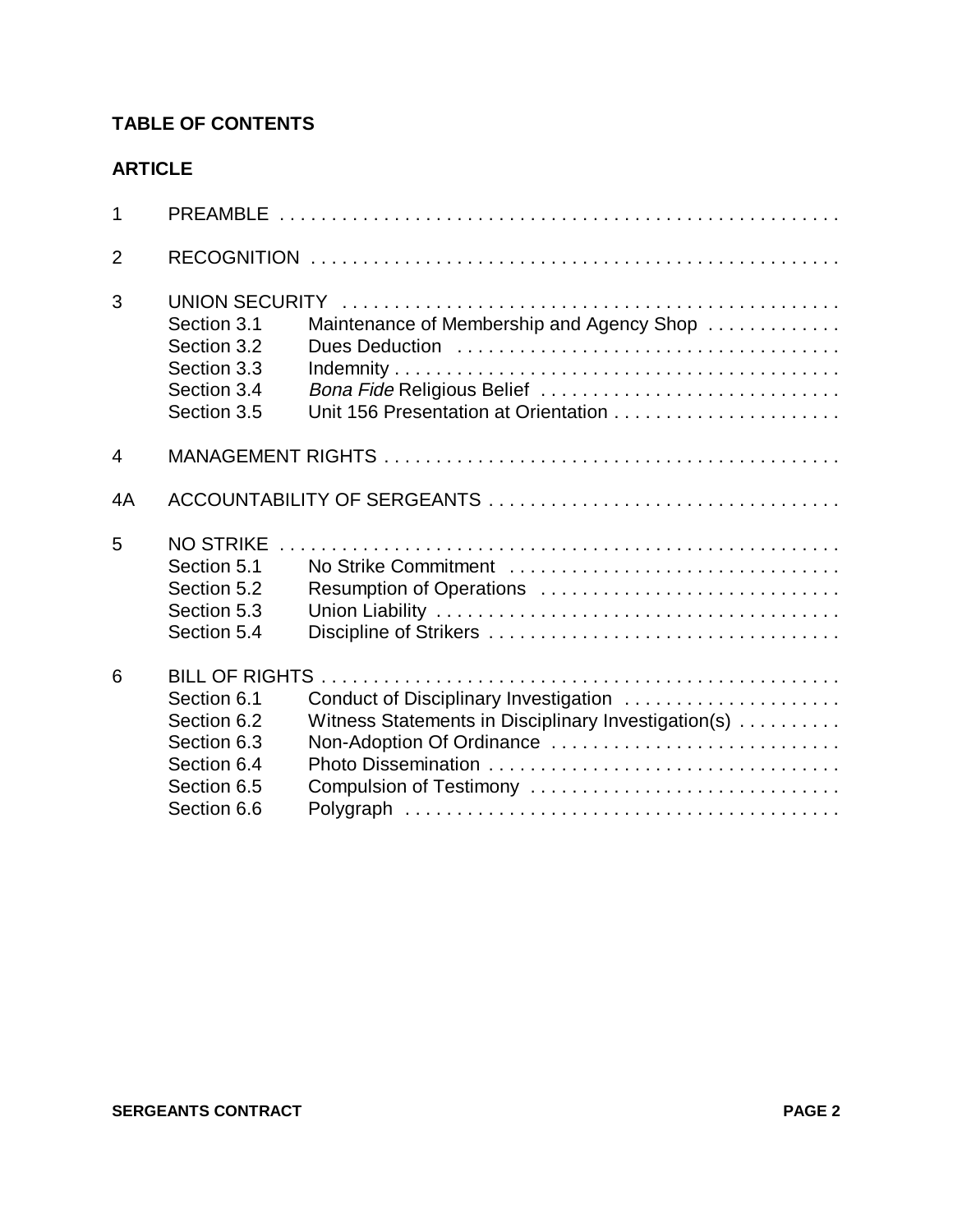## **TABLE OF CONTENTS**

| $\mathbf{1}$   |                                                                                                                  |                                                                                                                                                      |
|----------------|------------------------------------------------------------------------------------------------------------------|------------------------------------------------------------------------------------------------------------------------------------------------------|
| $\overline{2}$ |                                                                                                                  |                                                                                                                                                      |
| 3              | Section 3.1<br>Section 3.2<br>Section 3.3<br>Section 3.4<br>Section 3.5                                          | Maintenance of Membership and Agency Shop<br>Bona Fide Religious Belief<br>Unit 156 Presentation at Orientation                                      |
| $\overline{4}$ |                                                                                                                  |                                                                                                                                                      |
| 4A             |                                                                                                                  |                                                                                                                                                      |
| 5              | <b>NO STRIKE</b><br>Section 5.1<br>Section 5.2<br>Section 5.3<br>Section 5.4                                     | No Strike Commitment<br>Resumption of Operations                                                                                                     |
| 6              | <b>BILL OF RIGHTS.</b><br>Section 6.1<br>Section 6.2<br>Section 6.3<br>Section 6.4<br>Section 6.5<br>Section 6.6 | Conduct of Disciplinary Investigation<br>Witness Statements in Disciplinary Investigation(s)<br>Non-Adoption Of Ordinance<br>Compulsion of Testimony |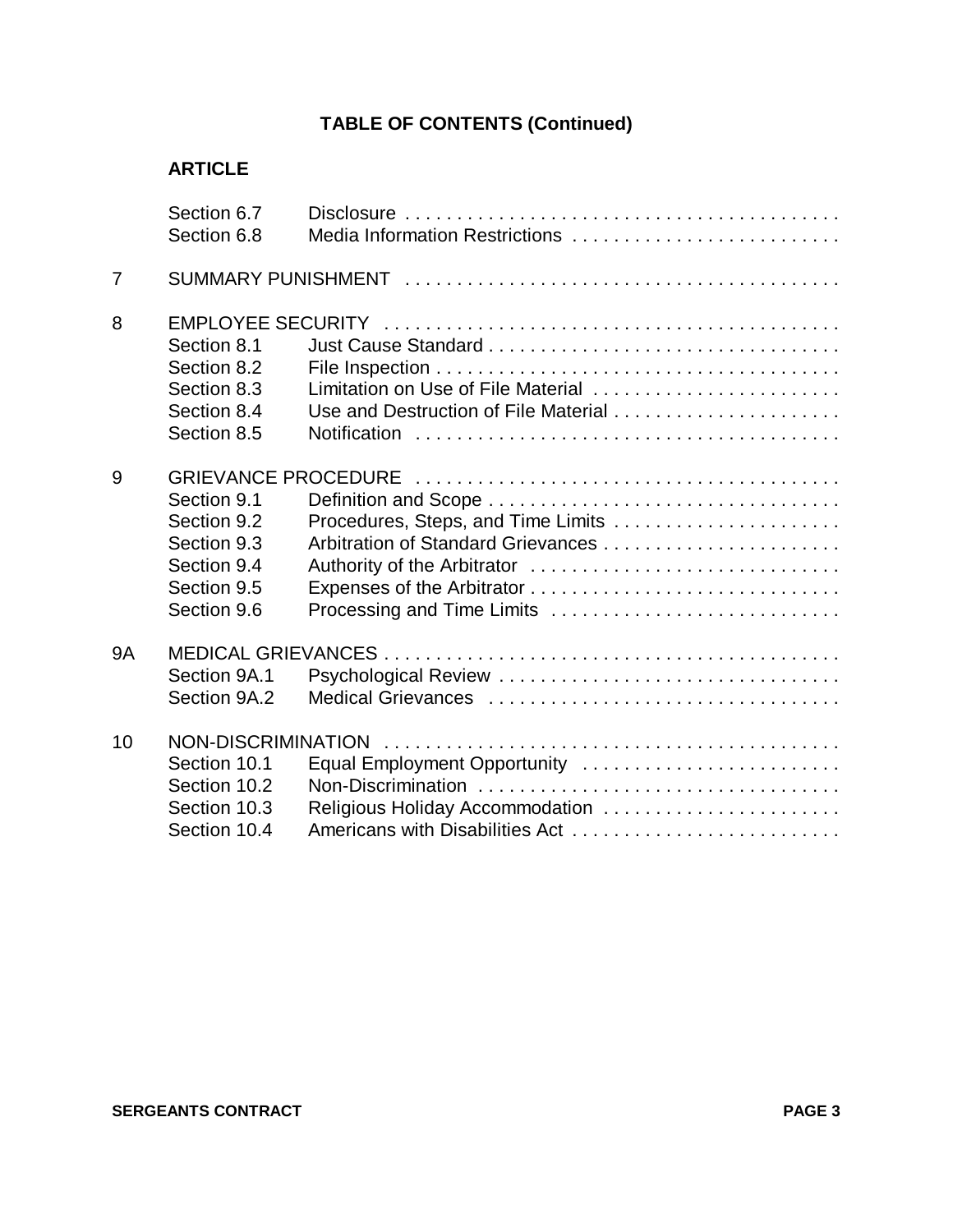|                | Section 6.7                |                                      |
|----------------|----------------------------|--------------------------------------|
|                | Section 6.8                | Media Information Restrictions       |
| $\overline{7}$ |                            |                                      |
| 8              |                            |                                      |
|                | Section 8.1                |                                      |
|                | Section 8.2                |                                      |
|                | Section 8.3                | Limitation on Use of File Material   |
|                | Section 8.4                | Use and Destruction of File Material |
|                | Section 8.5                |                                      |
| 9              | <b>GRIEVANCE PROCEDURE</b> |                                      |
|                | Section 9.1                |                                      |
|                | Section 9.2                |                                      |
|                | Section 9.3                |                                      |
|                | Section 9.4                |                                      |
|                | Section 9.5                |                                      |
|                | Section 9.6                | Processing and Time Limits           |
| <b>9A</b>      |                            |                                      |
|                | Section 9A.1               |                                      |
|                | Section 9A.2               |                                      |
| 10             | NON-DISCRIMINATION         |                                      |
|                | Section 10.1               | Equal Employment Opportunity         |
|                | Section 10.2               |                                      |
|                | Section 10.3               | Religious Holiday Accommodation      |
|                | Section 10.4               |                                      |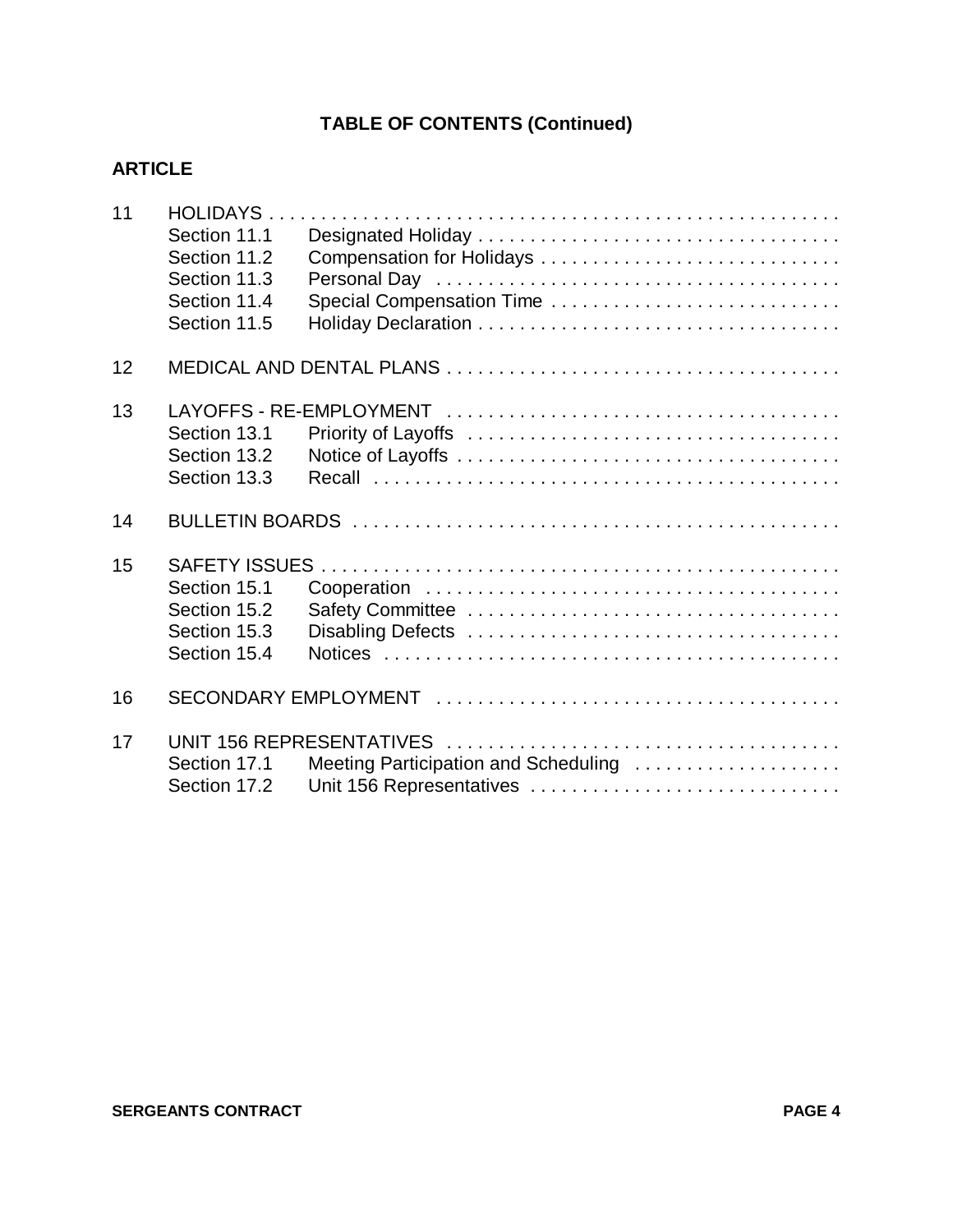| 11 |              |                                      |
|----|--------------|--------------------------------------|
|    | Section 11.1 |                                      |
|    | Section 11.2 |                                      |
|    | Section 11.3 |                                      |
|    | Section 11.4 |                                      |
|    |              | Special Compensation Time            |
|    | Section 11.5 |                                      |
| 12 |              |                                      |
|    |              |                                      |
| 13 |              |                                      |
|    | Section 13.1 |                                      |
|    | Section 13.2 |                                      |
|    | Section 13.3 |                                      |
|    |              |                                      |
| 14 |              |                                      |
| 15 |              |                                      |
|    | Section 15.1 |                                      |
|    | Section 15.2 |                                      |
|    |              |                                      |
|    | Section 15.3 |                                      |
|    | Section 15.4 |                                      |
| 16 |              |                                      |
|    |              |                                      |
| 17 |              |                                      |
|    | Section 17.1 | Meeting Participation and Scheduling |
|    | Section 17.2 | Unit 156 Representatives             |
|    |              |                                      |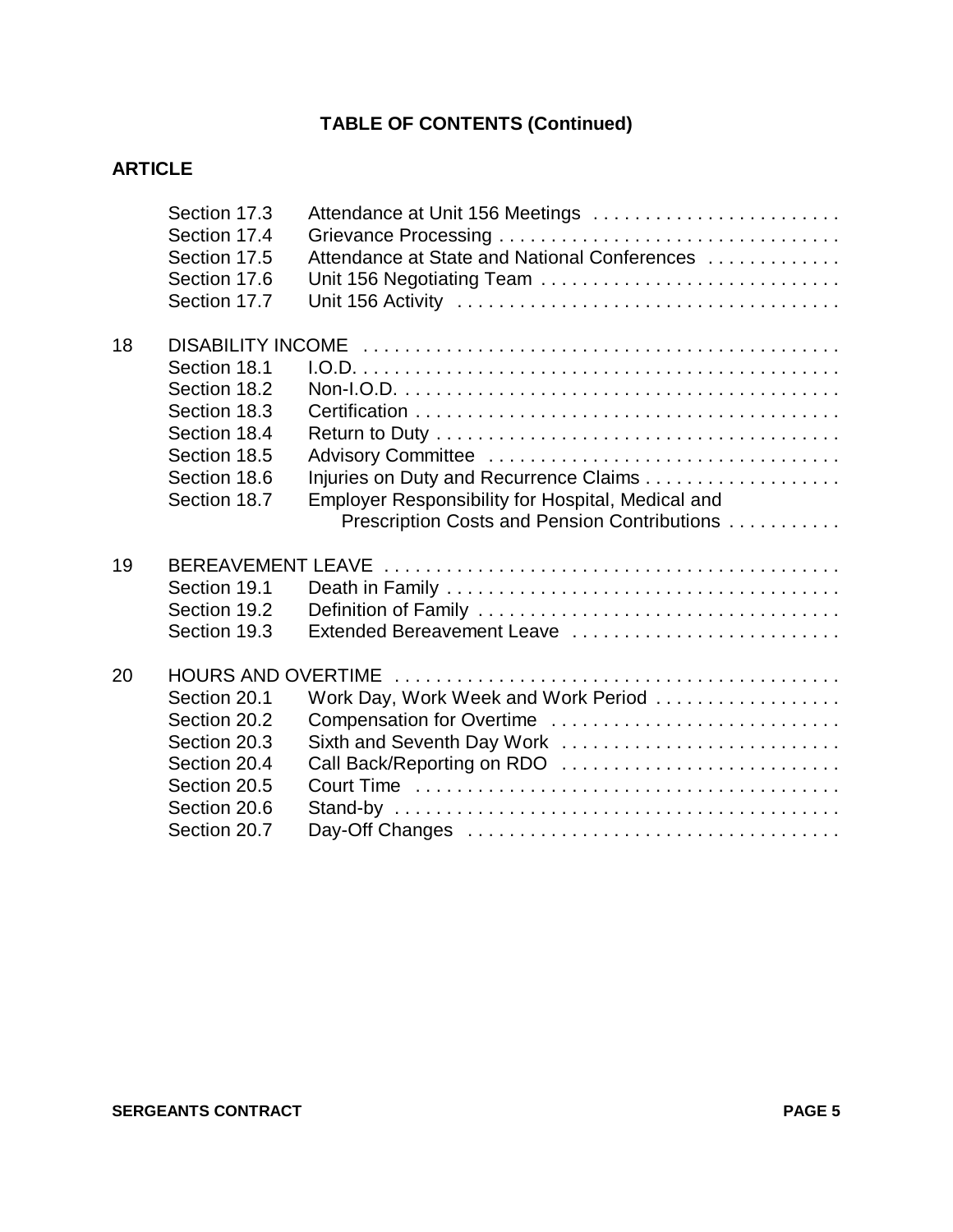|    | Section 17.3<br>Section 17.4<br>Section 17.5<br>Section 17.6<br>Section 17.7 | Attendance at Unit 156 Meetings<br>Attendance at State and National Conferences<br>Unit 156 Negotiating Team |
|----|------------------------------------------------------------------------------|--------------------------------------------------------------------------------------------------------------|
| 18 |                                                                              |                                                                                                              |
|    | Section 18.1                                                                 |                                                                                                              |
|    | Section 18.2                                                                 |                                                                                                              |
|    | Section 18.3                                                                 |                                                                                                              |
|    | Section 18.4                                                                 |                                                                                                              |
|    | Section 18.5                                                                 |                                                                                                              |
|    | Section 18.6                                                                 |                                                                                                              |
|    | Section 18.7                                                                 | Employer Responsibility for Hospital, Medical and                                                            |
|    |                                                                              | Prescription Costs and Pension Contributions                                                                 |
| 19 | <b>BEREAVEMENT LEAVE</b>                                                     |                                                                                                              |
|    | Section 19.1                                                                 |                                                                                                              |
|    | Section 19.2                                                                 |                                                                                                              |
|    | Section 19.3                                                                 | Extended Bereavement Leave                                                                                   |
|    |                                                                              |                                                                                                              |
| 20 |                                                                              |                                                                                                              |
|    | Section 20.1                                                                 | Work Day, Work Week and Work Period                                                                          |
|    | Section 20.2                                                                 | Compensation for Overtime                                                                                    |
|    | Section 20.3                                                                 | Sixth and Seventh Day Work                                                                                   |
|    | Section 20.4                                                                 | Call Back/Reporting on RDO                                                                                   |
|    | Section 20.5                                                                 |                                                                                                              |
|    | Section 20.6                                                                 |                                                                                                              |
|    | Section 20.7                                                                 |                                                                                                              |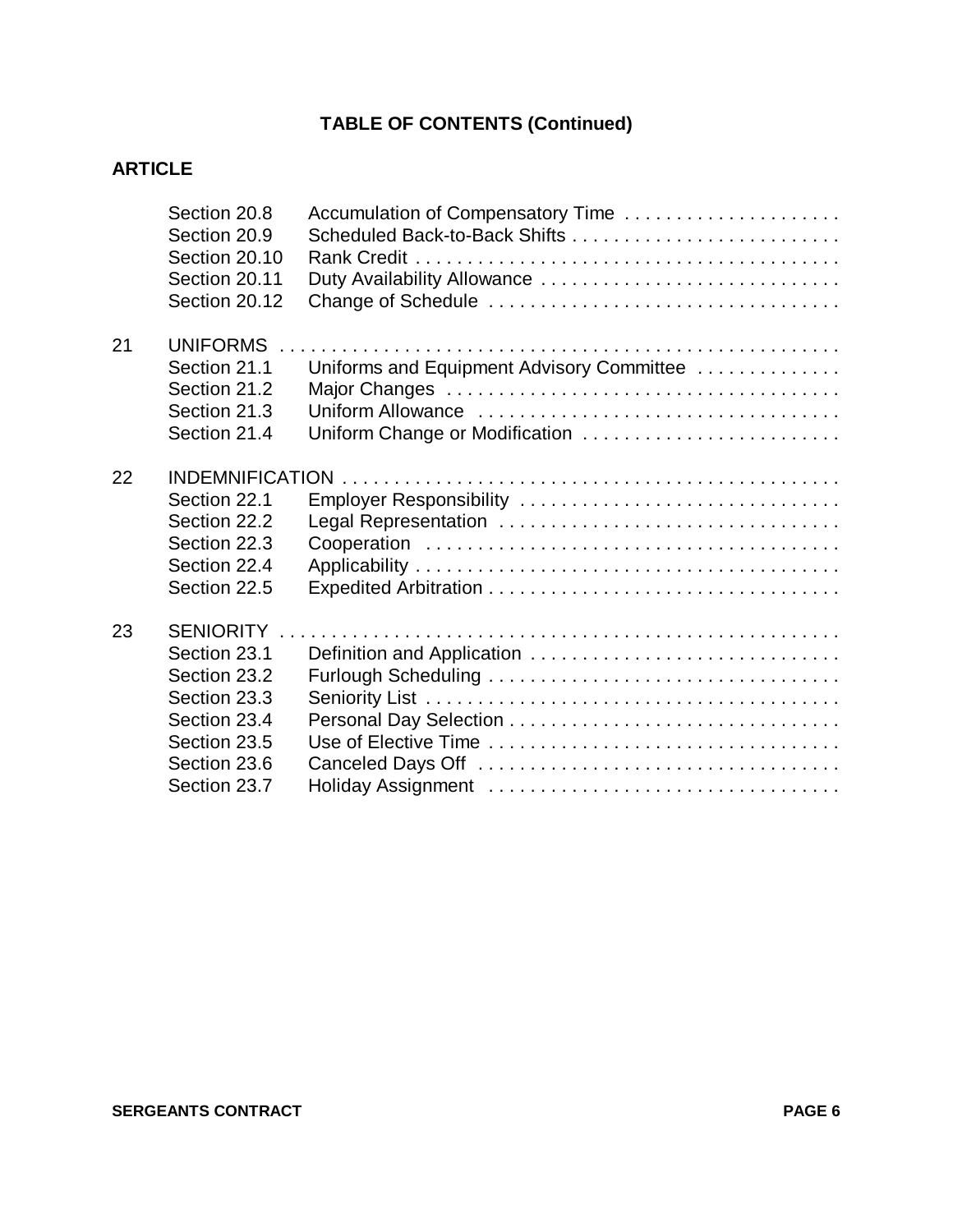|    | Section 20.8<br>Section 20.9<br>Section 20.10<br>Section 20.11<br>Section 20.12 | Accumulation of Compensatory Time<br>Duty Availability Allowance |
|----|---------------------------------------------------------------------------------|------------------------------------------------------------------|
| 21 | <b>UNIFORMS</b>                                                                 |                                                                  |
|    | Section 21.1                                                                    | Uniforms and Equipment Advisory Committee                        |
|    | Section 21.2                                                                    |                                                                  |
|    | Section 21.3                                                                    |                                                                  |
|    | Section 21.4                                                                    | Uniform Change or Modification                                   |
| 22 |                                                                                 |                                                                  |
|    | Section 22.1                                                                    | Employer Responsibility                                          |
|    | Section 22.2                                                                    |                                                                  |
|    | Section 22.3                                                                    |                                                                  |
|    | Section 22.4                                                                    |                                                                  |
|    | Section 22.5                                                                    |                                                                  |
| 23 | SENIORITY                                                                       |                                                                  |
|    | Section 23.1                                                                    | Definition and Application                                       |
|    | Section 23.2                                                                    |                                                                  |
|    | Section 23.3                                                                    |                                                                  |
|    | Section 23.4                                                                    |                                                                  |
|    | Section 23.5                                                                    |                                                                  |
|    | Section 23.6                                                                    |                                                                  |
|    | Section 23.7                                                                    |                                                                  |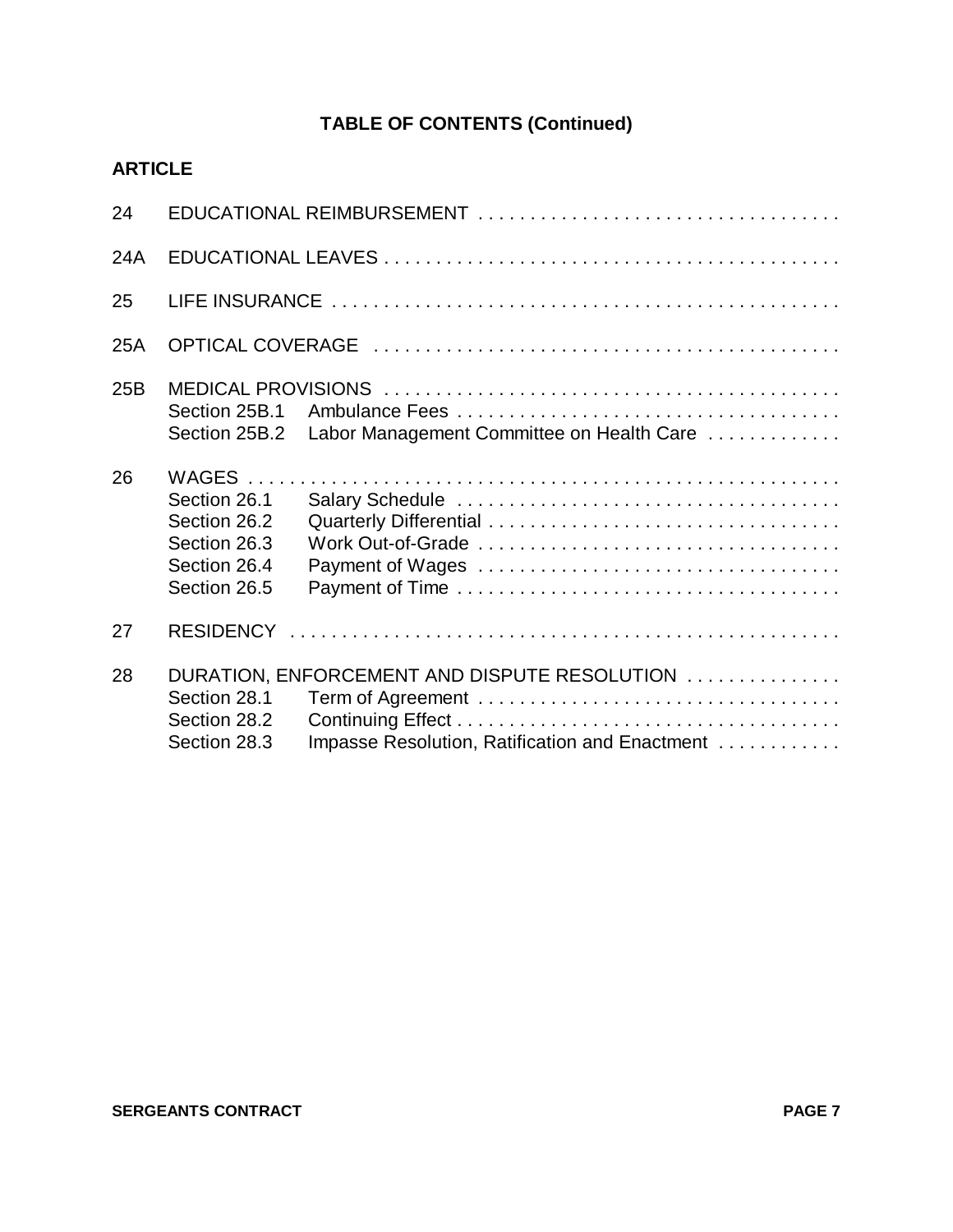| 24  |                                                                              |                                                                                                |
|-----|------------------------------------------------------------------------------|------------------------------------------------------------------------------------------------|
| 24A |                                                                              |                                                                                                |
| 25  |                                                                              |                                                                                                |
| 25A |                                                                              |                                                                                                |
| 25B | Section 25B.1<br>Section 25B.2                                               | Labor Management Committee on Health Care                                                      |
| 26  | Section 26.1<br>Section 26.2<br>Section 26.3<br>Section 26.4<br>Section 26.5 |                                                                                                |
| 27  |                                                                              |                                                                                                |
| 28  | Section 28.1<br>Section 28.2<br>Section 28.3                                 | DURATION, ENFORCEMENT AND DISPUTE RESOLUTION<br>Impasse Resolution, Ratification and Enactment |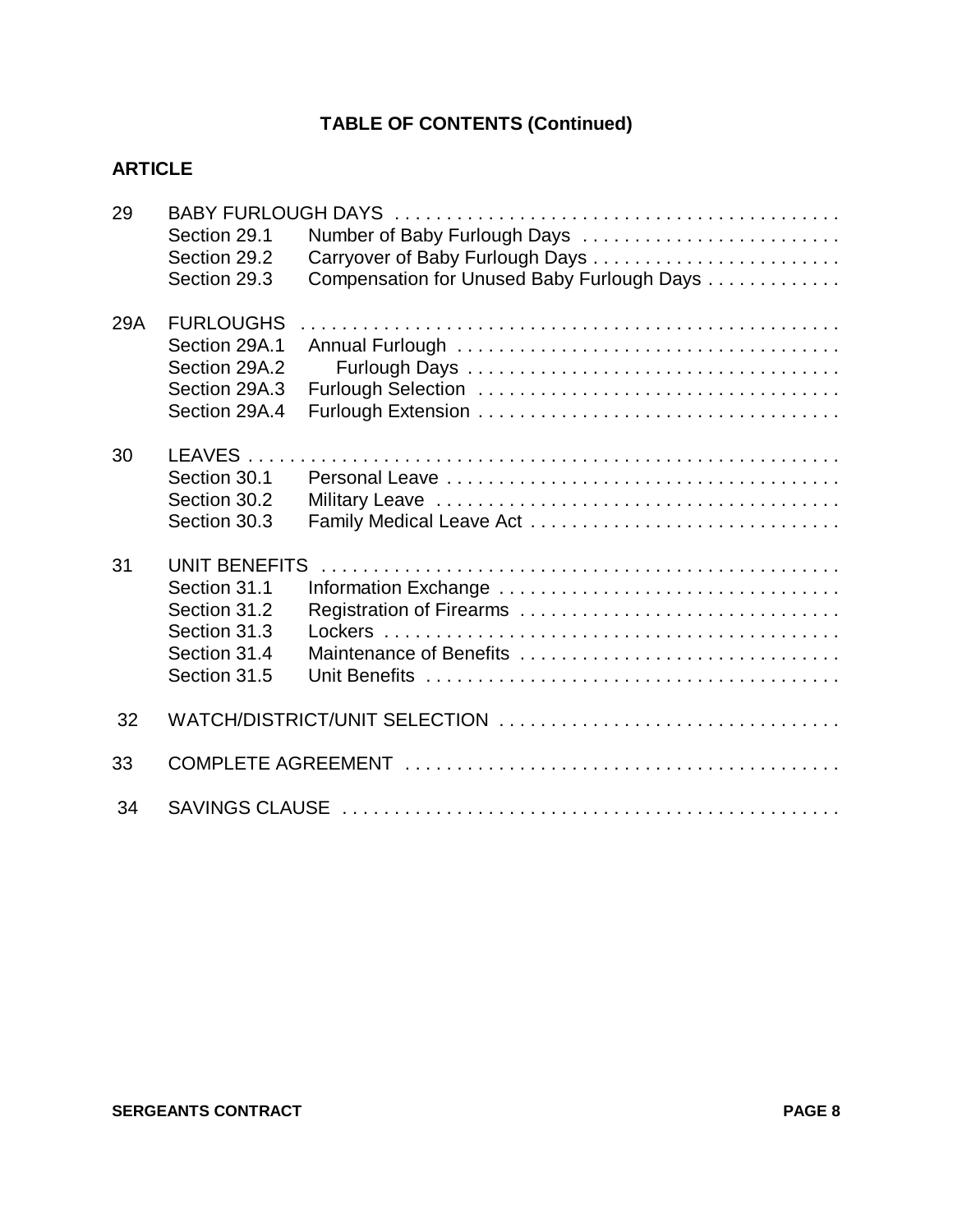| 29  | Section 29.1<br>Section 29.2<br>Section 29.3                                                         | Number of Baby Furlough Days<br>Compensation for Unused Baby Furlough Days |
|-----|------------------------------------------------------------------------------------------------------|----------------------------------------------------------------------------|
| 29A | <b>FURLOUGHS</b><br>Section 29A.1<br>Section 29A.2<br>Section 29A.3<br>Section 29A.4                 |                                                                            |
| 30  | Section 30.1<br>Section 30.2<br>Section 30.3                                                         |                                                                            |
| 31  | <b>UNIT BENEFITS</b><br>Section 31.1<br>Section 31.2<br>Section 31.3<br>Section 31.4<br>Section 31.5 | Registration of Firearms<br>Maintenance of Benefits                        |
| 32  |                                                                                                      | WATCH/DISTRICT/UNIT SELECTION                                              |
| 33  |                                                                                                      |                                                                            |
| 34  |                                                                                                      |                                                                            |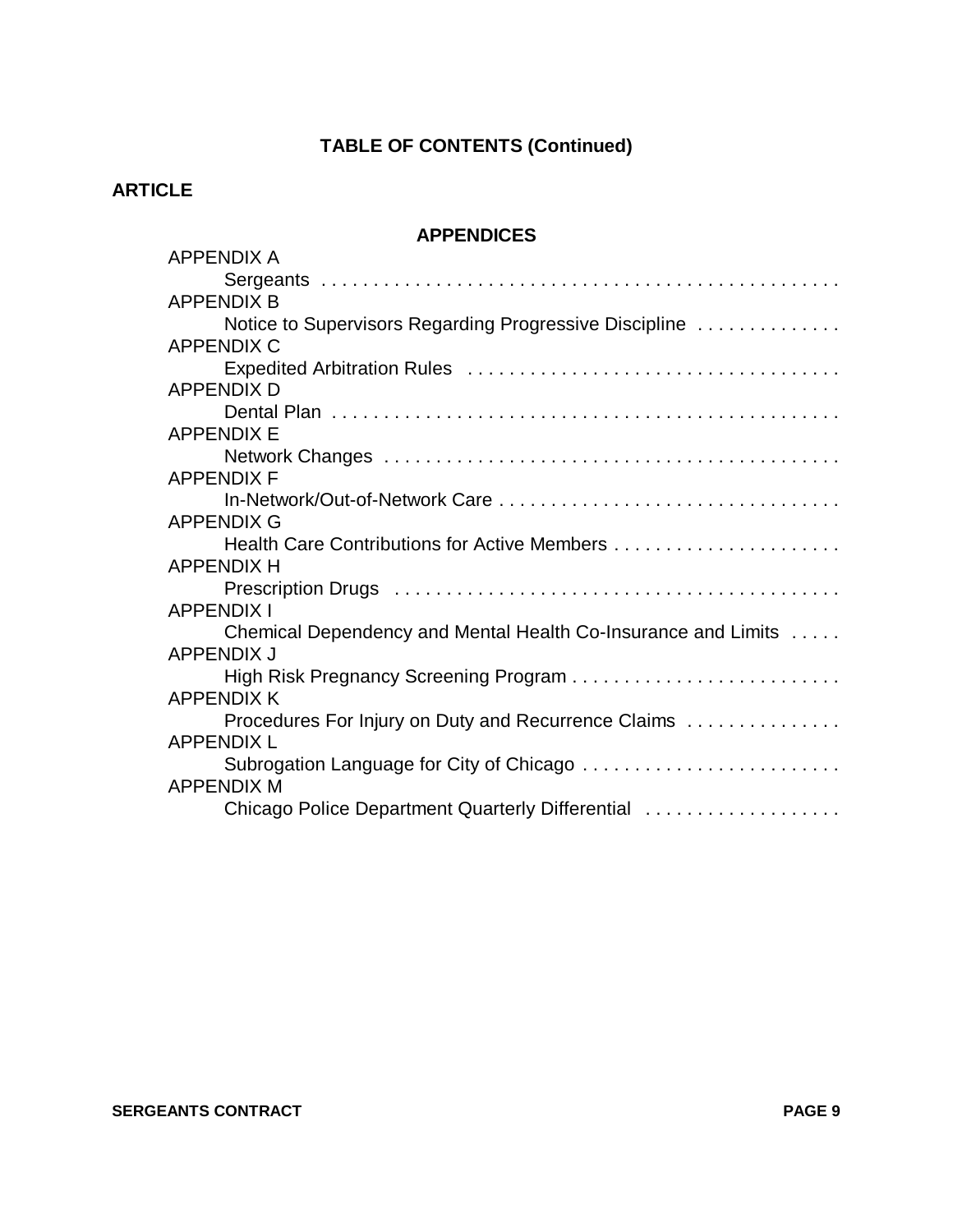## **ARTICLE**

## **APPENDICES**

| <b>APPENDIX A</b>                                             |
|---------------------------------------------------------------|
|                                                               |
| <b>APPENDIX B</b>                                             |
| Notice to Supervisors Regarding Progressive Discipline        |
| <b>APPENDIX C</b>                                             |
|                                                               |
| <b>APPENDIX D</b>                                             |
|                                                               |
| <b>APPENDIX E</b>                                             |
|                                                               |
| <b>APPENDIX F</b>                                             |
|                                                               |
| <b>APPENDIX G</b>                                             |
|                                                               |
| <b>APPENDIX H</b>                                             |
|                                                               |
| <b>APPENDIX I</b>                                             |
| Chemical Dependency and Mental Health Co-Insurance and Limits |
| <b>APPENDIX J</b>                                             |
| High Risk Pregnancy Screening Program                         |
| <b>APPENDIX K</b>                                             |
| Procedures For Injury on Duty and Recurrence Claims           |
| <b>APPENDIX L</b>                                             |
| Subrogation Language for City of Chicago                      |
| <b>APPENDIX M</b>                                             |
| Chicago Police Department Quarterly Differential              |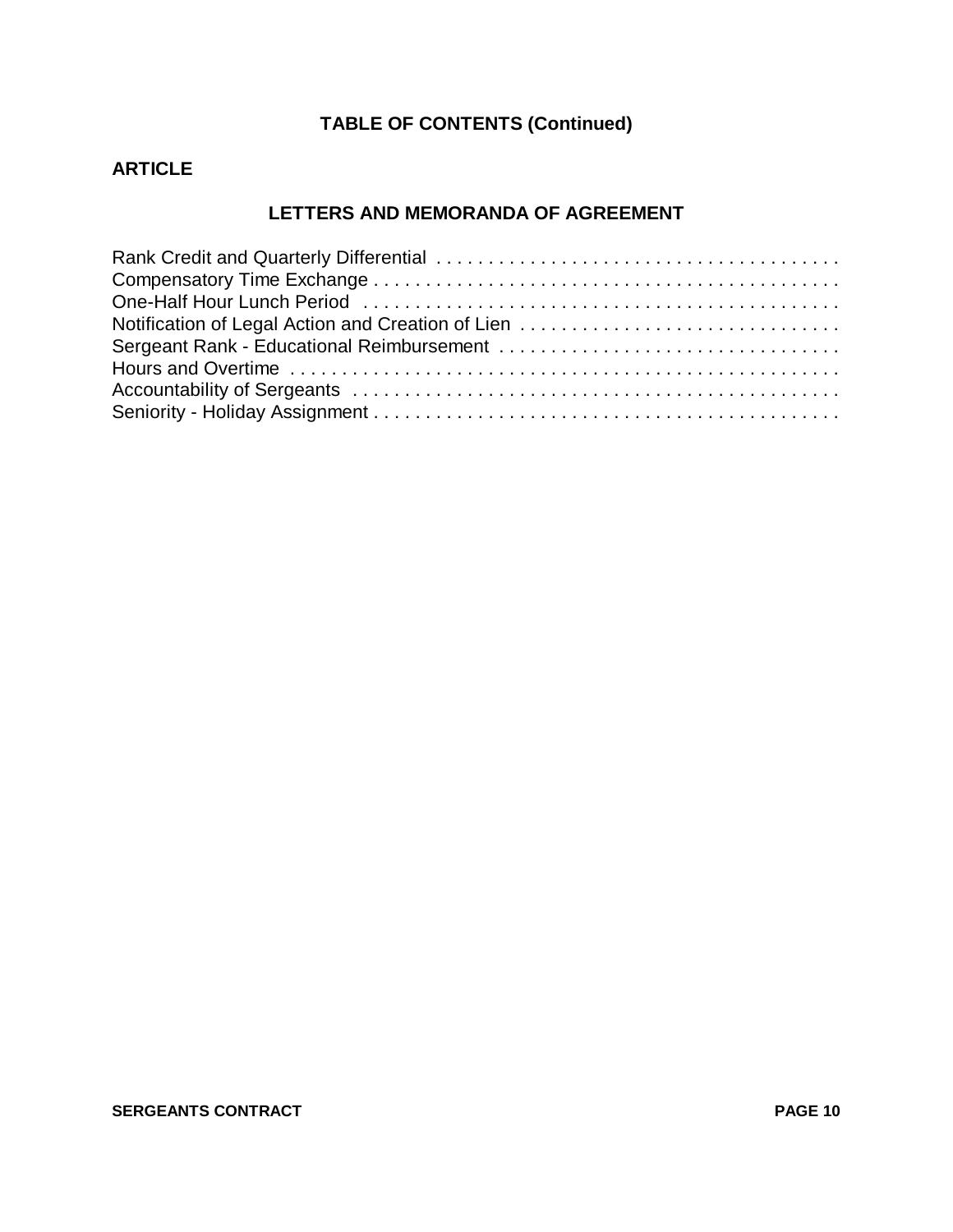## **ARTICLE**

#### **LETTERS AND MEMORANDA OF AGREEMENT**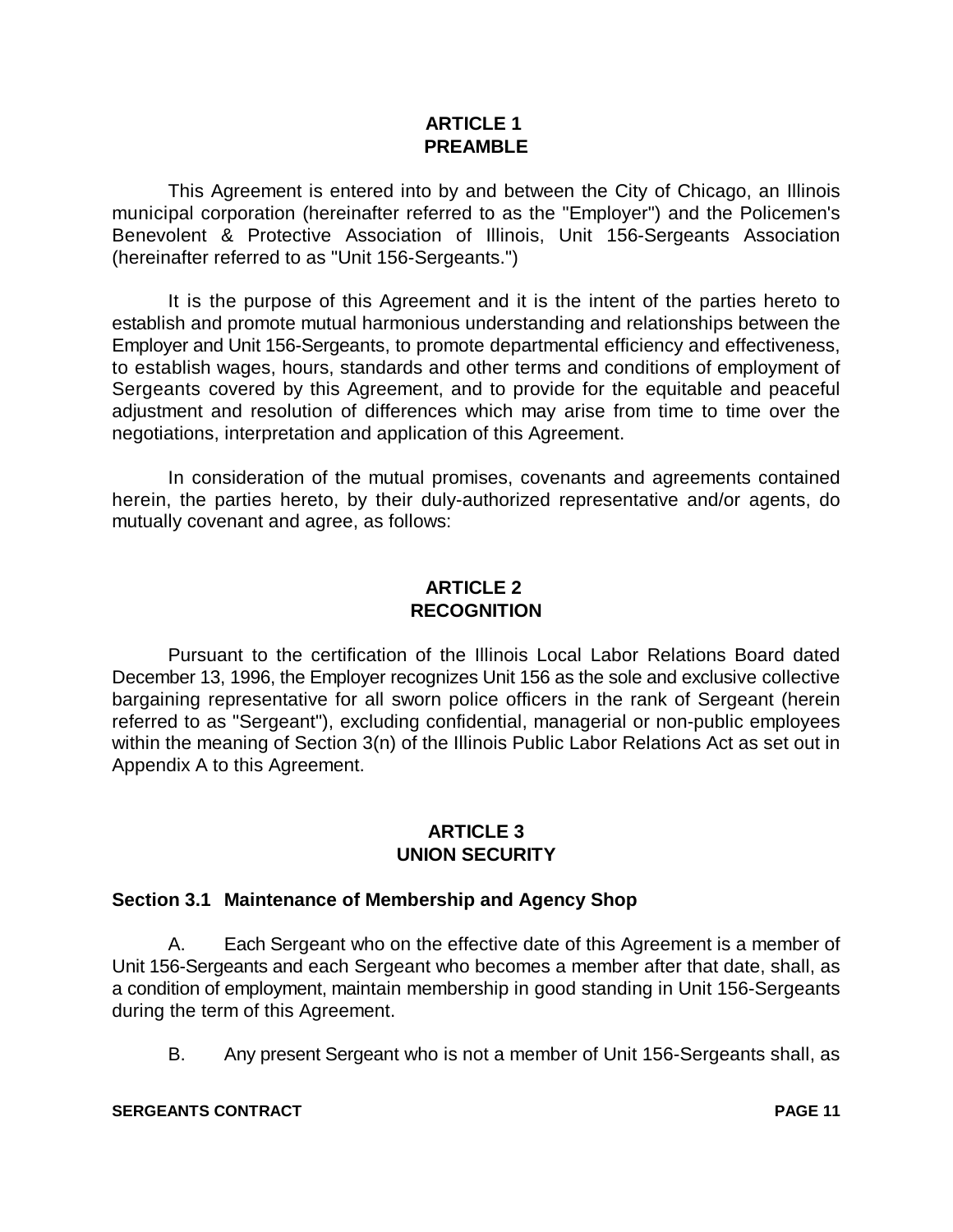#### **ARTICLE 1 PREAMBLE**

This Agreement is entered into by and between the City of Chicago, an Illinois municipal corporation (hereinafter referred to as the "Employer") and the Policemen's Benevolent & Protective Association of Illinois, Unit 156-Sergeants Association (hereinafter referred to as "Unit 156-Sergeants.")

It is the purpose of this Agreement and it is the intent of the parties hereto to establish and promote mutual harmonious understanding and relationships between the Employer and Unit 156-Sergeants, to promote departmental efficiency and effectiveness, to establish wages, hours, standards and other terms and conditions of employment of Sergeants covered by this Agreement, and to provide for the equitable and peaceful adjustment and resolution of differences which may arise from time to time over the negotiations, interpretation and application of this Agreement.

In consideration of the mutual promises, covenants and agreements contained herein, the parties hereto, by their duly-authorized representative and/or agents, do mutually covenant and agree, as follows:

### **ARTICLE 2 RECOGNITION**

Pursuant to the certification of the Illinois Local Labor Relations Board dated December 13, 1996, the Employer recognizes Unit 156 as the sole and exclusive collective bargaining representative for all sworn police officers in the rank of Sergeant (herein referred to as "Sergeant"), excluding confidential, managerial or non-public employees within the meaning of Section 3(n) of the Illinois Public Labor Relations Act as set out in Appendix A to this Agreement.

## **ARTICLE 3 UNION SECURITY**

#### **Section 3.1 Maintenance of Membership and Agency Shop**

A. Each Sergeant who on the effective date of this Agreement is a member of Unit 156-Sergeants and each Sergeant who becomes a member after that date, shall, as a condition of employment, maintain membership in good standing in Unit 156-Sergeants during the term of this Agreement.

B. Any present Sergeant who is not a member of Unit 156-Sergeants shall, as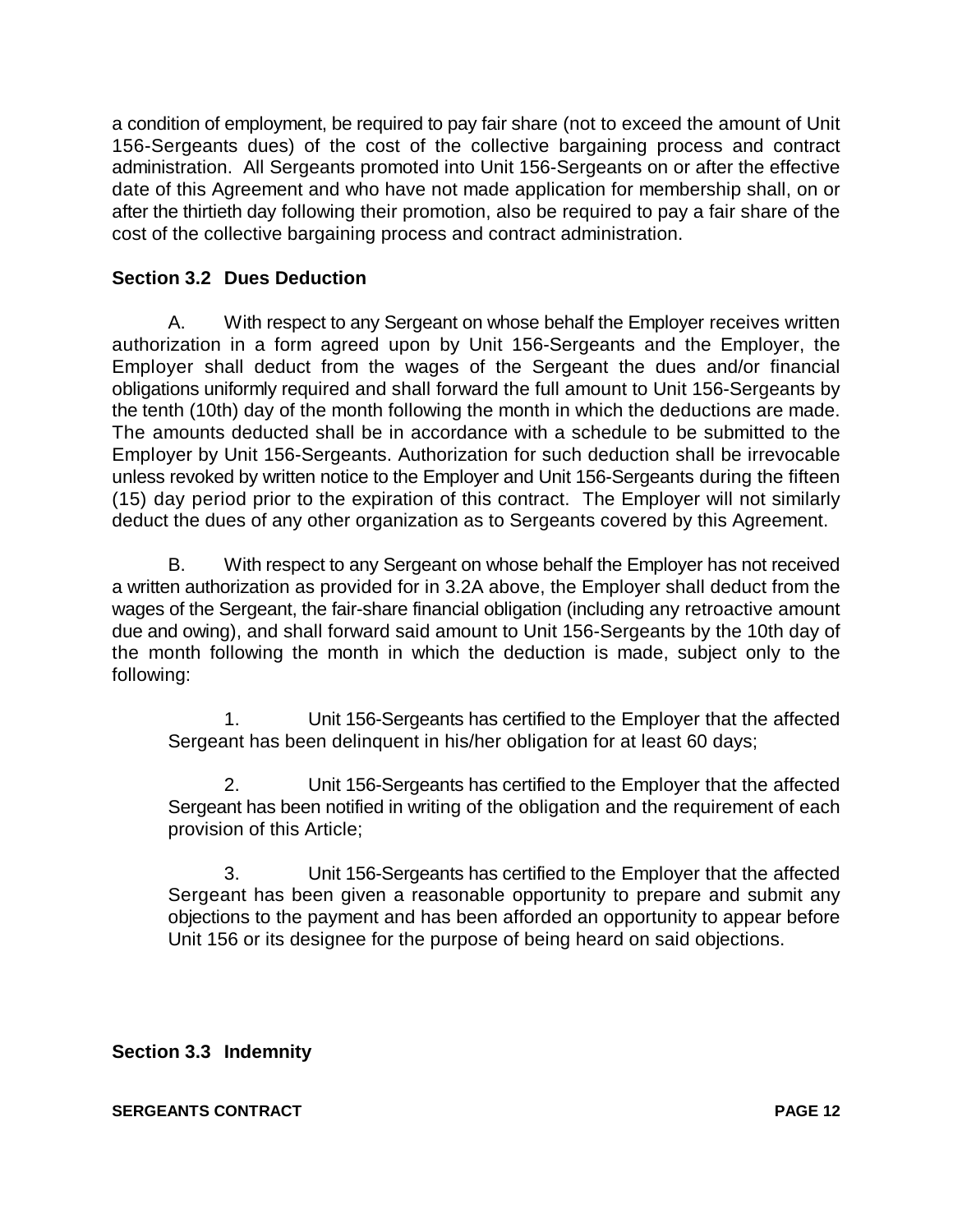a condition of employment, be required to pay fair share (not to exceed the amount of Unit 156-Sergeants dues) of the cost of the collective bargaining process and contract administration. All Sergeants promoted into Unit 156-Sergeants on or after the effective date of this Agreement and who have not made application for membership shall, on or after the thirtieth day following their promotion, also be required to pay a fair share of the cost of the collective bargaining process and contract administration.

## **Section 3.2 Dues Deduction**

A. With respect to any Sergeant on whose behalf the Employer receives written authorization in a form agreed upon by Unit 156-Sergeants and the Employer, the Employer shall deduct from the wages of the Sergeant the dues and/or financial obligations uniformly required and shall forward the full amount to Unit 156-Sergeants by the tenth (10th) day of the month following the month in which the deductions are made. The amounts deducted shall be in accordance with a schedule to be submitted to the Employer by Unit 156-Sergeants. Authorization for such deduction shall be irrevocable unless revoked by written notice to the Employer and Unit 156-Sergeants during the fifteen (15) day period prior to the expiration of this contract. The Employer will not similarly deduct the dues of any other organization as to Sergeants covered by this Agreement.

B. With respect to any Sergeant on whose behalf the Employer has not received a written authorization as provided for in 3.2A above, the Employer shall deduct from the wages of the Sergeant, the fair-share financial obligation (including any retroactive amount due and owing), and shall forward said amount to Unit 156-Sergeants by the 10th day of the month following the month in which the deduction is made, subject only to the following:

1. Unit 156-Sergeants has certified to the Employer that the affected Sergeant has been delinquent in his/her obligation for at least 60 days;

2. Unit 156-Sergeants has certified to the Employer that the affected Sergeant has been notified in writing of the obligation and the requirement of each provision of this Article;

3. Unit 156-Sergeants has certified to the Employer that the affected Sergeant has been given a reasonable opportunity to prepare and submit any objections to the payment and has been afforded an opportunity to appear before Unit 156 or its designee for the purpose of being heard on said objections.

## **Section 3.3 Indemnity**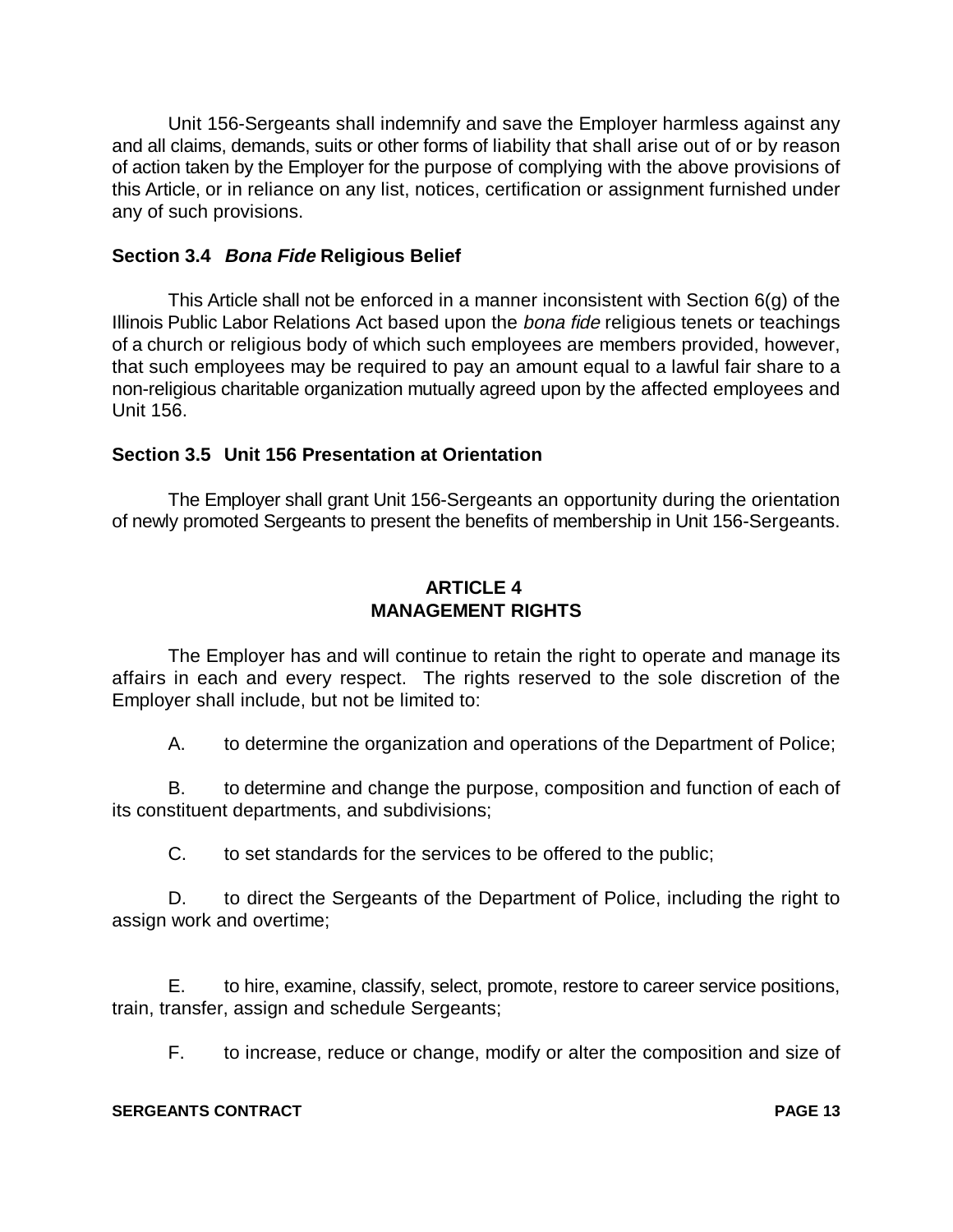Unit 156-Sergeants shall indemnify and save the Employer harmless against any and all claims, demands, suits or other forms of liability that shall arise out of or by reason of action taken by the Employer for the purpose of complying with the above provisions of this Article, or in reliance on any list, notices, certification or assignment furnished under any of such provisions.

#### **Section 3.4 Bona Fide Religious Belief**

This Article shall not be enforced in a manner inconsistent with Section 6(g) of the Illinois Public Labor Relations Act based upon the bona fide religious tenets or teachings of a church or religious body of which such employees are members provided, however, that such employees may be required to pay an amount equal to a lawful fair share to a non-religious charitable organization mutually agreed upon by the affected employees and Unit 156.

### **Section 3.5 Unit 156 Presentation at Orientation**

The Employer shall grant Unit 156-Sergeants an opportunity during the orientation of newly promoted Sergeants to present the benefits of membership in Unit 156-Sergeants.

## **ARTICLE 4 MANAGEMENT RIGHTS**

The Employer has and will continue to retain the right to operate and manage its affairs in each and every respect. The rights reserved to the sole discretion of the Employer shall include, but not be limited to:

A. to determine the organization and operations of the Department of Police;

B. to determine and change the purpose, composition and function of each of its constituent departments, and subdivisions;

C. to set standards for the services to be offered to the public;

D. to direct the Sergeants of the Department of Police, including the right to assign work and overtime;

E. to hire, examine, classify, select, promote, restore to career service positions, train, transfer, assign and schedule Sergeants;

F. to increase, reduce or change, modify or alter the composition and size of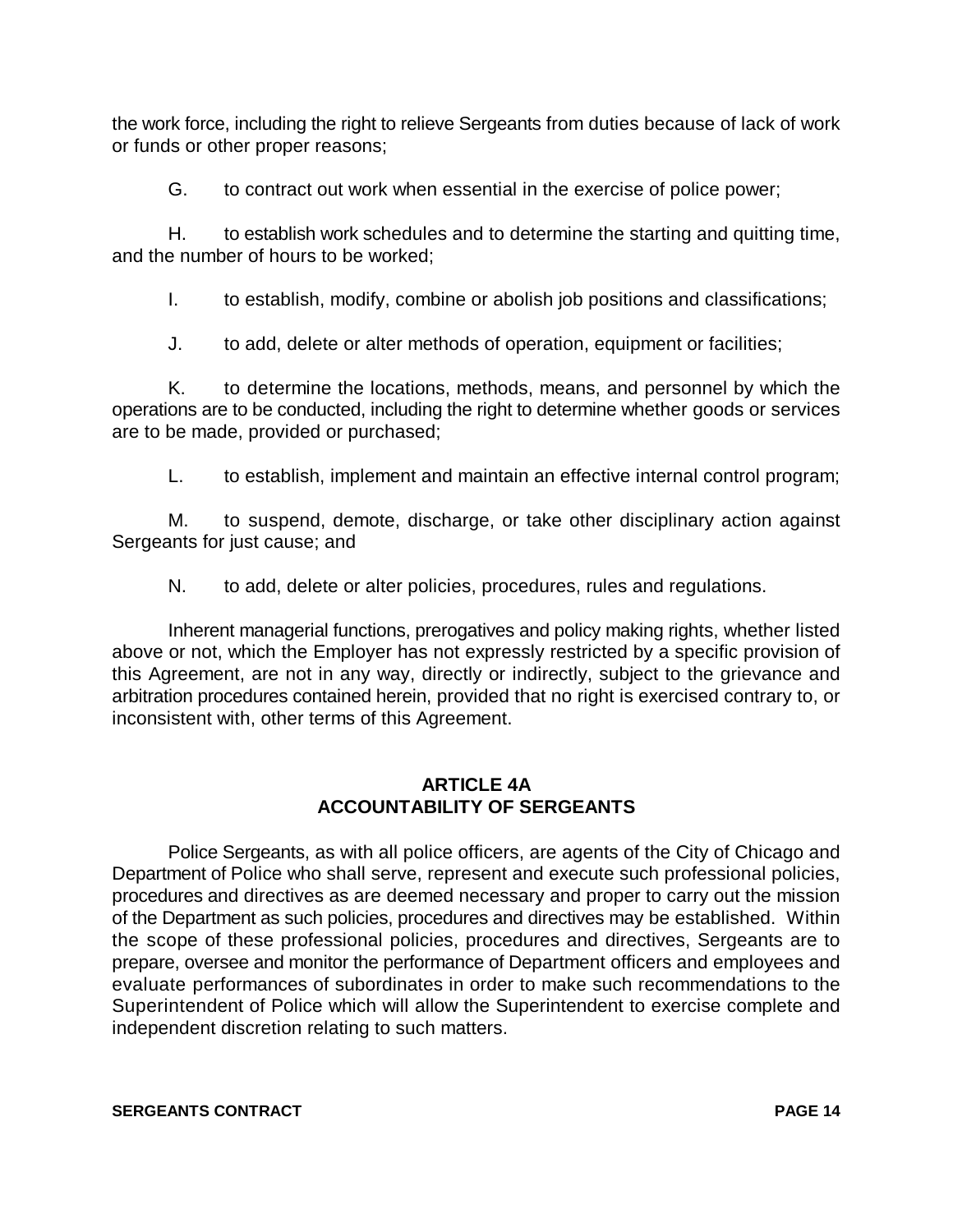the work force, including the right to relieve Sergeants from duties because of lack of work or funds or other proper reasons;

G. to contract out work when essential in the exercise of police power;

H. to establish work schedules and to determine the starting and quitting time, and the number of hours to be worked;

I. to establish, modify, combine or abolish job positions and classifications;

J. to add, delete or alter methods of operation, equipment or facilities;

K. to determine the locations, methods, means, and personnel by which the operations are to be conducted, including the right to determine whether goods or services are to be made, provided or purchased;

L. to establish, implement and maintain an effective internal control program;

M. to suspend, demote, discharge, or take other disciplinary action against Sergeants for just cause; and

N. to add, delete or alter policies, procedures, rules and regulations.

Inherent managerial functions, prerogatives and policy making rights, whether listed above or not, which the Employer has not expressly restricted by a specific provision of this Agreement, are not in any way, directly or indirectly, subject to the grievance and arbitration procedures contained herein, provided that no right is exercised contrary to, or inconsistent with, other terms of this Agreement.

### **ARTICLE 4A ACCOUNTABILITY OF SERGEANTS**

Police Sergeants, as with all police officers, are agents of the City of Chicago and Department of Police who shall serve, represent and execute such professional policies, procedures and directives as are deemed necessary and proper to carry out the mission of the Department as such policies, procedures and directives may be established. Within the scope of these professional policies, procedures and directives, Sergeants are to prepare, oversee and monitor the performance of Department officers and employees and evaluate performances of subordinates in order to make such recommendations to the Superintendent of Police which will allow the Superintendent to exercise complete and independent discretion relating to such matters.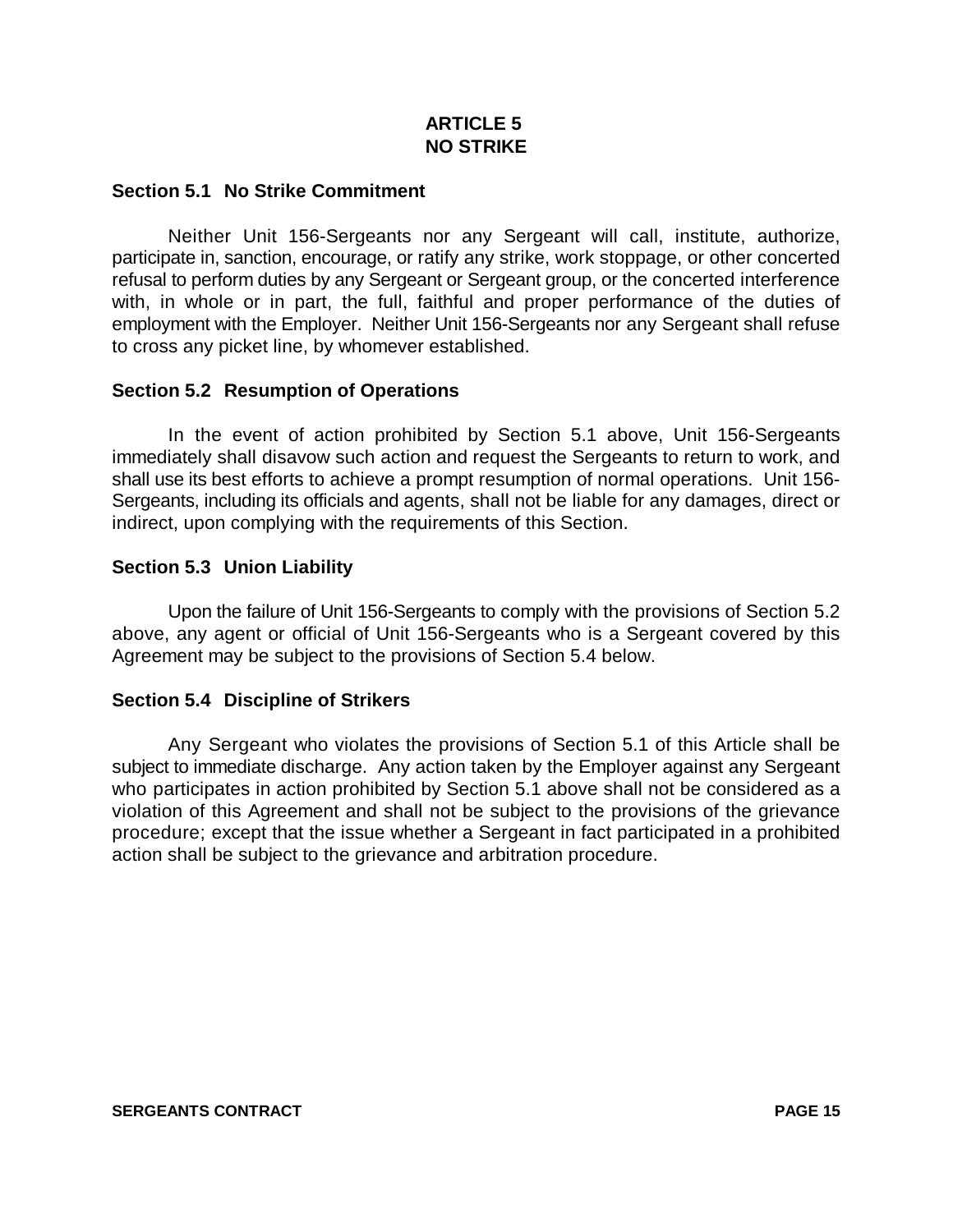### **ARTICLE 5 NO STRIKE**

#### **Section 5.1 No Strike Commitment**

Neither Unit 156-Sergeants nor any Sergeant will call, institute, authorize, participate in, sanction, encourage, or ratify any strike, work stoppage, or other concerted refusal to perform duties by any Sergeant or Sergeant group, or the concerted interference with, in whole or in part, the full, faithful and proper performance of the duties of employment with the Employer. Neither Unit 156-Sergeants nor any Sergeant shall refuse to cross any picket line, by whomever established.

#### **Section 5.2 Resumption of Operations**

In the event of action prohibited by Section 5.1 above, Unit 156-Sergeants immediately shall disavow such action and request the Sergeants to return to work, and shall use its best efforts to achieve a prompt resumption of normal operations. Unit 156- Sergeants, including its officials and agents, shall not be liable for any damages, direct or indirect, upon complying with the requirements of this Section.

### **Section 5.3 Union Liability**

Upon the failure of Unit 156-Sergeants to comply with the provisions of Section 5.2 above, any agent or official of Unit 156-Sergeants who is a Sergeant covered by this Agreement may be subject to the provisions of Section 5.4 below.

#### **Section 5.4 Discipline of Strikers**

Any Sergeant who violates the provisions of Section 5.1 of this Article shall be subject to immediate discharge. Any action taken by the Employer against any Sergeant who participates in action prohibited by Section 5.1 above shall not be considered as a violation of this Agreement and shall not be subject to the provisions of the grievance procedure; except that the issue whether a Sergeant in fact participated in a prohibited action shall be subject to the grievance and arbitration procedure.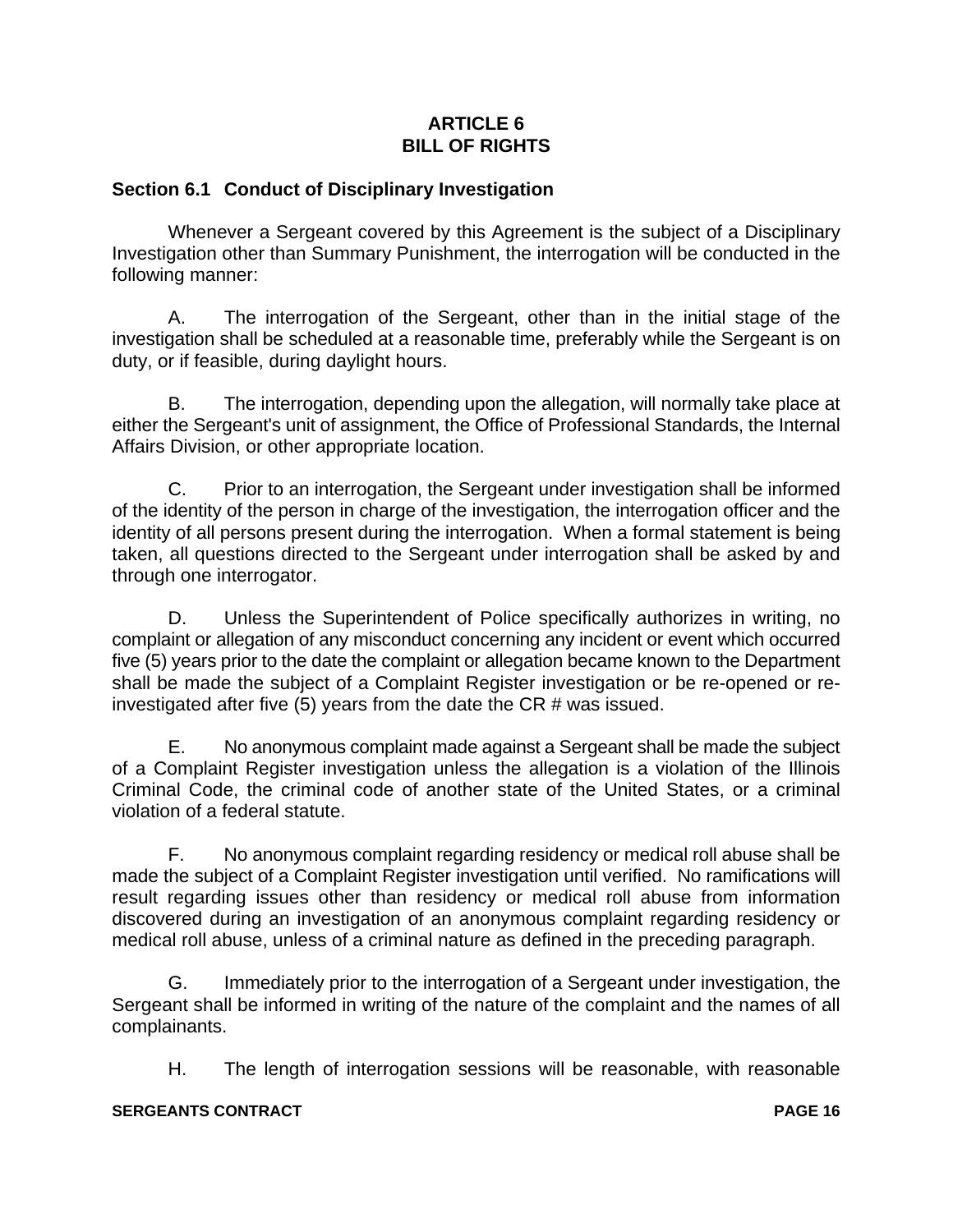### **ARTICLE 6 BILL OF RIGHTS**

#### **Section 6.1 Conduct of Disciplinary Investigation**

Whenever a Sergeant covered by this Agreement is the subject of a Disciplinary Investigation other than Summary Punishment, the interrogation will be conducted in the following manner:

A. The interrogation of the Sergeant, other than in the initial stage of the investigation shall be scheduled at a reasonable time, preferably while the Sergeant is on duty, or if feasible, during daylight hours.

B. The interrogation, depending upon the allegation, will normally take place at either the Sergeant's unit of assignment, the Office of Professional Standards, the Internal Affairs Division, or other appropriate location.

C. Prior to an interrogation, the Sergeant under investigation shall be informed of the identity of the person in charge of the investigation, the interrogation officer and the identity of all persons present during the interrogation. When a formal statement is being taken, all questions directed to the Sergeant under interrogation shall be asked by and through one interrogator.

D. Unless the Superintendent of Police specifically authorizes in writing, no complaint or allegation of any misconduct concerning any incident or event which occurred five (5) years prior to the date the complaint or allegation became known to the Department shall be made the subject of a Complaint Register investigation or be re-opened or reinvestigated after five (5) years from the date the CR # was issued.

E. No anonymous complaint made against a Sergeant shall be made the subject of a Complaint Register investigation unless the allegation is a violation of the Illinois Criminal Code, the criminal code of another state of the United States, or a criminal violation of a federal statute.

F. No anonymous complaint regarding residency or medical roll abuse shall be made the subject of a Complaint Register investigation until verified. No ramifications will result regarding issues other than residency or medical roll abuse from information discovered during an investigation of an anonymous complaint regarding residency or medical roll abuse, unless of a criminal nature as defined in the preceding paragraph.

G. Immediately prior to the interrogation of a Sergeant under investigation, the Sergeant shall be informed in writing of the nature of the complaint and the names of all complainants.

H. The length of interrogation sessions will be reasonable, with reasonable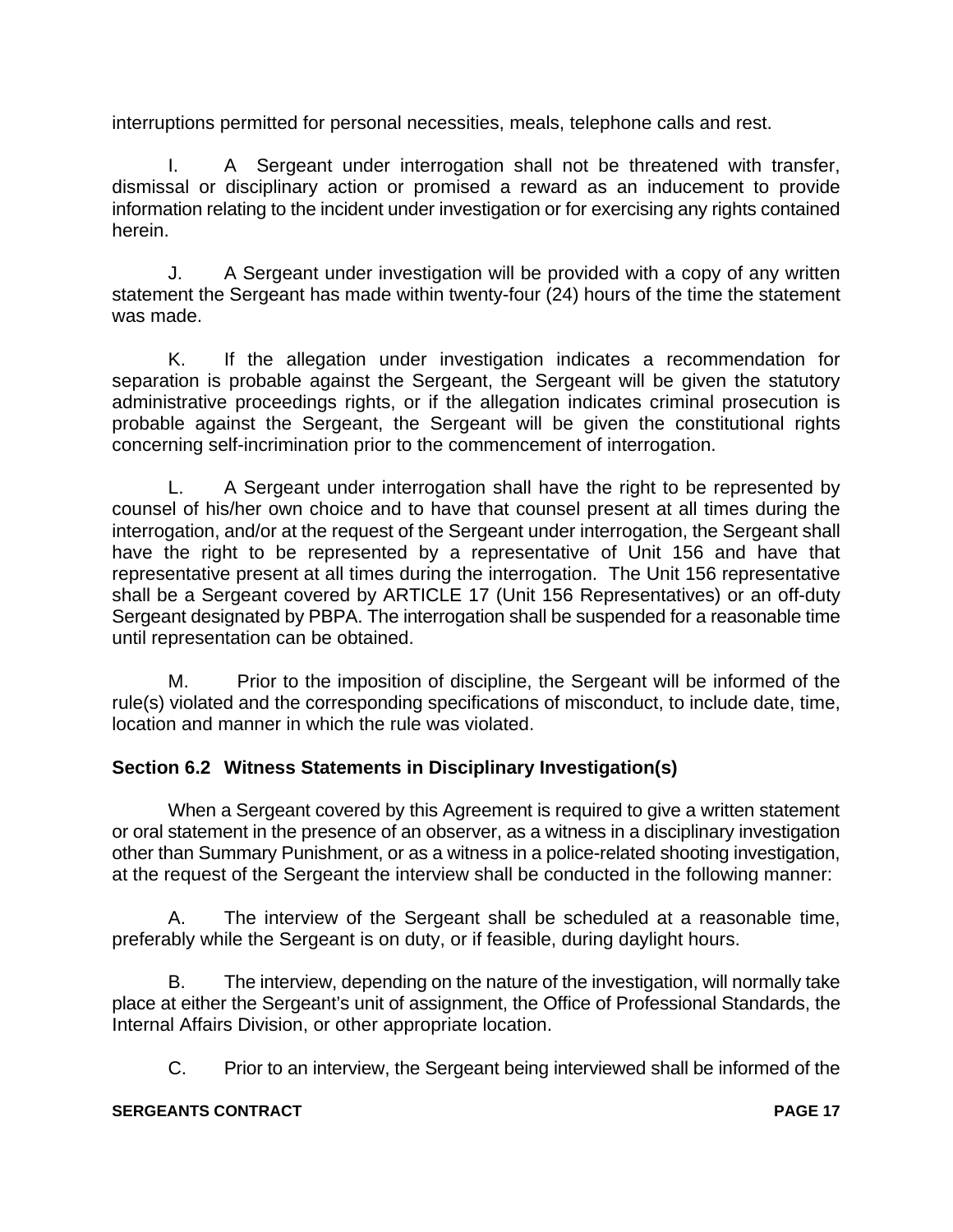interruptions permitted for personal necessities, meals, telephone calls and rest.

I. A Sergeant under interrogation shall not be threatened with transfer, dismissal or disciplinary action or promised a reward as an inducement to provide information relating to the incident under investigation or for exercising any rights contained herein.

J. A Sergeant under investigation will be provided with a copy of any written statement the Sergeant has made within twenty-four (24) hours of the time the statement was made.

K. If the allegation under investigation indicates a recommendation for separation is probable against the Sergeant, the Sergeant will be given the statutory administrative proceedings rights, or if the allegation indicates criminal prosecution is probable against the Sergeant, the Sergeant will be given the constitutional rights concerning self-incrimination prior to the commencement of interrogation.

L. A Sergeant under interrogation shall have the right to be represented by counsel of his/her own choice and to have that counsel present at all times during the interrogation, and/or at the request of the Sergeant under interrogation, the Sergeant shall have the right to be represented by a representative of Unit 156 and have that representative present at all times during the interrogation. The Unit 156 representative shall be a Sergeant covered by ARTICLE 17 (Unit 156 Representatives) or an off-duty Sergeant designated by PBPA. The interrogation shall be suspended for a reasonable time until representation can be obtained.

M. Prior to the imposition of discipline, the Sergeant will be informed of the rule(s) violated and the corresponding specifications of misconduct, to include date, time, location and manner in which the rule was violated.

## **Section 6.2 Witness Statements in Disciplinary Investigation(s)**

When a Sergeant covered by this Agreement is required to give a written statement or oral statement in the presence of an observer, as a witness in a disciplinary investigation other than Summary Punishment, or as a witness in a police-related shooting investigation, at the request of the Sergeant the interview shall be conducted in the following manner:

A. The interview of the Sergeant shall be scheduled at a reasonable time, preferably while the Sergeant is on duty, or if feasible, during daylight hours.

B. The interview, depending on the nature of the investigation, will normally take place at either the Sergeant's unit of assignment, the Office of Professional Standards, the Internal Affairs Division, or other appropriate location.

C. Prior to an interview, the Sergeant being interviewed shall be informed of the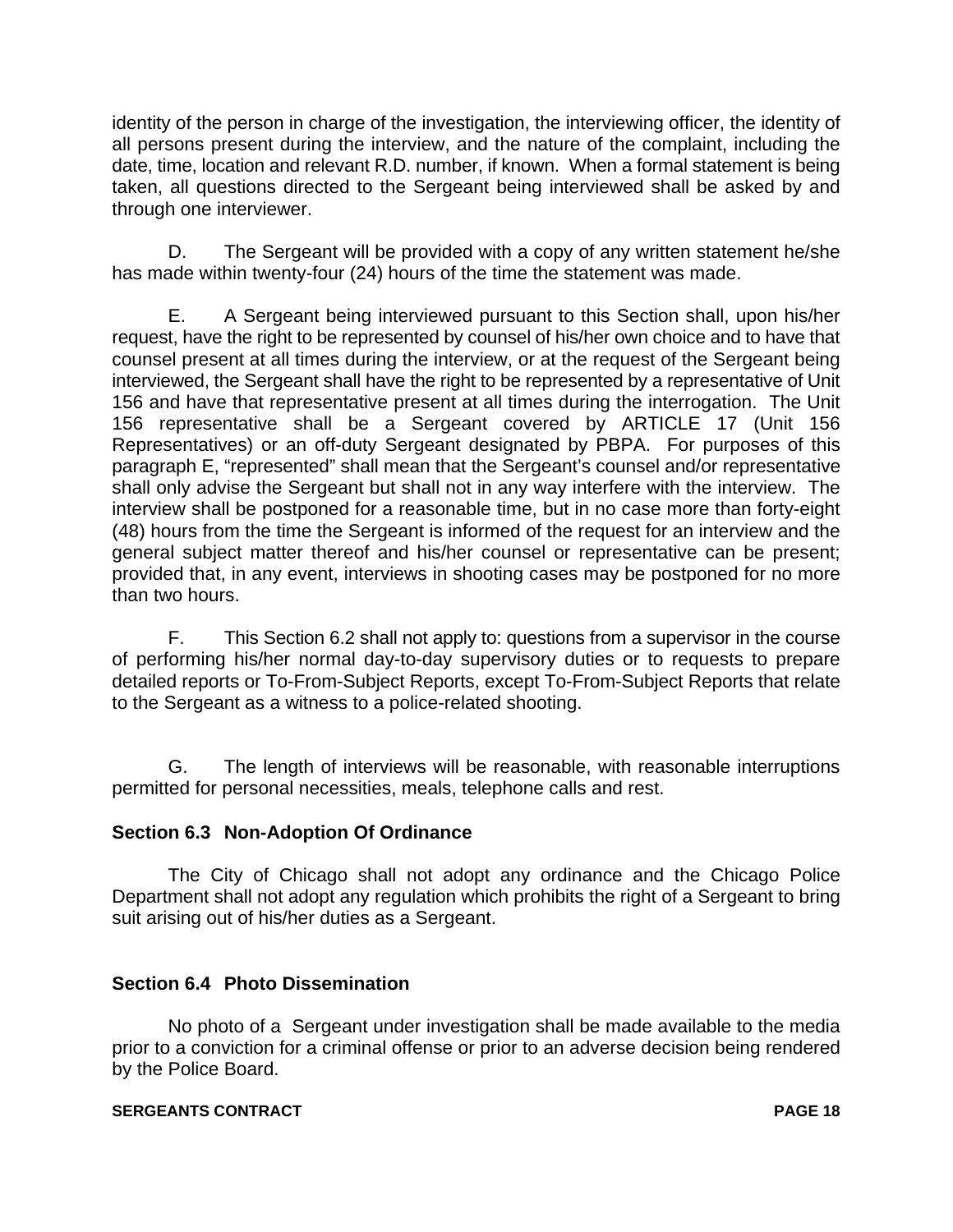identity of the person in charge of the investigation, the interviewing officer, the identity of all persons present during the interview, and the nature of the complaint, including the date, time, location and relevant R.D. number, if known. When a formal statement is being taken, all questions directed to the Sergeant being interviewed shall be asked by and through one interviewer.

D. The Sergeant will be provided with a copy of any written statement he/she has made within twenty-four (24) hours of the time the statement was made.

E. A Sergeant being interviewed pursuant to this Section shall, upon his/her request, have the right to be represented by counsel of his/her own choice and to have that counsel present at all times during the interview, or at the request of the Sergeant being interviewed, the Sergeant shall have the right to be represented by a representative of Unit 156 and have that representative present at all times during the interrogation. The Unit 156 representative shall be a Sergeant covered by ARTICLE 17 (Unit 156 Representatives) or an off-duty Sergeant designated by PBPA. For purposes of this paragraph E, "represented" shall mean that the Sergeant's counsel and/or representative shall only advise the Sergeant but shall not in any way interfere with the interview. The interview shall be postponed for a reasonable time, but in no case more than forty-eight (48) hours from the time the Sergeant is informed of the request for an interview and the general subject matter thereof and his/her counsel or representative can be present; provided that, in any event, interviews in shooting cases may be postponed for no more than two hours.

F. This Section 6.2 shall not apply to: questions from a supervisor in the course of performing his/her normal day-to-day supervisory duties or to requests to prepare detailed reports or To-From-Subject Reports, except To-From-Subject Reports that relate to the Sergeant as a witness to a police-related shooting.

G. The length of interviews will be reasonable, with reasonable interruptions permitted for personal necessities, meals, telephone calls and rest.

## **Section 6.3 Non-Adoption Of Ordinance**

The City of Chicago shall not adopt any ordinance and the Chicago Police Department shall not adopt any regulation which prohibits the right of a Sergeant to bring suit arising out of his/her duties as a Sergeant.

#### **Section 6.4 Photo Dissemination**

No photo of a Sergeant under investigation shall be made available to the media prior to a conviction for a criminal offense or prior to an adverse decision being rendered by the Police Board.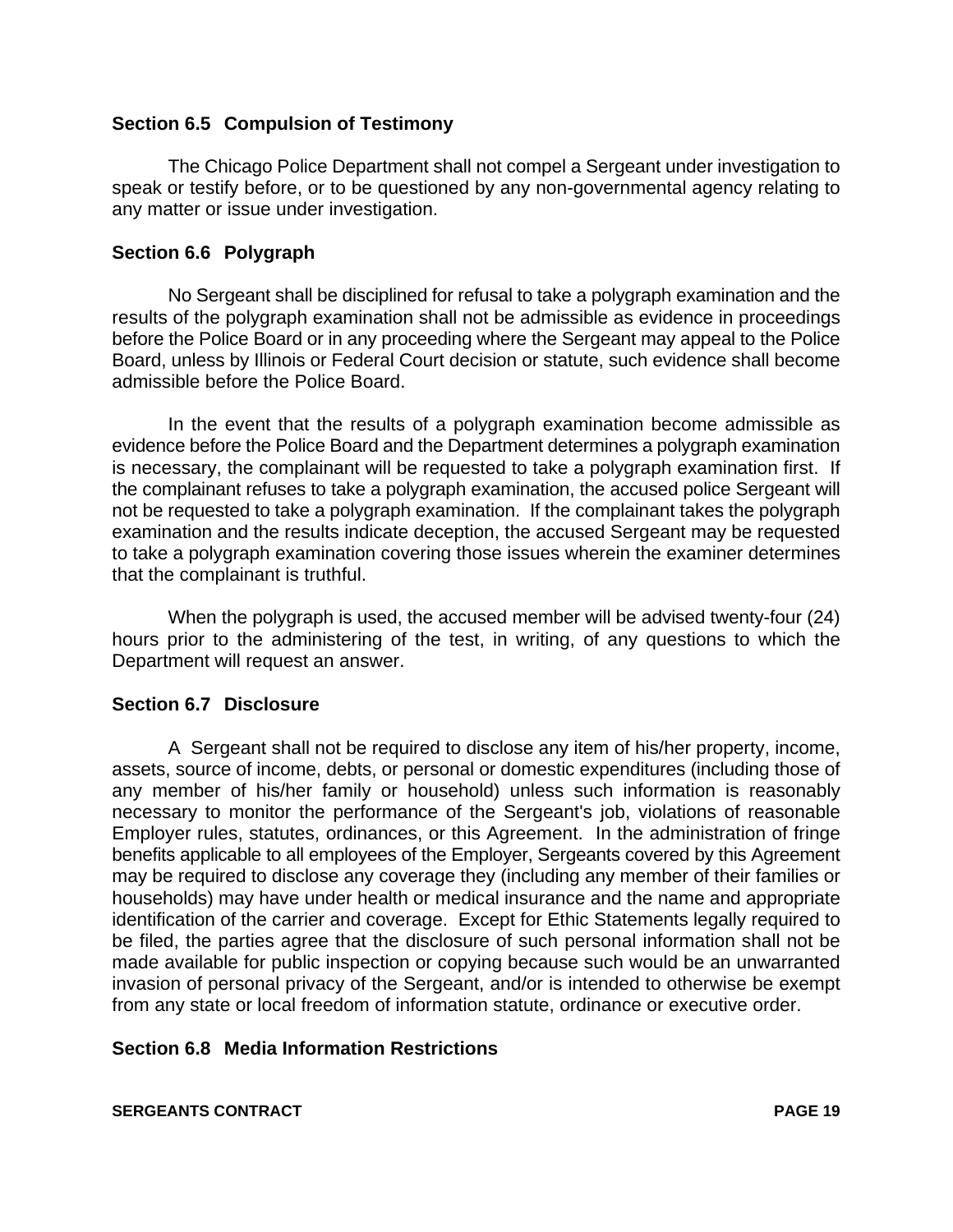#### **Section 6.5 Compulsion of Testimony**

The Chicago Police Department shall not compel a Sergeant under investigation to speak or testify before, or to be questioned by any non-governmental agency relating to any matter or issue under investigation.

#### **Section 6.6 Polygraph**

No Sergeant shall be disciplined for refusal to take a polygraph examination and the results of the polygraph examination shall not be admissible as evidence in proceedings before the Police Board or in any proceeding where the Sergeant may appeal to the Police Board, unless by Illinois or Federal Court decision or statute, such evidence shall become admissible before the Police Board.

In the event that the results of a polygraph examination become admissible as evidence before the Police Board and the Department determines a polygraph examination is necessary, the complainant will be requested to take a polygraph examination first. If the complainant refuses to take a polygraph examination, the accused police Sergeant will not be requested to take a polygraph examination. If the complainant takes the polygraph examination and the results indicate deception, the accused Sergeant may be requested to take a polygraph examination covering those issues wherein the examiner determines that the complainant is truthful.

When the polygraph is used, the accused member will be advised twenty-four (24) hours prior to the administering of the test, in writing, of any questions to which the Department will request an answer.

#### **Section 6.7 Disclosure**

A Sergeant shall not be required to disclose any item of his/her property, income, assets, source of income, debts, or personal or domestic expenditures (including those of any member of his/her family or household) unless such information is reasonably necessary to monitor the performance of the Sergeant's job, violations of reasonable Employer rules, statutes, ordinances, or this Agreement. In the administration of fringe benefits applicable to all employees of the Employer, Sergeants covered by this Agreement may be required to disclose any coverage they (including any member of their families or households) may have under health or medical insurance and the name and appropriate identification of the carrier and coverage. Except for Ethic Statements legally required to be filed, the parties agree that the disclosure of such personal information shall not be made available for public inspection or copying because such would be an unwarranted invasion of personal privacy of the Sergeant, and/or is intended to otherwise be exempt from any state or local freedom of information statute, ordinance or executive order.

#### **Section 6.8 Media Information Restrictions**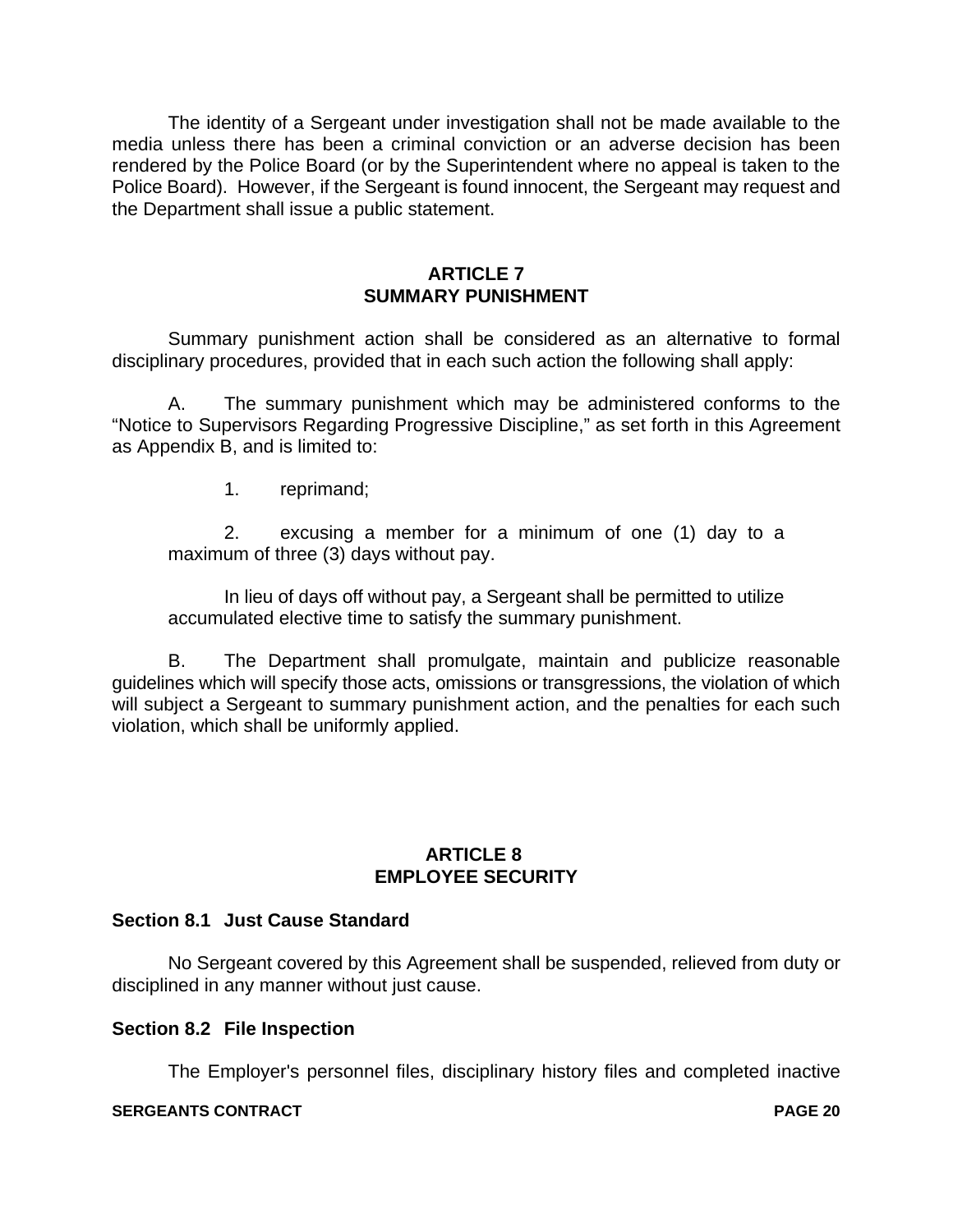The identity of a Sergeant under investigation shall not be made available to the media unless there has been a criminal conviction or an adverse decision has been rendered by the Police Board (or by the Superintendent where no appeal is taken to the Police Board). However, if the Sergeant is found innocent, the Sergeant may request and the Department shall issue a public statement.

### **ARTICLE 7 SUMMARY PUNISHMENT**

Summary punishment action shall be considered as an alternative to formal disciplinary procedures, provided that in each such action the following shall apply:

A. The summary punishment which may be administered conforms to the "Notice to Supervisors Regarding Progressive Discipline," as set forth in this Agreement as Appendix B, and is limited to:

1. reprimand;

2. excusing a member for a minimum of one (1) day to a maximum of three (3) days without pay.

In lieu of days off without pay, a Sergeant shall be permitted to utilize accumulated elective time to satisfy the summary punishment.

B. The Department shall promulgate, maintain and publicize reasonable guidelines which will specify those acts, omissions or transgressions, the violation of which will subject a Sergeant to summary punishment action, and the penalties for each such violation, which shall be uniformly applied.

#### **ARTICLE 8 EMPLOYEE SECURITY**

#### **Section 8.1 Just Cause Standard**

No Sergeant covered by this Agreement shall be suspended, relieved from duty or disciplined in any manner without just cause.

#### **Section 8.2 File Inspection**

The Employer's personnel files, disciplinary history files and completed inactive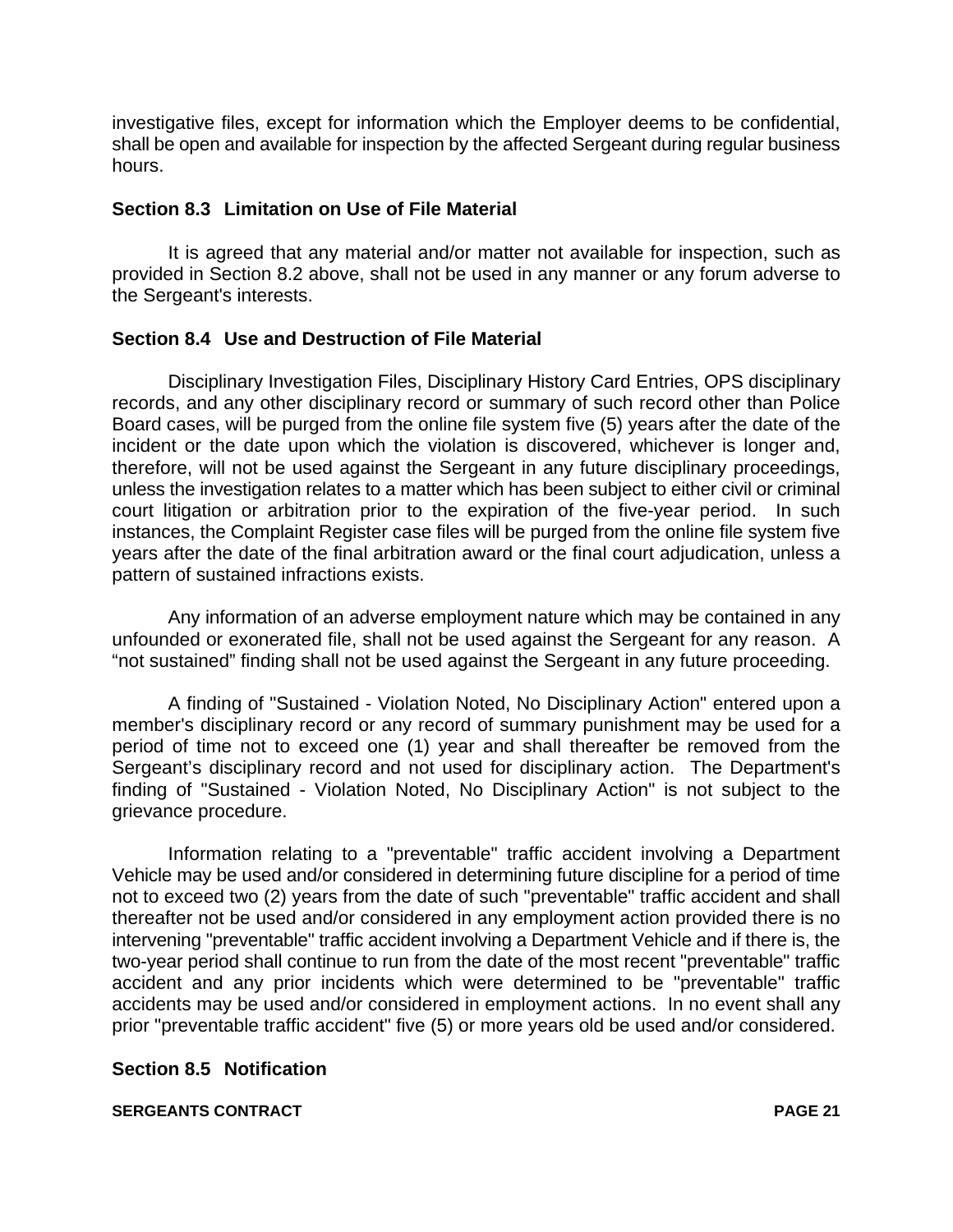investigative files, except for information which the Employer deems to be confidential, shall be open and available for inspection by the affected Sergeant during regular business hours.

#### **Section 8.3 Limitation on Use of File Material**

It is agreed that any material and/or matter not available for inspection, such as provided in Section 8.2 above, shall not be used in any manner or any forum adverse to the Sergeant's interests.

#### **Section 8.4 Use and Destruction of File Material**

Disciplinary Investigation Files, Disciplinary History Card Entries, OPS disciplinary records, and any other disciplinary record or summary of such record other than Police Board cases, will be purged from the online file system five (5) years after the date of the incident or the date upon which the violation is discovered, whichever is longer and, therefore, will not be used against the Sergeant in any future disciplinary proceedings, unless the investigation relates to a matter which has been subject to either civil or criminal court litigation or arbitration prior to the expiration of the five-year period. In such instances, the Complaint Register case files will be purged from the online file system five years after the date of the final arbitration award or the final court adjudication, unless a pattern of sustained infractions exists.

Any information of an adverse employment nature which may be contained in any unfounded or exonerated file, shall not be used against the Sergeant for any reason. A "not sustained" finding shall not be used against the Sergeant in any future proceeding.

A finding of "Sustained - Violation Noted, No Disciplinary Action" entered upon a member's disciplinary record or any record of summary punishment may be used for a period of time not to exceed one (1) year and shall thereafter be removed from the Sergeant's disciplinary record and not used for disciplinary action. The Department's finding of "Sustained - Violation Noted, No Disciplinary Action" is not subject to the grievance procedure.

Information relating to a "preventable" traffic accident involving a Department Vehicle may be used and/or considered in determining future discipline for a period of time not to exceed two (2) years from the date of such "preventable" traffic accident and shall thereafter not be used and/or considered in any employment action provided there is no intervening "preventable" traffic accident involving a Department Vehicle and if there is, the two-year period shall continue to run from the date of the most recent "preventable" traffic accident and any prior incidents which were determined to be "preventable" traffic accidents may be used and/or considered in employment actions. In no event shall any prior "preventable traffic accident" five (5) or more years old be used and/or considered.

#### **Section 8.5 Notification**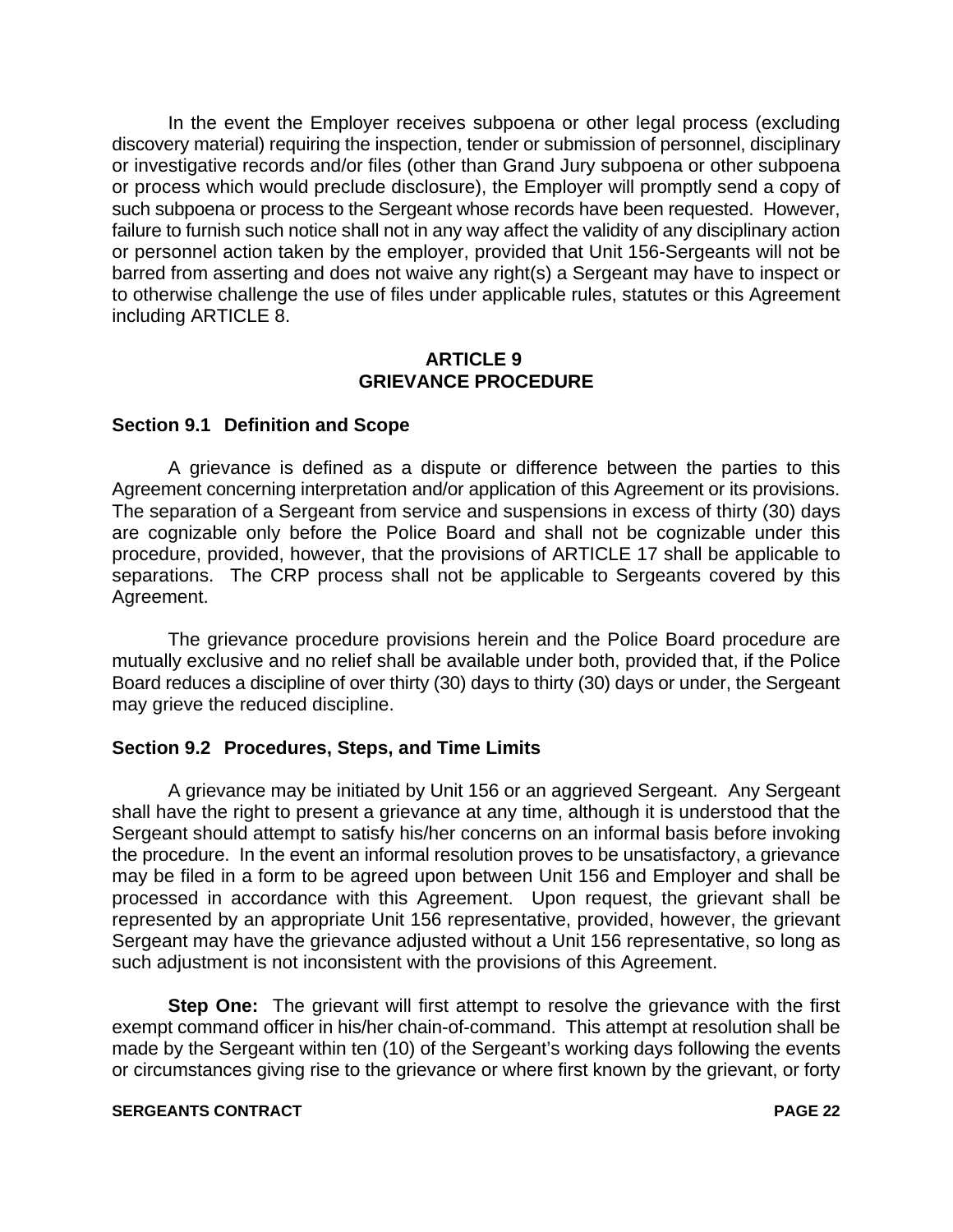In the event the Employer receives subpoena or other legal process (excluding discovery material) requiring the inspection, tender or submission of personnel, disciplinary or investigative records and/or files (other than Grand Jury subpoena or other subpoena or process which would preclude disclosure), the Employer will promptly send a copy of such subpoena or process to the Sergeant whose records have been requested. However, failure to furnish such notice shall not in any way affect the validity of any disciplinary action or personnel action taken by the employer, provided that Unit 156-Sergeants will not be barred from asserting and does not waive any right(s) a Sergeant may have to inspect or to otherwise challenge the use of files under applicable rules, statutes or this Agreement including ARTICLE 8.

#### **ARTICLE 9 GRIEVANCE PROCEDURE**

#### **Section 9.1 Definition and Scope**

A grievance is defined as a dispute or difference between the parties to this Agreement concerning interpretation and/or application of this Agreement or its provisions. The separation of a Sergeant from service and suspensions in excess of thirty (30) days are cognizable only before the Police Board and shall not be cognizable under this procedure, provided, however, that the provisions of ARTICLE 17 shall be applicable to separations. The CRP process shall not be applicable to Sergeants covered by this Agreement.

The grievance procedure provisions herein and the Police Board procedure are mutually exclusive and no relief shall be available under both, provided that, if the Police Board reduces a discipline of over thirty (30) days to thirty (30) days or under, the Sergeant may grieve the reduced discipline.

#### **Section 9.2 Procedures, Steps, and Time Limits**

A grievance may be initiated by Unit 156 or an aggrieved Sergeant. Any Sergeant shall have the right to present a grievance at any time, although it is understood that the Sergeant should attempt to satisfy his/her concerns on an informal basis before invoking the procedure. In the event an informal resolution proves to be unsatisfactory, a grievance may be filed in a form to be agreed upon between Unit 156 and Employer and shall be processed in accordance with this Agreement. Upon request, the grievant shall be represented by an appropriate Unit 156 representative, provided, however, the grievant Sergeant may have the grievance adjusted without a Unit 156 representative, so long as such adjustment is not inconsistent with the provisions of this Agreement.

**Step One:** The grievant will first attempt to resolve the grievance with the first exempt command officer in his/her chain-of-command. This attempt at resolution shall be made by the Sergeant within ten (10) of the Sergeant's working days following the events or circumstances giving rise to the grievance or where first known by the grievant, or forty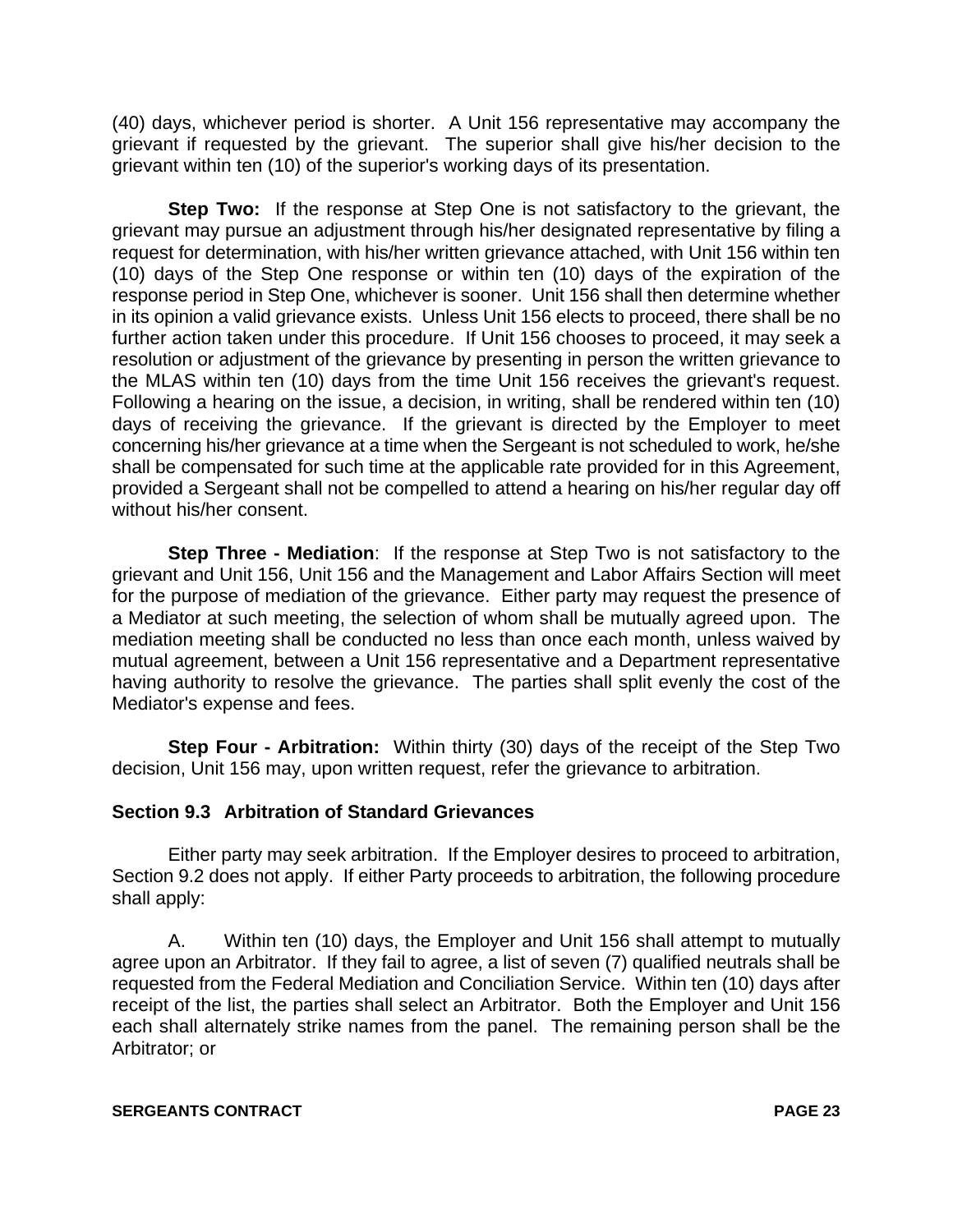(40) days, whichever period is shorter. A Unit 156 representative may accompany the grievant if requested by the grievant. The superior shall give his/her decision to the grievant within ten (10) of the superior's working days of its presentation.

**Step Two:** If the response at Step One is not satisfactory to the grievant, the grievant may pursue an adjustment through his/her designated representative by filing a request for determination, with his/her written grievance attached, with Unit 156 within ten (10) days of the Step One response or within ten (10) days of the expiration of the response period in Step One, whichever is sooner. Unit 156 shall then determine whether in its opinion a valid grievance exists. Unless Unit 156 elects to proceed, there shall be no further action taken under this procedure. If Unit 156 chooses to proceed, it may seek a resolution or adjustment of the grievance by presenting in person the written grievance to the MLAS within ten (10) days from the time Unit 156 receives the grievant's request. Following a hearing on the issue, a decision, in writing, shall be rendered within ten (10) days of receiving the grievance. If the grievant is directed by the Employer to meet concerning his/her grievance at a time when the Sergeant is not scheduled to work, he/she shall be compensated for such time at the applicable rate provided for in this Agreement, provided a Sergeant shall not be compelled to attend a hearing on his/her regular day off without his/her consent.

**Step Three - Mediation**: If the response at Step Two is not satisfactory to the grievant and Unit 156, Unit 156 and the Management and Labor Affairs Section will meet for the purpose of mediation of the grievance. Either party may request the presence of a Mediator at such meeting, the selection of whom shall be mutually agreed upon. The mediation meeting shall be conducted no less than once each month, unless waived by mutual agreement, between a Unit 156 representative and a Department representative having authority to resolve the grievance. The parties shall split evenly the cost of the Mediator's expense and fees.

**Step Four - Arbitration:** Within thirty (30) days of the receipt of the Step Two decision, Unit 156 may, upon written request, refer the grievance to arbitration.

#### **Section 9.3 Arbitration of Standard Grievances**

Either party may seek arbitration. If the Employer desires to proceed to arbitration, Section 9.2 does not apply. If either Party proceeds to arbitration, the following procedure shall apply:

A. Within ten (10) days, the Employer and Unit 156 shall attempt to mutually agree upon an Arbitrator. If they fail to agree, a list of seven (7) qualified neutrals shall be requested from the Federal Mediation and Conciliation Service. Within ten (10) days after receipt of the list, the parties shall select an Arbitrator. Both the Employer and Unit 156 each shall alternately strike names from the panel. The remaining person shall be the Arbitrator; or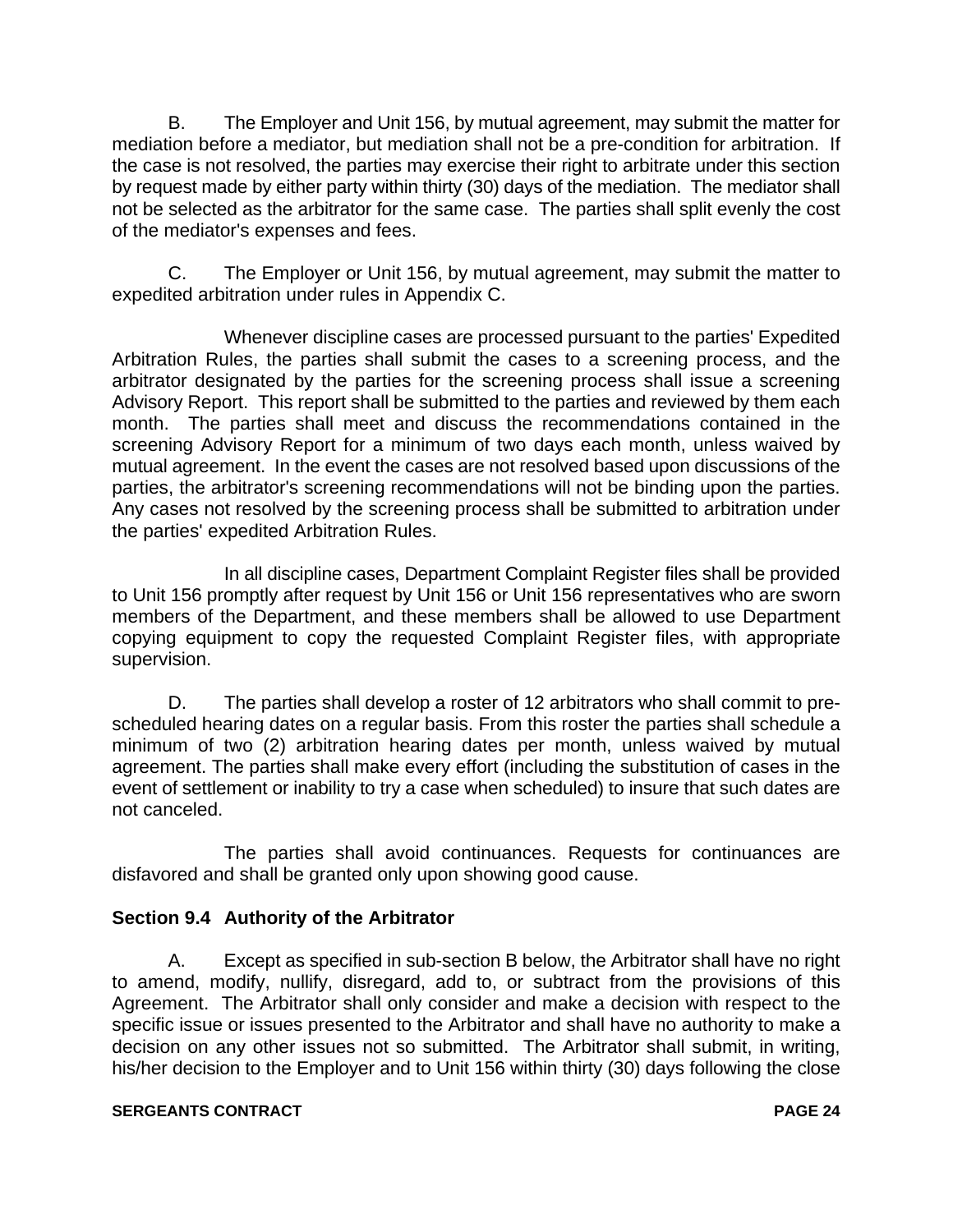B. The Employer and Unit 156, by mutual agreement, may submit the matter for mediation before a mediator, but mediation shall not be a pre-condition for arbitration. If the case is not resolved, the parties may exercise their right to arbitrate under this section by request made by either party within thirty (30) days of the mediation. The mediator shall not be selected as the arbitrator for the same case. The parties shall split evenly the cost of the mediator's expenses and fees.

C. The Employer or Unit 156, by mutual agreement, may submit the matter to expedited arbitration under rules in Appendix C.

Whenever discipline cases are processed pursuant to the parties' Expedited Arbitration Rules, the parties shall submit the cases to a screening process, and the arbitrator designated by the parties for the screening process shall issue a screening Advisory Report. This report shall be submitted to the parties and reviewed by them each month. The parties shall meet and discuss the recommendations contained in the screening Advisory Report for a minimum of two days each month, unless waived by mutual agreement. In the event the cases are not resolved based upon discussions of the parties, the arbitrator's screening recommendations will not be binding upon the parties. Any cases not resolved by the screening process shall be submitted to arbitration under the parties' expedited Arbitration Rules.

In all discipline cases, Department Complaint Register files shall be provided to Unit 156 promptly after request by Unit 156 or Unit 156 representatives who are sworn members of the Department, and these members shall be allowed to use Department copying equipment to copy the requested Complaint Register files, with appropriate supervision.

D. The parties shall develop a roster of 12 arbitrators who shall commit to prescheduled hearing dates on a regular basis. From this roster the parties shall schedule a minimum of two (2) arbitration hearing dates per month, unless waived by mutual agreement. The parties shall make every effort (including the substitution of cases in the event of settlement or inability to try a case when scheduled) to insure that such dates are not canceled.

The parties shall avoid continuances. Requests for continuances are disfavored and shall be granted only upon showing good cause.

## **Section 9.4 Authority of the Arbitrator**

A. Except as specified in sub-section B below, the Arbitrator shall have no right to amend, modify, nullify, disregard, add to, or subtract from the provisions of this Agreement. The Arbitrator shall only consider and make a decision with respect to the specific issue or issues presented to the Arbitrator and shall have no authority to make a decision on any other issues not so submitted. The Arbitrator shall submit, in writing, his/her decision to the Employer and to Unit 156 within thirty (30) days following the close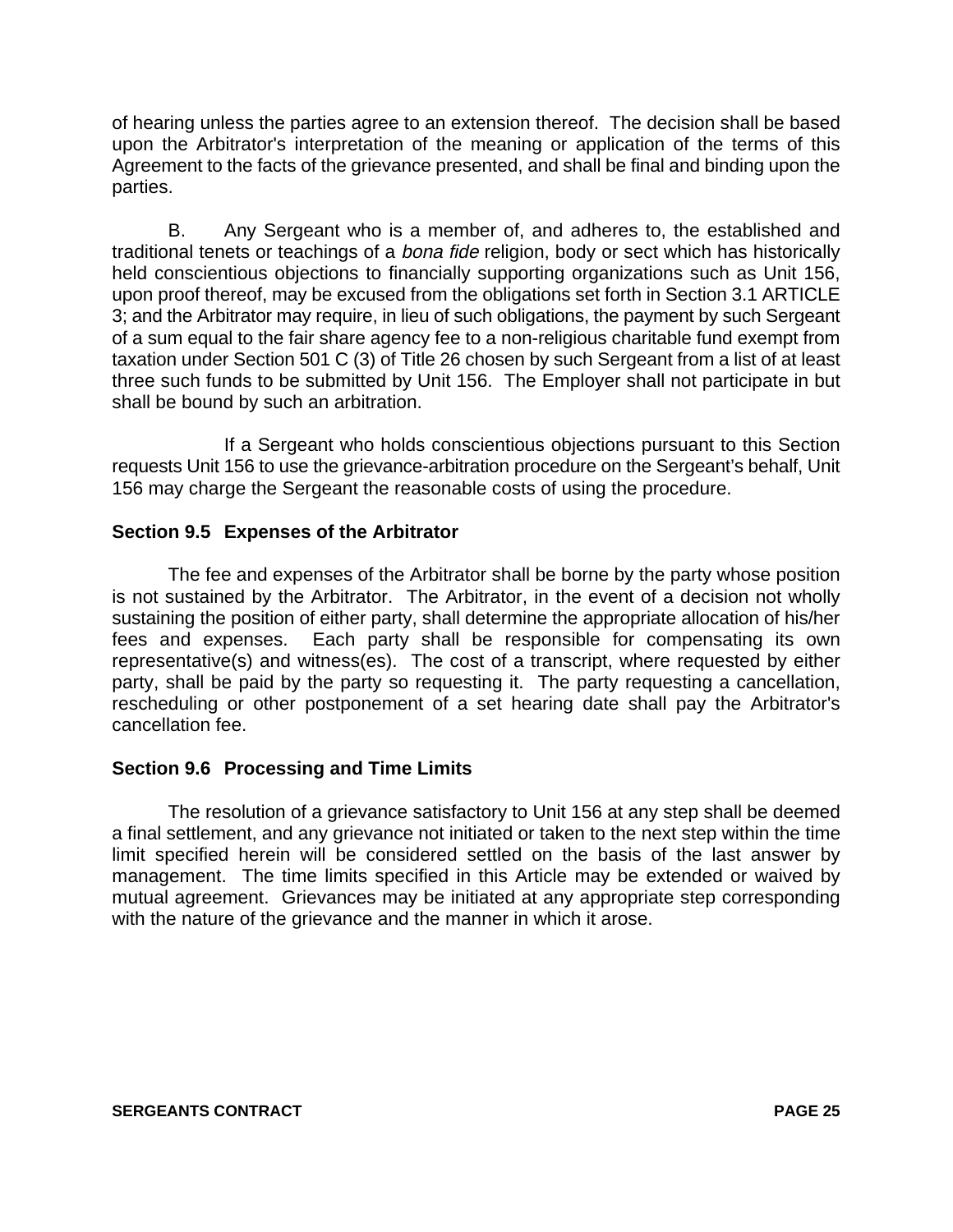of hearing unless the parties agree to an extension thereof. The decision shall be based upon the Arbitrator's interpretation of the meaning or application of the terms of this Agreement to the facts of the grievance presented, and shall be final and binding upon the parties.

B. Any Sergeant who is a member of, and adheres to, the established and traditional tenets or teachings of a bona fide religion, body or sect which has historically held conscientious objections to financially supporting organizations such as Unit 156, upon proof thereof, may be excused from the obligations set forth in Section 3.1 ARTICLE 3; and the Arbitrator may require, in lieu of such obligations, the payment by such Sergeant of a sum equal to the fair share agency fee to a non-religious charitable fund exempt from taxation under Section 501 C (3) of Title 26 chosen by such Sergeant from a list of at least three such funds to be submitted by Unit 156. The Employer shall not participate in but shall be bound by such an arbitration.

If a Sergeant who holds conscientious objections pursuant to this Section requests Unit 156 to use the grievance-arbitration procedure on the Sergeant's behalf, Unit 156 may charge the Sergeant the reasonable costs of using the procedure.

### **Section 9.5 Expenses of the Arbitrator**

The fee and expenses of the Arbitrator shall be borne by the party whose position is not sustained by the Arbitrator. The Arbitrator, in the event of a decision not wholly sustaining the position of either party, shall determine the appropriate allocation of his/her fees and expenses. Each party shall be responsible for compensating its own representative(s) and witness(es). The cost of a transcript, where requested by either party, shall be paid by the party so requesting it. The party requesting a cancellation, rescheduling or other postponement of a set hearing date shall pay the Arbitrator's cancellation fee.

#### **Section 9.6 Processing and Time Limits**

The resolution of a grievance satisfactory to Unit 156 at any step shall be deemed a final settlement, and any grievance not initiated or taken to the next step within the time limit specified herein will be considered settled on the basis of the last answer by management. The time limits specified in this Article may be extended or waived by mutual agreement. Grievances may be initiated at any appropriate step corresponding with the nature of the grievance and the manner in which it arose.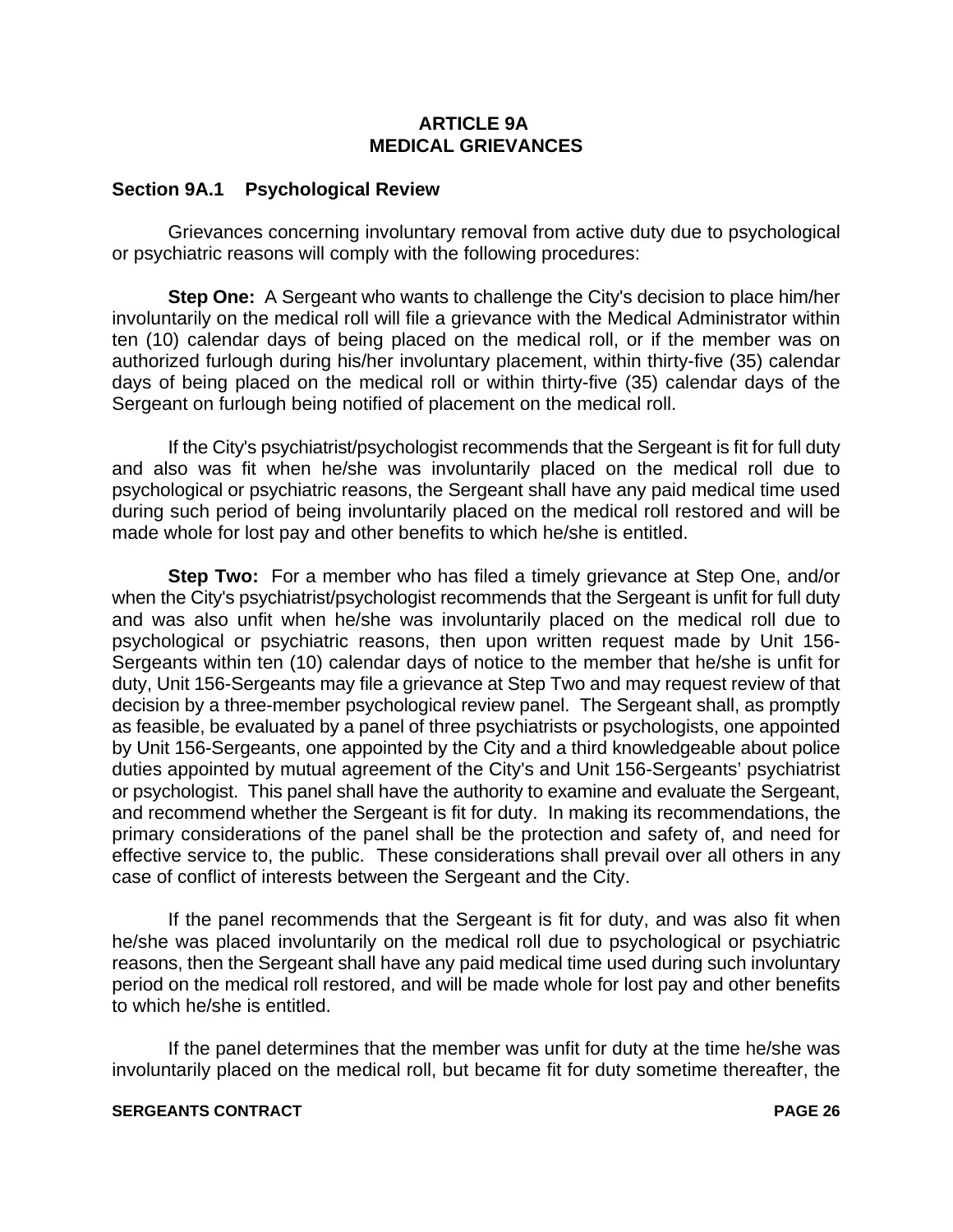#### **ARTICLE 9A MEDICAL GRIEVANCES**

#### **Section 9A.1 Psychological Review**

Grievances concerning involuntary removal from active duty due to psychological or psychiatric reasons will comply with the following procedures:

**Step One:** A Sergeant who wants to challenge the City's decision to place him/her involuntarily on the medical roll will file a grievance with the Medical Administrator within ten (10) calendar days of being placed on the medical roll, or if the member was on authorized furlough during his/her involuntary placement, within thirty-five (35) calendar days of being placed on the medical roll or within thirty-five (35) calendar days of the Sergeant on furlough being notified of placement on the medical roll.

If the City's psychiatrist/psychologist recommends that the Sergeant is fit for full duty and also was fit when he/she was involuntarily placed on the medical roll due to psychological or psychiatric reasons, the Sergeant shall have any paid medical time used during such period of being involuntarily placed on the medical roll restored and will be made whole for lost pay and other benefits to which he/she is entitled.

**Step Two:** For a member who has filed a timely grievance at Step One, and/or when the City's psychiatrist/psychologist recommends that the Sergeant is unfit for full duty and was also unfit when he/she was involuntarily placed on the medical roll due to psychological or psychiatric reasons, then upon written request made by Unit 156- Sergeants within ten (10) calendar days of notice to the member that he/she is unfit for duty, Unit 156-Sergeants may file a grievance at Step Two and may request review of that decision by a three-member psychological review panel. The Sergeant shall, as promptly as feasible, be evaluated by a panel of three psychiatrists or psychologists, one appointed by Unit 156-Sergeants, one appointed by the City and a third knowledgeable about police duties appointed by mutual agreement of the City's and Unit 156-Sergeants' psychiatrist or psychologist. This panel shall have the authority to examine and evaluate the Sergeant, and recommend whether the Sergeant is fit for duty. In making its recommendations, the primary considerations of the panel shall be the protection and safety of, and need for effective service to, the public. These considerations shall prevail over all others in any case of conflict of interests between the Sergeant and the City.

If the panel recommends that the Sergeant is fit for duty, and was also fit when he/she was placed involuntarily on the medical roll due to psychological or psychiatric reasons, then the Sergeant shall have any paid medical time used during such involuntary period on the medical roll restored, and will be made whole for lost pay and other benefits to which he/she is entitled.

If the panel determines that the member was unfit for duty at the time he/she was involuntarily placed on the medical roll, but became fit for duty sometime thereafter, the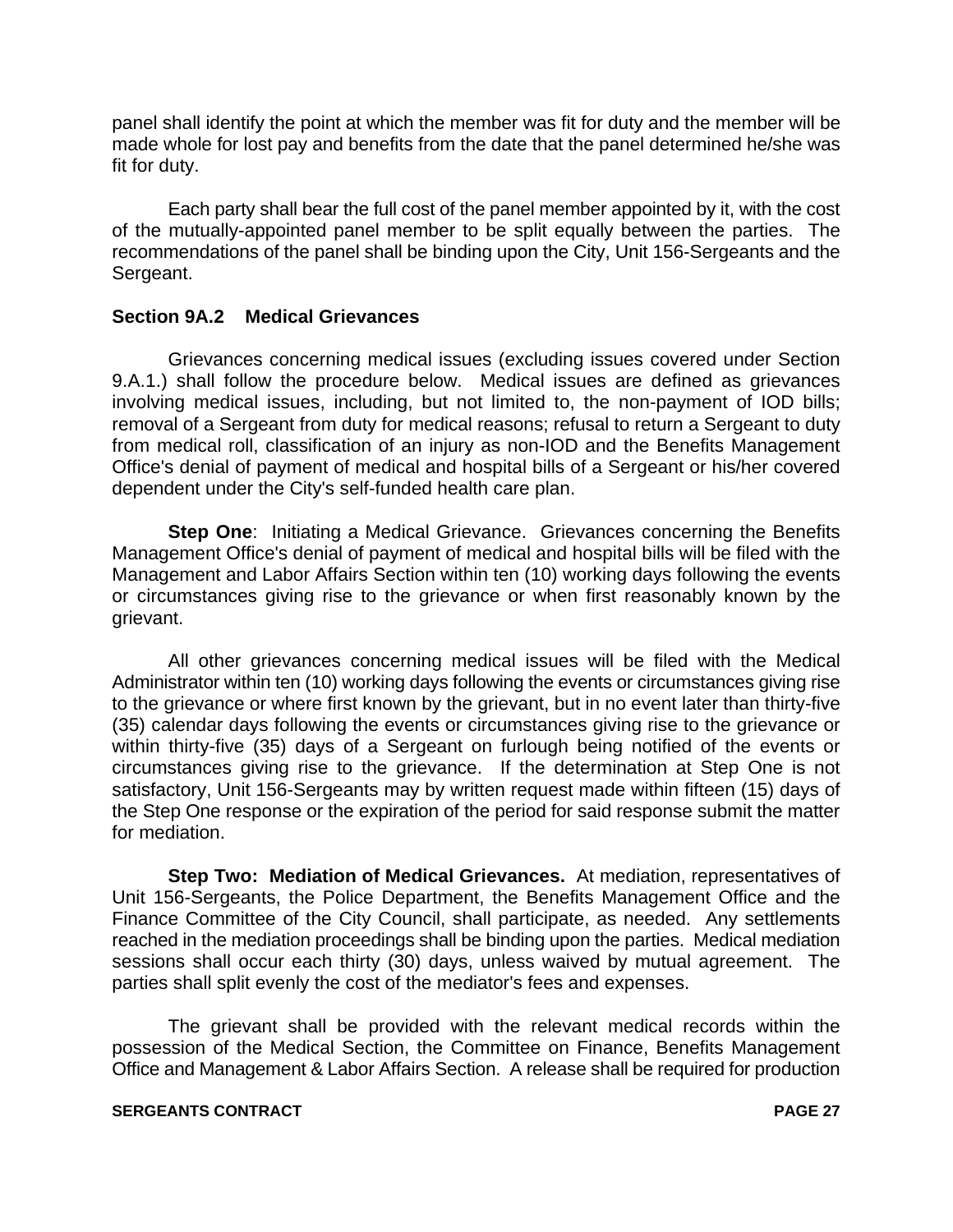panel shall identify the point at which the member was fit for duty and the member will be made whole for lost pay and benefits from the date that the panel determined he/she was fit for duty.

Each party shall bear the full cost of the panel member appointed by it, with the cost of the mutually-appointed panel member to be split equally between the parties. The recommendations of the panel shall be binding upon the City, Unit 156-Sergeants and the Sergeant.

#### **Section 9A.2 Medical Grievances**

Grievances concerning medical issues (excluding issues covered under Section 9.A.1.) shall follow the procedure below. Medical issues are defined as grievances involving medical issues, including, but not limited to, the non-payment of IOD bills; removal of a Sergeant from duty for medical reasons; refusal to return a Sergeant to duty from medical roll, classification of an injury as non-IOD and the Benefits Management Office's denial of payment of medical and hospital bills of a Sergeant or his/her covered dependent under the City's self-funded health care plan.

**Step One:** Initiating a Medical Grievance. Grievances concerning the Benefits Management Office's denial of payment of medical and hospital bills will be filed with the Management and Labor Affairs Section within ten (10) working days following the events or circumstances giving rise to the grievance or when first reasonably known by the grievant.

All other grievances concerning medical issues will be filed with the Medical Administrator within ten (10) working days following the events or circumstances giving rise to the grievance or where first known by the grievant, but in no event later than thirty-five (35) calendar days following the events or circumstances giving rise to the grievance or within thirty-five (35) days of a Sergeant on furlough being notified of the events or circumstances giving rise to the grievance. If the determination at Step One is not satisfactory, Unit 156-Sergeants may by written request made within fifteen (15) days of the Step One response or the expiration of the period for said response submit the matter for mediation.

**Step Two: Mediation of Medical Grievances.** At mediation, representatives of Unit 156-Sergeants, the Police Department, the Benefits Management Office and the Finance Committee of the City Council, shall participate, as needed. Any settlements reached in the mediation proceedings shall be binding upon the parties. Medical mediation sessions shall occur each thirty (30) days, unless waived by mutual agreement. The parties shall split evenly the cost of the mediator's fees and expenses.

The grievant shall be provided with the relevant medical records within the possession of the Medical Section, the Committee on Finance, Benefits Management Office and Management & Labor Affairs Section. A release shall be required for production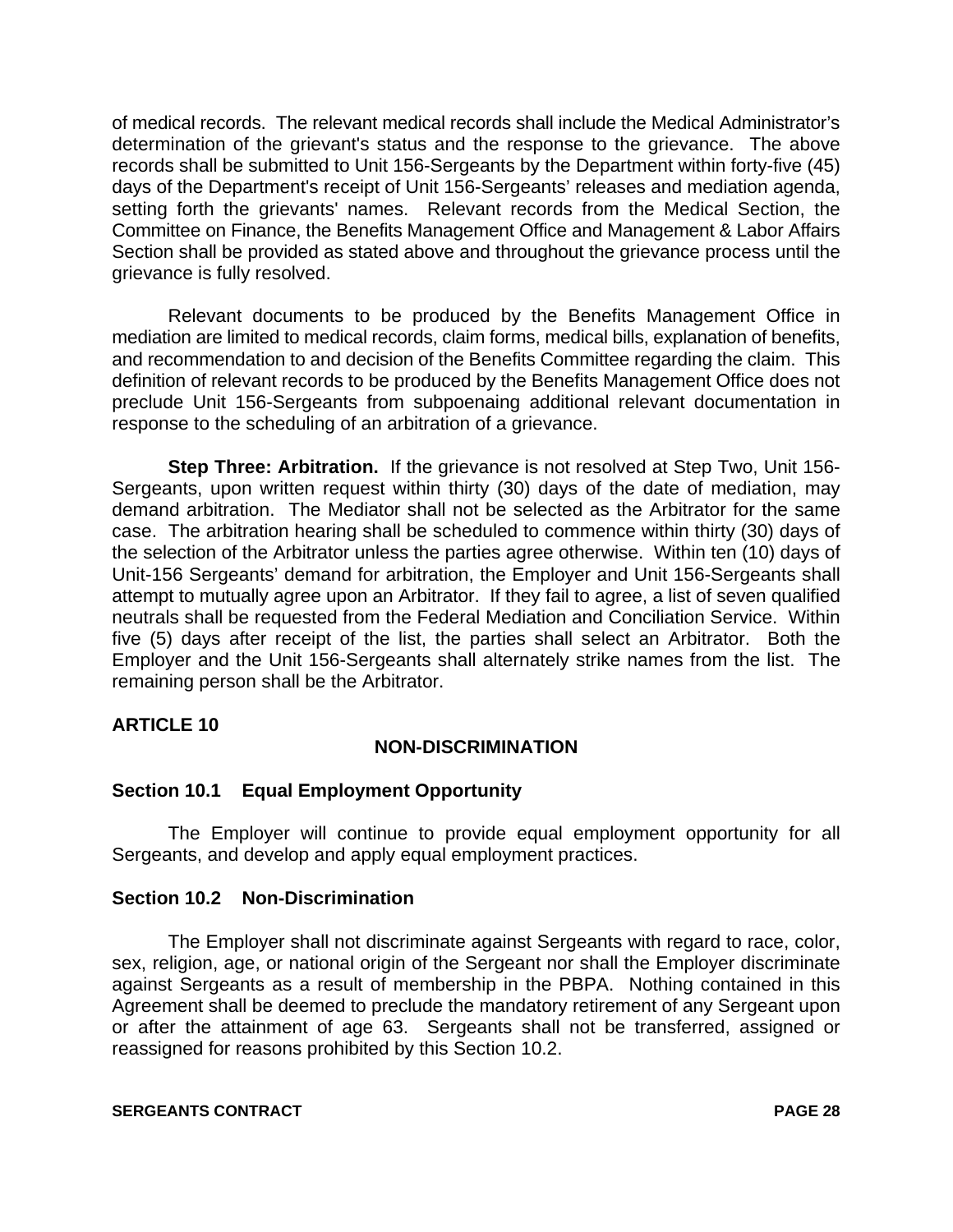of medical records. The relevant medical records shall include the Medical Administrator's determination of the grievant's status and the response to the grievance. The above records shall be submitted to Unit 156-Sergeants by the Department within forty-five (45) days of the Department's receipt of Unit 156-Sergeants' releases and mediation agenda, setting forth the grievants' names. Relevant records from the Medical Section, the Committee on Finance, the Benefits Management Office and Management & Labor Affairs Section shall be provided as stated above and throughout the grievance process until the grievance is fully resolved.

Relevant documents to be produced by the Benefits Management Office in mediation are limited to medical records, claim forms, medical bills, explanation of benefits, and recommendation to and decision of the Benefits Committee regarding the claim. This definition of relevant records to be produced by the Benefits Management Office does not preclude Unit 156-Sergeants from subpoenaing additional relevant documentation in response to the scheduling of an arbitration of a grievance.

**Step Three: Arbitration.** If the grievance is not resolved at Step Two, Unit 156- Sergeants, upon written request within thirty (30) days of the date of mediation, may demand arbitration. The Mediator shall not be selected as the Arbitrator for the same case. The arbitration hearing shall be scheduled to commence within thirty (30) days of the selection of the Arbitrator unless the parties agree otherwise. Within ten (10) days of Unit-156 Sergeants' demand for arbitration, the Employer and Unit 156-Sergeants shall attempt to mutually agree upon an Arbitrator. If they fail to agree, a list of seven qualified neutrals shall be requested from the Federal Mediation and Conciliation Service. Within five (5) days after receipt of the list, the parties shall select an Arbitrator. Both the Employer and the Unit 156-Sergeants shall alternately strike names from the list. The remaining person shall be the Arbitrator.

#### **ARTICLE 10**

## **NON-DISCRIMINATION**

#### **Section 10.1 Equal Employment Opportunity**

The Employer will continue to provide equal employment opportunity for all Sergeants, and develop and apply equal employment practices.

#### **Section 10.2 Non-Discrimination**

The Employer shall not discriminate against Sergeants with regard to race, color, sex, religion, age, or national origin of the Sergeant nor shall the Employer discriminate against Sergeants as a result of membership in the PBPA. Nothing contained in this Agreement shall be deemed to preclude the mandatory retirement of any Sergeant upon or after the attainment of age 63. Sergeants shall not be transferred, assigned or reassigned for reasons prohibited by this Section 10.2.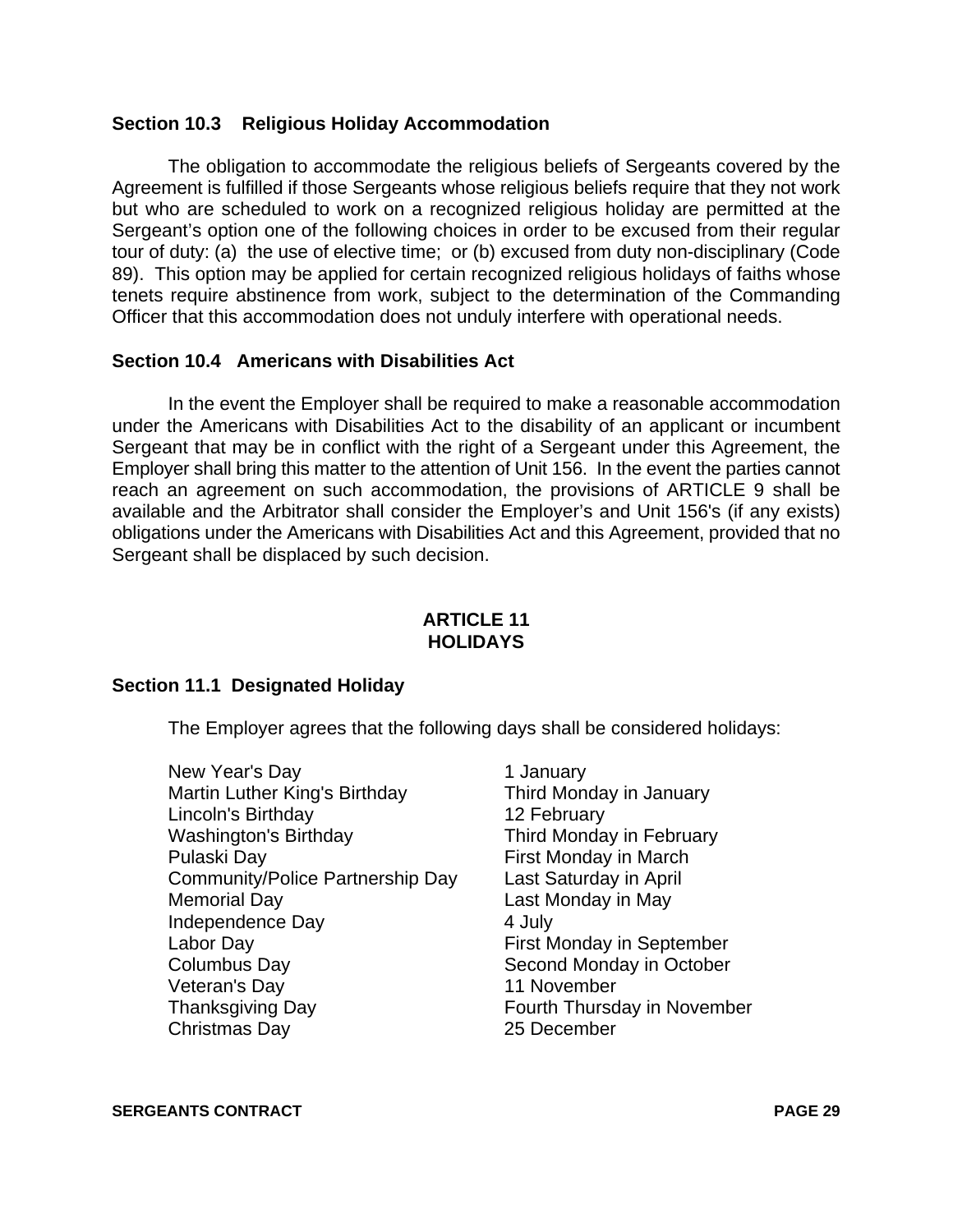#### **Section 10.3 Religious Holiday Accommodation**

The obligation to accommodate the religious beliefs of Sergeants covered by the Agreement is fulfilled if those Sergeants whose religious beliefs require that they not work but who are scheduled to work on a recognized religious holiday are permitted at the Sergeant's option one of the following choices in order to be excused from their regular tour of duty: (a) the use of elective time; or (b) excused from duty non-disciplinary (Code 89). This option may be applied for certain recognized religious holidays of faiths whose tenets require abstinence from work, subject to the determination of the Commanding Officer that this accommodation does not unduly interfere with operational needs.

#### **Section 10.4 Americans with Disabilities Act**

In the event the Employer shall be required to make a reasonable accommodation under the Americans with Disabilities Act to the disability of an applicant or incumbent Sergeant that may be in conflict with the right of a Sergeant under this Agreement, the Employer shall bring this matter to the attention of Unit 156. In the event the parties cannot reach an agreement on such accommodation, the provisions of ARTICLE 9 shall be available and the Arbitrator shall consider the Employer's and Unit 156's (if any exists) obligations under the Americans with Disabilities Act and this Agreement, provided that no Sergeant shall be displaced by such decision.

#### **ARTICLE 11 HOLIDAYS**

#### **Section 11.1 Designated Holiday**

The Employer agrees that the following days shall be considered holidays:

- New Year's Day 1 January Martin Luther King's Birthday Third Monday in January Lincoln's Birthday 12 February Washington's Birthday Third Monday in February Pulaski Day **First Monday in March** Community/Police Partnership Day Last Saturday in April Memorial Day **Last Monday in May** Independence Day 4 July Labor Day First Monday in September Columbus Day **Second Monday in October** Veteran's Day 11 November Thanksgiving Day **Fourth Thursday in November** Christmas Day 25 December
	-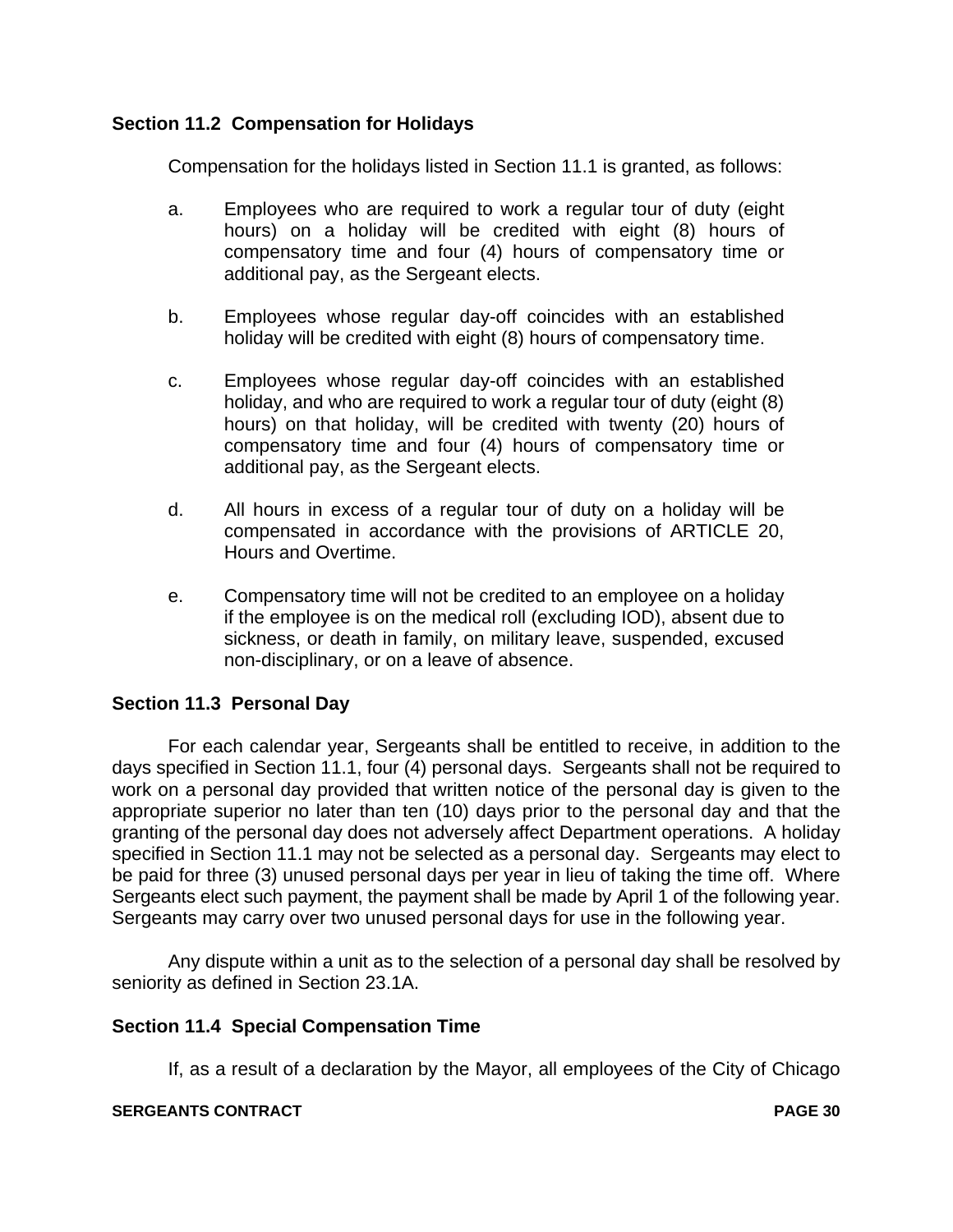#### **Section 11.2 Compensation for Holidays**

Compensation for the holidays listed in Section 11.1 is granted, as follows:

- a. Employees who are required to work a regular tour of duty (eight hours) on a holiday will be credited with eight (8) hours of compensatory time and four (4) hours of compensatory time or additional pay, as the Sergeant elects.
- b. Employees whose regular day-off coincides with an established holiday will be credited with eight (8) hours of compensatory time.
- c. Employees whose regular day-off coincides with an established holiday, and who are required to work a regular tour of duty (eight (8) hours) on that holiday, will be credited with twenty (20) hours of compensatory time and four (4) hours of compensatory time or additional pay, as the Sergeant elects.
- d. All hours in excess of a regular tour of duty on a holiday will be compensated in accordance with the provisions of ARTICLE 20, Hours and Overtime.
- e. Compensatory time will not be credited to an employee on a holiday if the employee is on the medical roll (excluding IOD), absent due to sickness, or death in family, on military leave, suspended, excused non-disciplinary, or on a leave of absence.

## **Section 11.3 Personal Day**

For each calendar year, Sergeants shall be entitled to receive, in addition to the days specified in Section 11.1, four (4) personal days. Sergeants shall not be required to work on a personal day provided that written notice of the personal day is given to the appropriate superior no later than ten (10) days prior to the personal day and that the granting of the personal day does not adversely affect Department operations. A holiday specified in Section 11.1 may not be selected as a personal day. Sergeants may elect to be paid for three (3) unused personal days per year in lieu of taking the time off. Where Sergeants elect such payment, the payment shall be made by April 1 of the following year. Sergeants may carry over two unused personal days for use in the following year.

Any dispute within a unit as to the selection of a personal day shall be resolved by seniority as defined in Section 23.1A.

#### **Section 11.4 Special Compensation Time**

If, as a result of a declaration by the Mayor, all employees of the City of Chicago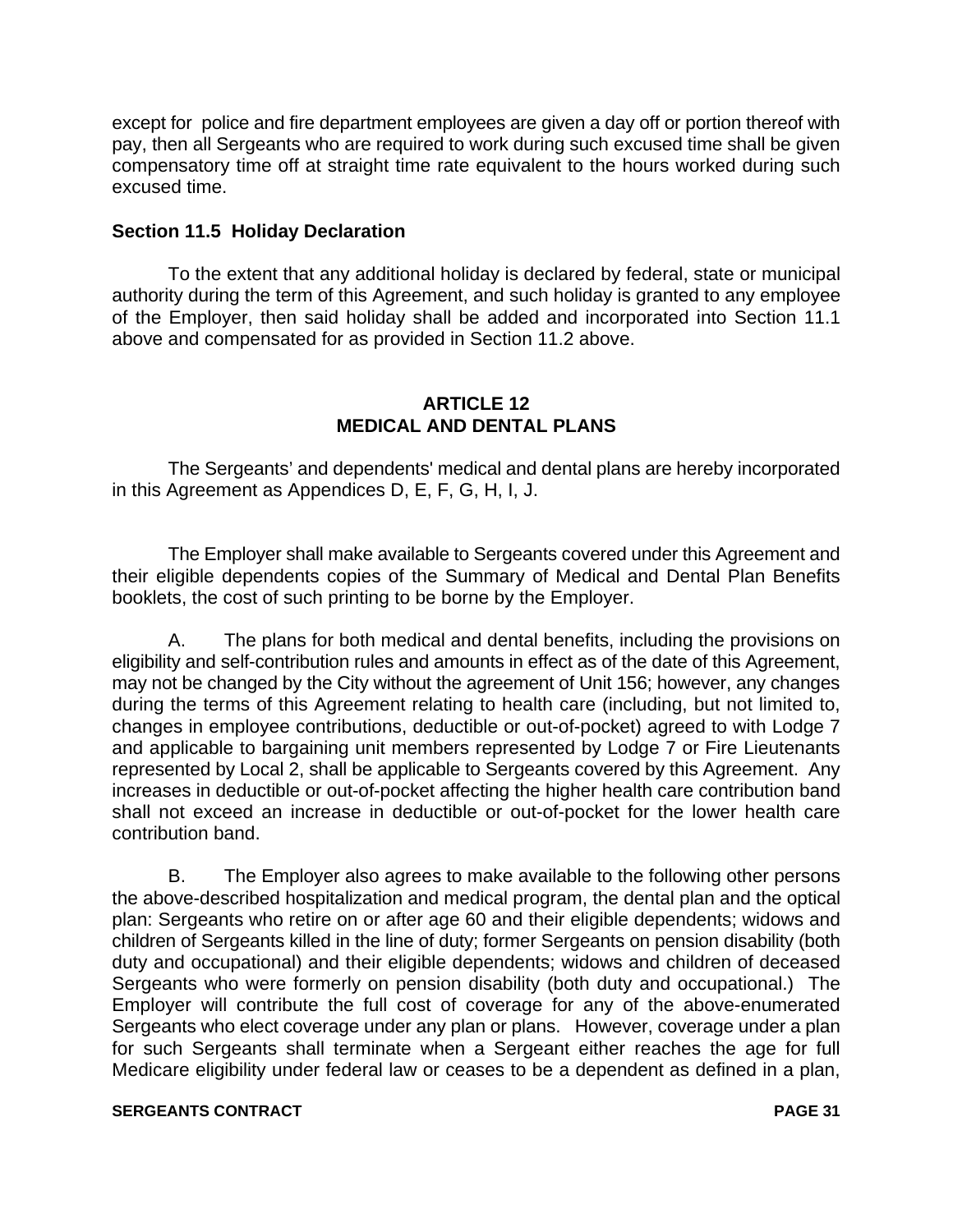except for police and fire department employees are given a day off or portion thereof with pay, then all Sergeants who are required to work during such excused time shall be given compensatory time off at straight time rate equivalent to the hours worked during such excused time.

#### **Section 11.5 Holiday Declaration**

To the extent that any additional holiday is declared by federal, state or municipal authority during the term of this Agreement, and such holiday is granted to any employee of the Employer, then said holiday shall be added and incorporated into Section 11.1 above and compensated for as provided in Section 11.2 above.

#### **ARTICLE 12 MEDICAL AND DENTAL PLANS**

The Sergeants' and dependents' medical and dental plans are hereby incorporated in this Agreement as Appendices D, E, F, G, H, I, J.

The Employer shall make available to Sergeants covered under this Agreement and their eligible dependents copies of the Summary of Medical and Dental Plan Benefits booklets, the cost of such printing to be borne by the Employer.

A. The plans for both medical and dental benefits, including the provisions on eligibility and self-contribution rules and amounts in effect as of the date of this Agreement, may not be changed by the City without the agreement of Unit 156; however, any changes during the terms of this Agreement relating to health care (including, but not limited to, changes in employee contributions, deductible or out-of-pocket) agreed to with Lodge 7 and applicable to bargaining unit members represented by Lodge 7 or Fire Lieutenants represented by Local 2, shall be applicable to Sergeants covered by this Agreement. Any increases in deductible or out-of-pocket affecting the higher health care contribution band shall not exceed an increase in deductible or out-of-pocket for the lower health care contribution band.

B. The Employer also agrees to make available to the following other persons the above-described hospitalization and medical program, the dental plan and the optical plan: Sergeants who retire on or after age 60 and their eligible dependents; widows and children of Sergeants killed in the line of duty; former Sergeants on pension disability (both duty and occupational) and their eligible dependents; widows and children of deceased Sergeants who were formerly on pension disability (both duty and occupational.) The Employer will contribute the full cost of coverage for any of the above-enumerated Sergeants who elect coverage under any plan or plans. However, coverage under a plan for such Sergeants shall terminate when a Sergeant either reaches the age for full Medicare eligibility under federal law or ceases to be a dependent as defined in a plan,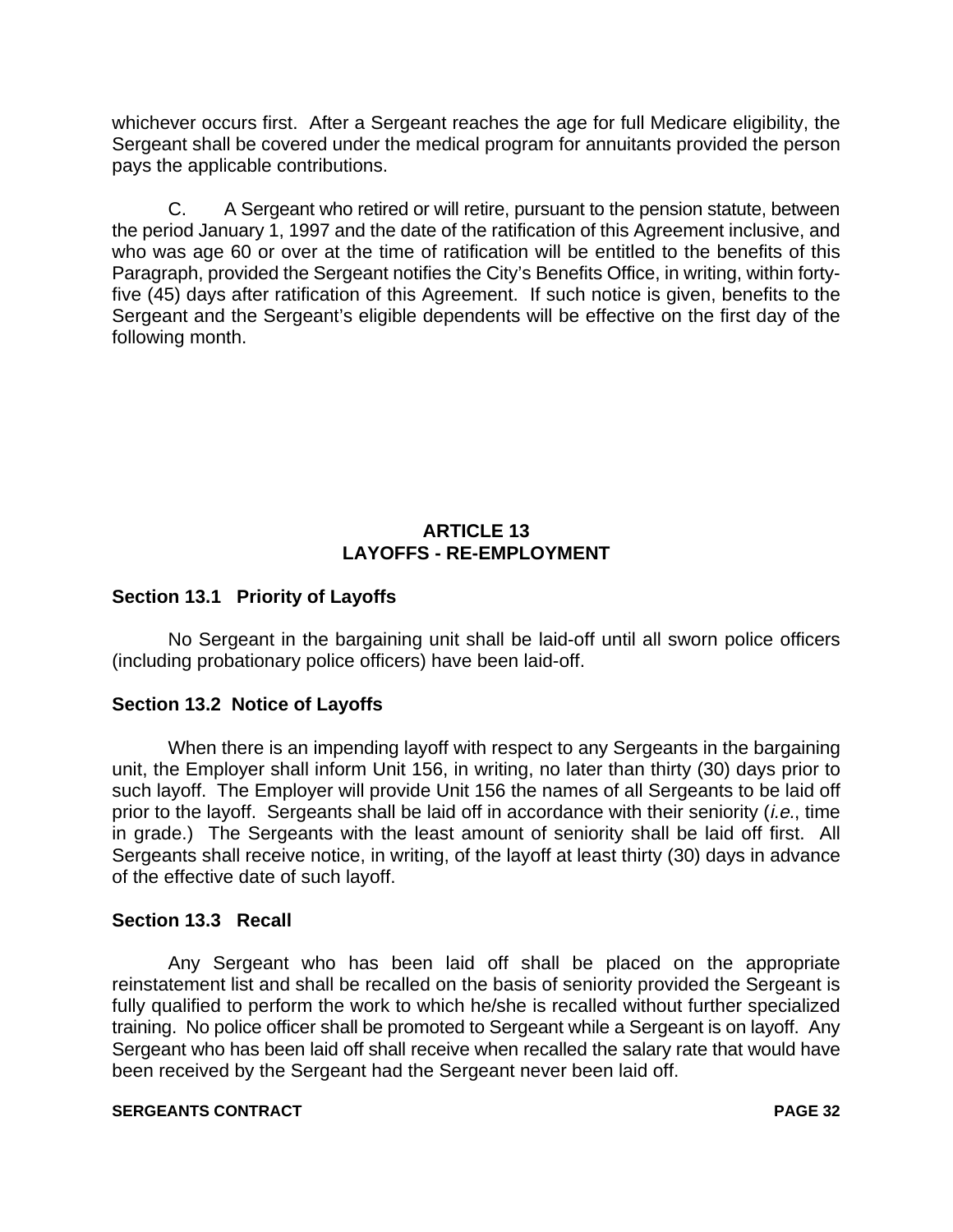whichever occurs first. After a Sergeant reaches the age for full Medicare eligibility, the Sergeant shall be covered under the medical program for annuitants provided the person pays the applicable contributions.

C. A Sergeant who retired or will retire, pursuant to the pension statute, between the period January 1, 1997 and the date of the ratification of this Agreement inclusive, and who was age 60 or over at the time of ratification will be entitled to the benefits of this Paragraph, provided the Sergeant notifies the City's Benefits Office, in writing, within fortyfive (45) days after ratification of this Agreement. If such notice is given, benefits to the Sergeant and the Sergeant's eligible dependents will be effective on the first day of the following month.

#### **ARTICLE 13 LAYOFFS - RE-EMPLOYMENT**

#### **Section 13.1 Priority of Layoffs**

No Sergeant in the bargaining unit shall be laid-off until all sworn police officers (including probationary police officers) have been laid-off.

#### **Section 13.2 Notice of Layoffs**

When there is an impending layoff with respect to any Sergeants in the bargaining unit, the Employer shall inform Unit 156, in writing, no later than thirty (30) days prior to such layoff. The Employer will provide Unit 156 the names of all Sergeants to be laid off prior to the layoff. Sergeants shall be laid off in accordance with their seniority *(i.e.*, time in grade.) The Sergeants with the least amount of seniority shall be laid off first. All Sergeants shall receive notice, in writing, of the layoff at least thirty (30) days in advance of the effective date of such layoff.

#### **Section 13.3 Recall**

Any Sergeant who has been laid off shall be placed on the appropriate reinstatement list and shall be recalled on the basis of seniority provided the Sergeant is fully qualified to perform the work to which he/she is recalled without further specialized training. No police officer shall be promoted to Sergeant while a Sergeant is on layoff. Any Sergeant who has been laid off shall receive when recalled the salary rate that would have been received by the Sergeant had the Sergeant never been laid off.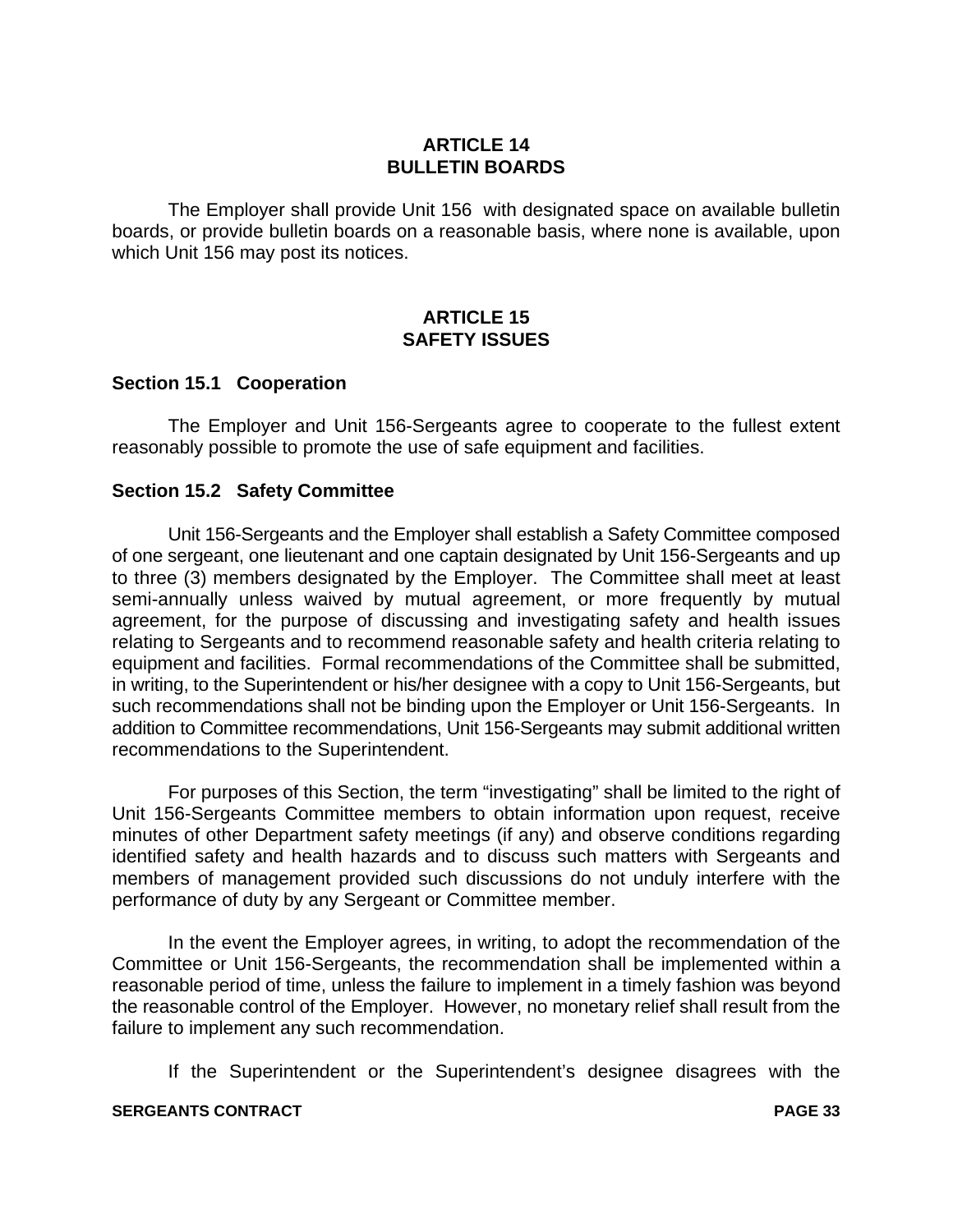#### **ARTICLE 14 BULLETIN BOARDS**

The Employer shall provide Unit 156 with designated space on available bulletin boards, or provide bulletin boards on a reasonable basis, where none is available, upon which Unit 156 may post its notices.

#### **ARTICLE 15 SAFETY ISSUES**

#### **Section 15.1 Cooperation**

The Employer and Unit 156-Sergeants agree to cooperate to the fullest extent reasonably possible to promote the use of safe equipment and facilities.

#### **Section 15.2 Safety Committee**

Unit 156-Sergeants and the Employer shall establish a Safety Committee composed of one sergeant, one lieutenant and one captain designated by Unit 156-Sergeants and up to three (3) members designated by the Employer. The Committee shall meet at least semi-annually unless waived by mutual agreement, or more frequently by mutual agreement, for the purpose of discussing and investigating safety and health issues relating to Sergeants and to recommend reasonable safety and health criteria relating to equipment and facilities. Formal recommendations of the Committee shall be submitted, in writing, to the Superintendent or his/her designee with a copy to Unit 156-Sergeants, but such recommendations shall not be binding upon the Employer or Unit 156-Sergeants. In addition to Committee recommendations, Unit 156-Sergeants may submit additional written recommendations to the Superintendent.

For purposes of this Section, the term "investigating" shall be limited to the right of Unit 156-Sergeants Committee members to obtain information upon request, receive minutes of other Department safety meetings (if any) and observe conditions regarding identified safety and health hazards and to discuss such matters with Sergeants and members of management provided such discussions do not unduly interfere with the performance of duty by any Sergeant or Committee member.

In the event the Employer agrees, in writing, to adopt the recommendation of the Committee or Unit 156-Sergeants, the recommendation shall be implemented within a reasonable period of time, unless the failure to implement in a timely fashion was beyond the reasonable control of the Employer. However, no monetary relief shall result from the failure to implement any such recommendation.

If the Superintendent or the Superintendent's designee disagrees with the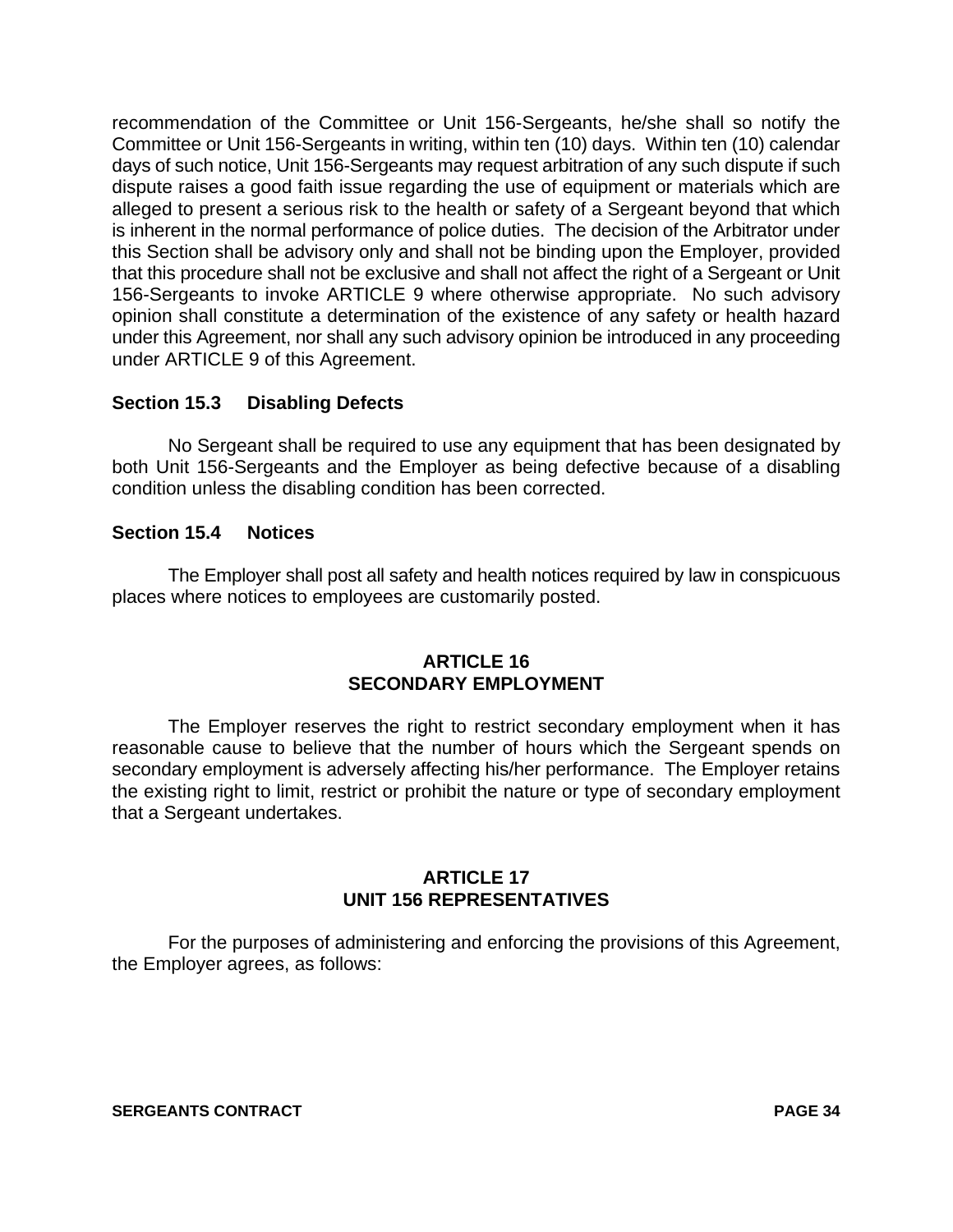recommendation of the Committee or Unit 156-Sergeants, he/she shall so notify the Committee or Unit 156-Sergeants in writing, within ten (10) days. Within ten (10) calendar days of such notice, Unit 156-Sergeants may request arbitration of any such dispute if such dispute raises a good faith issue regarding the use of equipment or materials which are alleged to present a serious risk to the health or safety of a Sergeant beyond that which is inherent in the normal performance of police duties. The decision of the Arbitrator under this Section shall be advisory only and shall not be binding upon the Employer, provided that this procedure shall not be exclusive and shall not affect the right of a Sergeant or Unit 156-Sergeants to invoke ARTICLE 9 where otherwise appropriate. No such advisory opinion shall constitute a determination of the existence of any safety or health hazard under this Agreement, nor shall any such advisory opinion be introduced in any proceeding under ARTICLE 9 of this Agreement.

#### **Section 15.3 Disabling Defects**

No Sergeant shall be required to use any equipment that has been designated by both Unit 156-Sergeants and the Employer as being defective because of a disabling condition unless the disabling condition has been corrected.

#### **Section 15.4 Notices**

The Employer shall post all safety and health notices required by law in conspicuous places where notices to employees are customarily posted.

#### **ARTICLE 16 SECONDARY EMPLOYMENT**

The Employer reserves the right to restrict secondary employment when it has reasonable cause to believe that the number of hours which the Sergeant spends on secondary employment is adversely affecting his/her performance. The Employer retains the existing right to limit, restrict or prohibit the nature or type of secondary employment that a Sergeant undertakes.

#### **ARTICLE 17 UNIT 156 REPRESENTATIVES**

For the purposes of administering and enforcing the provisions of this Agreement, the Employer agrees, as follows: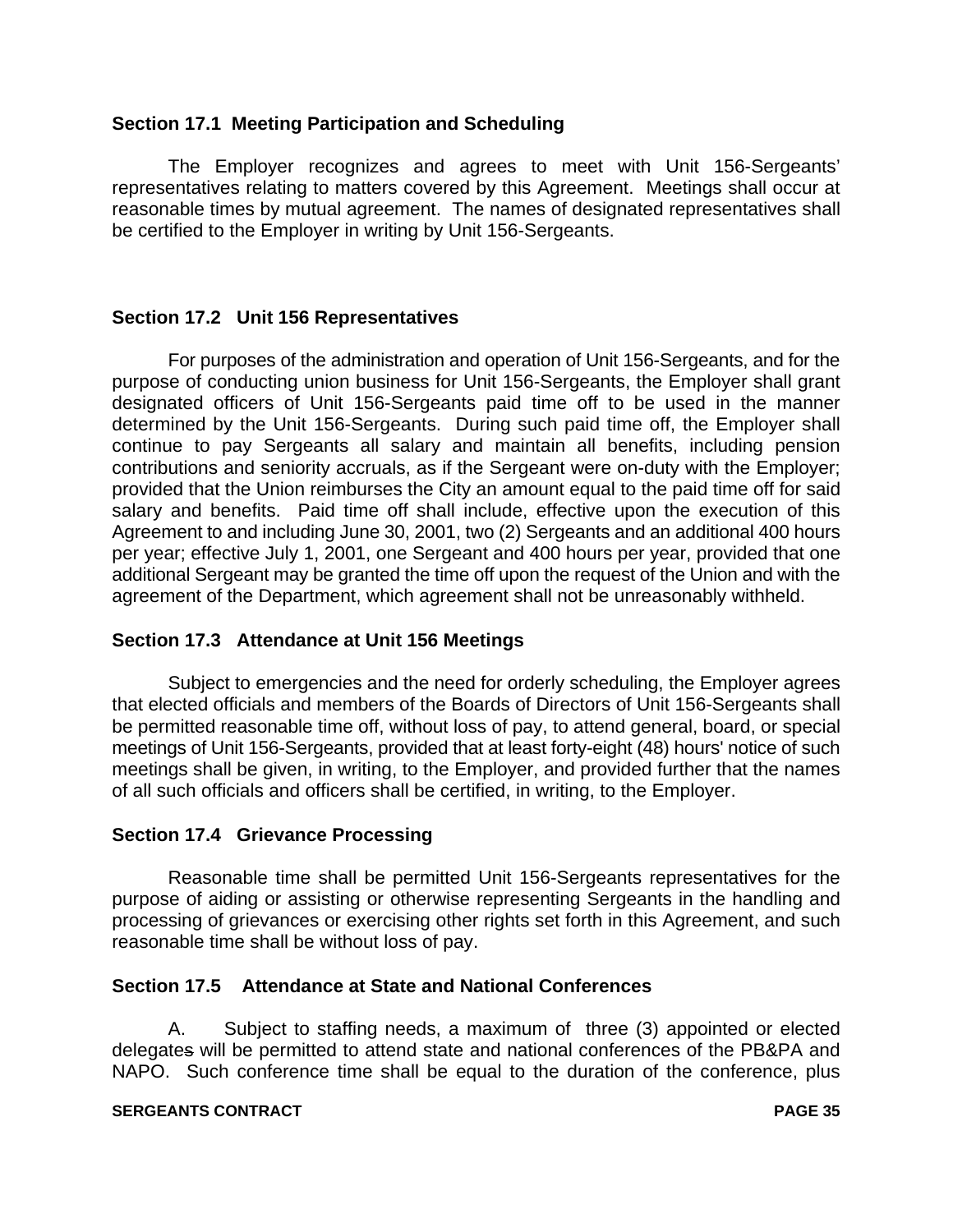#### **Section 17.1 Meeting Participation and Scheduling**

The Employer recognizes and agrees to meet with Unit 156-Sergeants' representatives relating to matters covered by this Agreement. Meetings shall occur at reasonable times by mutual agreement. The names of designated representatives shall be certified to the Employer in writing by Unit 156-Sergeants.

#### **Section 17.2 Unit 156 Representatives**

For purposes of the administration and operation of Unit 156-Sergeants, and for the purpose of conducting union business for Unit 156-Sergeants, the Employer shall grant designated officers of Unit 156-Sergeants paid time off to be used in the manner determined by the Unit 156-Sergeants. During such paid time off, the Employer shall continue to pay Sergeants all salary and maintain all benefits, including pension contributions and seniority accruals, as if the Sergeant were on-duty with the Employer; provided that the Union reimburses the City an amount equal to the paid time off for said salary and benefits. Paid time off shall include, effective upon the execution of this Agreement to and including June 30, 2001, two (2) Sergeants and an additional 400 hours per year; effective July 1, 2001, one Sergeant and 400 hours per year, provided that one additional Sergeant may be granted the time off upon the request of the Union and with the agreement of the Department, which agreement shall not be unreasonably withheld.

#### **Section 17.3 Attendance at Unit 156 Meetings**

Subject to emergencies and the need for orderly scheduling, the Employer agrees that elected officials and members of the Boards of Directors of Unit 156-Sergeants shall be permitted reasonable time off, without loss of pay, to attend general, board, or special meetings of Unit 156-Sergeants, provided that at least forty-eight (48) hours' notice of such meetings shall be given, in writing, to the Employer, and provided further that the names of all such officials and officers shall be certified, in writing, to the Employer.

#### **Section 17.4 Grievance Processing**

Reasonable time shall be permitted Unit 156-Sergeants representatives for the purpose of aiding or assisting or otherwise representing Sergeants in the handling and processing of grievances or exercising other rights set forth in this Agreement, and such reasonable time shall be without loss of pay.

#### **Section 17.5 Attendance at State and National Conferences**

A. Subject to staffing needs, a maximum of three (3) appointed or elected delegates will be permitted to attend state and national conferences of the PB&PA and NAPO. Such conference time shall be equal to the duration of the conference, plus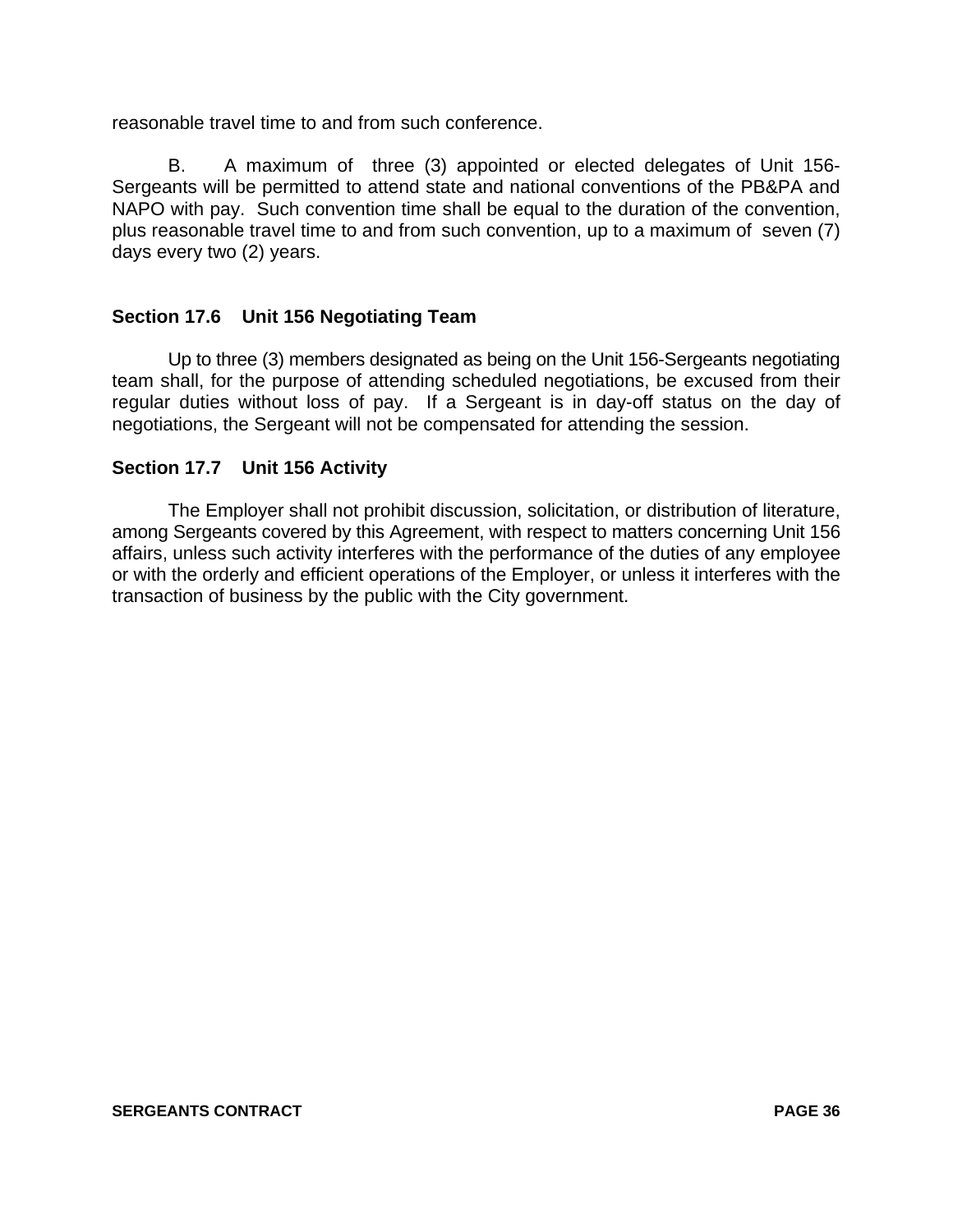reasonable travel time to and from such conference.

B. A maximum of three (3) appointed or elected delegates of Unit 156- Sergeants will be permitted to attend state and national conventions of the PB&PA and NAPO with pay. Such convention time shall be equal to the duration of the convention, plus reasonable travel time to and from such convention, up to a maximum of seven (7) days every two (2) years.

#### **Section 17.6 Unit 156 Negotiating Team**

Up to three (3) members designated as being on the Unit 156-Sergeants negotiating team shall, for the purpose of attending scheduled negotiations, be excused from their regular duties without loss of pay. If a Sergeant is in day-off status on the day of negotiations, the Sergeant will not be compensated for attending the session.

#### **Section 17.7 Unit 156 Activity**

The Employer shall not prohibit discussion, solicitation, or distribution of literature, among Sergeants covered by this Agreement, with respect to matters concerning Unit 156 affairs, unless such activity interferes with the performance of the duties of any employee or with the orderly and efficient operations of the Employer, or unless it interferes with the transaction of business by the public with the City government.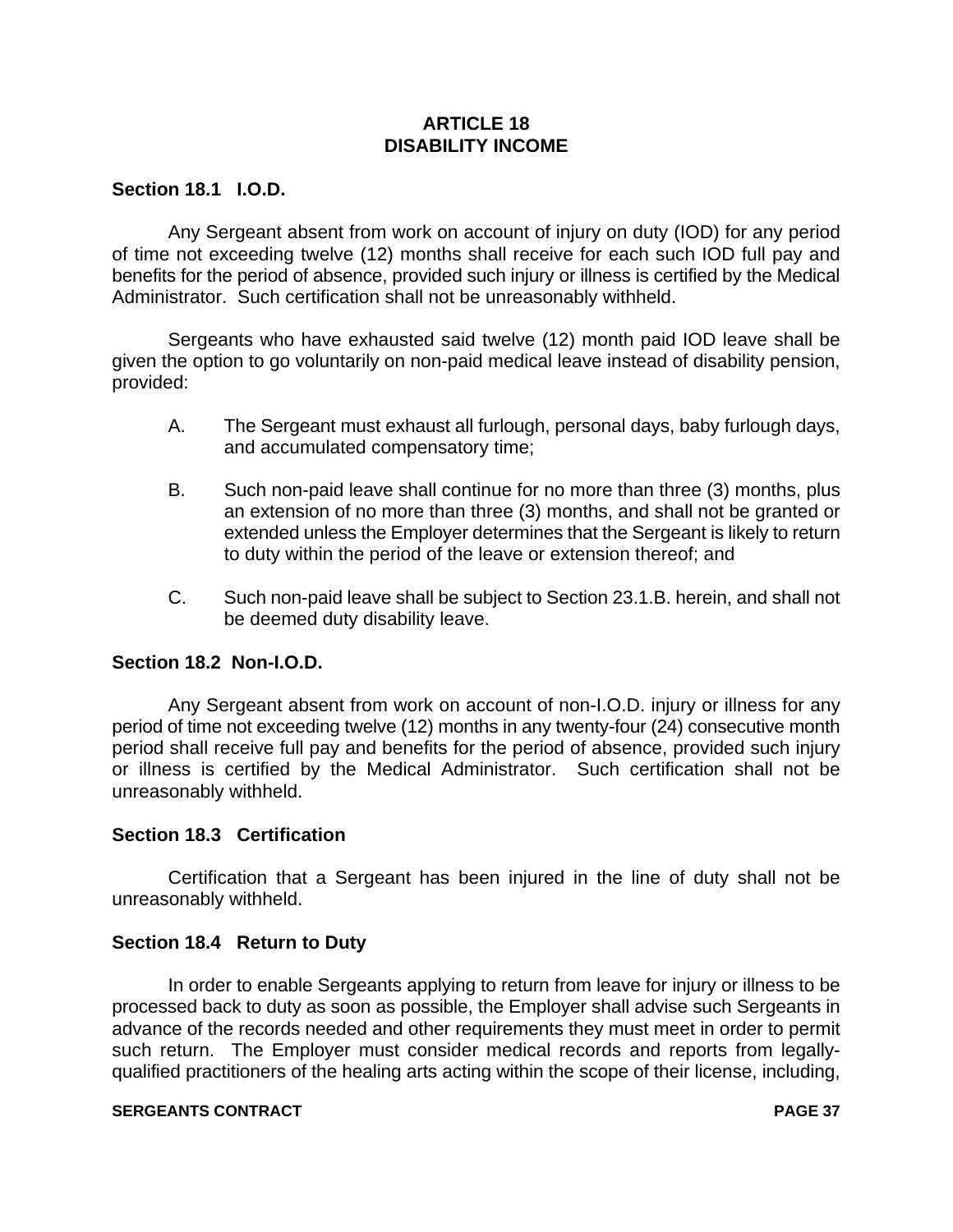# **ARTICLE 18 DISABILITY INCOME**

# **Section 18.1 I.O.D.**

Any Sergeant absent from work on account of injury on duty (IOD) for any period of time not exceeding twelve (12) months shall receive for each such IOD full pay and benefits for the period of absence, provided such injury or illness is certified by the Medical Administrator. Such certification shall not be unreasonably withheld.

Sergeants who have exhausted said twelve (12) month paid IOD leave shall be given the option to go voluntarily on non-paid medical leave instead of disability pension, provided:

- A. The Sergeant must exhaust all furlough, personal days, baby furlough days, and accumulated compensatory time;
- B. Such non-paid leave shall continue for no more than three (3) months, plus an extension of no more than three (3) months, and shall not be granted or extended unless the Employer determines that the Sergeant is likely to return to duty within the period of the leave or extension thereof; and
- C. Such non-paid leave shall be subject to Section 23.1.B. herein, and shall not be deemed duty disability leave.

# **Section 18.2 Non-I.O.D.**

Any Sergeant absent from work on account of non-I.O.D. injury or illness for any period of time not exceeding twelve (12) months in any twenty-four (24) consecutive month period shall receive full pay and benefits for the period of absence, provided such injury or illness is certified by the Medical Administrator. Such certification shall not be unreasonably withheld.

# **Section 18.3 Certification**

Certification that a Sergeant has been injured in the line of duty shall not be unreasonably withheld.

# **Section 18.4 Return to Duty**

In order to enable Sergeants applying to return from leave for injury or illness to be processed back to duty as soon as possible, the Employer shall advise such Sergeants in advance of the records needed and other requirements they must meet in order to permit such return. The Employer must consider medical records and reports from legallyqualified practitioners of the healing arts acting within the scope of their license, including,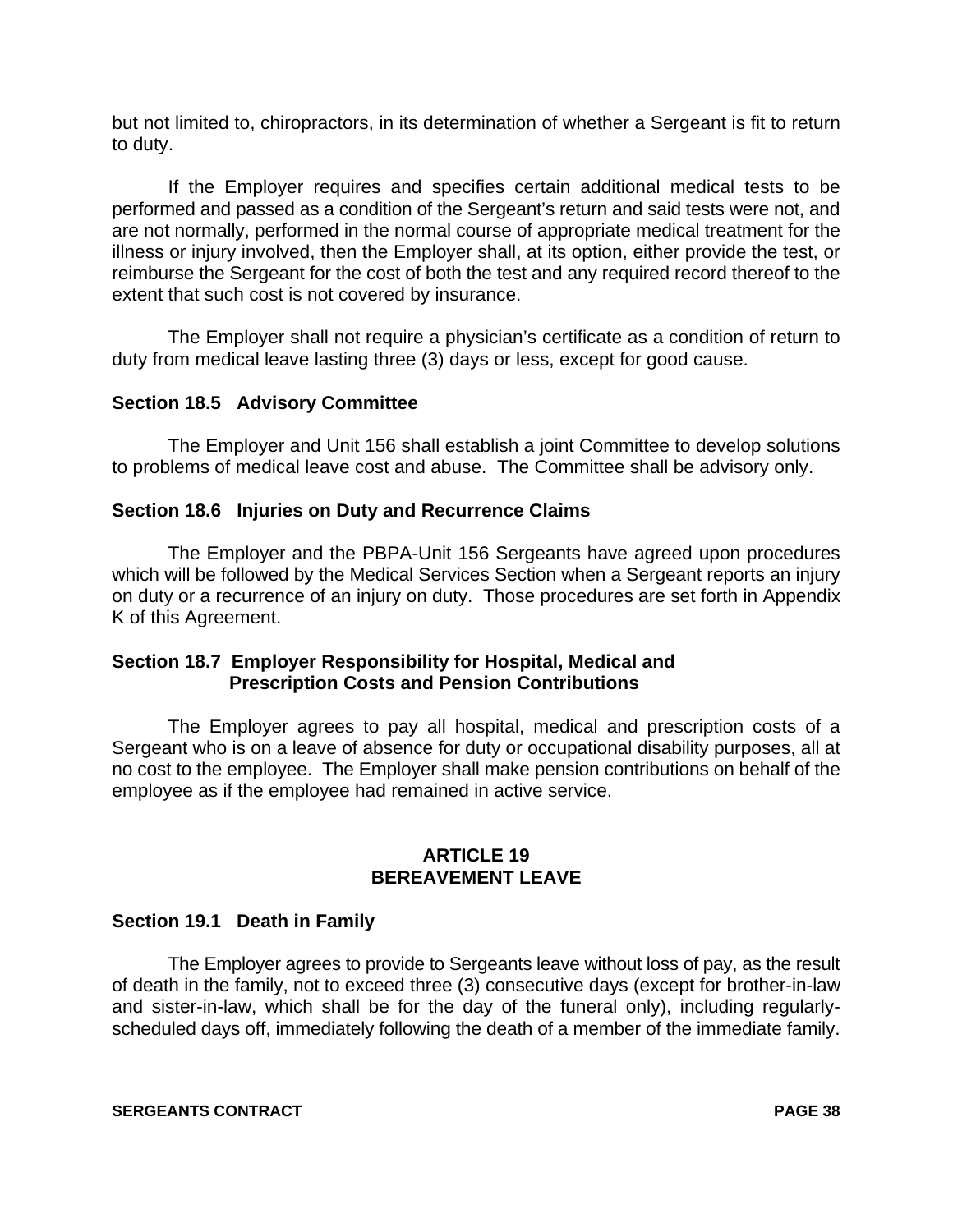but not limited to, chiropractors, in its determination of whether a Sergeant is fit to return to duty.

If the Employer requires and specifies certain additional medical tests to be performed and passed as a condition of the Sergeant's return and said tests were not, and are not normally, performed in the normal course of appropriate medical treatment for the illness or injury involved, then the Employer shall, at its option, either provide the test, or reimburse the Sergeant for the cost of both the test and any required record thereof to the extent that such cost is not covered by insurance.

The Employer shall not require a physician's certificate as a condition of return to duty from medical leave lasting three (3) days or less, except for good cause.

# **Section 18.5 Advisory Committee**

The Employer and Unit 156 shall establish a joint Committee to develop solutions to problems of medical leave cost and abuse. The Committee shall be advisory only.

#### **Section 18.6 Injuries on Duty and Recurrence Claims**

The Employer and the PBPA-Unit 156 Sergeants have agreed upon procedures which will be followed by the Medical Services Section when a Sergeant reports an injury on duty or a recurrence of an injury on duty. Those procedures are set forth in Appendix K of this Agreement.

# **Section 18.7 Employer Responsibility for Hospital, Medical and Prescription Costs and Pension Contributions**

The Employer agrees to pay all hospital, medical and prescription costs of a Sergeant who is on a leave of absence for duty or occupational disability purposes, all at no cost to the employee. The Employer shall make pension contributions on behalf of the employee as if the employee had remained in active service.

# **ARTICLE 19 BEREAVEMENT LEAVE**

#### **Section 19.1 Death in Family**

The Employer agrees to provide to Sergeants leave without loss of pay, as the result of death in the family, not to exceed three (3) consecutive days (except for brother-in-law and sister-in-law, which shall be for the day of the funeral only), including regularlyscheduled days off, immediately following the death of a member of the immediate family.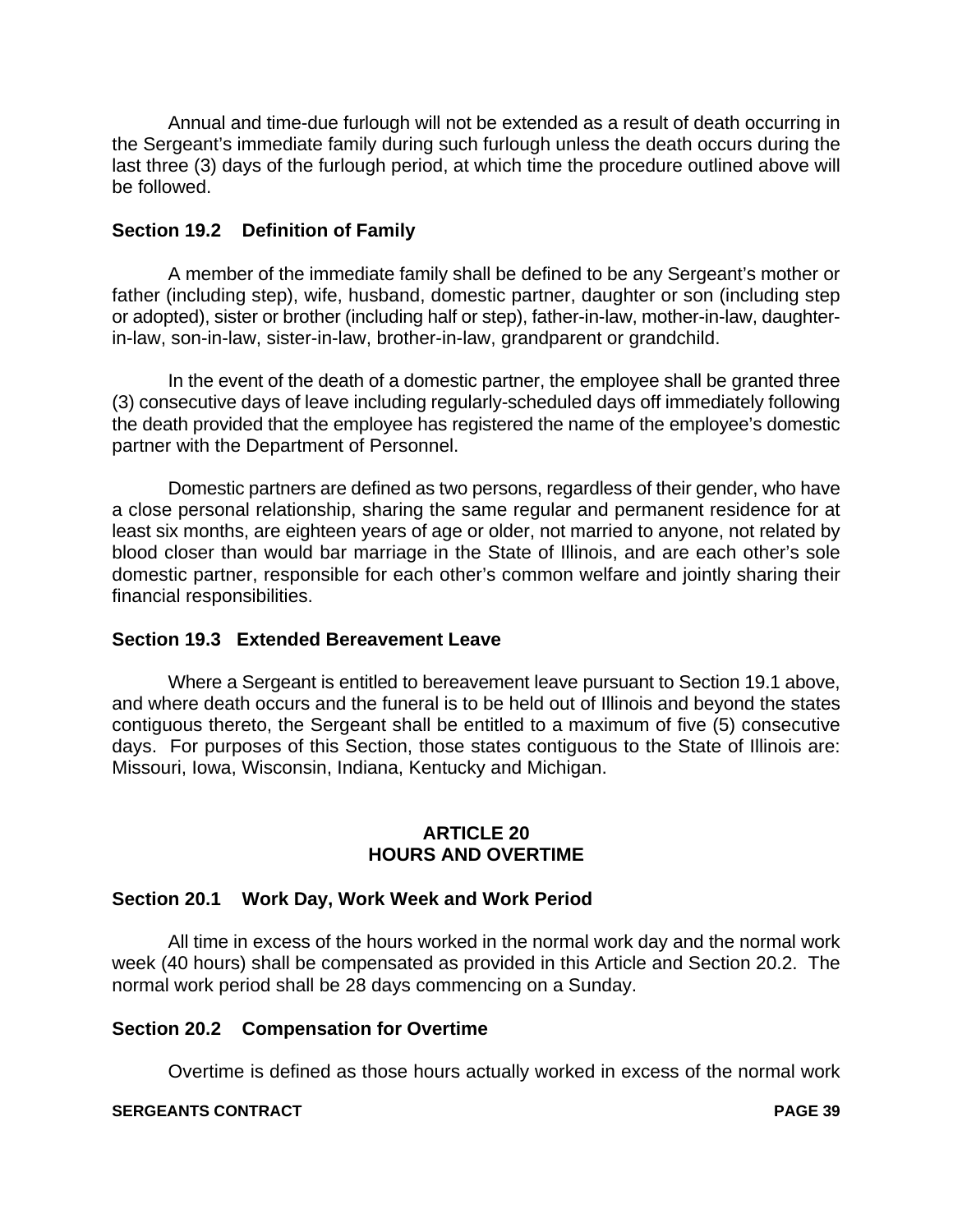Annual and time-due furlough will not be extended as a result of death occurring in the Sergeant's immediate family during such furlough unless the death occurs during the last three (3) days of the furlough period, at which time the procedure outlined above will be followed.

# **Section 19.2 Definition of Family**

A member of the immediate family shall be defined to be any Sergeant's mother or father (including step), wife, husband, domestic partner, daughter or son (including step or adopted), sister or brother (including half or step), father-in-law, mother-in-law, daughterin-law, son-in-law, sister-in-law, brother-in-law, grandparent or grandchild.

In the event of the death of a domestic partner, the employee shall be granted three (3) consecutive days of leave including regularly-scheduled days off immediately following the death provided that the employee has registered the name of the employee's domestic partner with the Department of Personnel.

Domestic partners are defined as two persons, regardless of their gender, who have a close personal relationship, sharing the same regular and permanent residence for at least six months, are eighteen years of age or older, not married to anyone, not related by blood closer than would bar marriage in the State of Illinois, and are each other's sole domestic partner, responsible for each other's common welfare and jointly sharing their financial responsibilities.

# **Section 19.3 Extended Bereavement Leave**

Where a Sergeant is entitled to bereavement leave pursuant to Section 19.1 above, and where death occurs and the funeral is to be held out of Illinois and beyond the states contiguous thereto, the Sergeant shall be entitled to a maximum of five (5) consecutive days. For purposes of this Section, those states contiguous to the State of Illinois are: Missouri, Iowa, Wisconsin, Indiana, Kentucky and Michigan.

# **ARTICLE 20 HOURS AND OVERTIME**

# **Section 20.1 Work Day, Work Week and Work Period**

All time in excess of the hours worked in the normal work day and the normal work week (40 hours) shall be compensated as provided in this Article and Section 20.2. The normal work period shall be 28 days commencing on a Sunday.

#### **Section 20.2 Compensation for Overtime**

Overtime is defined as those hours actually worked in excess of the normal work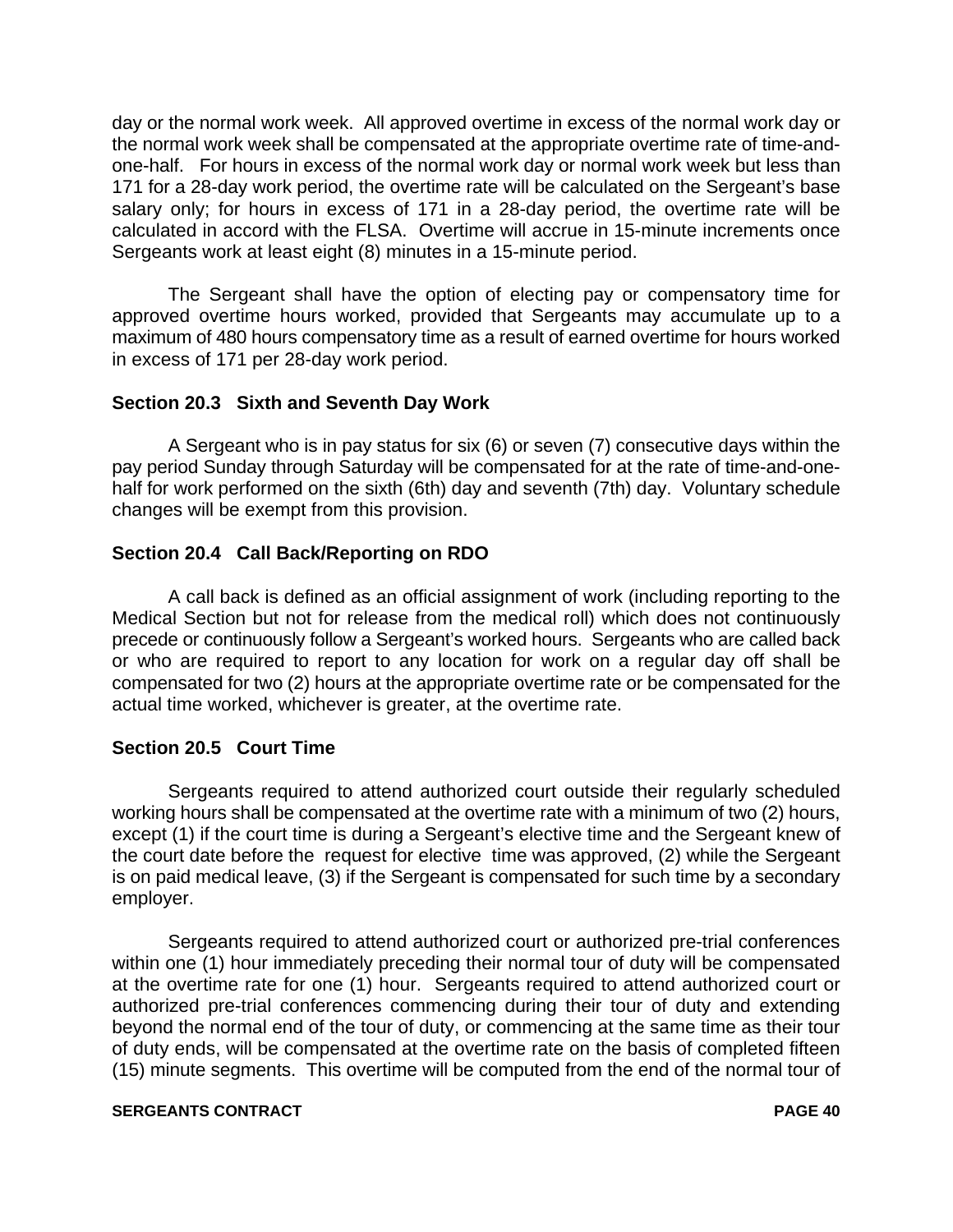day or the normal work week. All approved overtime in excess of the normal work day or the normal work week shall be compensated at the appropriate overtime rate of time-andone-half. For hours in excess of the normal work day or normal work week but less than 171 for a 28-day work period, the overtime rate will be calculated on the Sergeant's base salary only; for hours in excess of 171 in a 28-day period, the overtime rate will be calculated in accord with the FLSA. Overtime will accrue in 15-minute increments once Sergeants work at least eight (8) minutes in a 15-minute period.

The Sergeant shall have the option of electing pay or compensatory time for approved overtime hours worked, provided that Sergeants may accumulate up to a maximum of 480 hours compensatory time as a result of earned overtime for hours worked in excess of 171 per 28-day work period.

# **Section 20.3 Sixth and Seventh Day Work**

A Sergeant who is in pay status for six (6) or seven (7) consecutive days within the pay period Sunday through Saturday will be compensated for at the rate of time-and-onehalf for work performed on the sixth (6th) day and seventh (7th) day. Voluntary schedule changes will be exempt from this provision.

# **Section 20.4 Call Back/Reporting on RDO**

A call back is defined as an official assignment of work (including reporting to the Medical Section but not for release from the medical roll) which does not continuously precede or continuously follow a Sergeant's worked hours. Sergeants who are called back or who are required to report to any location for work on a regular day off shall be compensated for two (2) hours at the appropriate overtime rate or be compensated for the actual time worked, whichever is greater, at the overtime rate.

#### **Section 20.5 Court Time**

Sergeants required to attend authorized court outside their regularly scheduled working hours shall be compensated at the overtime rate with a minimum of two (2) hours, except (1) if the court time is during a Sergeant's elective time and the Sergeant knew of the court date before the request for elective time was approved, (2) while the Sergeant is on paid medical leave, (3) if the Sergeant is compensated for such time by a secondary employer.

Sergeants required to attend authorized court or authorized pre-trial conferences within one (1) hour immediately preceding their normal tour of duty will be compensated at the overtime rate for one (1) hour. Sergeants required to attend authorized court or authorized pre-trial conferences commencing during their tour of duty and extending beyond the normal end of the tour of duty, or commencing at the same time as their tour of duty ends, will be compensated at the overtime rate on the basis of completed fifteen (15) minute segments. This overtime will be computed from the end of the normal tour of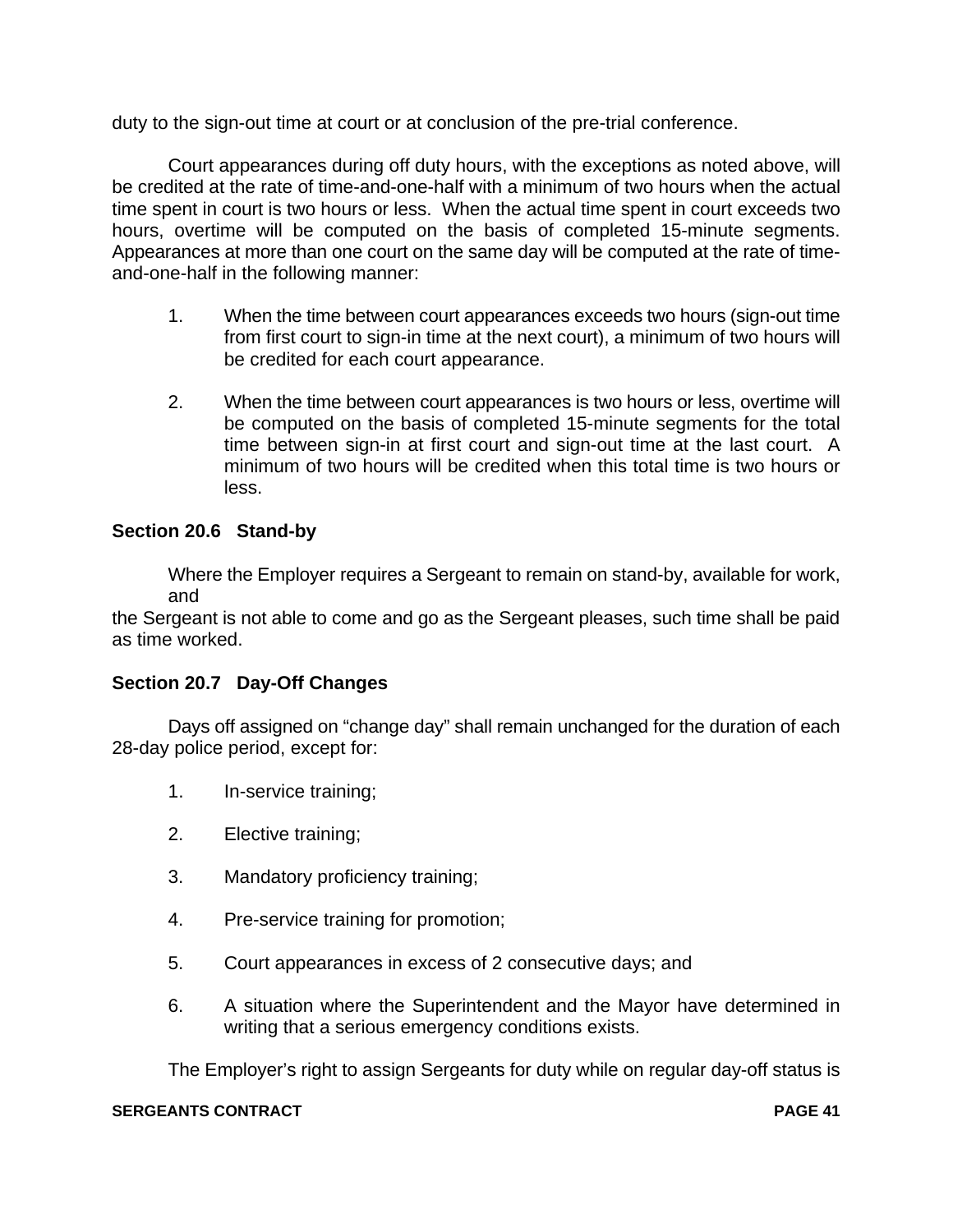duty to the sign-out time at court or at conclusion of the pre-trial conference.

Court appearances during off duty hours, with the exceptions as noted above, will be credited at the rate of time-and-one-half with a minimum of two hours when the actual time spent in court is two hours or less. When the actual time spent in court exceeds two hours, overtime will be computed on the basis of completed 15-minute segments. Appearances at more than one court on the same day will be computed at the rate of timeand-one-half in the following manner:

- 1. When the time between court appearances exceeds two hours (sign-out time from first court to sign-in time at the next court), a minimum of two hours will be credited for each court appearance.
- 2. When the time between court appearances is two hours or less, overtime will be computed on the basis of completed 15-minute segments for the total time between sign-in at first court and sign-out time at the last court. A minimum of two hours will be credited when this total time is two hours or less.

# **Section 20.6 Stand-by**

Where the Employer requires a Sergeant to remain on stand-by, available for work, and

the Sergeant is not able to come and go as the Sergeant pleases, such time shall be paid as time worked.

# **Section 20.7 Day-Off Changes**

Days off assigned on "change day" shall remain unchanged for the duration of each 28-day police period, except for:

- 1. In-service training;
- 2. Elective training;
- 3. Mandatory proficiency training;
- 4. Pre-service training for promotion;
- 5. Court appearances in excess of 2 consecutive days; and
- 6. A situation where the Superintendent and the Mayor have determined in writing that a serious emergency conditions exists.

The Employer's right to assign Sergeants for duty while on regular day-off status is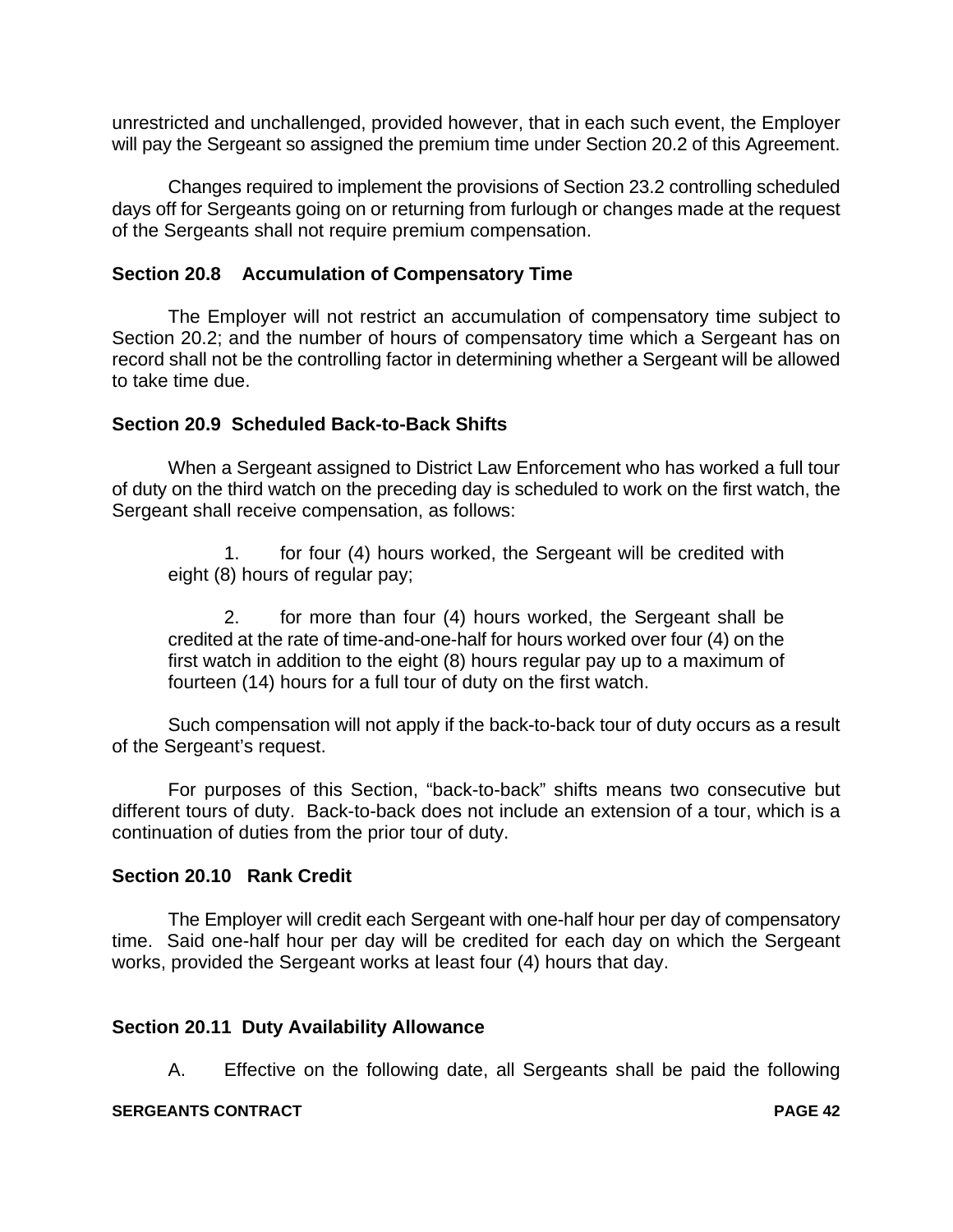unrestricted and unchallenged, provided however, that in each such event, the Employer will pay the Sergeant so assigned the premium time under Section 20.2 of this Agreement.

Changes required to implement the provisions of Section 23.2 controlling scheduled days off for Sergeants going on or returning from furlough or changes made at the request of the Sergeants shall not require premium compensation.

# **Section 20.8 Accumulation of Compensatory Time**

The Employer will not restrict an accumulation of compensatory time subject to Section 20.2; and the number of hours of compensatory time which a Sergeant has on record shall not be the controlling factor in determining whether a Sergeant will be allowed to take time due.

# **Section 20.9 Scheduled Back-to-Back Shifts**

When a Sergeant assigned to District Law Enforcement who has worked a full tour of duty on the third watch on the preceding day is scheduled to work on the first watch, the Sergeant shall receive compensation, as follows:

1. for four (4) hours worked, the Sergeant will be credited with eight (8) hours of regular pay;

2. for more than four (4) hours worked, the Sergeant shall be credited at the rate of time-and-one-half for hours worked over four (4) on the first watch in addition to the eight (8) hours regular pay up to a maximum of fourteen (14) hours for a full tour of duty on the first watch.

Such compensation will not apply if the back-to-back tour of duty occurs as a result of the Sergeant's request.

For purposes of this Section, "back-to-back" shifts means two consecutive but different tours of duty. Back-to-back does not include an extension of a tour, which is a continuation of duties from the prior tour of duty.

#### **Section 20.10 Rank Credit**

The Employer will credit each Sergeant with one-half hour per day of compensatory time. Said one-half hour per day will be credited for each day on which the Sergeant works, provided the Sergeant works at least four (4) hours that day.

#### **Section 20.11 Duty Availability Allowance**

A. Effective on the following date, all Sergeants shall be paid the following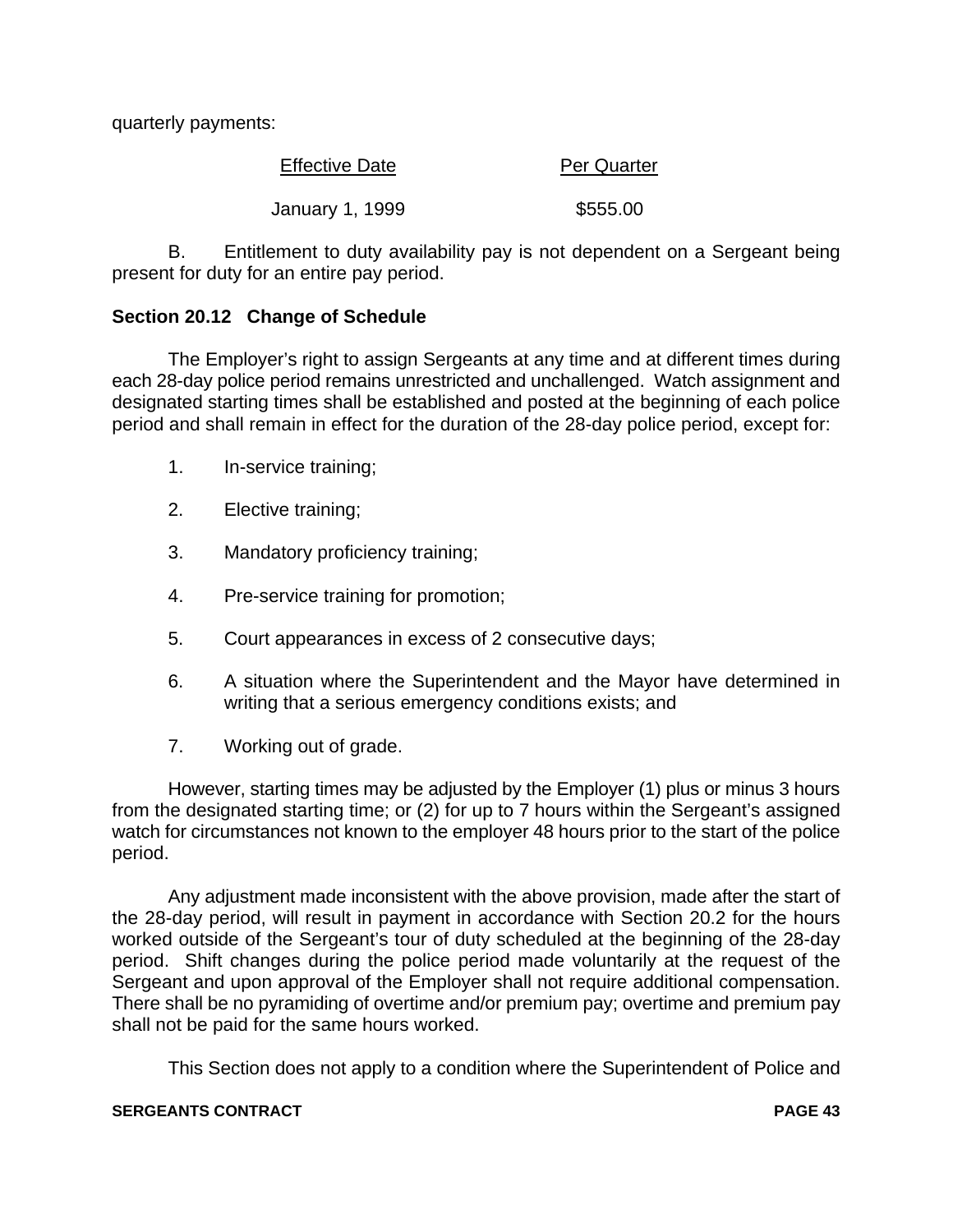quarterly payments:

| <b>Effective Date</b> | <b>Per Quarter</b> |  |
|-----------------------|--------------------|--|
|                       |                    |  |
| January 1, 1999       | \$555.00           |  |

B. Entitlement to duty availability pay is not dependent on a Sergeant being present for duty for an entire pay period.

# **Section 20.12 Change of Schedule**

The Employer's right to assign Sergeants at any time and at different times during each 28-day police period remains unrestricted and unchallenged. Watch assignment and designated starting times shall be established and posted at the beginning of each police period and shall remain in effect for the duration of the 28-day police period, except for:

- 1. In-service training;
- 2. Elective training;
- 3. Mandatory proficiency training;
- 4. Pre-service training for promotion;
- 5. Court appearances in excess of 2 consecutive days;
- 6. A situation where the Superintendent and the Mayor have determined in writing that a serious emergency conditions exists; and
- 7. Working out of grade.

However, starting times may be adjusted by the Employer (1) plus or minus 3 hours from the designated starting time; or (2) for up to 7 hours within the Sergeant's assigned watch for circumstances not known to the employer 48 hours prior to the start of the police period.

Any adjustment made inconsistent with the above provision, made after the start of the 28-day period, will result in payment in accordance with Section 20.2 for the hours worked outside of the Sergeant's tour of duty scheduled at the beginning of the 28-day period. Shift changes during the police period made voluntarily at the request of the Sergeant and upon approval of the Employer shall not require additional compensation. There shall be no pyramiding of overtime and/or premium pay; overtime and premium pay shall not be paid for the same hours worked.

This Section does not apply to a condition where the Superintendent of Police and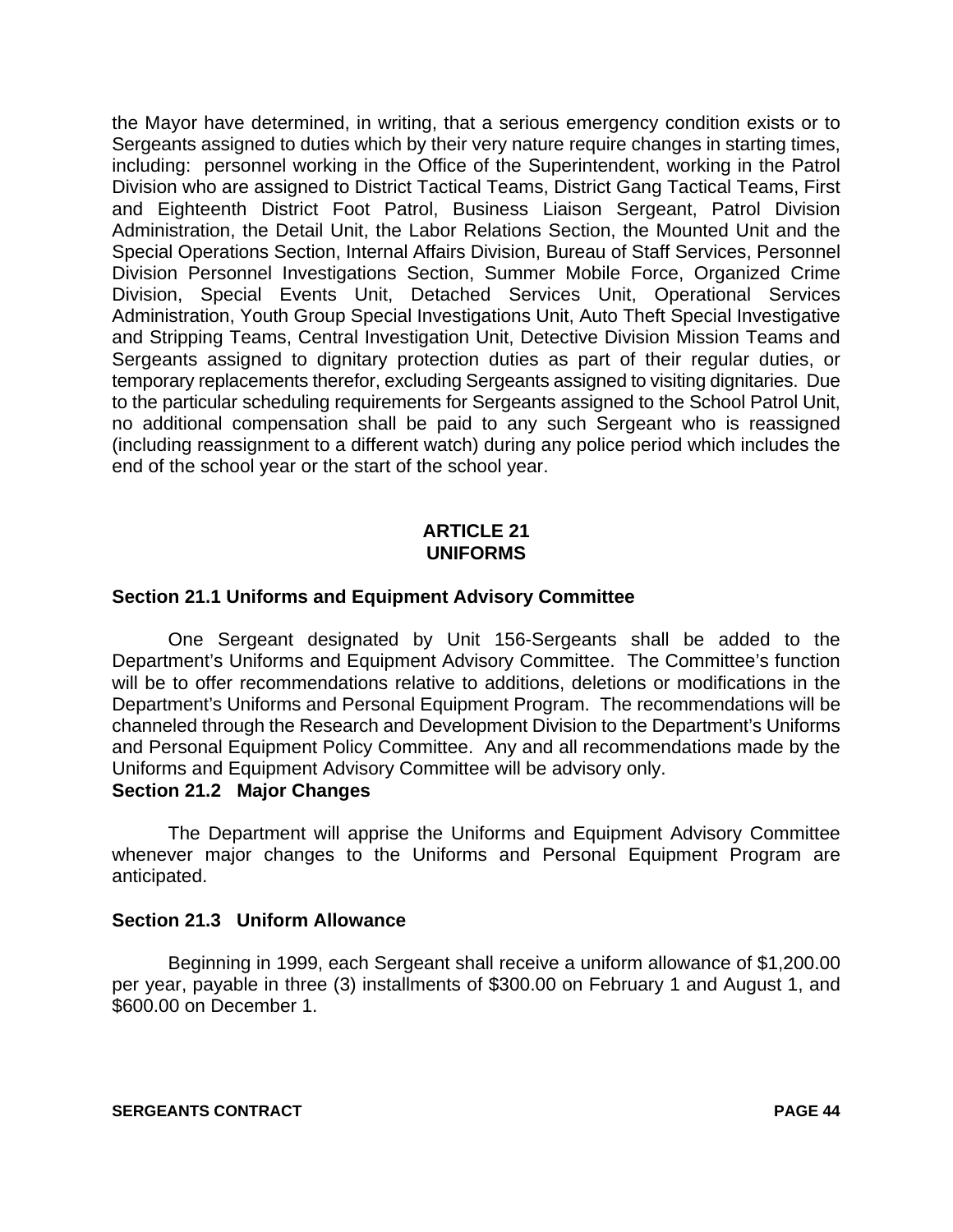the Mayor have determined, in writing, that a serious emergency condition exists or to Sergeants assigned to duties which by their very nature require changes in starting times, including: personnel working in the Office of the Superintendent, working in the Patrol Division who are assigned to District Tactical Teams, District Gang Tactical Teams, First and Eighteenth District Foot Patrol, Business Liaison Sergeant, Patrol Division Administration, the Detail Unit, the Labor Relations Section, the Mounted Unit and the Special Operations Section, Internal Affairs Division, Bureau of Staff Services, Personnel Division Personnel Investigations Section, Summer Mobile Force, Organized Crime Division, Special Events Unit, Detached Services Unit, Operational Services Administration, Youth Group Special Investigations Unit, Auto Theft Special Investigative and Stripping Teams, Central Investigation Unit, Detective Division Mission Teams and Sergeants assigned to dignitary protection duties as part of their regular duties, or temporary replacements therefor, excluding Sergeants assigned to visiting dignitaries. Due to the particular scheduling requirements for Sergeants assigned to the School Patrol Unit, no additional compensation shall be paid to any such Sergeant who is reassigned (including reassignment to a different watch) during any police period which includes the end of the school year or the start of the school year.

# **ARTICLE 21 UNIFORMS**

# **Section 21.1 Uniforms and Equipment Advisory Committee**

One Sergeant designated by Unit 156-Sergeants shall be added to the Department's Uniforms and Equipment Advisory Committee. The Committee's function will be to offer recommendations relative to additions, deletions or modifications in the Department's Uniforms and Personal Equipment Program. The recommendations will be channeled through the Research and Development Division to the Department's Uniforms and Personal Equipment Policy Committee. Any and all recommendations made by the Uniforms and Equipment Advisory Committee will be advisory only.

# **Section 21.2 Major Changes**

The Department will apprise the Uniforms and Equipment Advisory Committee whenever major changes to the Uniforms and Personal Equipment Program are anticipated.

#### **Section 21.3 Uniform Allowance**

Beginning in 1999, each Sergeant shall receive a uniform allowance of \$1,200.00 per year, payable in three (3) installments of \$300.00 on February 1 and August 1, and \$600.00 on December 1.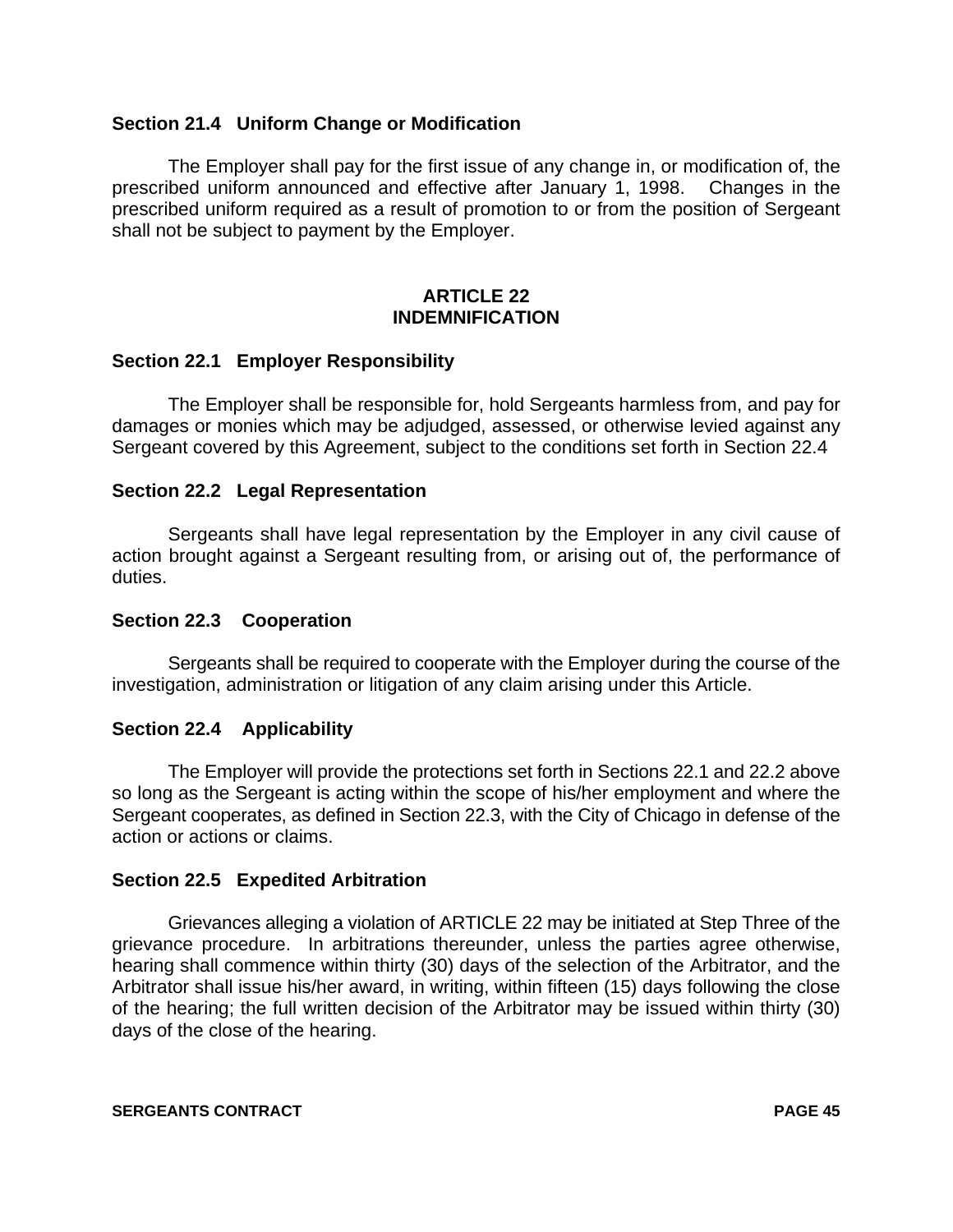# **Section 21.4 Uniform Change or Modification**

The Employer shall pay for the first issue of any change in, or modification of, the prescribed uniform announced and effective after January 1, 1998. Changes in the prescribed uniform required as a result of promotion to or from the position of Sergeant shall not be subject to payment by the Employer.

# **ARTICLE 22 INDEMNIFICATION**

#### **Section 22.1 Employer Responsibility**

The Employer shall be responsible for, hold Sergeants harmless from, and pay for damages or monies which may be adjudged, assessed, or otherwise levied against any Sergeant covered by this Agreement, subject to the conditions set forth in Section 22.4

#### **Section 22.2 Legal Representation**

Sergeants shall have legal representation by the Employer in any civil cause of action brought against a Sergeant resulting from, or arising out of, the performance of duties.

#### **Section 22.3 Cooperation**

Sergeants shall be required to cooperate with the Employer during the course of the investigation, administration or litigation of any claim arising under this Article.

#### **Section 22.4 Applicability**

The Employer will provide the protections set forth in Sections 22.1 and 22.2 above so long as the Sergeant is acting within the scope of his/her employment and where the Sergeant cooperates, as defined in Section 22.3, with the City of Chicago in defense of the action or actions or claims.

#### **Section 22.5 Expedited Arbitration**

Grievances alleging a violation of ARTICLE 22 may be initiated at Step Three of the grievance procedure. In arbitrations thereunder, unless the parties agree otherwise, hearing shall commence within thirty (30) days of the selection of the Arbitrator, and the Arbitrator shall issue his/her award, in writing, within fifteen (15) days following the close of the hearing; the full written decision of the Arbitrator may be issued within thirty (30) days of the close of the hearing.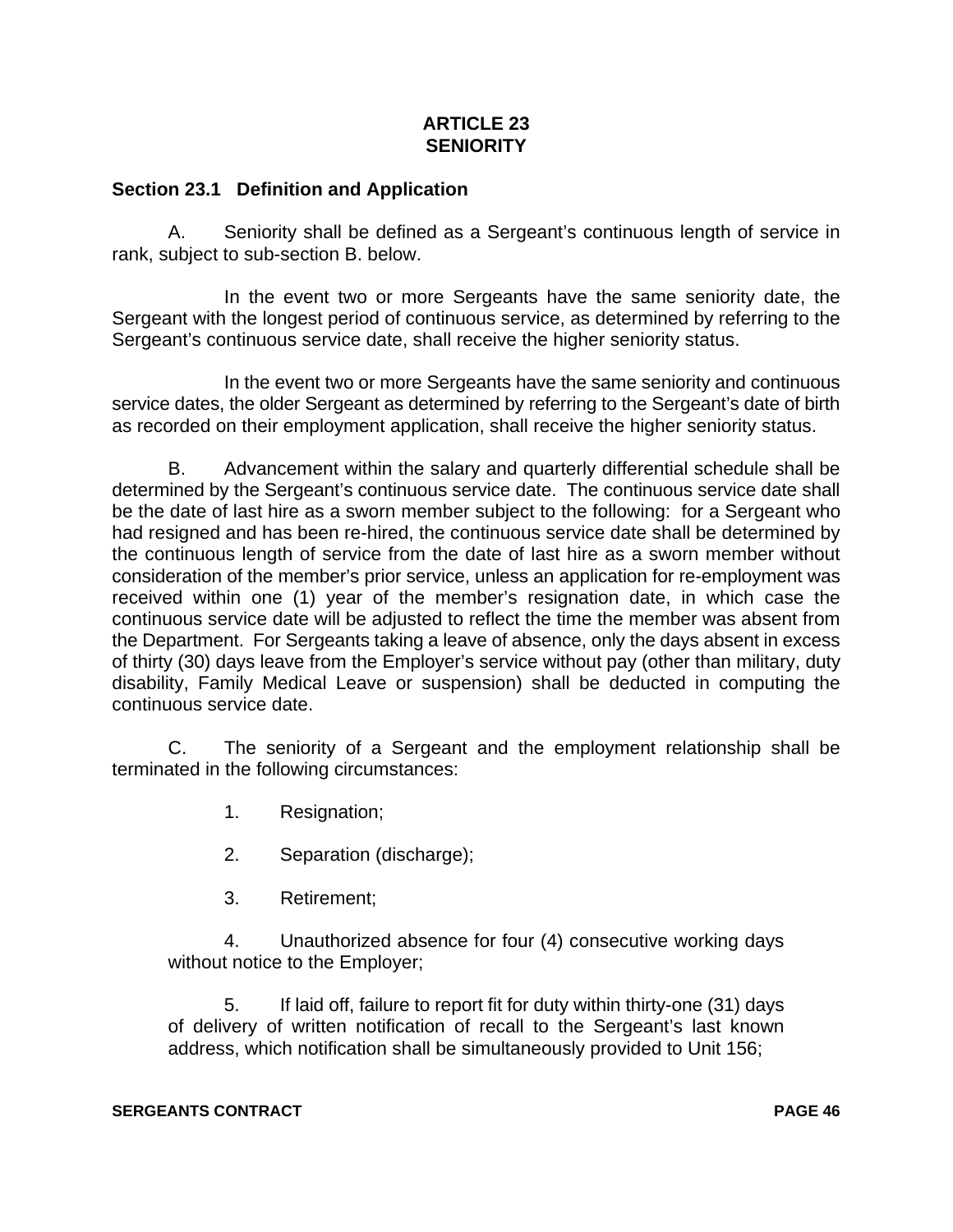# **ARTICLE 23 SENIORITY**

# **Section 23.1 Definition and Application**

A. Seniority shall be defined as a Sergeant's continuous length of service in rank, subject to sub-section B. below.

In the event two or more Sergeants have the same seniority date, the Sergeant with the longest period of continuous service, as determined by referring to the Sergeant's continuous service date, shall receive the higher seniority status.

In the event two or more Sergeants have the same seniority and continuous service dates, the older Sergeant as determined by referring to the Sergeant's date of birth as recorded on their employment application, shall receive the higher seniority status.

B. Advancement within the salary and quarterly differential schedule shall be determined by the Sergeant's continuous service date. The continuous service date shall be the date of last hire as a sworn member subject to the following: for a Sergeant who had resigned and has been re-hired, the continuous service date shall be determined by the continuous length of service from the date of last hire as a sworn member without consideration of the member's prior service, unless an application for re-employment was received within one (1) year of the member's resignation date, in which case the continuous service date will be adjusted to reflect the time the member was absent from the Department. For Sergeants taking a leave of absence, only the days absent in excess of thirty (30) days leave from the Employer's service without pay (other than military, duty disability, Family Medical Leave or suspension) shall be deducted in computing the continuous service date.

C. The seniority of a Sergeant and the employment relationship shall be terminated in the following circumstances:

- 1. Resignation;
- 2. Separation (discharge);
- 3. Retirement;

4. Unauthorized absence for four (4) consecutive working days without notice to the Employer;

5. If laid off, failure to report fit for duty within thirty-one (31) days of delivery of written notification of recall to the Sergeant's last known address, which notification shall be simultaneously provided to Unit 156;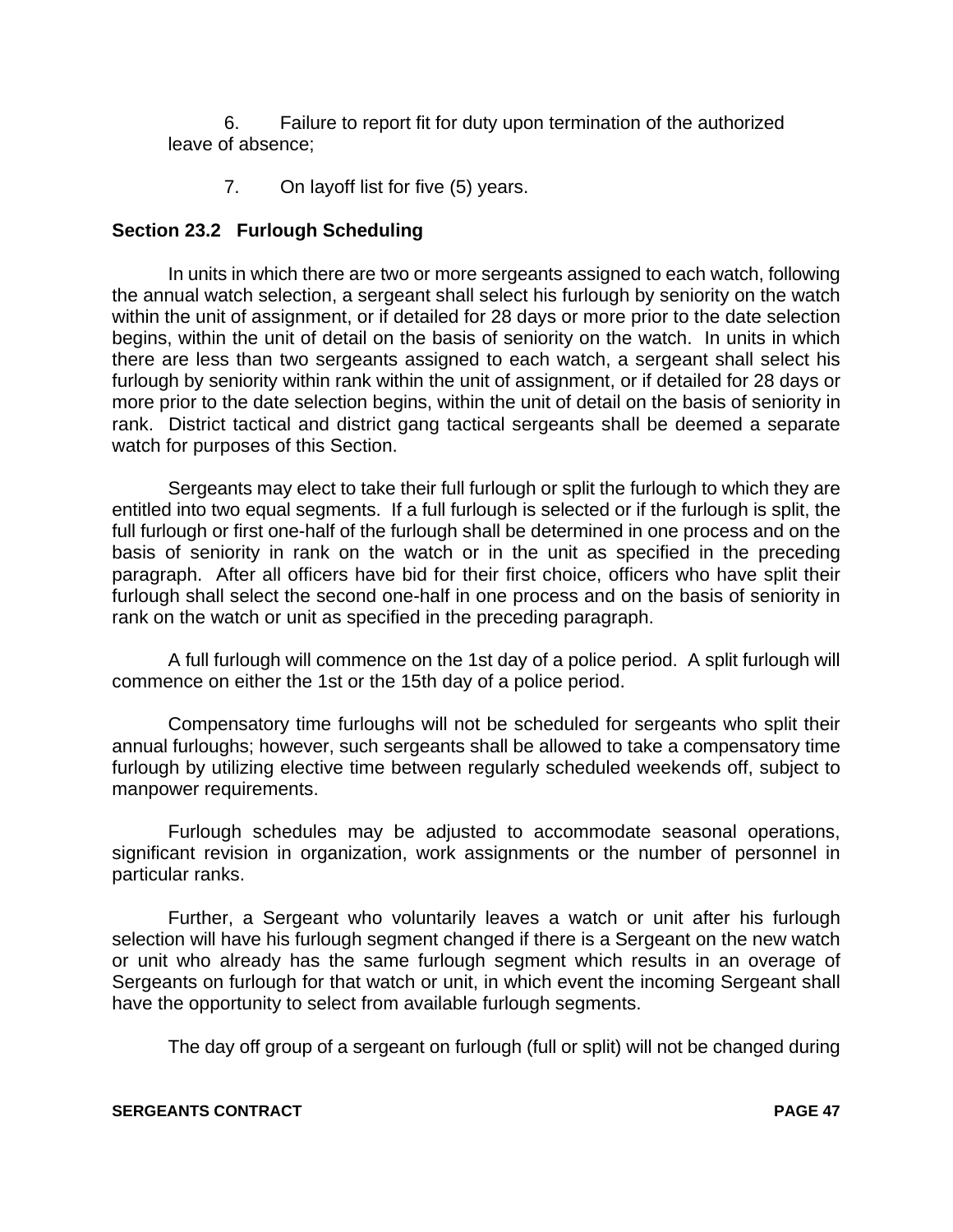6. Failure to report fit for duty upon termination of the authorized leave of absence;

7. On layoff list for five (5) years.

# **Section 23.2 Furlough Scheduling**

In units in which there are two or more sergeants assigned to each watch, following the annual watch selection, a sergeant shall select his furlough by seniority on the watch within the unit of assignment, or if detailed for 28 days or more prior to the date selection begins, within the unit of detail on the basis of seniority on the watch. In units in which there are less than two sergeants assigned to each watch, a sergeant shall select his furlough by seniority within rank within the unit of assignment, or if detailed for 28 days or more prior to the date selection begins, within the unit of detail on the basis of seniority in rank. District tactical and district gang tactical sergeants shall be deemed a separate watch for purposes of this Section.

Sergeants may elect to take their full furlough or split the furlough to which they are entitled into two equal segments. If a full furlough is selected or if the furlough is split, the full furlough or first one-half of the furlough shall be determined in one process and on the basis of seniority in rank on the watch or in the unit as specified in the preceding paragraph. After all officers have bid for their first choice, officers who have split their furlough shall select the second one-half in one process and on the basis of seniority in rank on the watch or unit as specified in the preceding paragraph.

A full furlough will commence on the 1st day of a police period. A split furlough will commence on either the 1st or the 15th day of a police period.

Compensatory time furloughs will not be scheduled for sergeants who split their annual furloughs; however, such sergeants shall be allowed to take a compensatory time furlough by utilizing elective time between regularly scheduled weekends off, subject to manpower requirements.

Furlough schedules may be adjusted to accommodate seasonal operations, significant revision in organization, work assignments or the number of personnel in particular ranks.

Further, a Sergeant who voluntarily leaves a watch or unit after his furlough selection will have his furlough segment changed if there is a Sergeant on the new watch or unit who already has the same furlough segment which results in an overage of Sergeants on furlough for that watch or unit, in which event the incoming Sergeant shall have the opportunity to select from available furlough segments.

The day off group of a sergeant on furlough (full or split) will not be changed during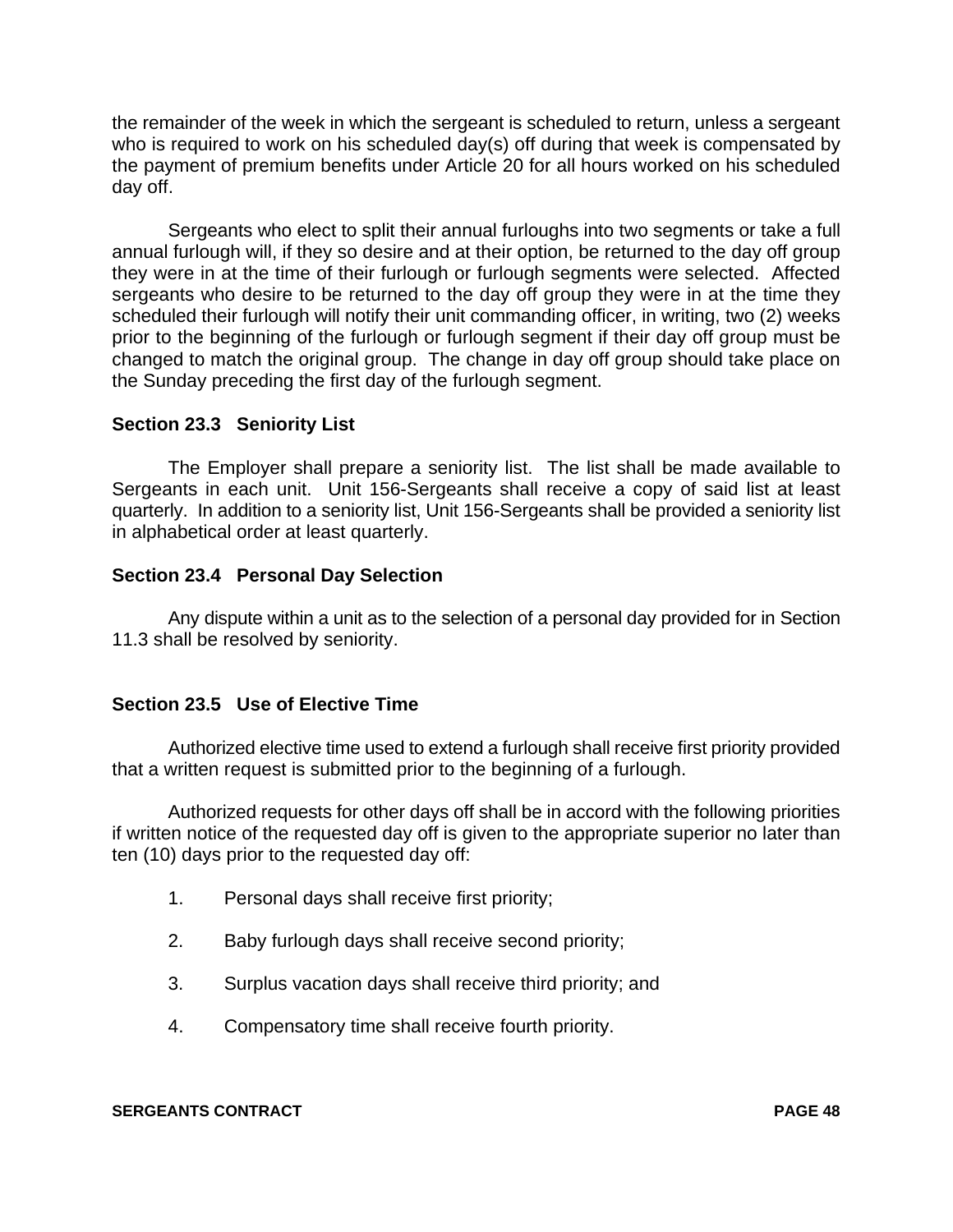the remainder of the week in which the sergeant is scheduled to return, unless a sergeant who is required to work on his scheduled day(s) off during that week is compensated by the payment of premium benefits under Article 20 for all hours worked on his scheduled day off.

Sergeants who elect to split their annual furloughs into two segments or take a full annual furlough will, if they so desire and at their option, be returned to the day off group they were in at the time of their furlough or furlough segments were selected. Affected sergeants who desire to be returned to the day off group they were in at the time they scheduled their furlough will notify their unit commanding officer, in writing, two (2) weeks prior to the beginning of the furlough or furlough segment if their day off group must be changed to match the original group. The change in day off group should take place on the Sunday preceding the first day of the furlough segment.

# **Section 23.3 Seniority List**

The Employer shall prepare a seniority list. The list shall be made available to Sergeants in each unit. Unit 156-Sergeants shall receive a copy of said list at least quarterly. In addition to a seniority list, Unit 156-Sergeants shall be provided a seniority list in alphabetical order at least quarterly.

# **Section 23.4 Personal Day Selection**

Any dispute within a unit as to the selection of a personal day provided for in Section 11.3 shall be resolved by seniority.

# **Section 23.5 Use of Elective Time**

Authorized elective time used to extend a furlough shall receive first priority provided that a written request is submitted prior to the beginning of a furlough.

Authorized requests for other days off shall be in accord with the following priorities if written notice of the requested day off is given to the appropriate superior no later than ten (10) days prior to the requested day off:

- 1. Personal days shall receive first priority;
- 2. Baby furlough days shall receive second priority;
- 3. Surplus vacation days shall receive third priority; and
- 4. Compensatory time shall receive fourth priority.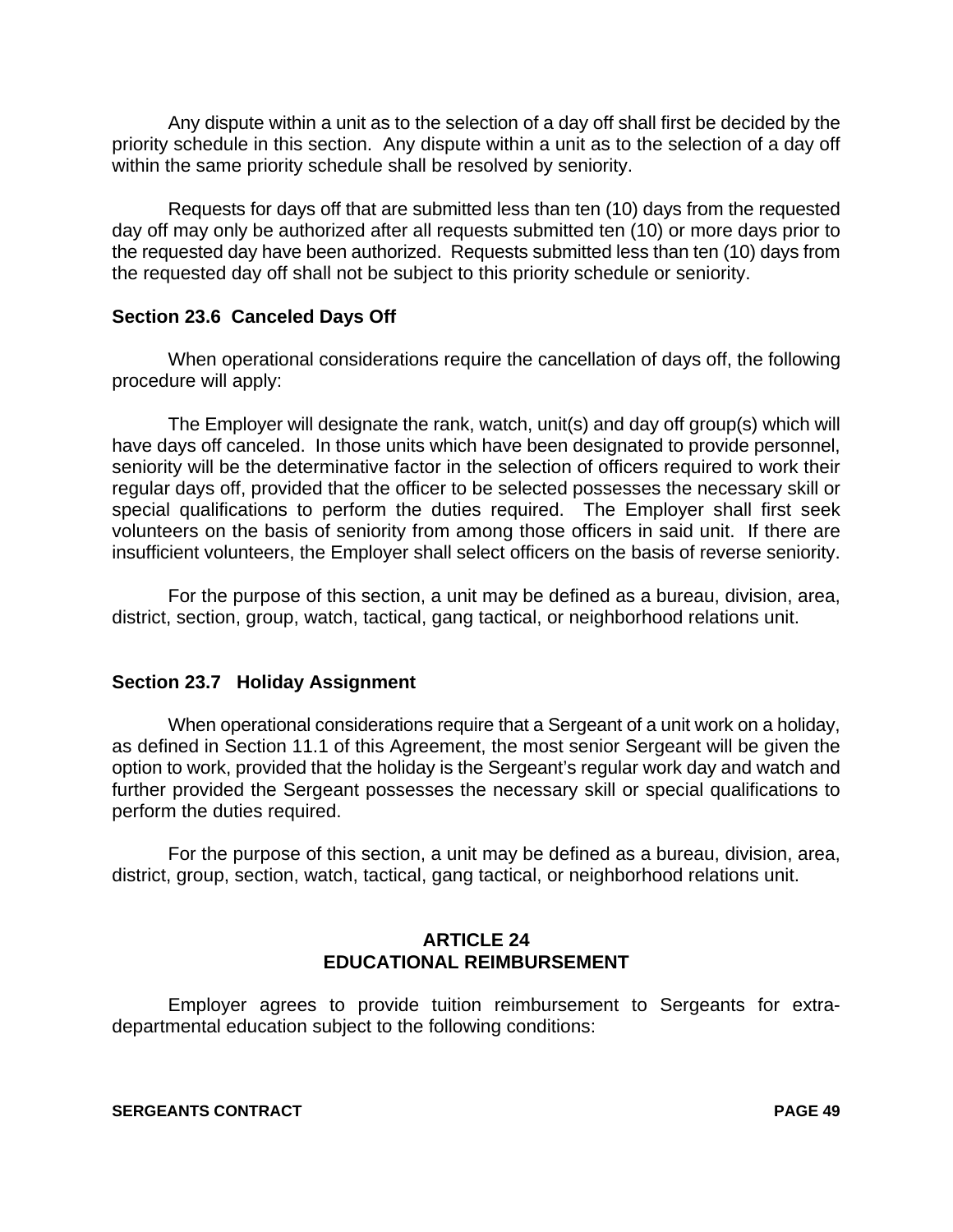Any dispute within a unit as to the selection of a day off shall first be decided by the priority schedule in this section. Any dispute within a unit as to the selection of a day off within the same priority schedule shall be resolved by seniority.

Requests for days off that are submitted less than ten (10) days from the requested day off may only be authorized after all requests submitted ten (10) or more days prior to the requested day have been authorized. Requests submitted less than ten (10) days from the requested day off shall not be subject to this priority schedule or seniority.

# **Section 23.6 Canceled Days Off**

When operational considerations require the cancellation of days off, the following procedure will apply:

The Employer will designate the rank, watch, unit(s) and day off group(s) which will have days off canceled. In those units which have been designated to provide personnel, seniority will be the determinative factor in the selection of officers required to work their regular days off, provided that the officer to be selected possesses the necessary skill or special qualifications to perform the duties required. The Employer shall first seek volunteers on the basis of seniority from among those officers in said unit. If there are insufficient volunteers, the Employer shall select officers on the basis of reverse seniority.

For the purpose of this section, a unit may be defined as a bureau, division, area, district, section, group, watch, tactical, gang tactical, or neighborhood relations unit.

# **Section 23.7 Holiday Assignment**

When operational considerations require that a Sergeant of a unit work on a holiday, as defined in Section 11.1 of this Agreement, the most senior Sergeant will be given the option to work, provided that the holiday is the Sergeant's regular work day and watch and further provided the Sergeant possesses the necessary skill or special qualifications to perform the duties required.

For the purpose of this section, a unit may be defined as a bureau, division, area, district, group, section, watch, tactical, gang tactical, or neighborhood relations unit.

# **ARTICLE 24 EDUCATIONAL REIMBURSEMENT**

Employer agrees to provide tuition reimbursement to Sergeants for extradepartmental education subject to the following conditions: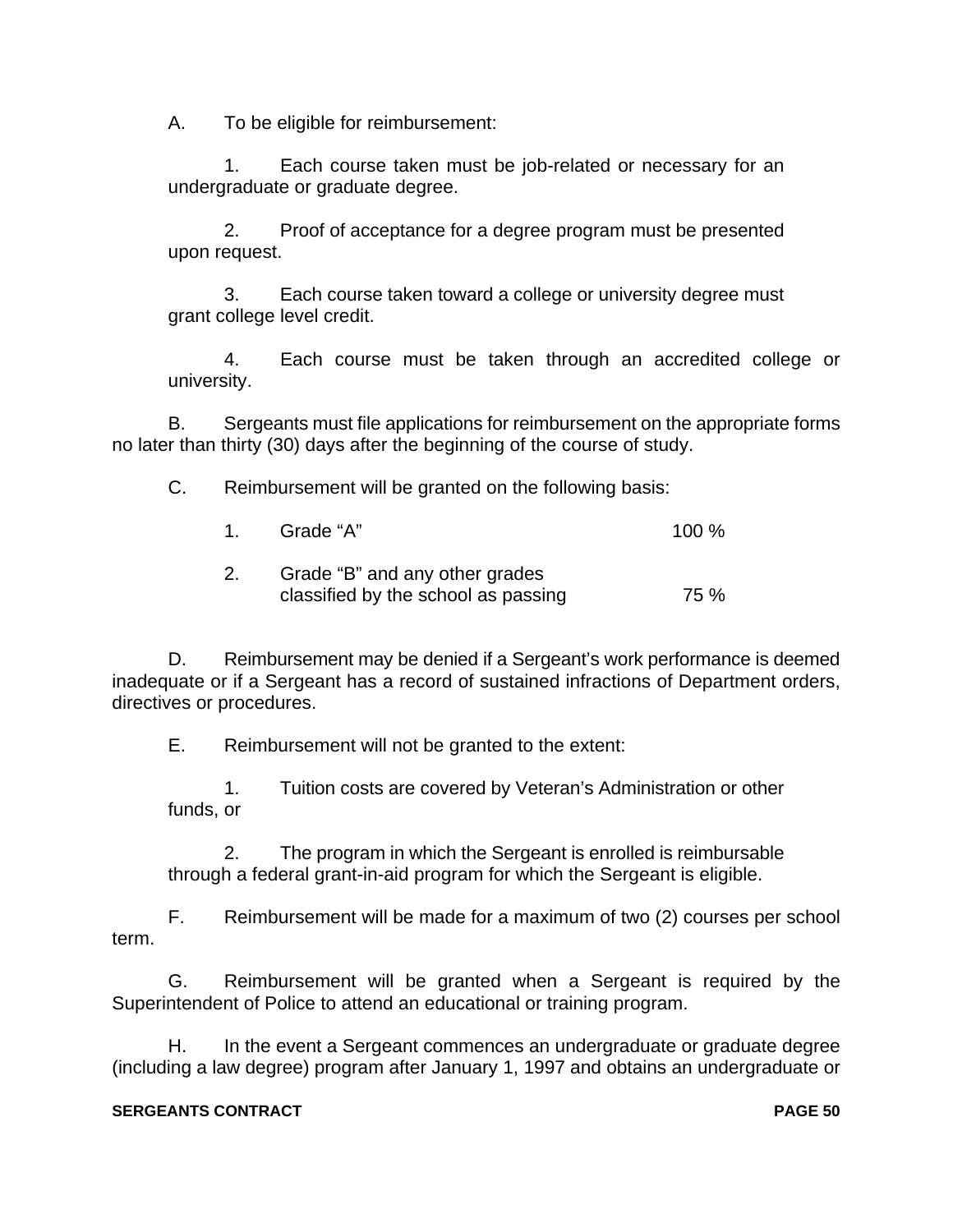A. To be eligible for reimbursement:

1. Each course taken must be job-related or necessary for an undergraduate or graduate degree.

2. Proof of acceptance for a degree program must be presented upon request.

3. Each course taken toward a college or university degree must grant college level credit.

4. Each course must be taken through an accredited college or university.

B. Sergeants must file applications for reimbursement on the appropriate forms no later than thirty (30) days after the beginning of the course of study.

C. Reimbursement will be granted on the following basis:

| $\sim$ 1 | Grade "A"                                                             | 100% |
|----------|-----------------------------------------------------------------------|------|
|          | Grade "B" and any other grades<br>classified by the school as passing | 75 % |

D. Reimbursement may be denied if a Sergeant's work performance is deemed inadequate or if a Sergeant has a record of sustained infractions of Department orders, directives or procedures.

E. Reimbursement will not be granted to the extent:

1. Tuition costs are covered by Veteran's Administration or other funds, or

2. The program in which the Sergeant is enrolled is reimbursable through a federal grant-in-aid program for which the Sergeant is eligible.

F. Reimbursement will be made for a maximum of two (2) courses per school term.

G. Reimbursement will be granted when a Sergeant is required by the Superintendent of Police to attend an educational or training program.

H. In the event a Sergeant commences an undergraduate or graduate degree (including a law degree) program after January 1, 1997 and obtains an undergraduate or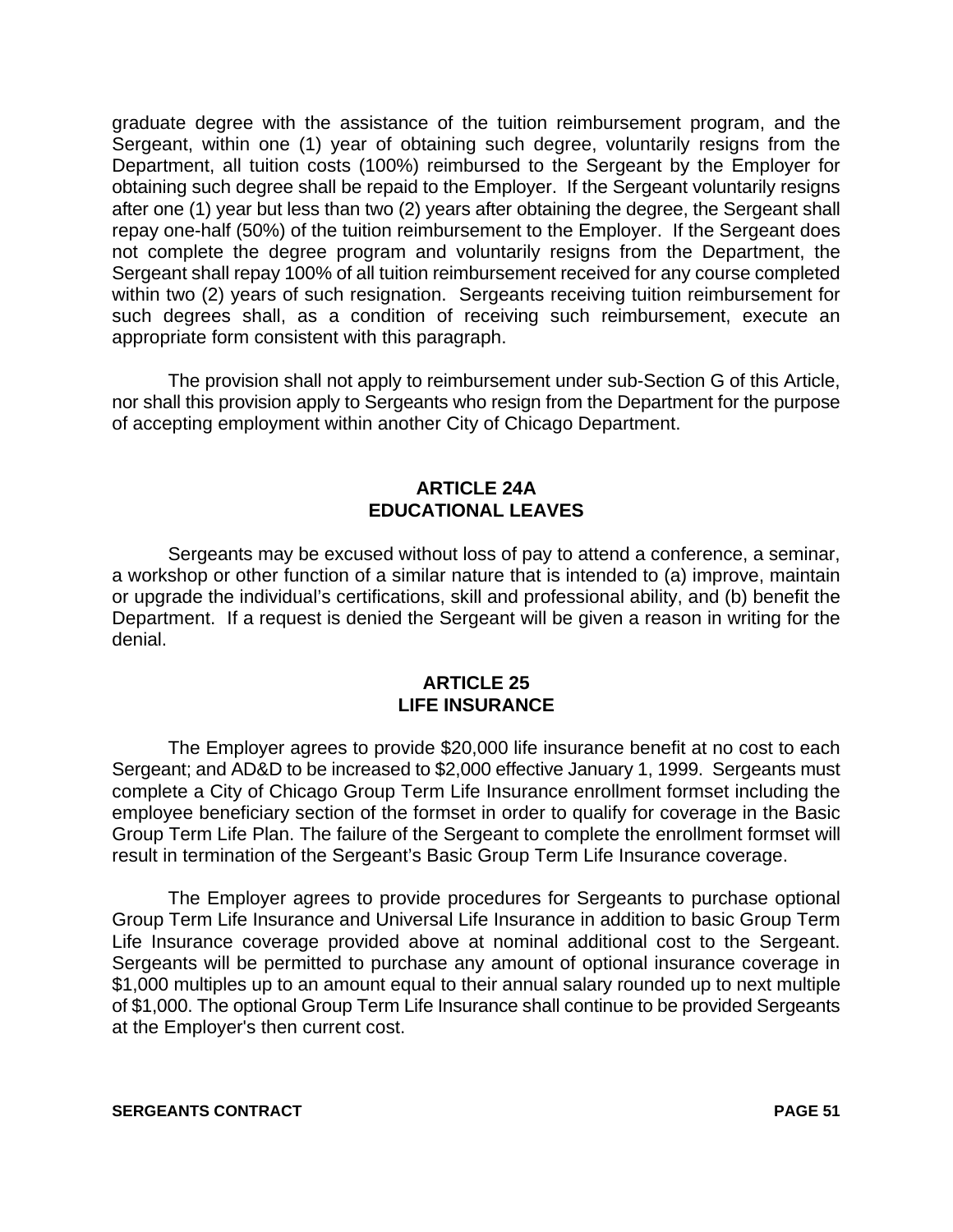graduate degree with the assistance of the tuition reimbursement program, and the Sergeant, within one (1) year of obtaining such degree, voluntarily resigns from the Department, all tuition costs (100%) reimbursed to the Sergeant by the Employer for obtaining such degree shall be repaid to the Employer. If the Sergeant voluntarily resigns after one (1) year but less than two (2) years after obtaining the degree, the Sergeant shall repay one-half (50%) of the tuition reimbursement to the Employer. If the Sergeant does not complete the degree program and voluntarily resigns from the Department, the Sergeant shall repay 100% of all tuition reimbursement received for any course completed within two (2) years of such resignation. Sergeants receiving tuition reimbursement for such degrees shall, as a condition of receiving such reimbursement, execute an appropriate form consistent with this paragraph.

The provision shall not apply to reimbursement under sub-Section G of this Article, nor shall this provision apply to Sergeants who resign from the Department for the purpose of accepting employment within another City of Chicago Department.

# **ARTICLE 24A EDUCATIONAL LEAVES**

Sergeants may be excused without loss of pay to attend a conference, a seminar, a workshop or other function of a similar nature that is intended to (a) improve, maintain or upgrade the individual's certifications, skill and professional ability, and (b) benefit the Department. If a request is denied the Sergeant will be given a reason in writing for the denial.

# **ARTICLE 25 LIFE INSURANCE**

The Employer agrees to provide \$20,000 life insurance benefit at no cost to each Sergeant; and AD&D to be increased to \$2,000 effective January 1, 1999. Sergeants must complete a City of Chicago Group Term Life Insurance enrollment formset including the employee beneficiary section of the formset in order to qualify for coverage in the Basic Group Term Life Plan. The failure of the Sergeant to complete the enrollment formset will result in termination of the Sergeant's Basic Group Term Life Insurance coverage.

The Employer agrees to provide procedures for Sergeants to purchase optional Group Term Life Insurance and Universal Life Insurance in addition to basic Group Term Life Insurance coverage provided above at nominal additional cost to the Sergeant. Sergeants will be permitted to purchase any amount of optional insurance coverage in \$1,000 multiples up to an amount equal to their annual salary rounded up to next multiple of \$1,000. The optional Group Term Life Insurance shall continue to be provided Sergeants at the Employer's then current cost.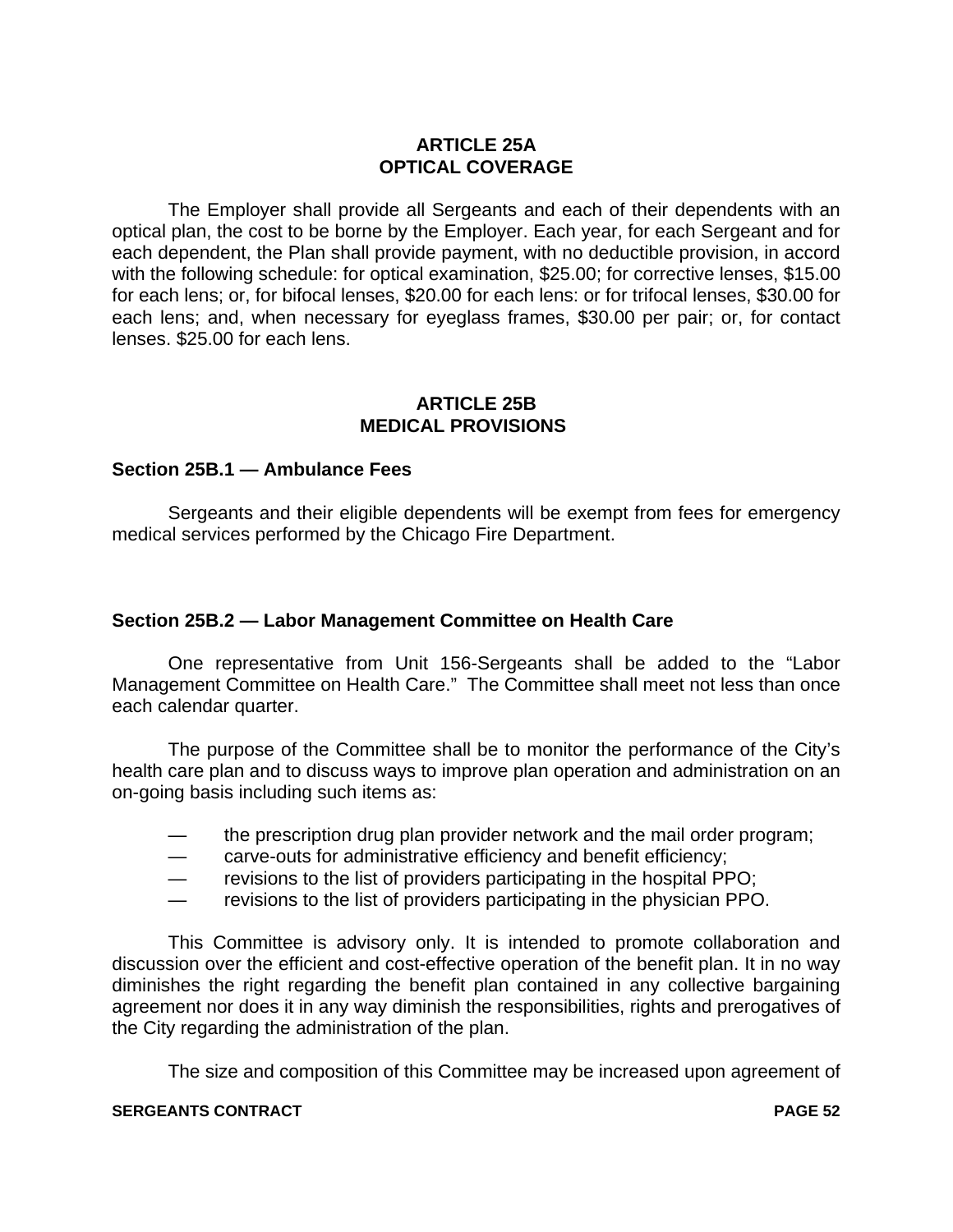# **ARTICLE 25A OPTICAL COVERAGE**

The Employer shall provide all Sergeants and each of their dependents with an optical plan, the cost to be borne by the Employer. Each year, for each Sergeant and for each dependent, the Plan shall provide payment, with no deductible provision, in accord with the following schedule: for optical examination, \$25.00; for corrective lenses, \$15.00 for each lens; or, for bifocal lenses, \$20.00 for each lens: or for trifocal lenses, \$30.00 for each lens; and, when necessary for eyeglass frames, \$30.00 per pair; or, for contact lenses. \$25.00 for each lens.

#### **ARTICLE 25B MEDICAL PROVISIONS**

# **Section 25B.1 — Ambulance Fees**

Sergeants and their eligible dependents will be exempt from fees for emergency medical services performed by the Chicago Fire Department.

# **Section 25B.2 — Labor Management Committee on Health Care**

One representative from Unit 156-Sergeants shall be added to the "Labor Management Committee on Health Care." The Committee shall meet not less than once each calendar quarter.

The purpose of the Committee shall be to monitor the performance of the City's health care plan and to discuss ways to improve plan operation and administration on an on-going basis including such items as:

- the prescription drug plan provider network and the mail order program;
- carve-outs for administrative efficiency and benefit efficiency;
- revisions to the list of providers participating in the hospital PPO;
- revisions to the list of providers participating in the physician PPO.

This Committee is advisory only. It is intended to promote collaboration and discussion over the efficient and cost-effective operation of the benefit plan. It in no way diminishes the right regarding the benefit plan contained in any collective bargaining agreement nor does it in any way diminish the responsibilities, rights and prerogatives of the City regarding the administration of the plan.

The size and composition of this Committee may be increased upon agreement of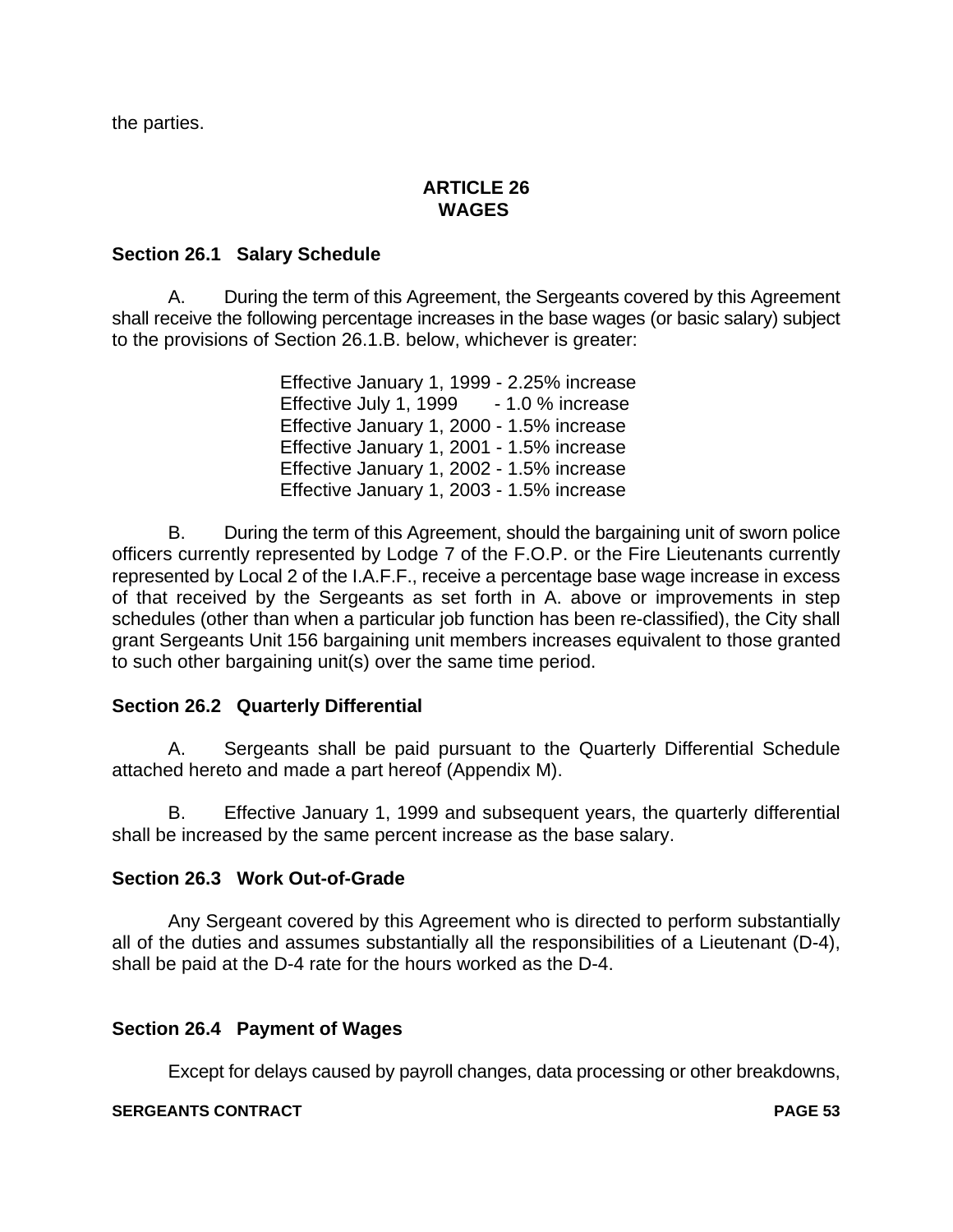the parties.

# **ARTICLE 26 WAGES**

# **Section 26.1 Salary Schedule**

A. During the term of this Agreement, the Sergeants covered by this Agreement shall receive the following percentage increases in the base wages (or basic salary) subject to the provisions of Section 26.1.B. below, whichever is greater:

> Effective January 1, 1999 - 2.25% increase Effective July 1, 1999 - 1.0 % increase Effective January 1, 2000 - 1.5% increase Effective January 1, 2001 - 1.5% increase Effective January 1, 2002 - 1.5% increase Effective January 1, 2003 - 1.5% increase

B. During the term of this Agreement, should the bargaining unit of sworn police officers currently represented by Lodge 7 of the F.O.P. or the Fire Lieutenants currently represented by Local 2 of the I.A.F.F., receive a percentage base wage increase in excess of that received by the Sergeants as set forth in A. above or improvements in step schedules (other than when a particular job function has been re-classified), the City shall grant Sergeants Unit 156 bargaining unit members increases equivalent to those granted to such other bargaining unit(s) over the same time period.

# **Section 26.2 Quarterly Differential**

A. Sergeants shall be paid pursuant to the Quarterly Differential Schedule attached hereto and made a part hereof (Appendix M).

B. Effective January 1, 1999 and subsequent years, the quarterly differential shall be increased by the same percent increase as the base salary.

# **Section 26.3 Work Out-of-Grade**

Any Sergeant covered by this Agreement who is directed to perform substantially all of the duties and assumes substantially all the responsibilities of a Lieutenant (D-4), shall be paid at the D-4 rate for the hours worked as the D-4.

# **Section 26.4 Payment of Wages**

Except for delays caused by payroll changes, data processing or other breakdowns,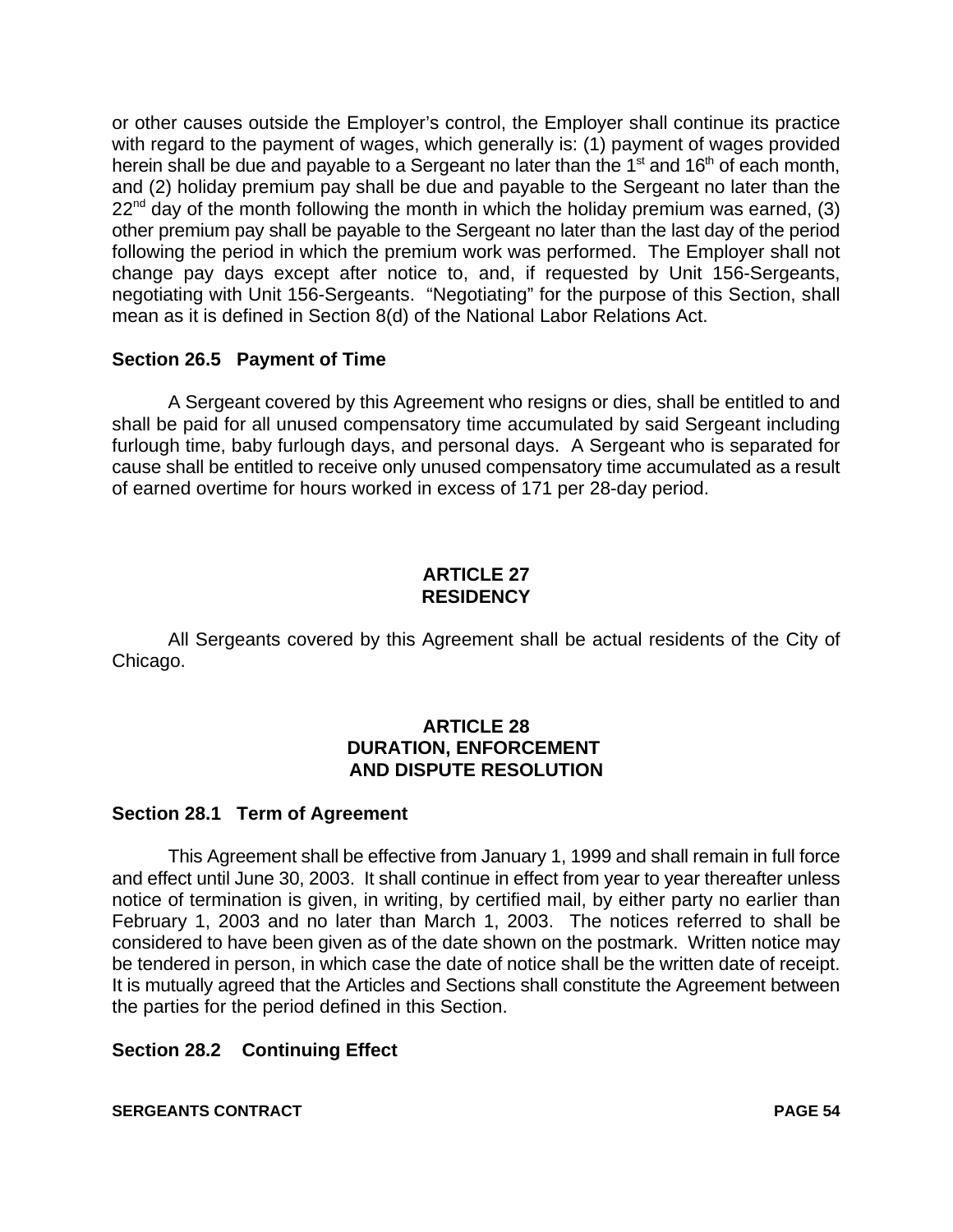or other causes outside the Employer's control, the Employer shall continue its practice with regard to the payment of wages, which generally is: (1) payment of wages provided herein shall be due and payable to a Sergeant no later than the  $1<sup>st</sup>$  and  $16<sup>th</sup>$  of each month, and (2) holiday premium pay shall be due and payable to the Sergeant no later than the  $22<sup>nd</sup>$  day of the month following the month in which the holiday premium was earned, (3) other premium pay shall be payable to the Sergeant no later than the last day of the period following the period in which the premium work was performed. The Employer shall not change pay days except after notice to, and, if requested by Unit 156-Sergeants, negotiating with Unit 156-Sergeants. "Negotiating" for the purpose of this Section, shall mean as it is defined in Section 8(d) of the National Labor Relations Act.

# **Section 26.5 Payment of Time**

A Sergeant covered by this Agreement who resigns or dies, shall be entitled to and shall be paid for all unused compensatory time accumulated by said Sergeant including furlough time, baby furlough days, and personal days. A Sergeant who is separated for cause shall be entitled to receive only unused compensatory time accumulated as a result of earned overtime for hours worked in excess of 171 per 28-day period.

# **ARTICLE 27 RESIDENCY**

All Sergeants covered by this Agreement shall be actual residents of the City of Chicago.

# **ARTICLE 28 DURATION, ENFORCEMENT AND DISPUTE RESOLUTION**

#### **Section 28.1 Term of Agreement**

This Agreement shall be effective from January 1, 1999 and shall remain in full force and effect until June 30, 2003. It shall continue in effect from year to year thereafter unless notice of termination is given, in writing, by certified mail, by either party no earlier than February 1, 2003 and no later than March 1, 2003. The notices referred to shall be considered to have been given as of the date shown on the postmark. Written notice may be tendered in person, in which case the date of notice shall be the written date of receipt. It is mutually agreed that the Articles and Sections shall constitute the Agreement between the parties for the period defined in this Section.

# **Section 28.2 Continuing Effect**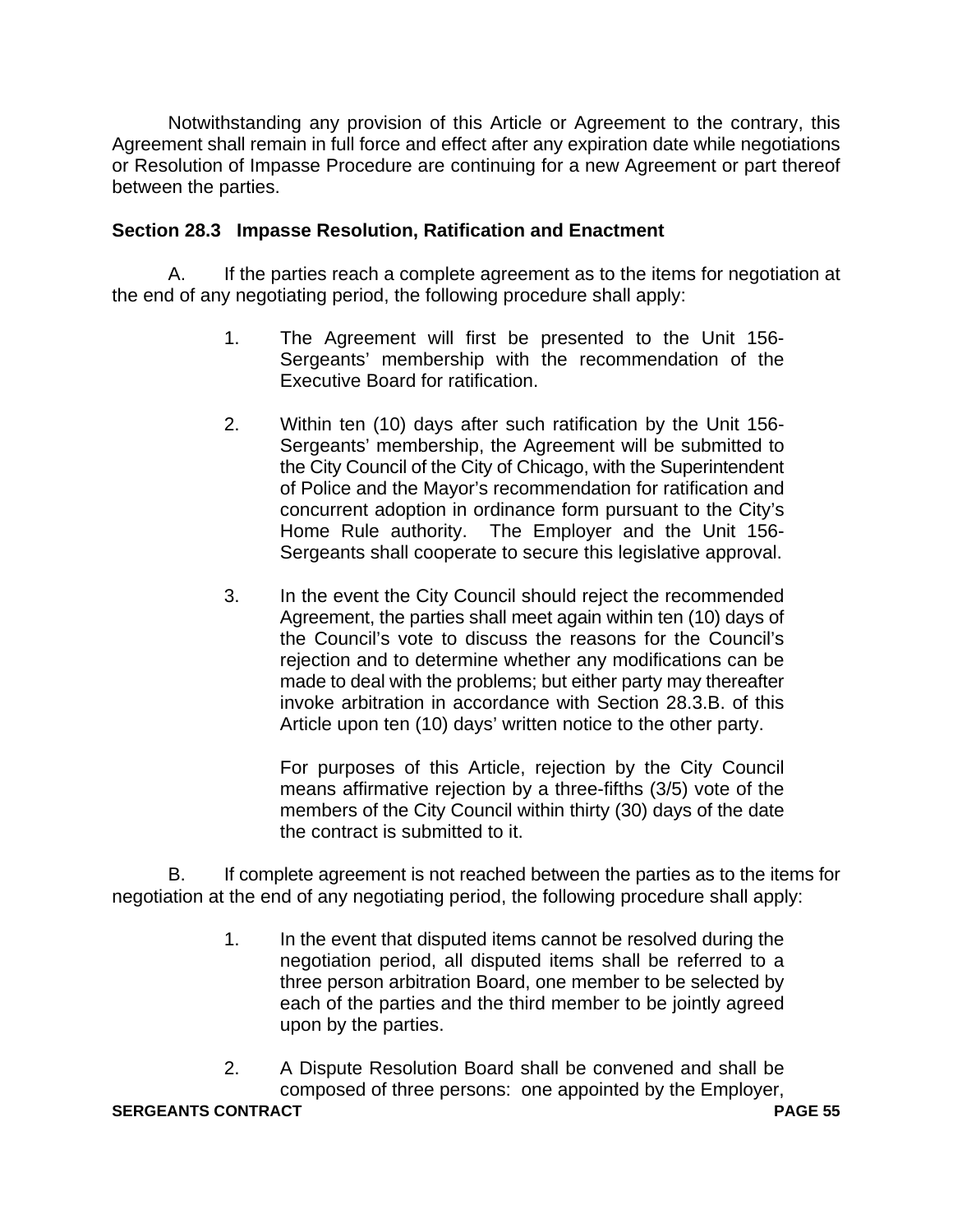Notwithstanding any provision of this Article or Agreement to the contrary, this Agreement shall remain in full force and effect after any expiration date while negotiations or Resolution of Impasse Procedure are continuing for a new Agreement or part thereof between the parties.

# **Section 28.3 Impasse Resolution, Ratification and Enactment**

A. If the parties reach a complete agreement as to the items for negotiation at the end of any negotiating period, the following procedure shall apply:

- 1. The Agreement will first be presented to the Unit 156- Sergeants' membership with the recommendation of the Executive Board for ratification.
- 2. Within ten (10) days after such ratification by the Unit 156- Sergeants' membership, the Agreement will be submitted to the City Council of the City of Chicago, with the Superintendent of Police and the Mayor's recommendation for ratification and concurrent adoption in ordinance form pursuant to the City's Home Rule authority. The Employer and the Unit 156- Sergeants shall cooperate to secure this legislative approval.
- 3. In the event the City Council should reject the recommended Agreement, the parties shall meet again within ten (10) days of the Council's vote to discuss the reasons for the Council's rejection and to determine whether any modifications can be made to deal with the problems; but either party may thereafter invoke arbitration in accordance with Section 28.3.B. of this Article upon ten (10) days' written notice to the other party.

For purposes of this Article, rejection by the City Council means affirmative rejection by a three-fifths (3/5) vote of the members of the City Council within thirty (30) days of the date the contract is submitted to it.

B. If complete agreement is not reached between the parties as to the items for negotiation at the end of any negotiating period, the following procedure shall apply:

- 1. In the event that disputed items cannot be resolved during the negotiation period, all disputed items shall be referred to a three person arbitration Board, one member to be selected by each of the parties and the third member to be jointly agreed upon by the parties.
- 2. A Dispute Resolution Board shall be convened and shall be composed of three persons: one appointed by the Employer,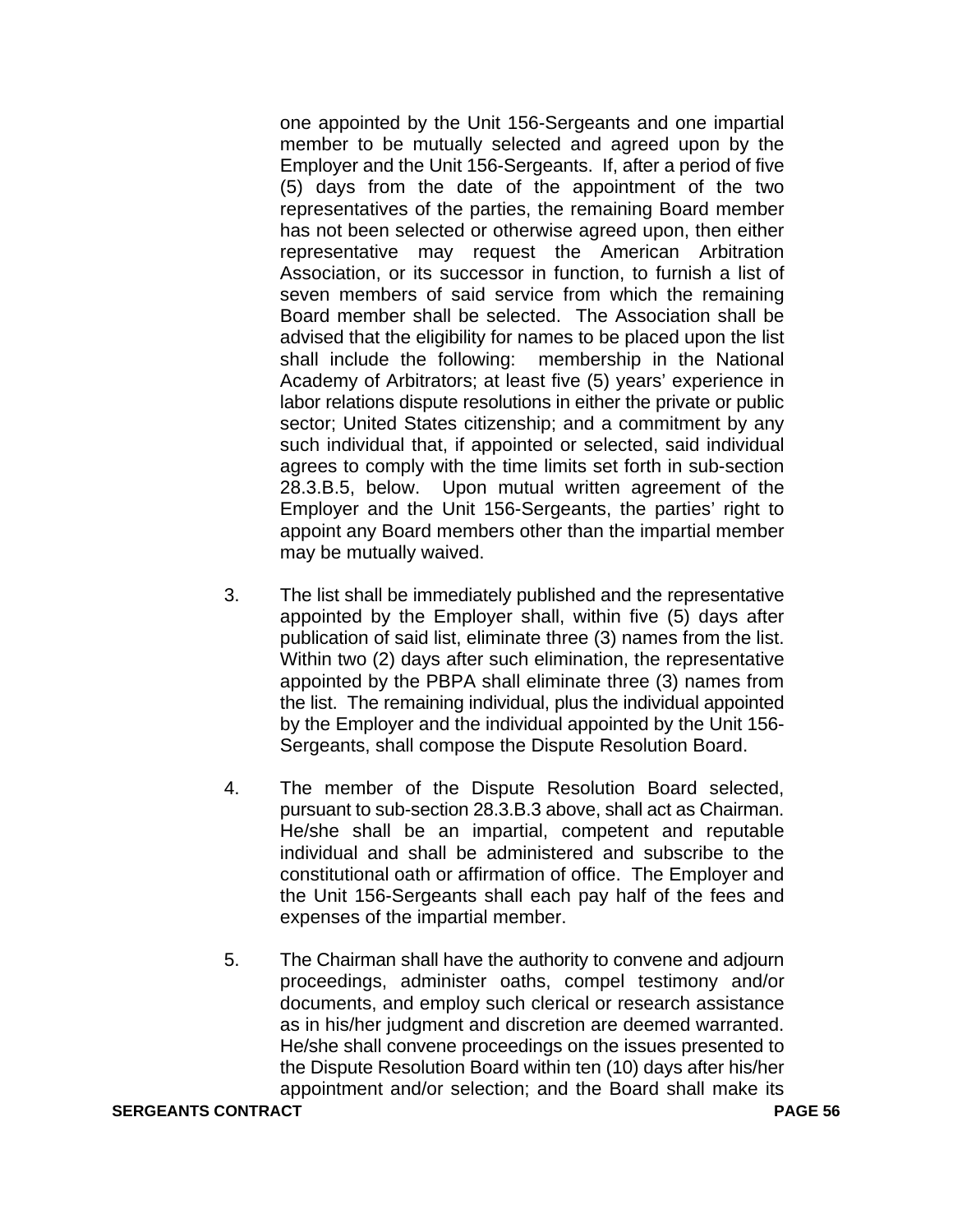one appointed by the Unit 156-Sergeants and one impartial member to be mutually selected and agreed upon by the Employer and the Unit 156-Sergeants. If, after a period of five (5) days from the date of the appointment of the two representatives of the parties, the remaining Board member has not been selected or otherwise agreed upon, then either representative may request the American Arbitration Association, or its successor in function, to furnish a list of seven members of said service from which the remaining Board member shall be selected. The Association shall be advised that the eligibility for names to be placed upon the list shall include the following: membership in the National Academy of Arbitrators; at least five (5) years' experience in labor relations dispute resolutions in either the private or public sector; United States citizenship; and a commitment by any such individual that, if appointed or selected, said individual agrees to comply with the time limits set forth in sub-section 28.3.B.5, below. Upon mutual written agreement of the Employer and the Unit 156-Sergeants, the parties' right to appoint any Board members other than the impartial member may be mutually waived.

- 3. The list shall be immediately published and the representative appointed by the Employer shall, within five (5) days after publication of said list, eliminate three (3) names from the list. Within two (2) days after such elimination, the representative appointed by the PBPA shall eliminate three (3) names from the list. The remaining individual, plus the individual appointed by the Employer and the individual appointed by the Unit 156- Sergeants, shall compose the Dispute Resolution Board.
- 4. The member of the Dispute Resolution Board selected, pursuant to sub-section 28.3.B.3 above, shall act as Chairman. He/she shall be an impartial, competent and reputable individual and shall be administered and subscribe to the constitutional oath or affirmation of office. The Employer and the Unit 156-Sergeants shall each pay half of the fees and expenses of the impartial member.
- 5. The Chairman shall have the authority to convene and adjourn proceedings, administer oaths, compel testimony and/or documents, and employ such clerical or research assistance as in his/her judgment and discretion are deemed warranted. He/she shall convene proceedings on the issues presented to the Dispute Resolution Board within ten (10) days after his/her appointment and/or selection; and the Board shall make its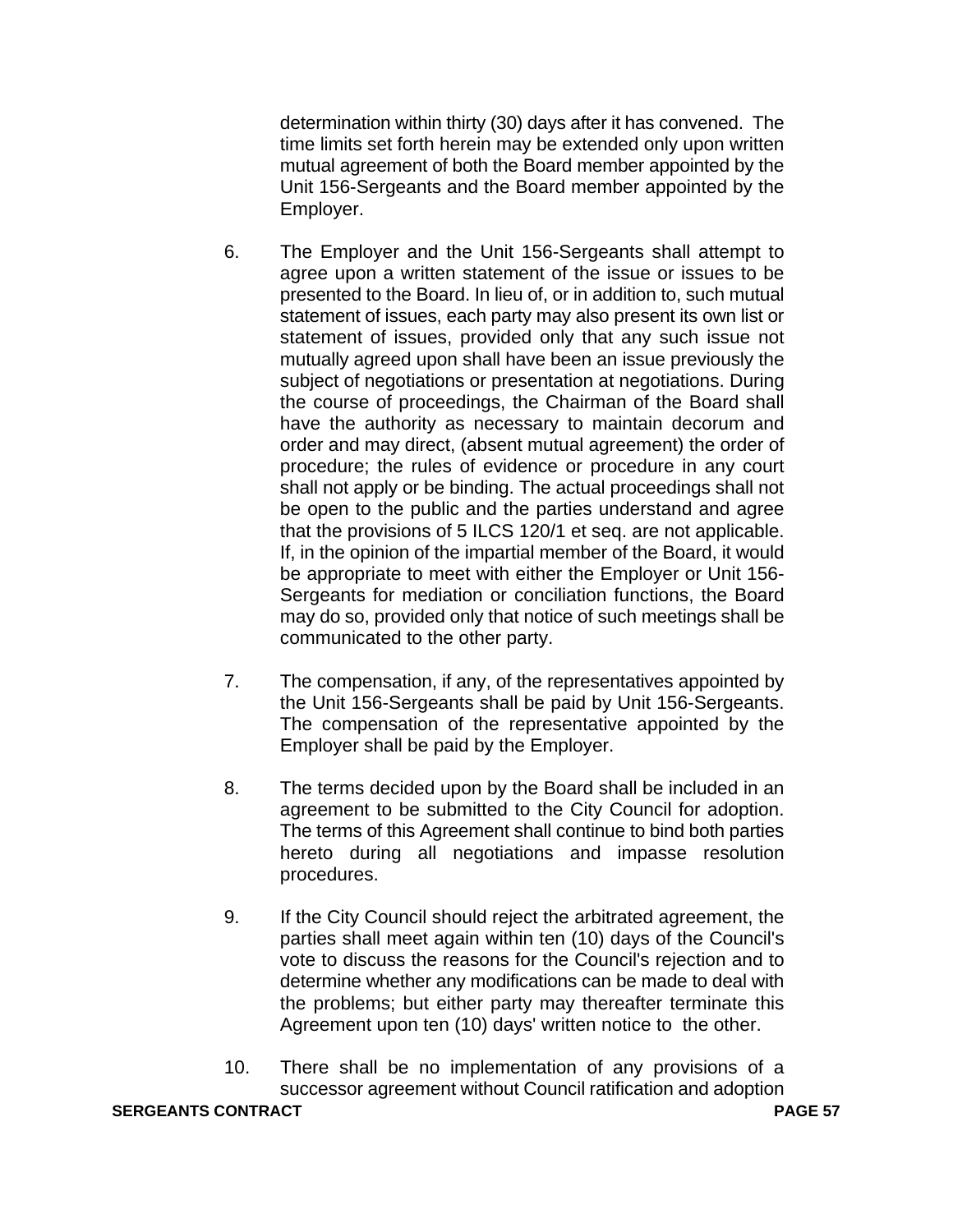determination within thirty (30) days after it has convened. The time limits set forth herein may be extended only upon written mutual agreement of both the Board member appointed by the Unit 156-Sergeants and the Board member appointed by the Employer.

- 6. The Employer and the Unit 156-Sergeants shall attempt to agree upon a written statement of the issue or issues to be presented to the Board. In lieu of, or in addition to, such mutual statement of issues, each party may also present its own list or statement of issues, provided only that any such issue not mutually agreed upon shall have been an issue previously the subject of negotiations or presentation at negotiations. During the course of proceedings, the Chairman of the Board shall have the authority as necessary to maintain decorum and order and may direct, (absent mutual agreement) the order of procedure; the rules of evidence or procedure in any court shall not apply or be binding. The actual proceedings shall not be open to the public and the parties understand and agree that the provisions of 5 ILCS 120/1 et seq. are not applicable. If, in the opinion of the impartial member of the Board, it would be appropriate to meet with either the Employer or Unit 156- Sergeants for mediation or conciliation functions, the Board may do so, provided only that notice of such meetings shall be communicated to the other party.
- 7. The compensation, if any, of the representatives appointed by the Unit 156-Sergeants shall be paid by Unit 156-Sergeants. The compensation of the representative appointed by the Employer shall be paid by the Employer.
- 8. The terms decided upon by the Board shall be included in an agreement to be submitted to the City Council for adoption. The terms of this Agreement shall continue to bind both parties hereto during all negotiations and impasse resolution procedures.
- 9. If the City Council should reject the arbitrated agreement, the parties shall meet again within ten (10) days of the Council's vote to discuss the reasons for the Council's rejection and to determine whether any modifications can be made to deal with the problems; but either party may thereafter terminate this Agreement upon ten (10) days' written notice to the other.
- 10. There shall be no implementation of any provisions of a successor agreement without Council ratification and adoption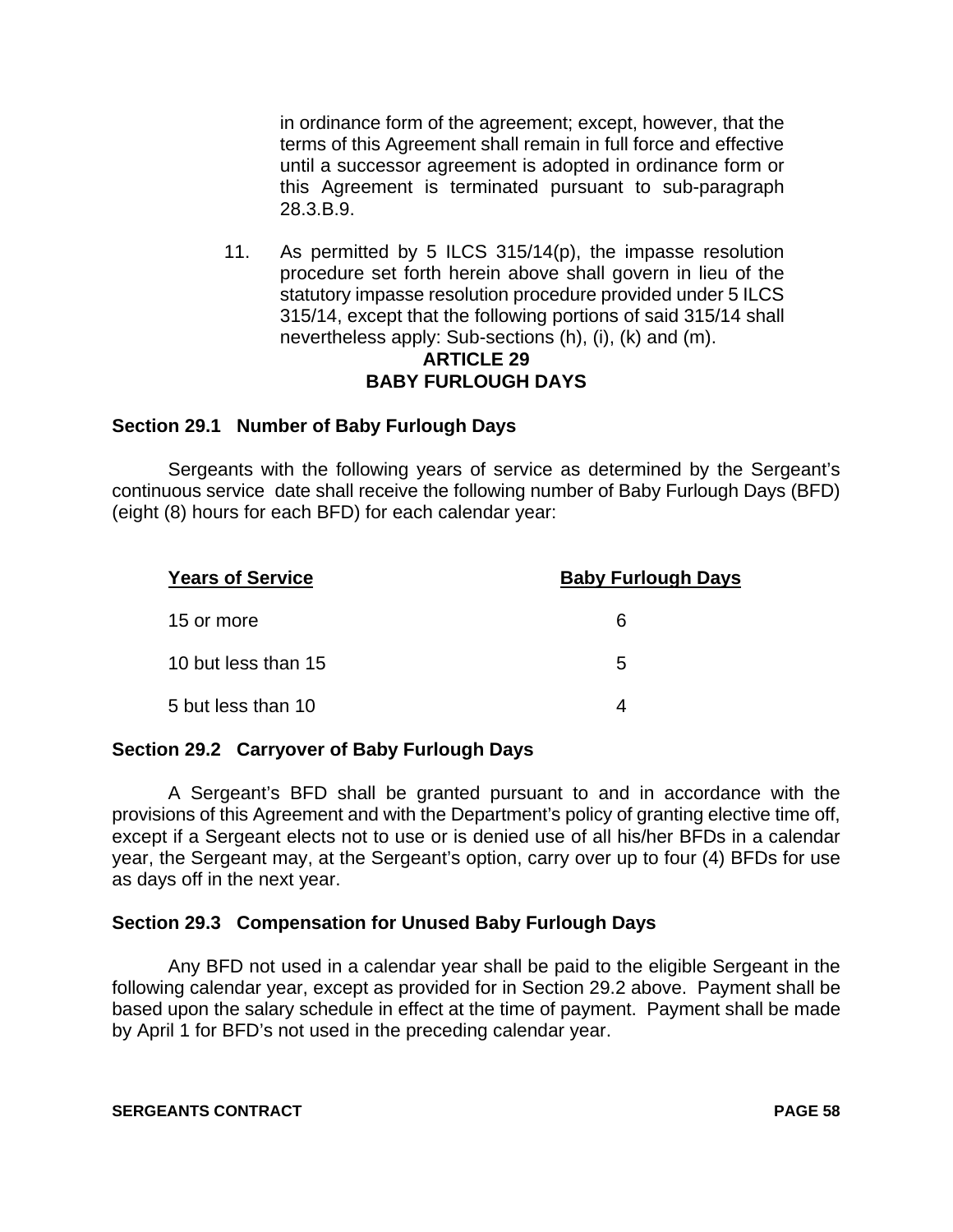in ordinance form of the agreement; except, however, that the terms of this Agreement shall remain in full force and effective until a successor agreement is adopted in ordinance form or this Agreement is terminated pursuant to sub-paragraph 28.3.B.9.

11. As permitted by 5 ILCS 315/14(p), the impasse resolution procedure set forth herein above shall govern in lieu of the statutory impasse resolution procedure provided under 5 ILCS 315/14, except that the following portions of said 315/14 shall nevertheless apply: Sub-sections (h), (i), (k) and (m). **ARTICLE 29**

# **BABY FURLOUGH DAYS**

# **Section 29.1 Number of Baby Furlough Days**

Sergeants with the following years of service as determined by the Sergeant's continuous service date shall receive the following number of Baby Furlough Days (BFD) (eight (8) hours for each BFD) for each calendar year:

| <b>Years of Service</b> | <b>Baby Furlough Days</b> |  |
|-------------------------|---------------------------|--|
| 15 or more              | 6                         |  |
| 10 but less than 15     | 5                         |  |
| 5 but less than 10      |                           |  |

# **Section 29.2 Carryover of Baby Furlough Days**

A Sergeant's BFD shall be granted pursuant to and in accordance with the provisions of this Agreement and with the Department's policy of granting elective time off, except if a Sergeant elects not to use or is denied use of all his/her BFDs in a calendar year, the Sergeant may, at the Sergeant's option, carry over up to four (4) BFDs for use as days off in the next year.

# **Section 29.3 Compensation for Unused Baby Furlough Days**

Any BFD not used in a calendar year shall be paid to the eligible Sergeant in the following calendar year, except as provided for in Section 29.2 above. Payment shall be based upon the salary schedule in effect at the time of payment. Payment shall be made by April 1 for BFD's not used in the preceding calendar year.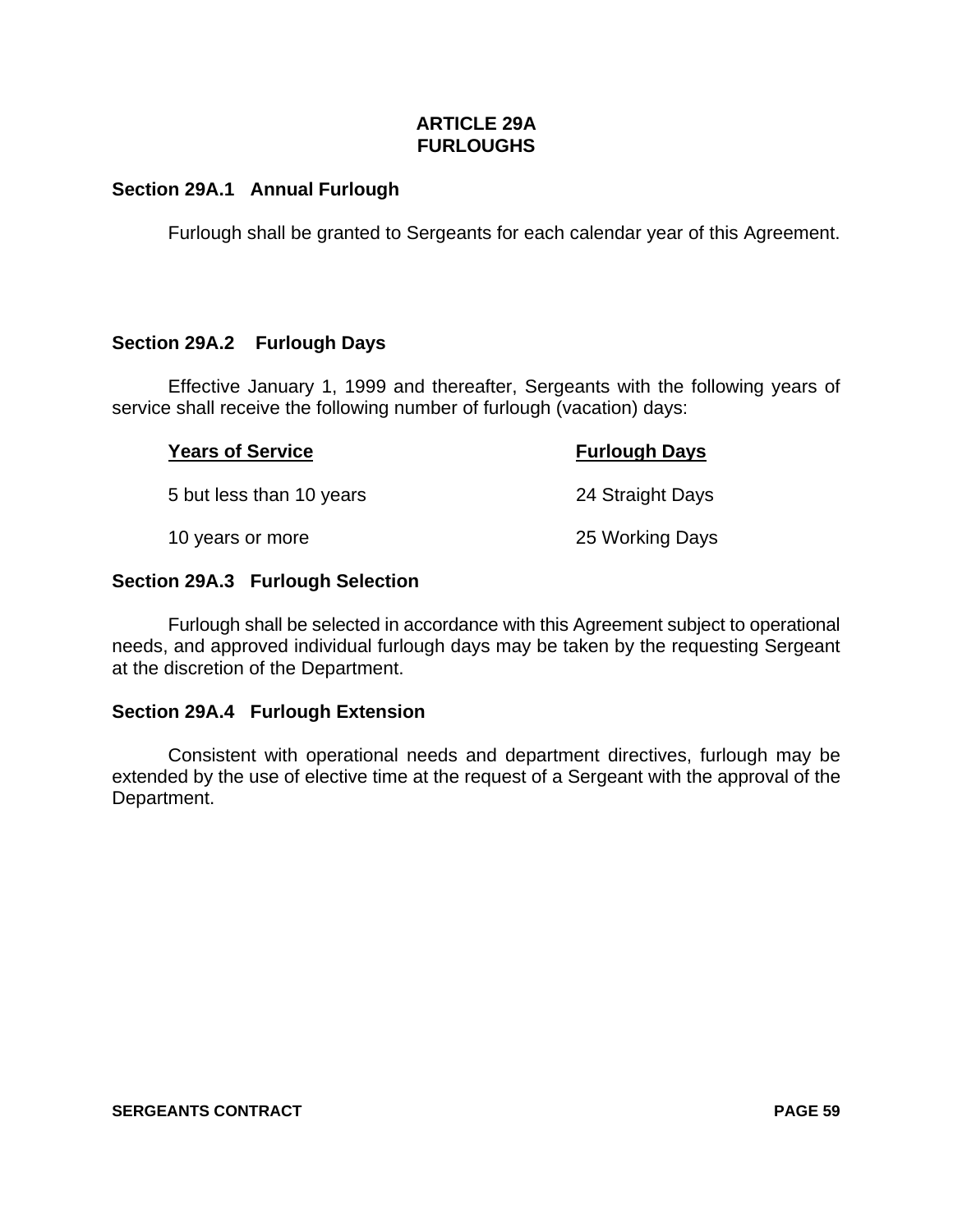# **ARTICLE 29A FURLOUGHS**

# **Section 29A.1 Annual Furlough**

Furlough shall be granted to Sergeants for each calendar year of this Agreement.

# **Section 29A.2 Furlough Days**

Effective January 1, 1999 and thereafter, Sergeants with the following years of service shall receive the following number of furlough (vacation) days:

#### **Years of Service Furlough Days**

5 but less than 10 years 24 Straight Days

10 years or more 25 Working Days

#### **Section 29A.3 Furlough Selection**

Furlough shall be selected in accordance with this Agreement subject to operational needs, and approved individual furlough days may be taken by the requesting Sergeant at the discretion of the Department.

#### **Section 29A.4 Furlough Extension**

Consistent with operational needs and department directives, furlough may be extended by the use of elective time at the request of a Sergeant with the approval of the Department.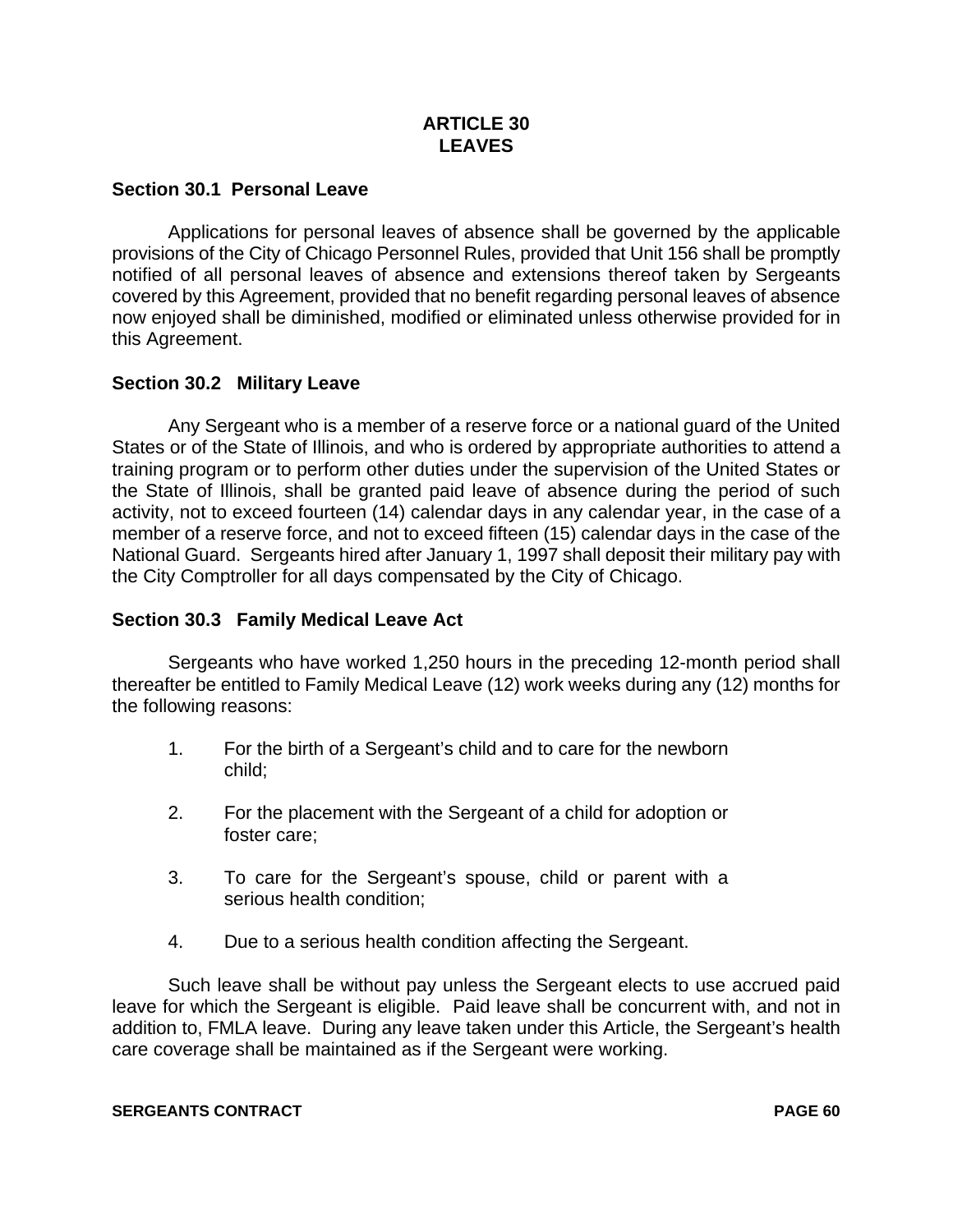# **ARTICLE 30 LEAVES**

# **Section 30.1 Personal Leave**

Applications for personal leaves of absence shall be governed by the applicable provisions of the City of Chicago Personnel Rules, provided that Unit 156 shall be promptly notified of all personal leaves of absence and extensions thereof taken by Sergeants covered by this Agreement, provided that no benefit regarding personal leaves of absence now enjoyed shall be diminished, modified or eliminated unless otherwise provided for in this Agreement.

# **Section 30.2 Military Leave**

Any Sergeant who is a member of a reserve force or a national guard of the United States or of the State of Illinois, and who is ordered by appropriate authorities to attend a training program or to perform other duties under the supervision of the United States or the State of Illinois, shall be granted paid leave of absence during the period of such activity, not to exceed fourteen (14) calendar days in any calendar year, in the case of a member of a reserve force, and not to exceed fifteen (15) calendar days in the case of the National Guard. Sergeants hired after January 1, 1997 shall deposit their military pay with the City Comptroller for all days compensated by the City of Chicago.

#### **Section 30.3 Family Medical Leave Act**

Sergeants who have worked 1,250 hours in the preceding 12-month period shall thereafter be entitled to Family Medical Leave (12) work weeks during any (12) months for the following reasons:

- 1. For the birth of a Sergeant's child and to care for the newborn child;
- 2. For the placement with the Sergeant of a child for adoption or foster care;
- 3. To care for the Sergeant's spouse, child or parent with a serious health condition;
- 4. Due to a serious health condition affecting the Sergeant.

Such leave shall be without pay unless the Sergeant elects to use accrued paid leave for which the Sergeant is eligible. Paid leave shall be concurrent with, and not in addition to, FMLA leave. During any leave taken under this Article, the Sergeant's health care coverage shall be maintained as if the Sergeant were working.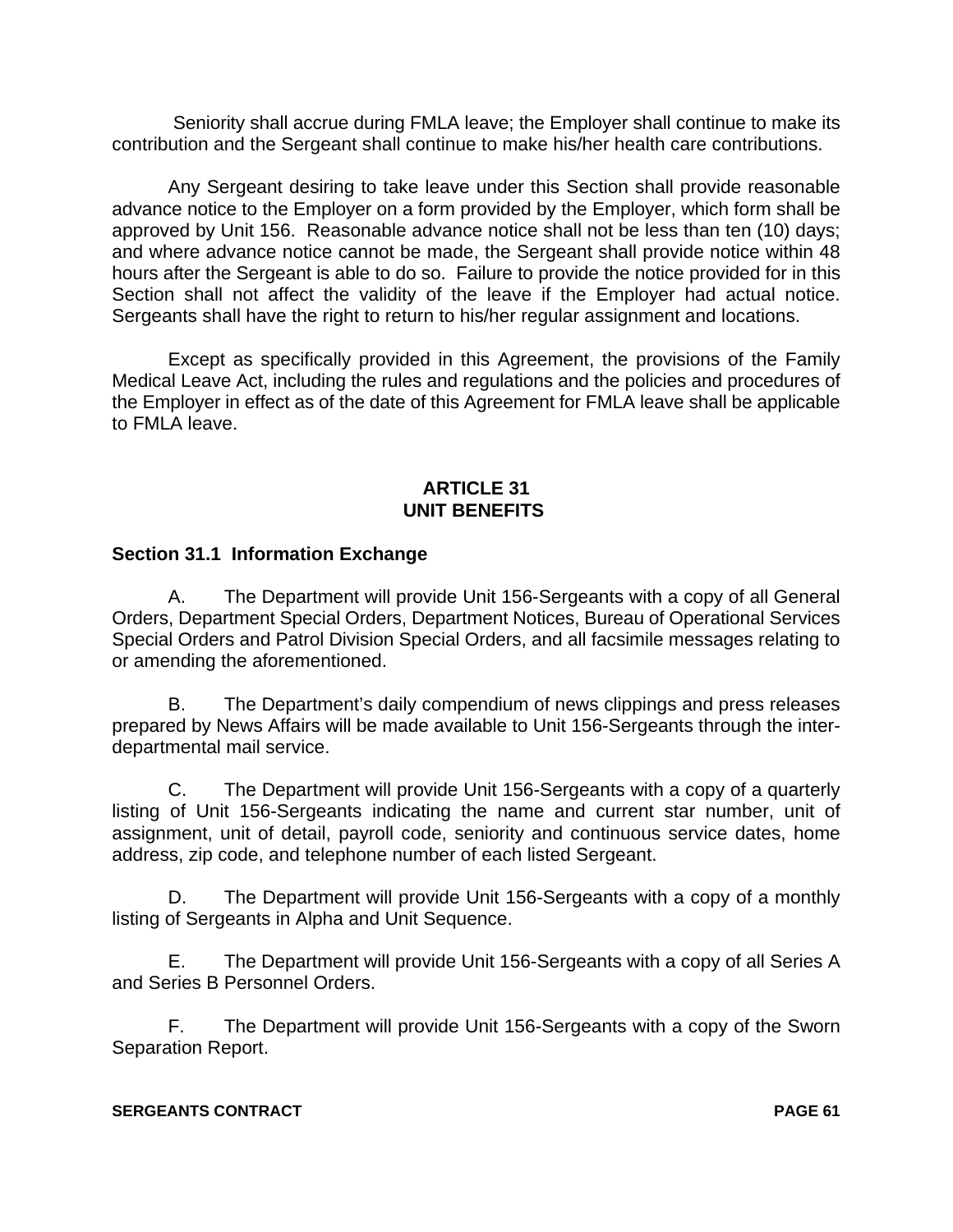Seniority shall accrue during FMLA leave; the Employer shall continue to make its contribution and the Sergeant shall continue to make his/her health care contributions.

Any Sergeant desiring to take leave under this Section shall provide reasonable advance notice to the Employer on a form provided by the Employer, which form shall be approved by Unit 156. Reasonable advance notice shall not be less than ten (10) days; and where advance notice cannot be made, the Sergeant shall provide notice within 48 hours after the Sergeant is able to do so. Failure to provide the notice provided for in this Section shall not affect the validity of the leave if the Employer had actual notice. Sergeants shall have the right to return to his/her regular assignment and locations.

Except as specifically provided in this Agreement, the provisions of the Family Medical Leave Act, including the rules and regulations and the policies and procedures of the Employer in effect as of the date of this Agreement for FMLA leave shall be applicable to FMLA leave.

# **ARTICLE 31 UNIT BENEFITS**

# **Section 31.1 Information Exchange**

A. The Department will provide Unit 156-Sergeants with a copy of all General Orders, Department Special Orders, Department Notices, Bureau of Operational Services Special Orders and Patrol Division Special Orders, and all facsimile messages relating to or amending the aforementioned.

B. The Department's daily compendium of news clippings and press releases prepared by News Affairs will be made available to Unit 156-Sergeants through the interdepartmental mail service.

C. The Department will provide Unit 156-Sergeants with a copy of a quarterly listing of Unit 156-Sergeants indicating the name and current star number, unit of assignment, unit of detail, payroll code, seniority and continuous service dates, home address, zip code, and telephone number of each listed Sergeant.

D. The Department will provide Unit 156-Sergeants with a copy of a monthly listing of Sergeants in Alpha and Unit Sequence.

E. The Department will provide Unit 156-Sergeants with a copy of all Series A and Series B Personnel Orders.

F. The Department will provide Unit 156-Sergeants with a copy of the Sworn Separation Report.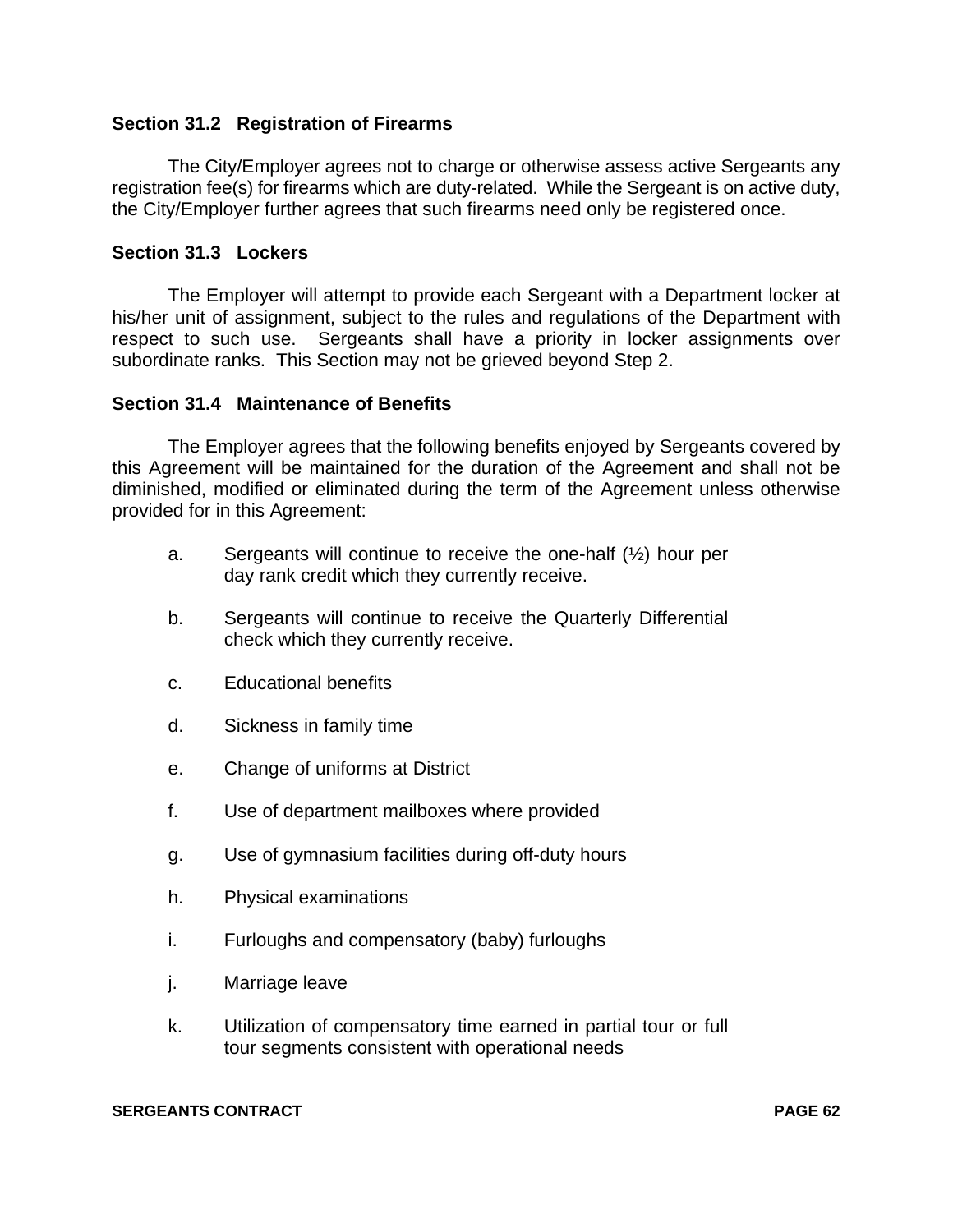# **Section 31.2 Registration of Firearms**

The City/Employer agrees not to charge or otherwise assess active Sergeants any registration fee(s) for firearms which are duty-related. While the Sergeant is on active duty, the City/Employer further agrees that such firearms need only be registered once.

### **Section 31.3 Lockers**

The Employer will attempt to provide each Sergeant with a Department locker at his/her unit of assignment, subject to the rules and regulations of the Department with respect to such use. Sergeants shall have a priority in locker assignments over subordinate ranks. This Section may not be grieved beyond Step 2.

#### **Section 31.4 Maintenance of Benefits**

The Employer agrees that the following benefits enjoyed by Sergeants covered by this Agreement will be maintained for the duration of the Agreement and shall not be diminished, modified or eliminated during the term of the Agreement unless otherwise provided for in this Agreement:

- a. Sergeants will continue to receive the one-half  $(\frac{1}{2})$  hour per day rank credit which they currently receive.
- b. Sergeants will continue to receive the Quarterly Differential check which they currently receive.
- c. Educational benefits
- d. Sickness in family time
- e. Change of uniforms at District
- f. Use of department mailboxes where provided
- g. Use of gymnasium facilities during off-duty hours
- h. Physical examinations
- i. Furloughs and compensatory (baby) furloughs
- j. Marriage leave
- k. Utilization of compensatory time earned in partial tour or full tour segments consistent with operational needs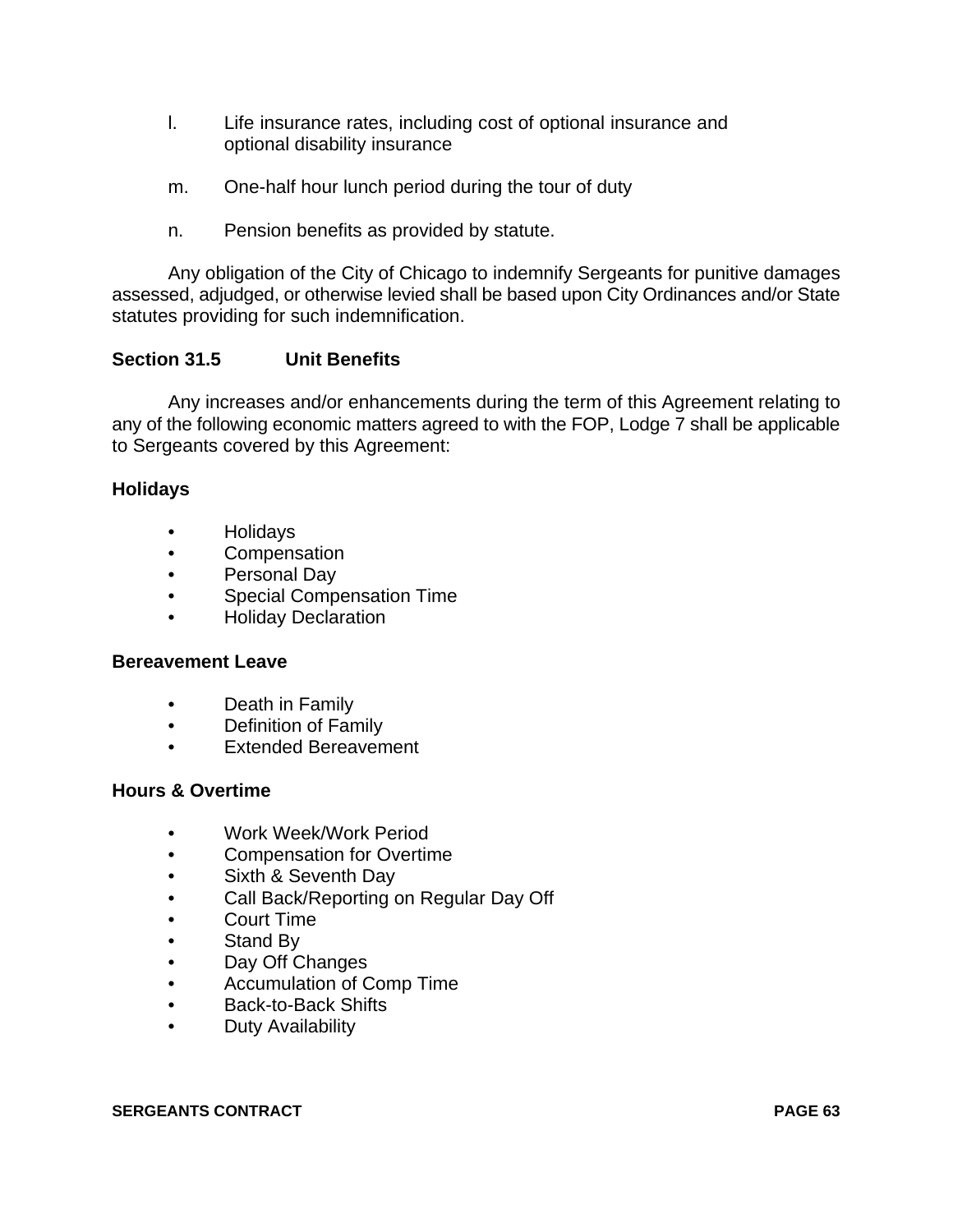- l. Life insurance rates, including cost of optional insurance and optional disability insurance
- m. One-half hour lunch period during the tour of duty
- n. Pension benefits as provided by statute.

Any obligation of the City of Chicago to indemnify Sergeants for punitive damages assessed, adjudged, or otherwise levied shall be based upon City Ordinances and/or State statutes providing for such indemnification.

# **Section 31.5 Unit Benefits**

Any increases and/or enhancements during the term of this Agreement relating to any of the following economic matters agreed to with the FOP, Lodge 7 shall be applicable to Sergeants covered by this Agreement:

# **Holidays**

- Holidays
- Compensation
- Personal Day
- Special Compensation Time
- Holiday Declaration

#### **Bereavement Leave**

- Death in Family
- Definition of Family
- Extended Bereavement

#### **Hours & Overtime**

- Work Week/Work Period
- Compensation for Overtime
- Sixth & Seventh Day
- Call Back/Reporting on Regular Day Off
- Court Time
- Stand By
- Day Off Changes
- Accumulation of Comp Time
- Back-to-Back Shifts
- Duty Availability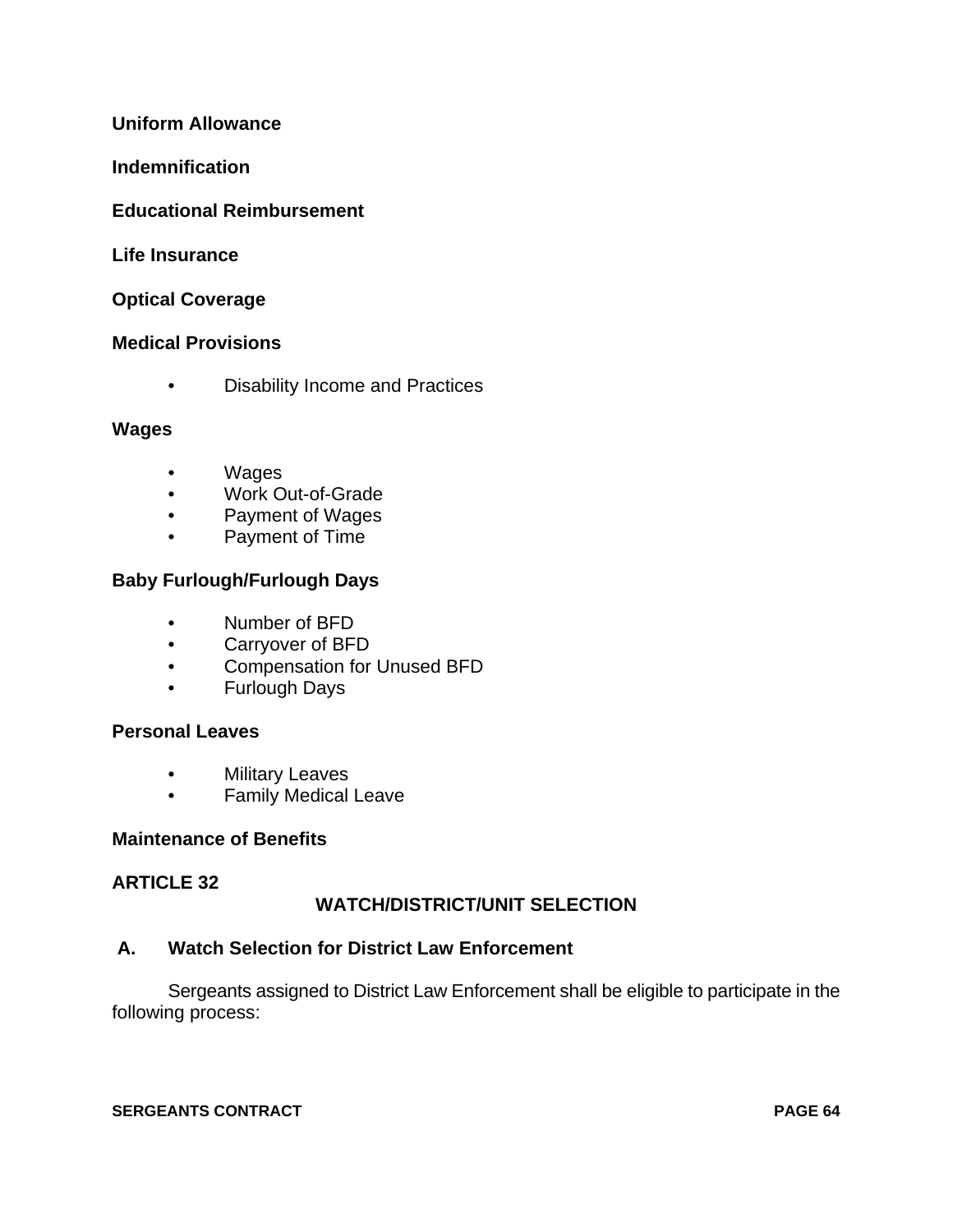# **Uniform Allowance**

#### **Indemnification**

### **Educational Reimbursement**

#### **Life Insurance**

#### **Optical Coverage**

#### **Medical Provisions**

• Disability Income and Practices

#### **Wages**

- Wages
- Work Out-of-Grade
- Payment of Wages
- Payment of Time

# **Baby Furlough/Furlough Days**

- Number of BFD
- Carryover of BFD
- Compensation for Unused BFD
- Furlough Days

# **Personal Leaves**

- Military Leaves
- Family Medical Leave

#### **Maintenance of Benefits**

### **ARTICLE 32**

# **WATCH/DISTRICT/UNIT SELECTION**

#### **A. Watch Selection for District Law Enforcement**

Sergeants assigned to District Law Enforcement shall be eligible to participate in the following process: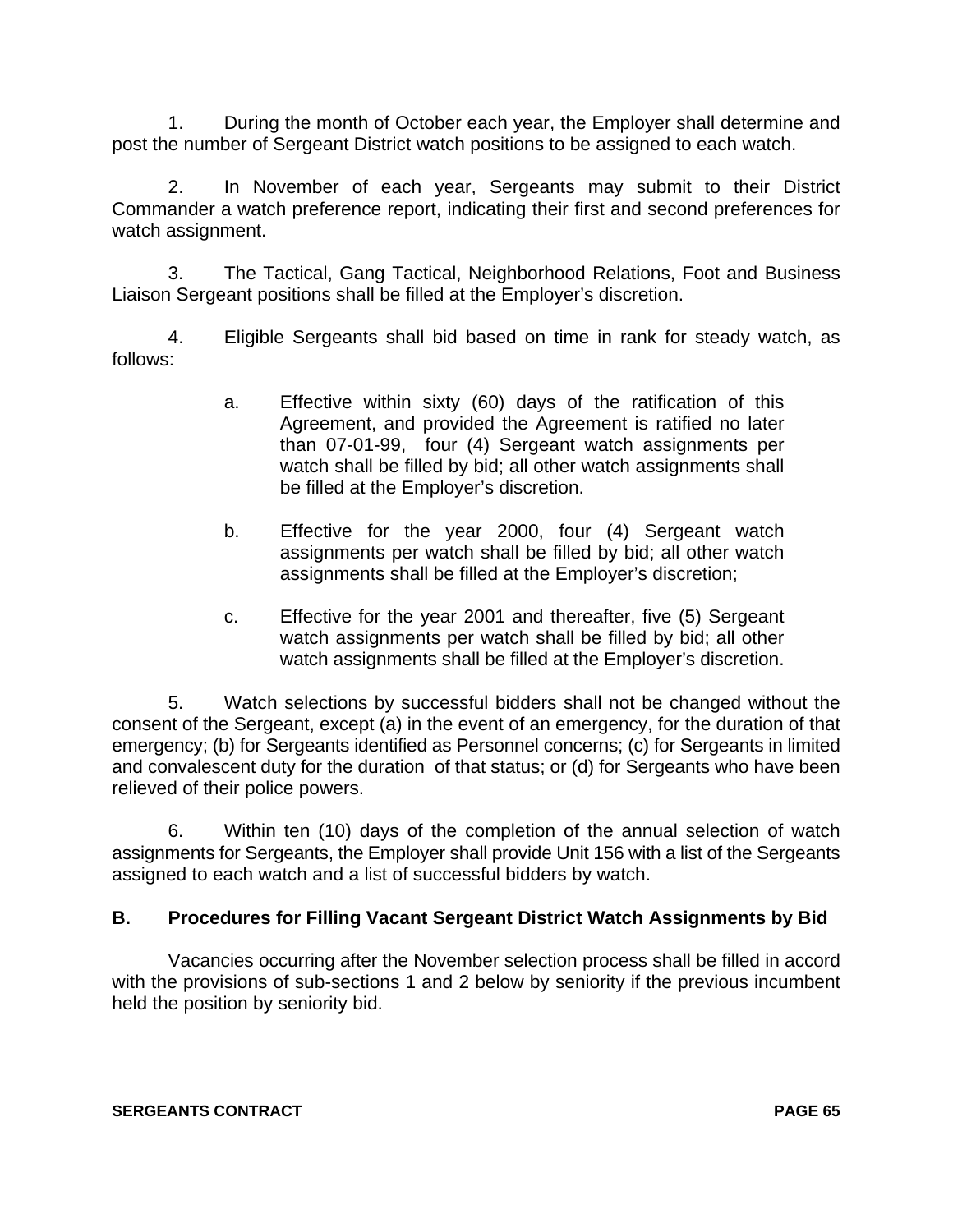1. During the month of October each year, the Employer shall determine and post the number of Sergeant District watch positions to be assigned to each watch.

2. In November of each year, Sergeants may submit to their District Commander a watch preference report, indicating their first and second preferences for watch assignment.

3. The Tactical, Gang Tactical, Neighborhood Relations, Foot and Business Liaison Sergeant positions shall be filled at the Employer's discretion.

4. Eligible Sergeants shall bid based on time in rank for steady watch, as follows:

- a. Effective within sixty (60) days of the ratification of this Agreement, and provided the Agreement is ratified no later than 07-01-99, four (4) Sergeant watch assignments per watch shall be filled by bid; all other watch assignments shall be filled at the Employer's discretion.
- b. Effective for the year 2000, four (4) Sergeant watch assignments per watch shall be filled by bid; all other watch assignments shall be filled at the Employer's discretion;
- c. Effective for the year 2001 and thereafter, five (5) Sergeant watch assignments per watch shall be filled by bid; all other watch assignments shall be filled at the Employer's discretion.

5. Watch selections by successful bidders shall not be changed without the consent of the Sergeant, except (a) in the event of an emergency, for the duration of that emergency; (b) for Sergeants identified as Personnel concerns; (c) for Sergeants in limited and convalescent duty for the duration of that status; or (d) for Sergeants who have been relieved of their police powers.

6. Within ten (10) days of the completion of the annual selection of watch assignments for Sergeants, the Employer shall provide Unit 156 with a list of the Sergeants assigned to each watch and a list of successful bidders by watch.

# **B. Procedures for Filling Vacant Sergeant District Watch Assignments by Bid**

Vacancies occurring after the November selection process shall be filled in accord with the provisions of sub-sections 1 and 2 below by seniority if the previous incumbent held the position by seniority bid.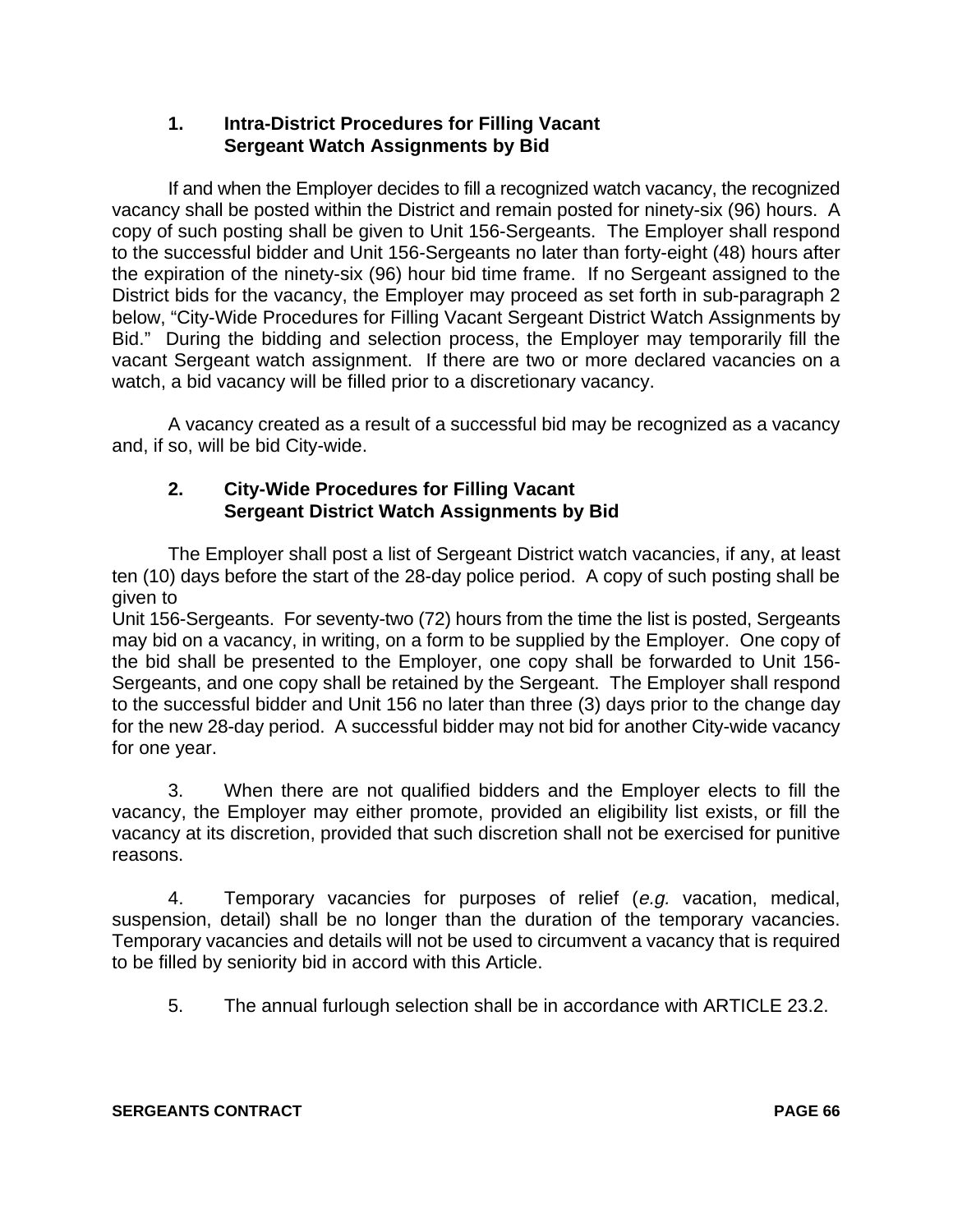# **1. Intra-District Procedures for Filling Vacant Sergeant Watch Assignments by Bid**

If and when the Employer decides to fill a recognized watch vacancy, the recognized vacancy shall be posted within the District and remain posted for ninety-six (96) hours. A copy of such posting shall be given to Unit 156-Sergeants. The Employer shall respond to the successful bidder and Unit 156-Sergeants no later than forty-eight (48) hours after the expiration of the ninety-six (96) hour bid time frame. If no Sergeant assigned to the District bids for the vacancy, the Employer may proceed as set forth in sub-paragraph 2 below, "City-Wide Procedures for Filling Vacant Sergeant District Watch Assignments by Bid." During the bidding and selection process, the Employer may temporarily fill the vacant Sergeant watch assignment. If there are two or more declared vacancies on a watch, a bid vacancy will be filled prior to a discretionary vacancy.

A vacancy created as a result of a successful bid may be recognized as a vacancy and, if so, will be bid City-wide.

# **2. City-Wide Procedures for Filling Vacant Sergeant District Watch Assignments by Bid**

The Employer shall post a list of Sergeant District watch vacancies, if any, at least ten (10) days before the start of the 28-day police period. A copy of such posting shall be given to

Unit 156-Sergeants. For seventy-two (72) hours from the time the list is posted, Sergeants may bid on a vacancy, in writing, on a form to be supplied by the Employer. One copy of the bid shall be presented to the Employer, one copy shall be forwarded to Unit 156- Sergeants, and one copy shall be retained by the Sergeant. The Employer shall respond to the successful bidder and Unit 156 no later than three (3) days prior to the change day for the new 28-day period. A successful bidder may not bid for another City-wide vacancy for one year.

3. When there are not qualified bidders and the Employer elects to fill the vacancy, the Employer may either promote, provided an eligibility list exists, or fill the vacancy at its discretion, provided that such discretion shall not be exercised for punitive reasons.

4. Temporary vacancies for purposes of relief (e.g. vacation, medical, suspension, detail) shall be no longer than the duration of the temporary vacancies. Temporary vacancies and details will not be used to circumvent a vacancy that is required to be filled by seniority bid in accord with this Article.

5. The annual furlough selection shall be in accordance with ARTICLE 23.2.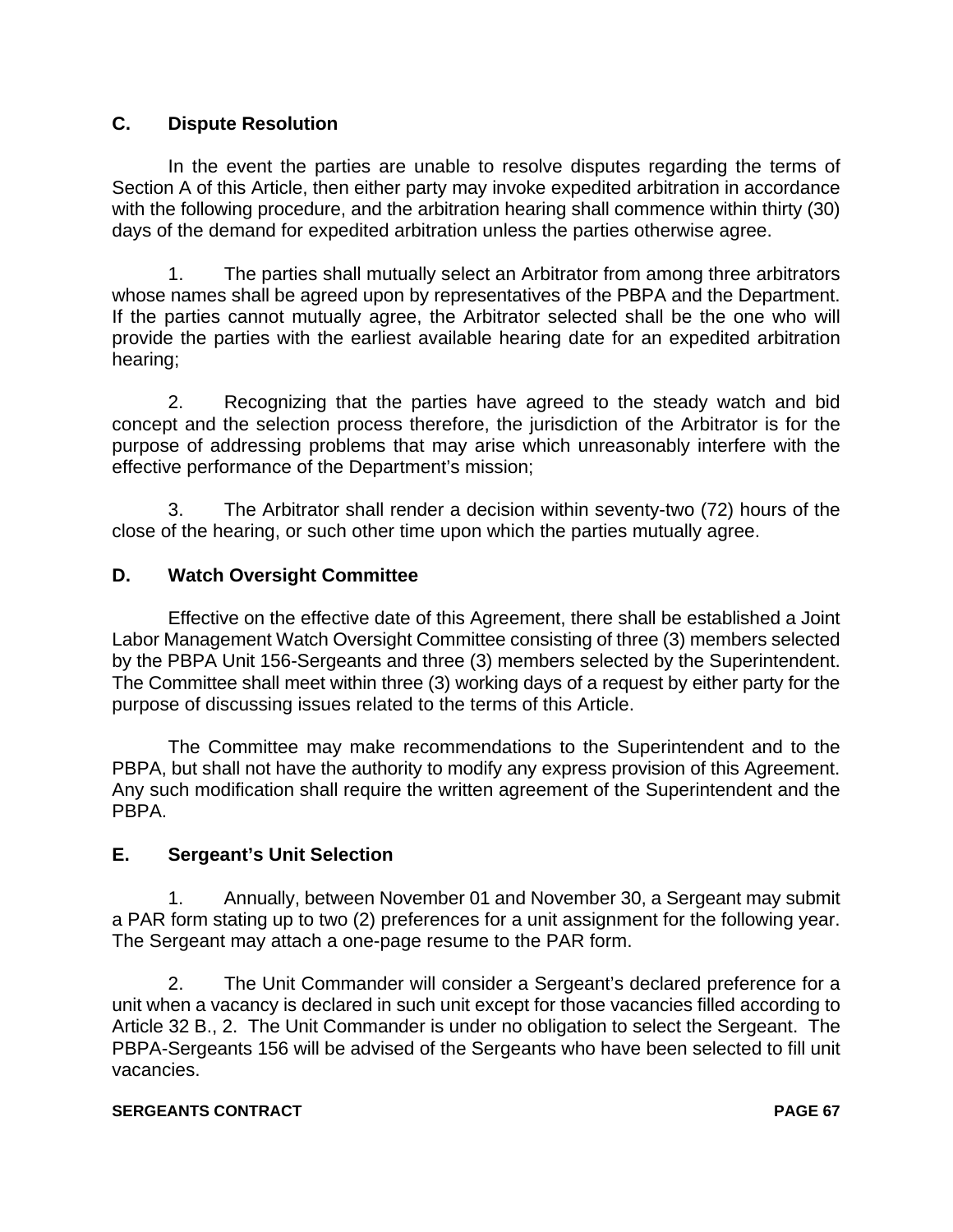# **C. Dispute Resolution**

In the event the parties are unable to resolve disputes regarding the terms of Section A of this Article, then either party may invoke expedited arbitration in accordance with the following procedure, and the arbitration hearing shall commence within thirty (30) days of the demand for expedited arbitration unless the parties otherwise agree.

1. The parties shall mutually select an Arbitrator from among three arbitrators whose names shall be agreed upon by representatives of the PBPA and the Department. If the parties cannot mutually agree, the Arbitrator selected shall be the one who will provide the parties with the earliest available hearing date for an expedited arbitration hearing;

2. Recognizing that the parties have agreed to the steady watch and bid concept and the selection process therefore, the jurisdiction of the Arbitrator is for the purpose of addressing problems that may arise which unreasonably interfere with the effective performance of the Department's mission;

3. The Arbitrator shall render a decision within seventy-two (72) hours of the close of the hearing, or such other time upon which the parties mutually agree.

# **D. Watch Oversight Committee**

Effective on the effective date of this Agreement, there shall be established a Joint Labor Management Watch Oversight Committee consisting of three (3) members selected by the PBPA Unit 156-Sergeants and three (3) members selected by the Superintendent. The Committee shall meet within three (3) working days of a request by either party for the purpose of discussing issues related to the terms of this Article.

The Committee may make recommendations to the Superintendent and to the PBPA, but shall not have the authority to modify any express provision of this Agreement. Any such modification shall require the written agreement of the Superintendent and the PBPA.

# **E. Sergeant's Unit Selection**

1. Annually, between November 01 and November 30, a Sergeant may submit a PAR form stating up to two (2) preferences for a unit assignment for the following year. The Sergeant may attach a one-page resume to the PAR form.

2. The Unit Commander will consider a Sergeant's declared preference for a unit when a vacancy is declared in such unit except for those vacancies filled according to Article 32 B., 2. The Unit Commander is under no obligation to select the Sergeant. The PBPA-Sergeants 156 will be advised of the Sergeants who have been selected to fill unit vacancies.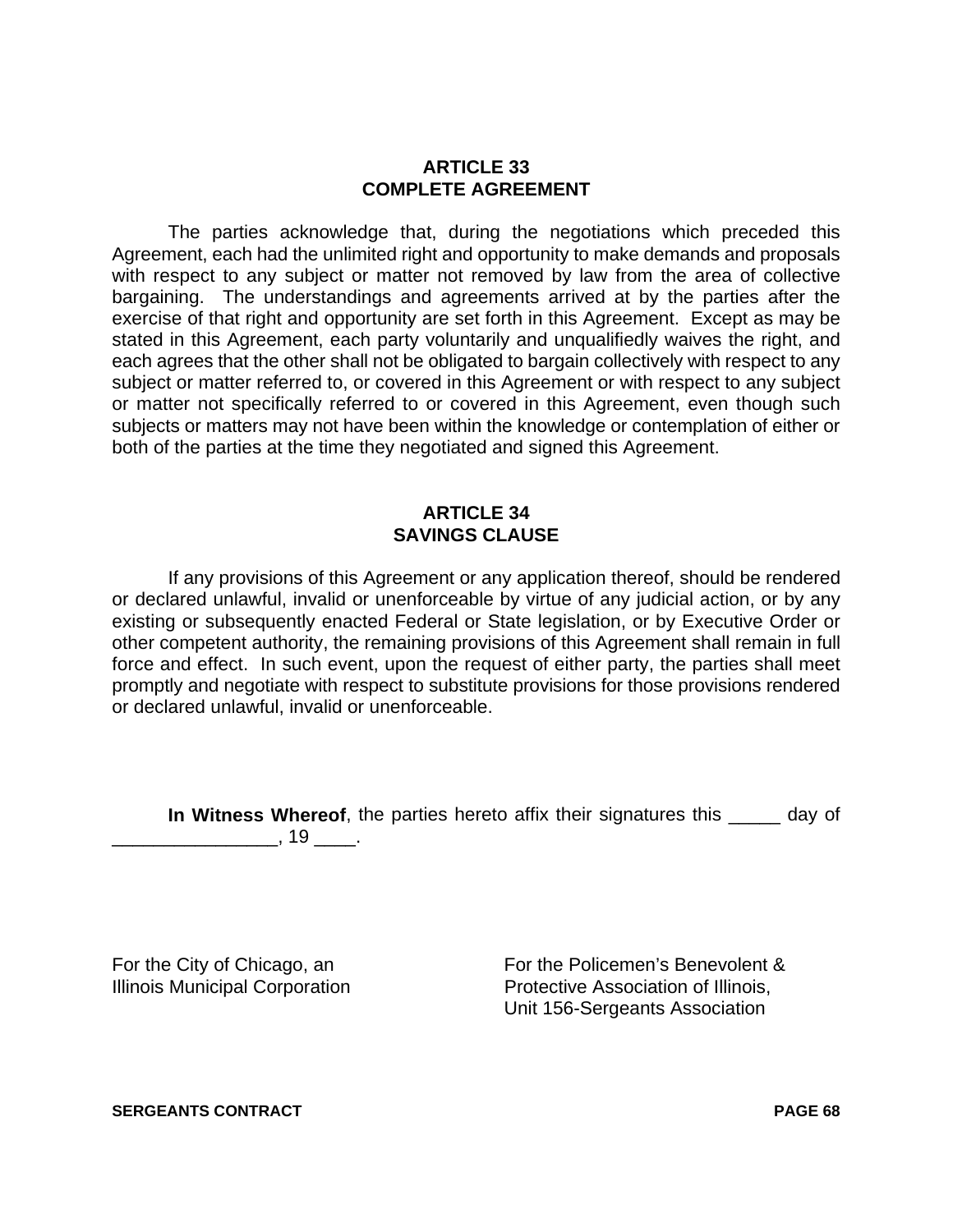### **ARTICLE 33 COMPLETE AGREEMENT**

The parties acknowledge that, during the negotiations which preceded this Agreement, each had the unlimited right and opportunity to make demands and proposals with respect to any subject or matter not removed by law from the area of collective bargaining. The understandings and agreements arrived at by the parties after the exercise of that right and opportunity are set forth in this Agreement. Except as may be stated in this Agreement, each party voluntarily and unqualifiedly waives the right, and each agrees that the other shall not be obligated to bargain collectively with respect to any subject or matter referred to, or covered in this Agreement or with respect to any subject or matter not specifically referred to or covered in this Agreement, even though such subjects or matters may not have been within the knowledge or contemplation of either or both of the parties at the time they negotiated and signed this Agreement.

# **ARTICLE 34 SAVINGS CLAUSE**

If any provisions of this Agreement or any application thereof, should be rendered or declared unlawful, invalid or unenforceable by virtue of any judicial action, or by any existing or subsequently enacted Federal or State legislation, or by Executive Order or other competent authority, the remaining provisions of this Agreement shall remain in full force and effect. In such event, upon the request of either party, the parties shall meet promptly and negotiate with respect to substitute provisions for those provisions rendered or declared unlawful, invalid or unenforceable.

**In Witness Whereof**, the parties hereto affix their signatures this equal of  $\overline{\phantom{a}}$ , 19  $\overline{\phantom{a}}$ .

For the City of Chicago, an **For the Policemen's Benevolent &** Illinois Municipal Corporation **Protective Association of Illinois**, Unit 156-Sergeants Association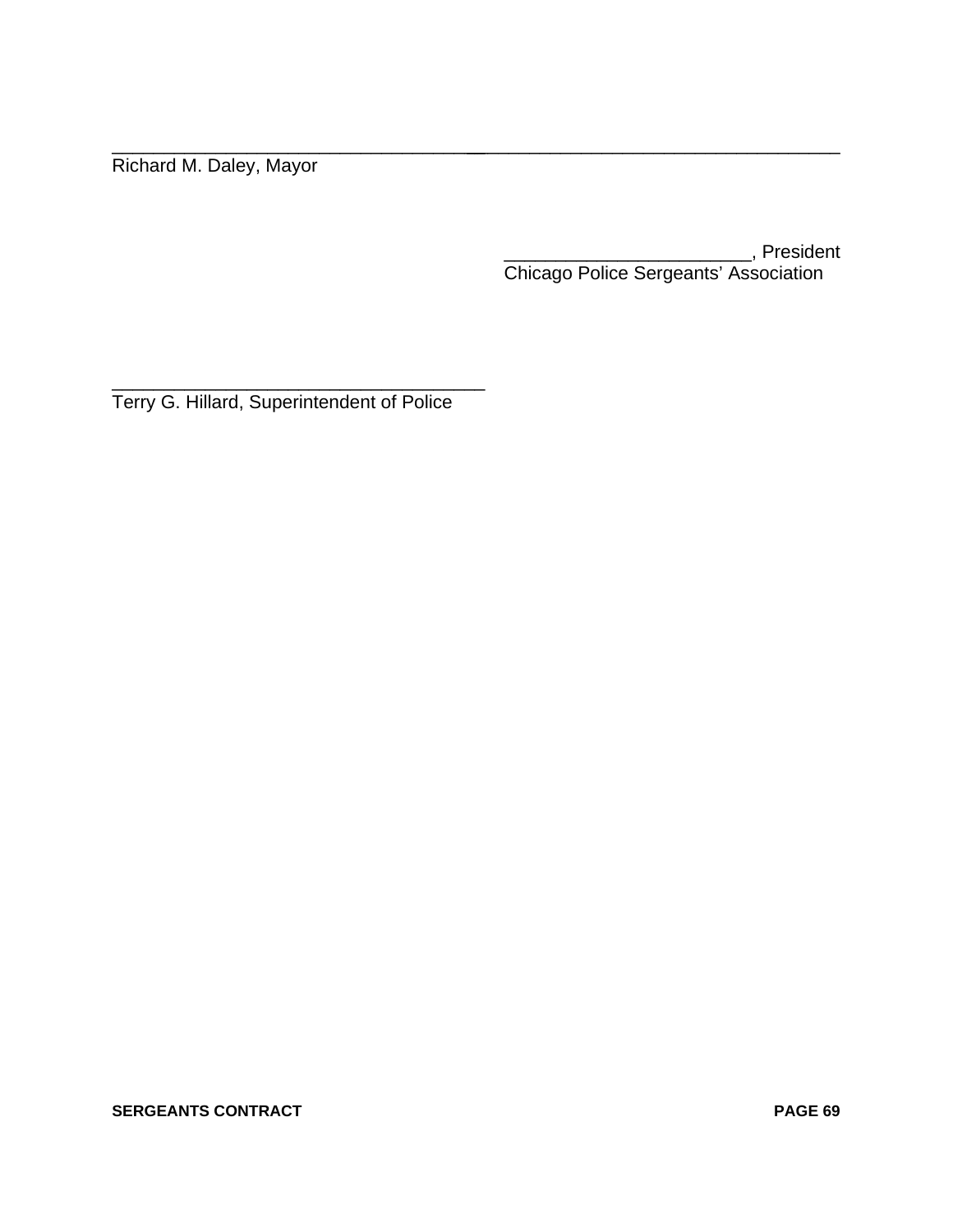Richard M. Daley, Mayor

\_\_\_\_\_\_\_\_\_\_\_\_\_\_\_\_\_\_\_\_\_\_\_\_, President Chicago Police Sergeants' Association

\_\_\_\_\_\_\_\_\_\_\_\_\_\_\_\_\_\_\_\_\_\_\_\_\_\_\_\_\_\_\_\_\_\_\_\_\_\_\_\_\_\_\_\_\_\_\_\_\_\_\_\_\_\_\_\_\_\_\_\_\_\_\_\_\_\_\_\_\_\_\_\_

\_\_\_\_\_\_\_\_\_\_\_\_\_\_\_\_\_\_\_\_\_\_\_\_\_\_\_\_\_\_\_\_\_\_\_\_ Terry G. Hillard, Superintendent of Police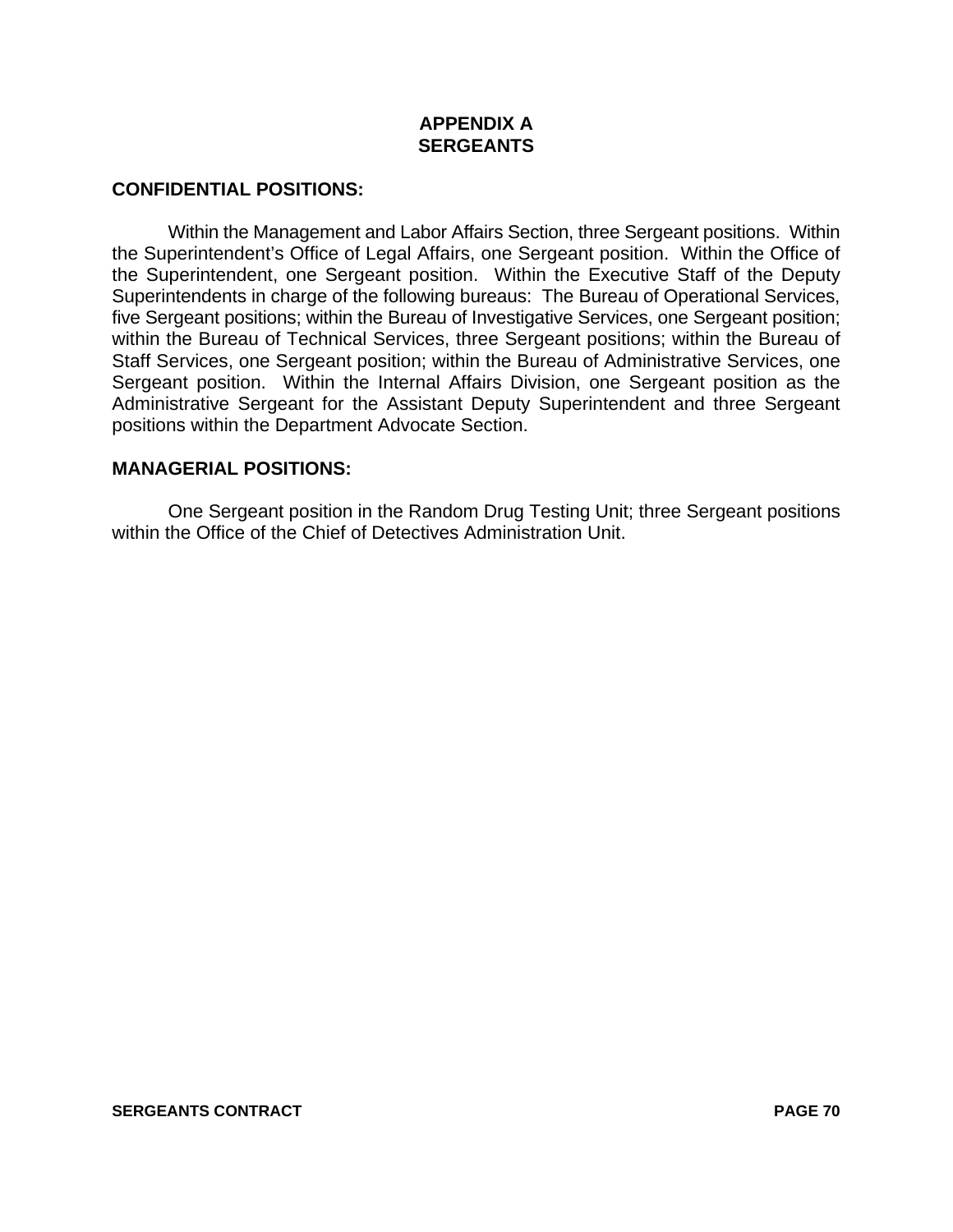# **APPENDIX A SERGEANTS**

# **CONFIDENTIAL POSITIONS:**

Within the Management and Labor Affairs Section, three Sergeant positions. Within the Superintendent's Office of Legal Affairs, one Sergeant position. Within the Office of the Superintendent, one Sergeant position. Within the Executive Staff of the Deputy Superintendents in charge of the following bureaus: The Bureau of Operational Services, five Sergeant positions; within the Bureau of Investigative Services, one Sergeant position; within the Bureau of Technical Services, three Sergeant positions; within the Bureau of Staff Services, one Sergeant position; within the Bureau of Administrative Services, one Sergeant position. Within the Internal Affairs Division, one Sergeant position as the Administrative Sergeant for the Assistant Deputy Superintendent and three Sergeant positions within the Department Advocate Section.

# **MANAGERIAL POSITIONS:**

One Sergeant position in the Random Drug Testing Unit; three Sergeant positions within the Office of the Chief of Detectives Administration Unit.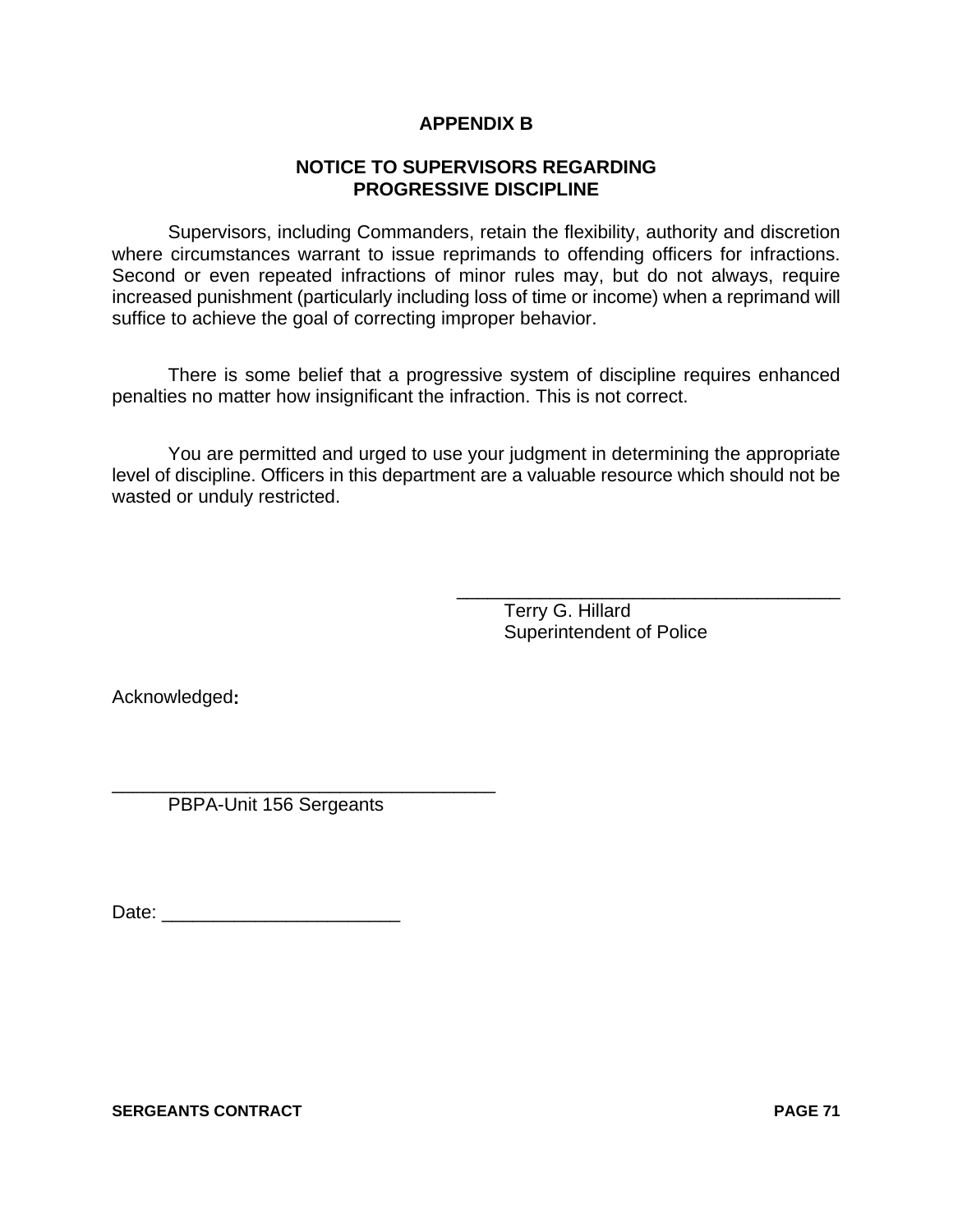# **APPENDIX B**

# **NOTICE TO SUPERVISORS REGARDING PROGRESSIVE DISCIPLINE**

Supervisors, including Commanders, retain the flexibility, authority and discretion where circumstances warrant to issue reprimands to offending officers for infractions. Second or even repeated infractions of minor rules may, but do not always, require increased punishment (particularly including loss of time or income) when a reprimand will suffice to achieve the goal of correcting improper behavior.

There is some belief that a progressive system of discipline requires enhanced penalties no matter how insignificant the infraction. This is not correct.

You are permitted and urged to use your judgment in determining the appropriate level of discipline. Officers in this department are a valuable resource which should not be wasted or unduly restricted.

> Terry G. Hillard Superintendent of Police

\_\_\_\_\_\_\_\_\_\_\_\_\_\_\_\_\_\_\_\_\_\_\_\_\_\_\_\_\_\_\_\_\_\_\_\_\_

Acknowledged**:**

\_\_\_\_\_\_\_\_\_\_\_\_\_\_\_\_\_\_\_\_\_\_\_\_\_\_\_\_\_\_\_\_\_\_\_\_\_ PBPA-Unit 156 Sergeants

Date: \_\_\_\_\_\_\_\_\_\_\_\_\_\_\_\_\_\_\_\_\_\_\_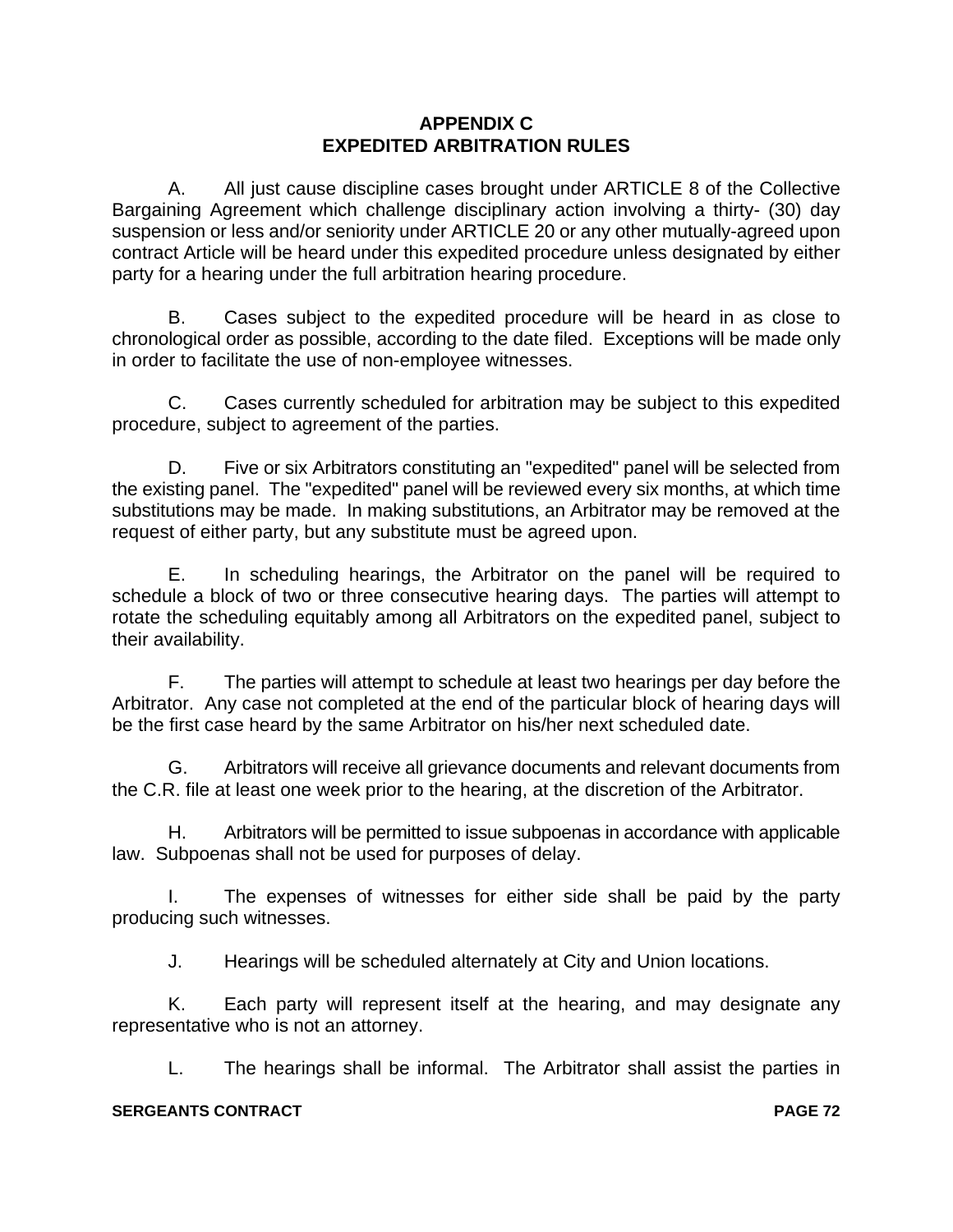# **APPENDIX C EXPEDITED ARBITRATION RULES**

A. All just cause discipline cases brought under ARTICLE 8 of the Collective Bargaining Agreement which challenge disciplinary action involving a thirty- (30) day suspension or less and/or seniority under ARTICLE 20 or any other mutually-agreed upon contract Article will be heard under this expedited procedure unless designated by either party for a hearing under the full arbitration hearing procedure.

B. Cases subject to the expedited procedure will be heard in as close to chronological order as possible, according to the date filed. Exceptions will be made only in order to facilitate the use of non-employee witnesses.

C. Cases currently scheduled for arbitration may be subject to this expedited procedure, subject to agreement of the parties.

D. Five or six Arbitrators constituting an "expedited" panel will be selected from the existing panel. The "expedited" panel will be reviewed every six months, at which time substitutions may be made. In making substitutions, an Arbitrator may be removed at the request of either party, but any substitute must be agreed upon.

E. In scheduling hearings, the Arbitrator on the panel will be required to schedule a block of two or three consecutive hearing days. The parties will attempt to rotate the scheduling equitably among all Arbitrators on the expedited panel, subject to their availability.

F. The parties will attempt to schedule at least two hearings per day before the Arbitrator. Any case not completed at the end of the particular block of hearing days will be the first case heard by the same Arbitrator on his/her next scheduled date.

G. Arbitrators will receive all grievance documents and relevant documents from the C.R. file at least one week prior to the hearing, at the discretion of the Arbitrator.

H. Arbitrators will be permitted to issue subpoenas in accordance with applicable law. Subpoenas shall not be used for purposes of delay.

I. The expenses of witnesses for either side shall be paid by the party producing such witnesses.

J. Hearings will be scheduled alternately at City and Union locations.

K. Each party will represent itself at the hearing, and may designate any representative who is not an attorney.

L. The hearings shall be informal. The Arbitrator shall assist the parties in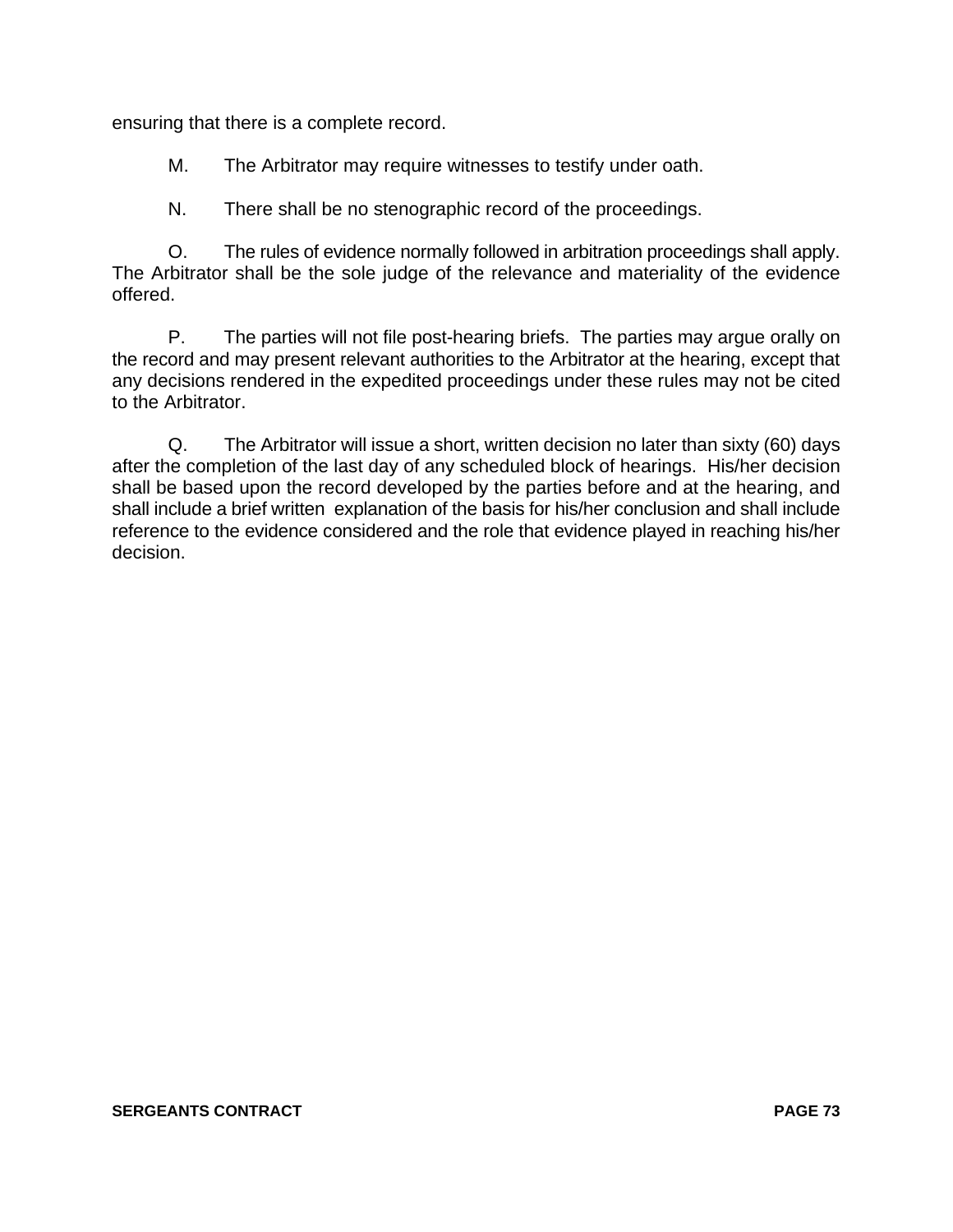ensuring that there is a complete record.

M. The Arbitrator may require witnesses to testify under oath.

N. There shall be no stenographic record of the proceedings.

O. The rules of evidence normally followed in arbitration proceedings shall apply. The Arbitrator shall be the sole judge of the relevance and materiality of the evidence offered.

P. The parties will not file post-hearing briefs. The parties may argue orally on the record and may present relevant authorities to the Arbitrator at the hearing, except that any decisions rendered in the expedited proceedings under these rules may not be cited to the Arbitrator.

Q. The Arbitrator will issue a short, written decision no later than sixty (60) days after the completion of the last day of any scheduled block of hearings. His/her decision shall be based upon the record developed by the parties before and at the hearing, and shall include a brief written explanation of the basis for his/her conclusion and shall include reference to the evidence considered and the role that evidence played in reaching his/her decision.

#### **SERGEANTS CONTRACT PAGE 73**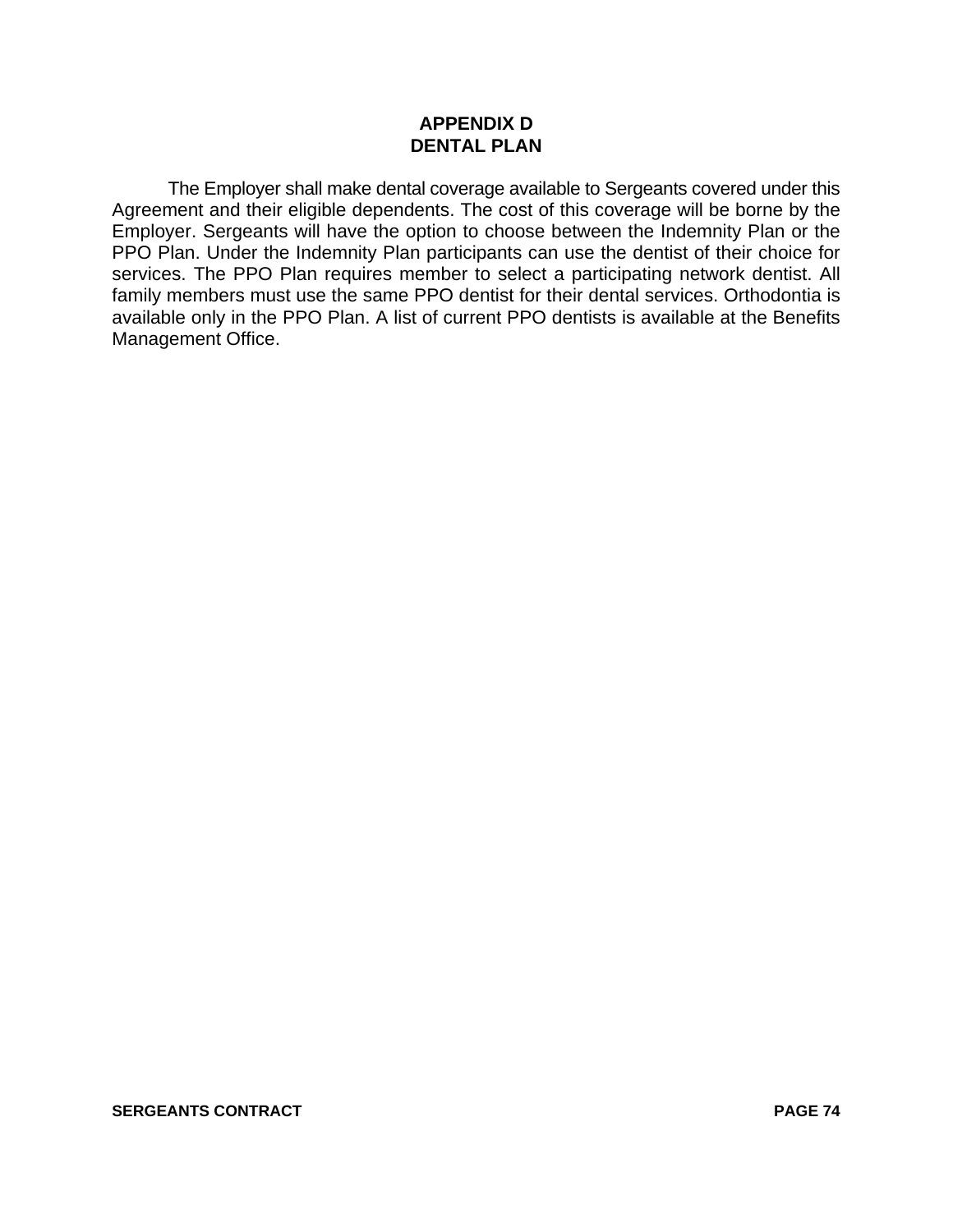## **APPENDIX D DENTAL PLAN**

The Employer shall make dental coverage available to Sergeants covered under this Agreement and their eligible dependents. The cost of this coverage will be borne by the Employer. Sergeants will have the option to choose between the Indemnity Plan or the PPO Plan. Under the Indemnity Plan participants can use the dentist of their choice for services. The PPO Plan requires member to select a participating network dentist. All family members must use the same PPO dentist for their dental services. Orthodontia is available only in the PPO Plan. A list of current PPO dentists is available at the Benefits Management Office.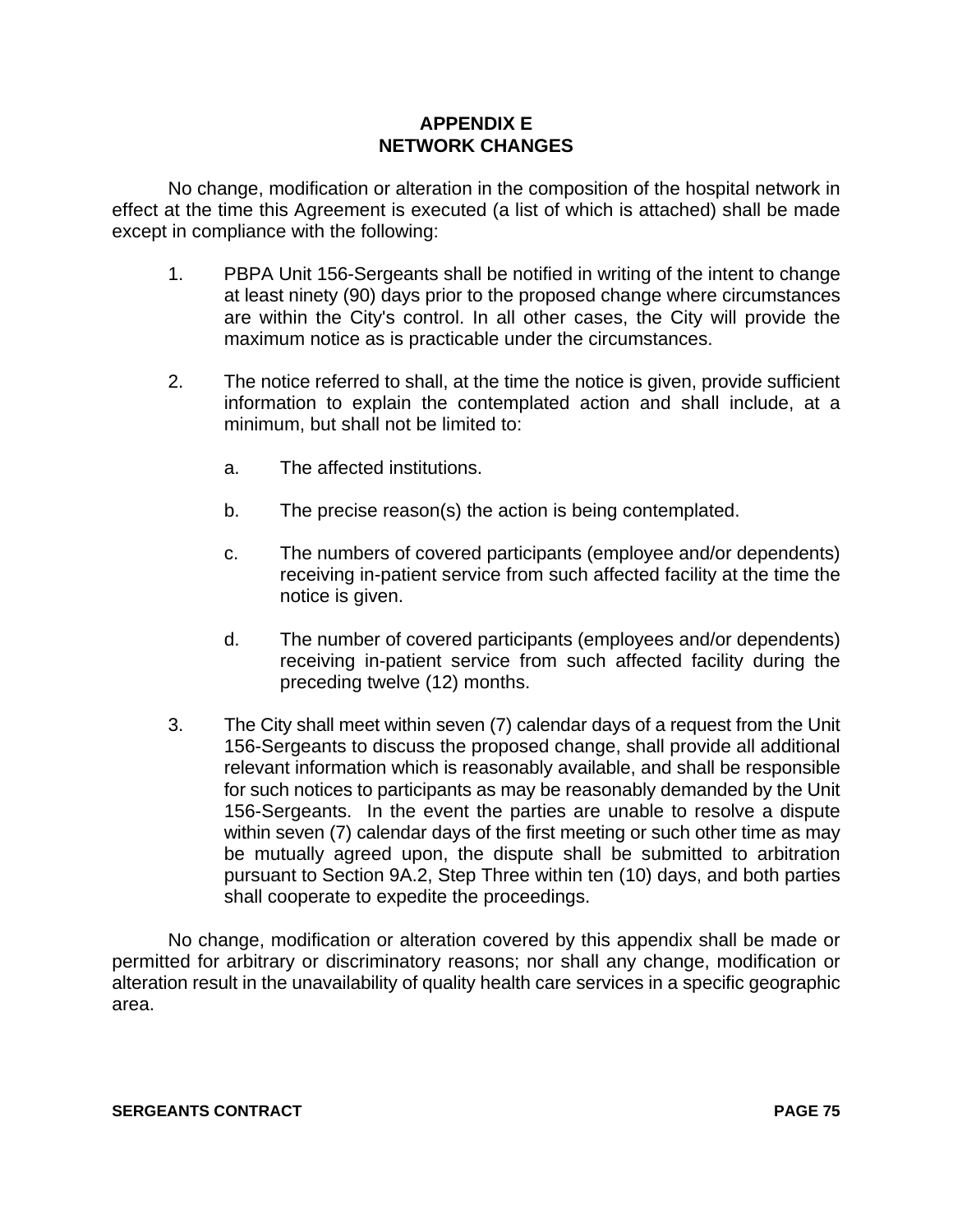## **APPENDIX E NETWORK CHANGES**

No change, modification or alteration in the composition of the hospital network in effect at the time this Agreement is executed (a list of which is attached) shall be made except in compliance with the following:

- 1. PBPA Unit 156-Sergeants shall be notified in writing of the intent to change at least ninety (90) days prior to the proposed change where circumstances are within the City's control. In all other cases, the City will provide the maximum notice as is practicable under the circumstances.
- 2. The notice referred to shall, at the time the notice is given, provide sufficient information to explain the contemplated action and shall include, at a minimum, but shall not be limited to:
	- a. The affected institutions.
	- b. The precise reason(s) the action is being contemplated.
	- c. The numbers of covered participants (employee and/or dependents) receiving in-patient service from such affected facility at the time the notice is given.
	- d. The number of covered participants (employees and/or dependents) receiving in-patient service from such affected facility during the preceding twelve (12) months.
- 3. The City shall meet within seven (7) calendar days of a request from the Unit 156-Sergeants to discuss the proposed change, shall provide all additional relevant information which is reasonably available, and shall be responsible for such notices to participants as may be reasonably demanded by the Unit 156-Sergeants. In the event the parties are unable to resolve a dispute within seven (7) calendar days of the first meeting or such other time as may be mutually agreed upon, the dispute shall be submitted to arbitration pursuant to Section 9A.2, Step Three within ten (10) days, and both parties shall cooperate to expedite the proceedings.

No change, modification or alteration covered by this appendix shall be made or permitted for arbitrary or discriminatory reasons; nor shall any change, modification or alteration result in the unavailability of quality health care services in a specific geographic area.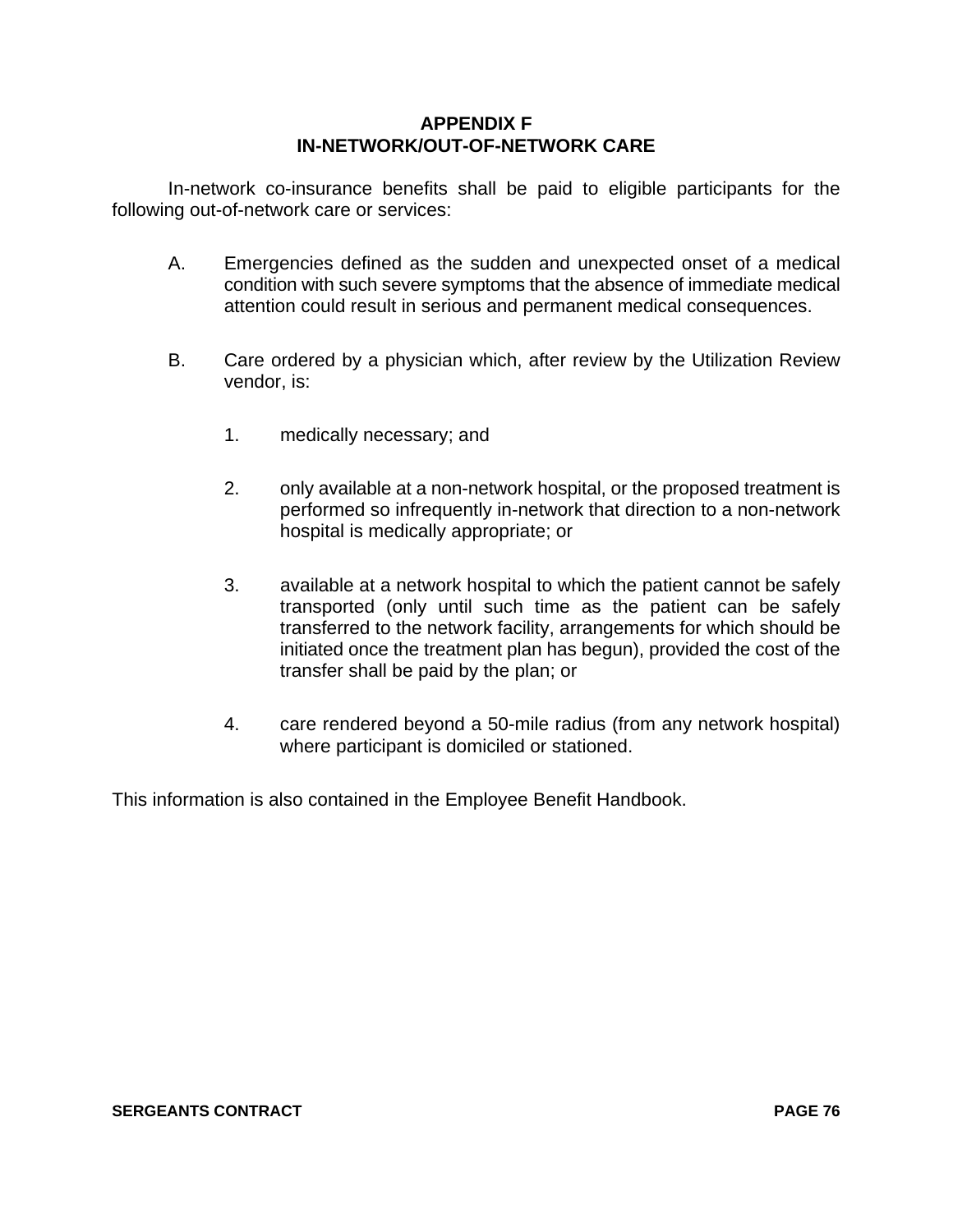## **APPENDIX F IN-NETWORK/OUT-OF-NETWORK CARE**

In-network co-insurance benefits shall be paid to eligible participants for the following out-of-network care or services:

- A. Emergencies defined as the sudden and unexpected onset of a medical condition with such severe symptoms that the absence of immediate medical attention could result in serious and permanent medical consequences.
- B. Care ordered by a physician which, after review by the Utilization Review vendor, is:
	- 1. medically necessary; and
	- 2. only available at a non-network hospital, or the proposed treatment is performed so infrequently in-network that direction to a non-network hospital is medically appropriate; or
	- 3. available at a network hospital to which the patient cannot be safely transported (only until such time as the patient can be safely transferred to the network facility, arrangements for which should be initiated once the treatment plan has begun), provided the cost of the transfer shall be paid by the plan; or
	- 4. care rendered beyond a 50-mile radius (from any network hospital) where participant is domiciled or stationed.

This information is also contained in the Employee Benefit Handbook.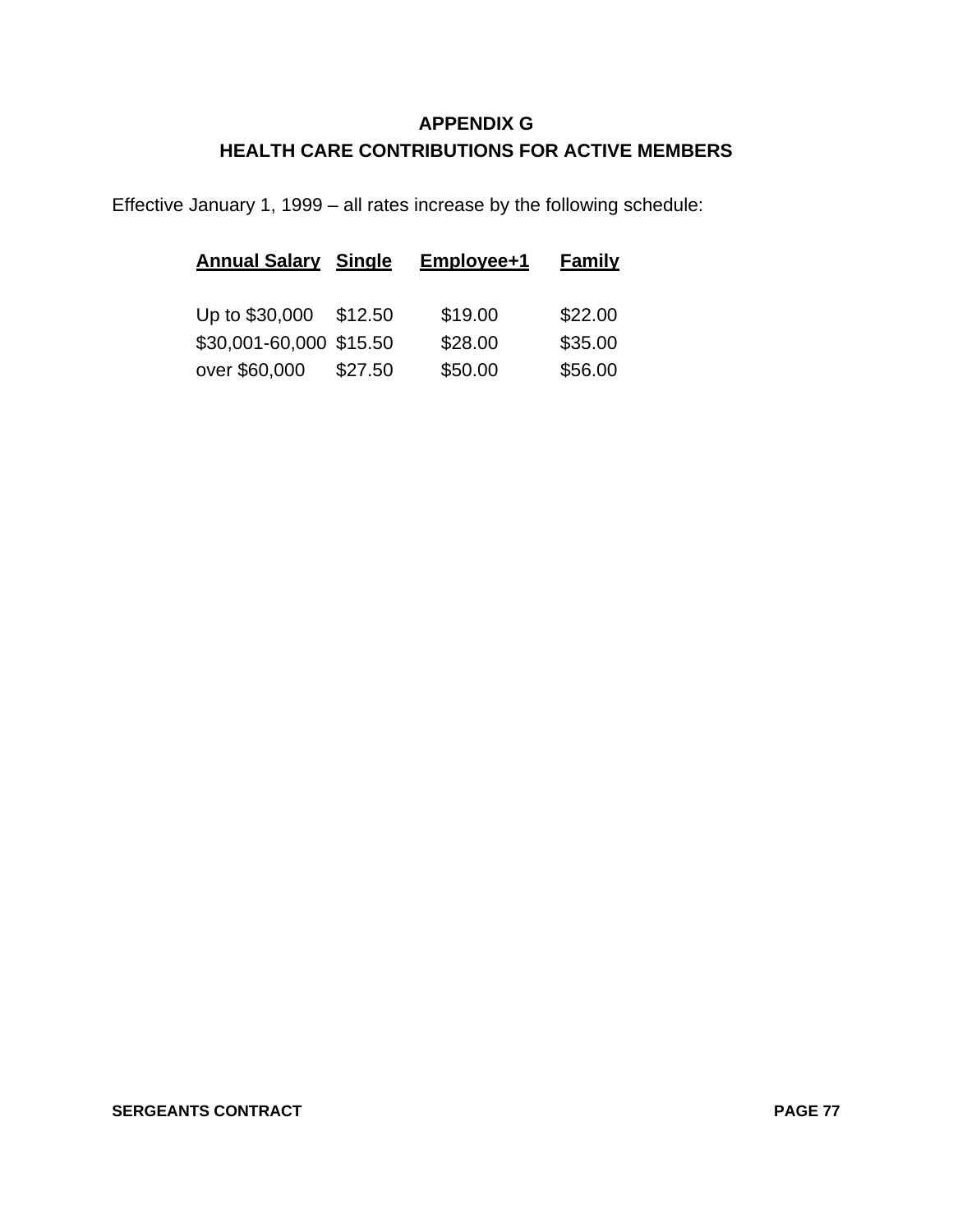# **APPENDIX G HEALTH CARE CONTRIBUTIONS FOR ACTIVE MEMBERS**

Effective January 1, 1999 – all rates increase by the following schedule:

| <b>Annual Salary Single</b> |         | Employee+1 | <b>Family</b> |
|-----------------------------|---------|------------|---------------|
| Up to \$30,000              | \$12.50 | \$19.00    | \$22.00       |
| \$30,001-60,000 \$15.50     |         | \$28.00    | \$35.00       |
| over \$60,000               | \$27.50 | \$50.00    | \$56.00       |

### **SERGEANTS CONTRACT PAGE 77**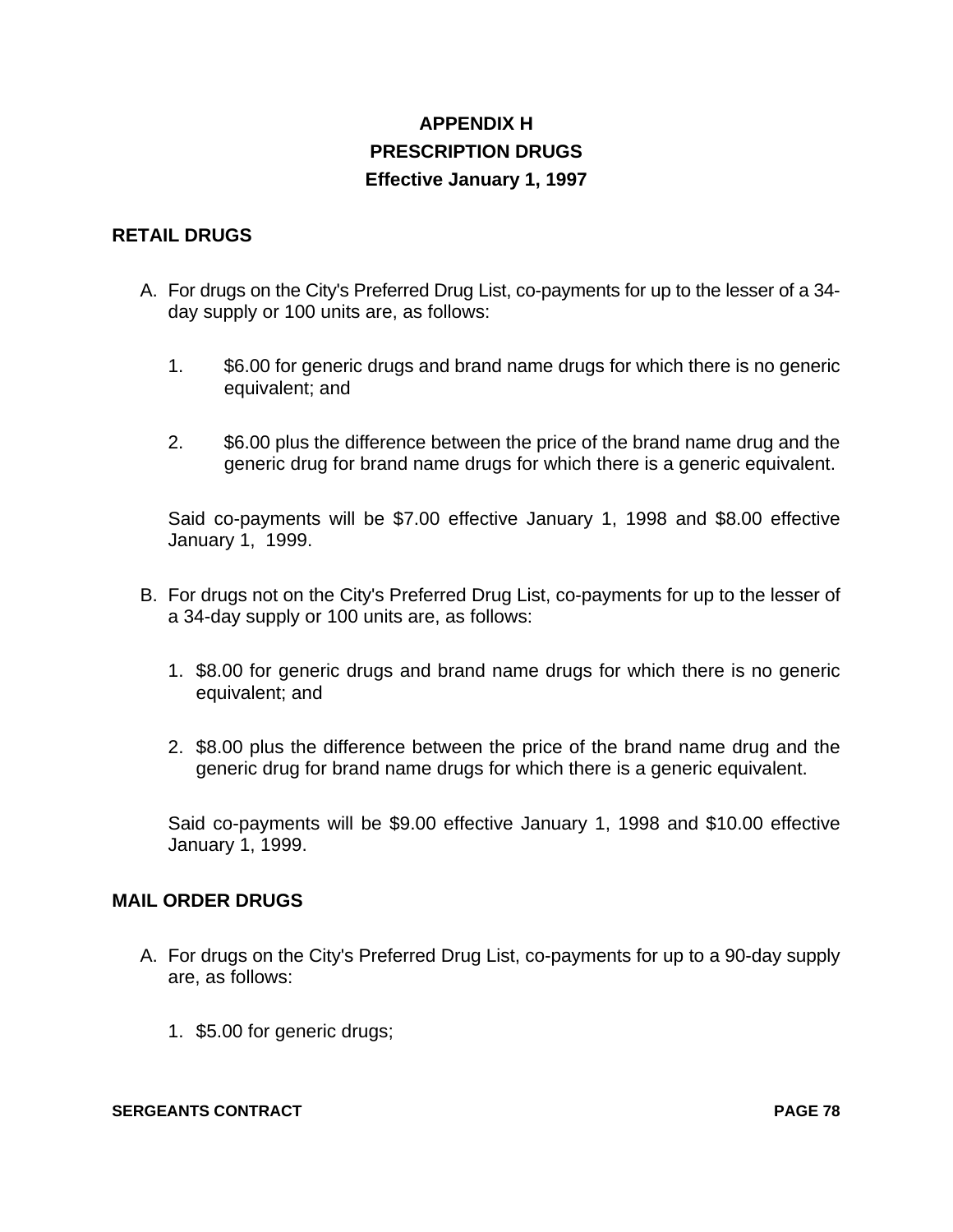# **APPENDIX H PRESCRIPTION DRUGS Effective January 1, 1997**

## **RETAIL DRUGS**

- A. For drugs on the City's Preferred Drug List, co-payments for up to the lesser of a 34 day supply or 100 units are, as follows:
	- 1. \$6.00 for generic drugs and brand name drugs for which there is no generic equivalent; and
	- 2. \$6.00 plus the difference between the price of the brand name drug and the generic drug for brand name drugs for which there is a generic equivalent.

Said co-payments will be \$7.00 effective January 1, 1998 and \$8.00 effective January 1, 1999.

- B. For drugs not on the City's Preferred Drug List, co-payments for up to the lesser of a 34-day supply or 100 units are, as follows:
	- 1. \$8.00 for generic drugs and brand name drugs for which there is no generic equivalent; and
	- 2. \$8.00 plus the difference between the price of the brand name drug and the generic drug for brand name drugs for which there is a generic equivalent.

Said co-payments will be \$9.00 effective January 1, 1998 and \$10.00 effective January 1, 1999.

## **MAIL ORDER DRUGS**

- A. For drugs on the City's Preferred Drug List, co-payments for up to a 90-day supply are, as follows:
	- 1. \$5.00 for generic drugs;

#### **SERGEANTS CONTRACT PAGE 78**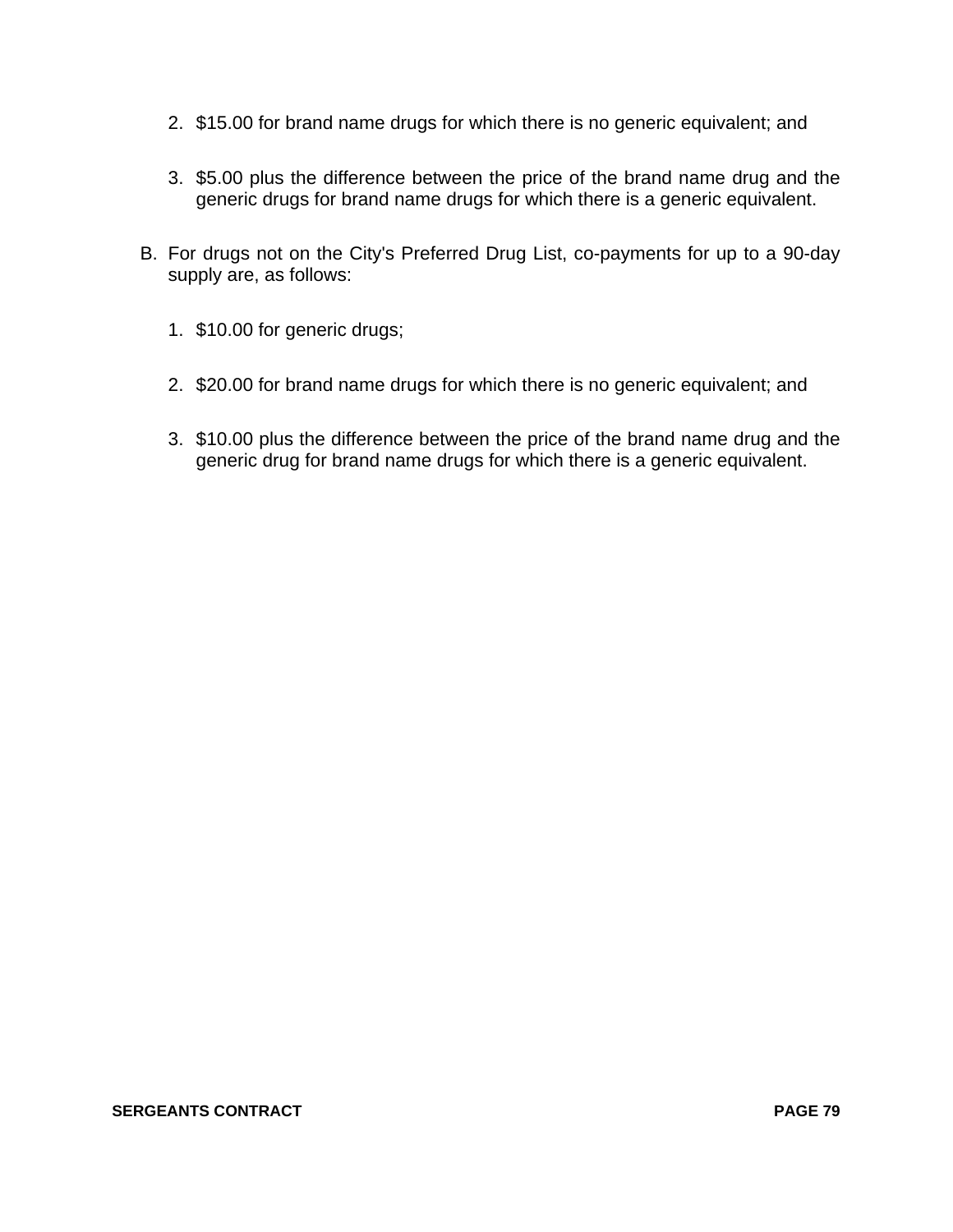- 2. \$15.00 for brand name drugs for which there is no generic equivalent; and
- 3. \$5.00 plus the difference between the price of the brand name drug and the generic drugs for brand name drugs for which there is a generic equivalent.
- B. For drugs not on the City's Preferred Drug List, co-payments for up to a 90-day supply are, as follows:
	- 1. \$10.00 for generic drugs;
	- 2. \$20.00 for brand name drugs for which there is no generic equivalent; and
	- 3. \$10.00 plus the difference between the price of the brand name drug and the generic drug for brand name drugs for which there is a generic equivalent.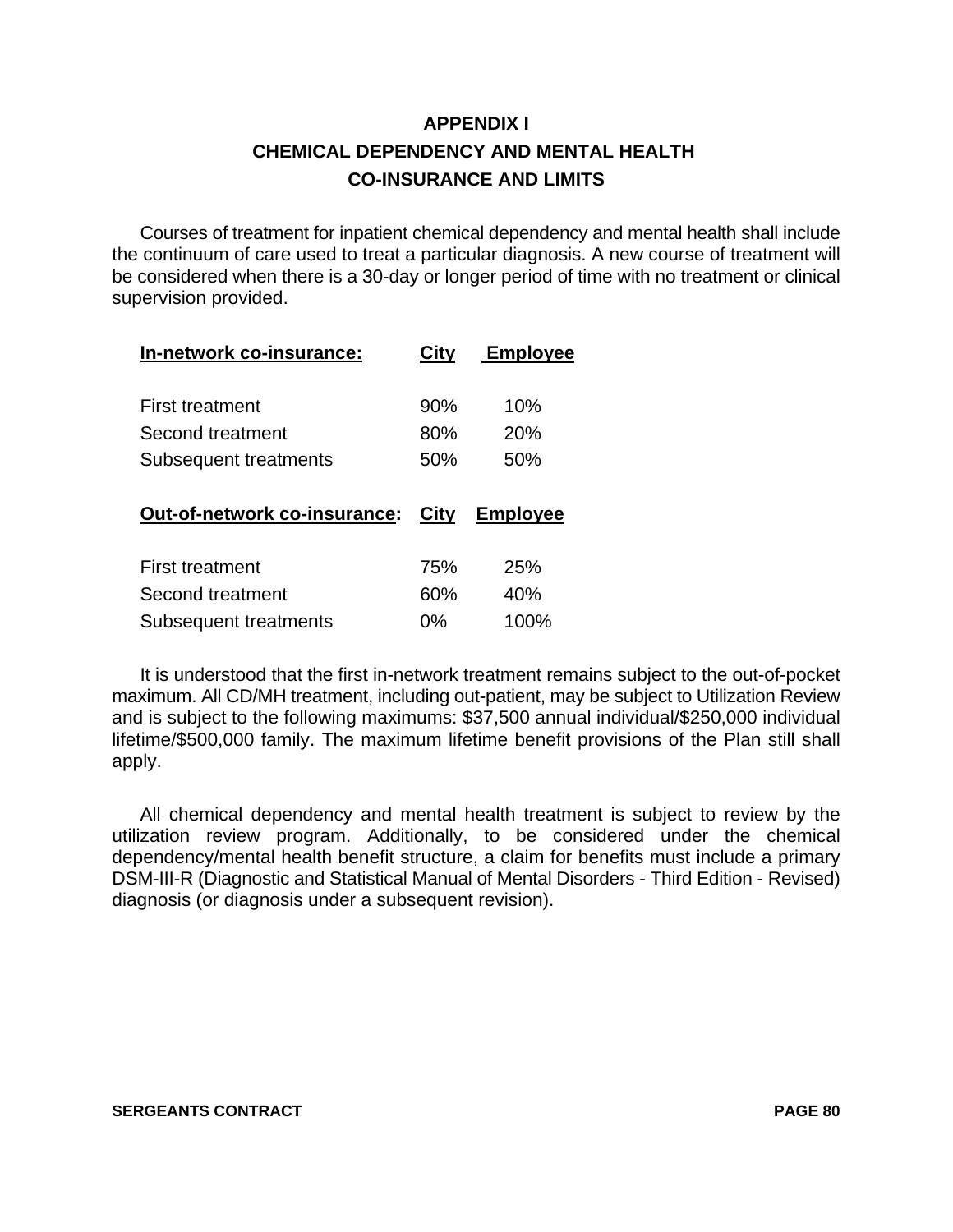# **APPENDIX I CHEMICAL DEPENDENCY AND MENTAL HEALTH CO-INSURANCE AND LIMITS**

Courses of treatment for inpatient chemical dependency and mental health shall include the continuum of care used to treat a particular diagnosis. A new course of treatment will be considered when there is a 30-day or longer period of time with no treatment or clinical supervision provided.

| City | <b>Employee</b> |
|------|-----------------|
| 90%  | 10%             |
| 80%  | 20%             |
| 50%  | 50%             |
|      |                 |
| City | <b>Employee</b> |
| 75%  | 25%             |
| 60%  | 40%             |
|      |                 |

It is understood that the first in-network treatment remains subject to the out-of-pocket maximum. All CD/MH treatment, including out-patient, may be subject to Utilization Review and is subject to the following maximums: \$37,500 annual individual/\$250,000 individual lifetime/\$500,000 family. The maximum lifetime benefit provisions of the Plan still shall apply.

All chemical dependency and mental health treatment is subject to review by the utilization review program. Additionally, to be considered under the chemical dependency/mental health benefit structure, a claim for benefits must include a primary DSM-III-R (Diagnostic and Statistical Manual of Mental Disorders - Third Edition - Revised) diagnosis (or diagnosis under a subsequent revision).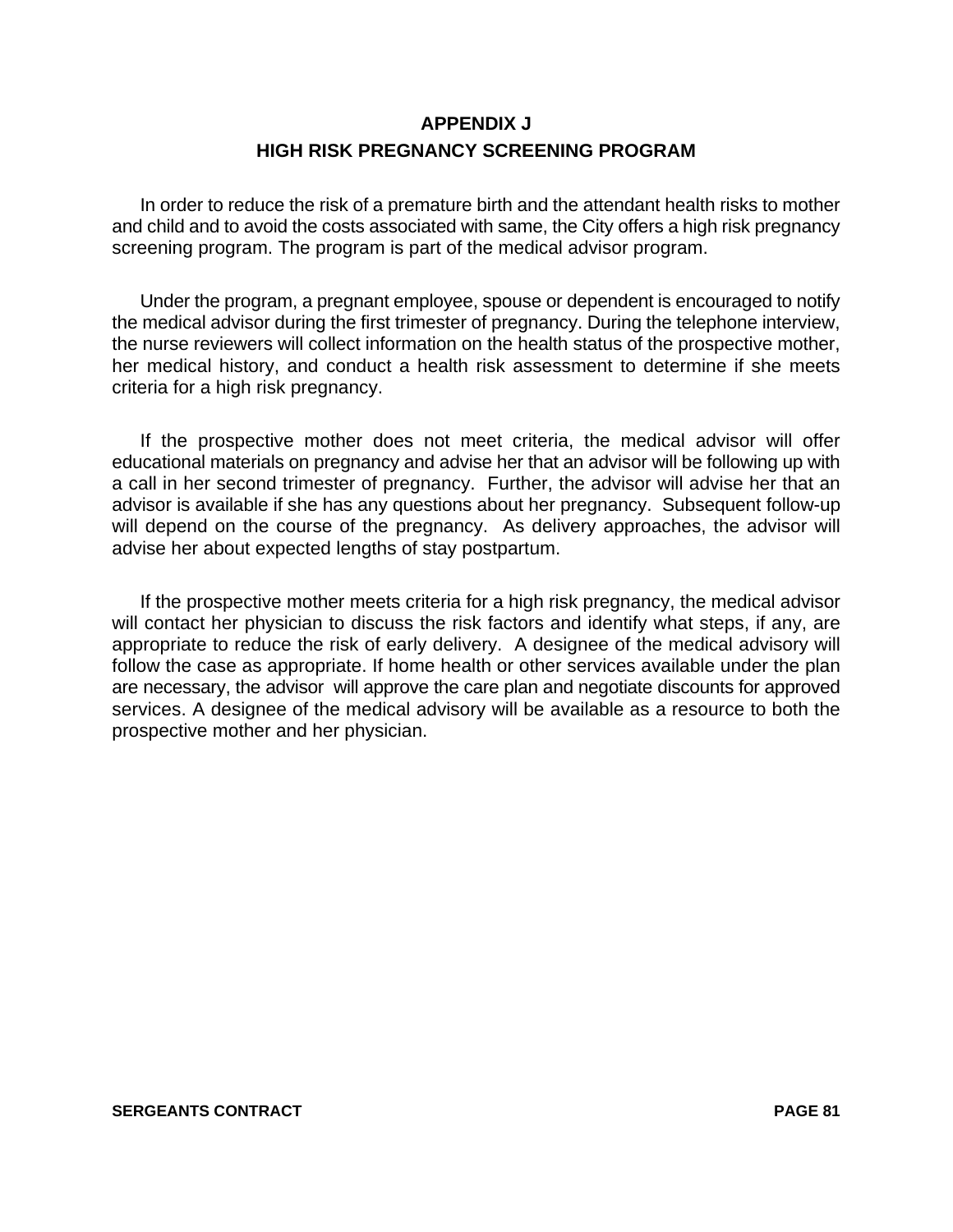# **APPENDIX J HIGH RISK PREGNANCY SCREENING PROGRAM**

In order to reduce the risk of a premature birth and the attendant health risks to mother and child and to avoid the costs associated with same, the City offers a high risk pregnancy screening program. The program is part of the medical advisor program.

Under the program, a pregnant employee, spouse or dependent is encouraged to notify the medical advisor during the first trimester of pregnancy. During the telephone interview, the nurse reviewers will collect information on the health status of the prospective mother, her medical history, and conduct a health risk assessment to determine if she meets criteria for a high risk pregnancy.

If the prospective mother does not meet criteria, the medical advisor will offer educational materials on pregnancy and advise her that an advisor will be following up with a call in her second trimester of pregnancy. Further, the advisor will advise her that an advisor is available if she has any questions about her pregnancy. Subsequent follow-up will depend on the course of the pregnancy. As delivery approaches, the advisor will advise her about expected lengths of stay postpartum.

If the prospective mother meets criteria for a high risk pregnancy, the medical advisor will contact her physician to discuss the risk factors and identify what steps, if any, are appropriate to reduce the risk of early delivery. A designee of the medical advisory will follow the case as appropriate. If home health or other services available under the plan are necessary, the advisor will approve the care plan and negotiate discounts for approved services. A designee of the medical advisory will be available as a resource to both the prospective mother and her physician.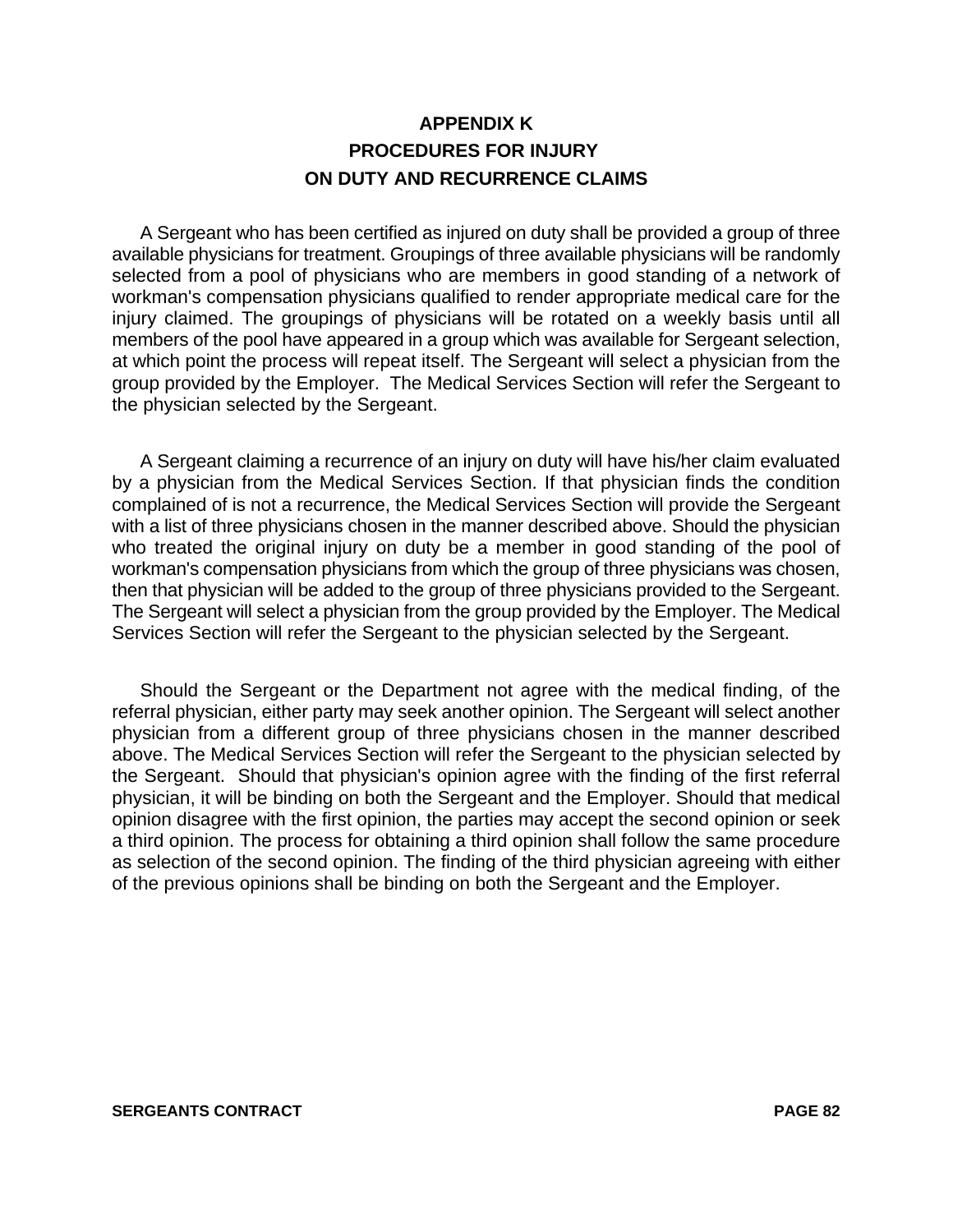# **APPENDIX K PROCEDURES FOR INJURY ON DUTY AND RECURRENCE CLAIMS**

A Sergeant who has been certified as injured on duty shall be provided a group of three available physicians for treatment. Groupings of three available physicians will be randomly selected from a pool of physicians who are members in good standing of a network of workman's compensation physicians qualified to render appropriate medical care for the injury claimed. The groupings of physicians will be rotated on a weekly basis until all members of the pool have appeared in a group which was available for Sergeant selection, at which point the process will repeat itself. The Sergeant will select a physician from the group provided by the Employer. The Medical Services Section will refer the Sergeant to the physician selected by the Sergeant.

A Sergeant claiming a recurrence of an injury on duty will have his/her claim evaluated by a physician from the Medical Services Section. If that physician finds the condition complained of is not a recurrence, the Medical Services Section will provide the Sergeant with a list of three physicians chosen in the manner described above. Should the physician who treated the original injury on duty be a member in good standing of the pool of workman's compensation physicians from which the group of three physicians was chosen, then that physician will be added to the group of three physicians provided to the Sergeant. The Sergeant will select a physician from the group provided by the Employer. The Medical Services Section will refer the Sergeant to the physician selected by the Sergeant.

Should the Sergeant or the Department not agree with the medical finding, of the referral physician, either party may seek another opinion. The Sergeant will select another physician from a different group of three physicians chosen in the manner described above. The Medical Services Section will refer the Sergeant to the physician selected by the Sergeant. Should that physician's opinion agree with the finding of the first referral physician, it will be binding on both the Sergeant and the Employer. Should that medical opinion disagree with the first opinion, the parties may accept the second opinion or seek a third opinion. The process for obtaining a third opinion shall follow the same procedure as selection of the second opinion. The finding of the third physician agreeing with either of the previous opinions shall be binding on both the Sergeant and the Employer.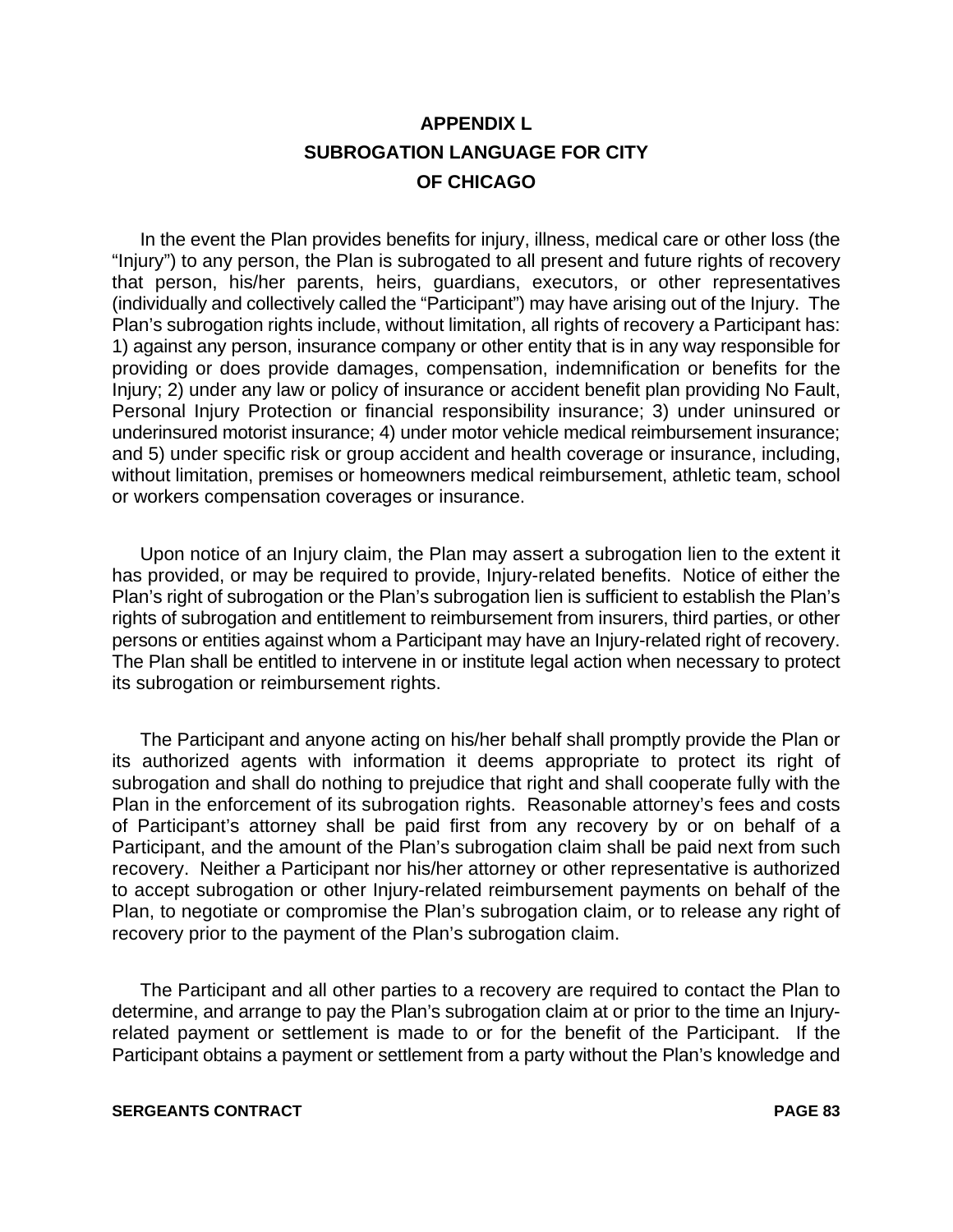# **APPENDIX L SUBROGATION LANGUAGE FOR CITY OF CHICAGO**

In the event the Plan provides benefits for injury, illness, medical care or other loss (the "Injury") to any person, the Plan is subrogated to all present and future rights of recovery that person, his/her parents, heirs, guardians, executors, or other representatives (individually and collectively called the "Participant") may have arising out of the Injury. The Plan's subrogation rights include, without limitation, all rights of recovery a Participant has: 1) against any person, insurance company or other entity that is in any way responsible for providing or does provide damages, compensation, indemnification or benefits for the Injury; 2) under any law or policy of insurance or accident benefit plan providing No Fault, Personal Injury Protection or financial responsibility insurance; 3) under uninsured or underinsured motorist insurance; 4) under motor vehicle medical reimbursement insurance; and 5) under specific risk or group accident and health coverage or insurance, including, without limitation, premises or homeowners medical reimbursement, athletic team, school or workers compensation coverages or insurance.

Upon notice of an Injury claim, the Plan may assert a subrogation lien to the extent it has provided, or may be required to provide, Injury-related benefits. Notice of either the Plan's right of subrogation or the Plan's subrogation lien is sufficient to establish the Plan's rights of subrogation and entitlement to reimbursement from insurers, third parties, or other persons or entities against whom a Participant may have an Injury-related right of recovery. The Plan shall be entitled to intervene in or institute legal action when necessary to protect its subrogation or reimbursement rights.

The Participant and anyone acting on his/her behalf shall promptly provide the Plan or its authorized agents with information it deems appropriate to protect its right of subrogation and shall do nothing to prejudice that right and shall cooperate fully with the Plan in the enforcement of its subrogation rights. Reasonable attorney's fees and costs of Participant's attorney shall be paid first from any recovery by or on behalf of a Participant, and the amount of the Plan's subrogation claim shall be paid next from such recovery. Neither a Participant nor his/her attorney or other representative is authorized to accept subrogation or other Injury-related reimbursement payments on behalf of the Plan, to negotiate or compromise the Plan's subrogation claim, or to release any right of recovery prior to the payment of the Plan's subrogation claim.

The Participant and all other parties to a recovery are required to contact the Plan to determine, and arrange to pay the Plan's subrogation claim at or prior to the time an Injuryrelated payment or settlement is made to or for the benefit of the Participant. If the Participant obtains a payment or settlement from a party without the Plan's knowledge and

#### **SERGEANTS CONTRACT PAGE 83**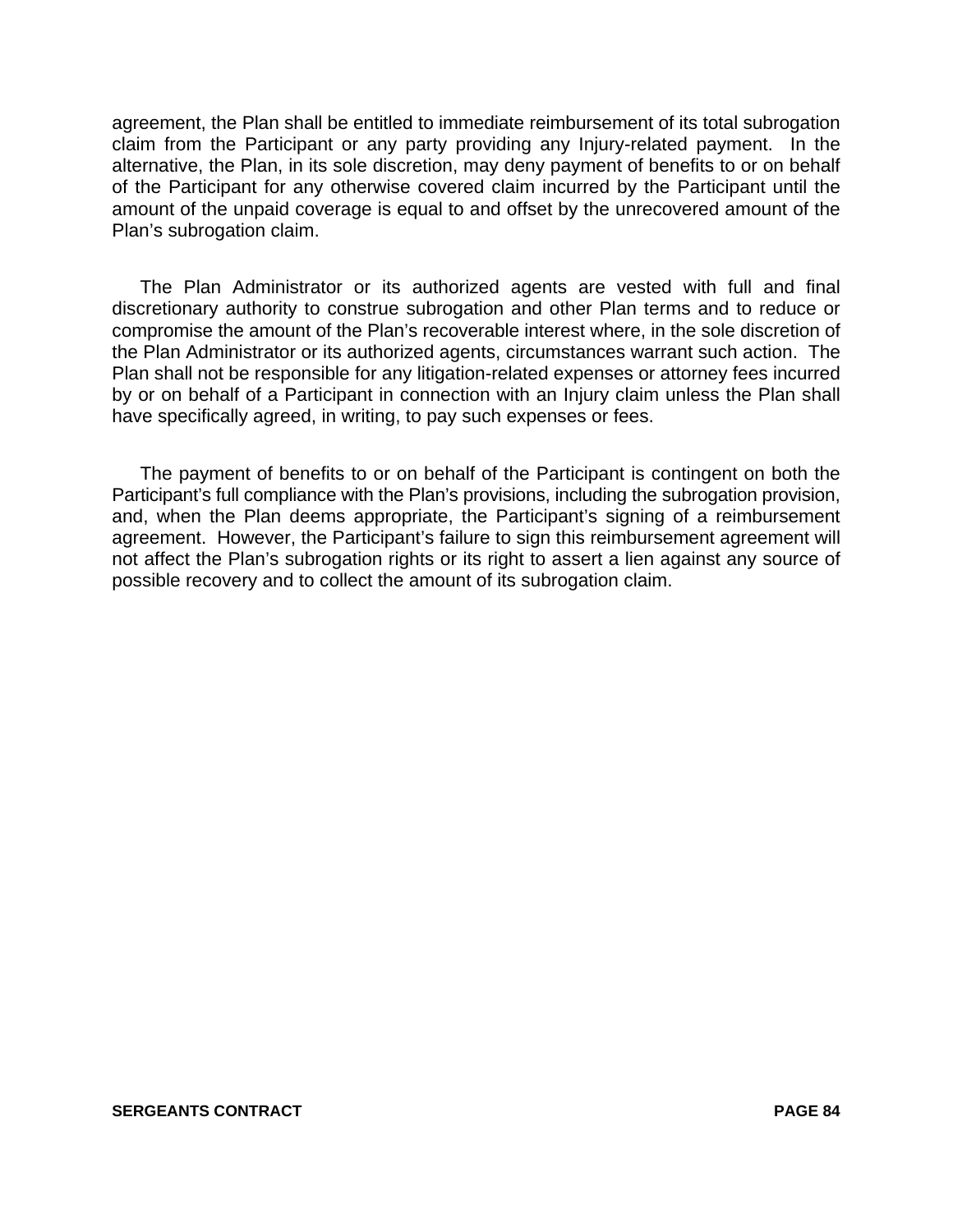agreement, the Plan shall be entitled to immediate reimbursement of its total subrogation claim from the Participant or any party providing any Injury-related payment. In the alternative, the Plan, in its sole discretion, may deny payment of benefits to or on behalf of the Participant for any otherwise covered claim incurred by the Participant until the amount of the unpaid coverage is equal to and offset by the unrecovered amount of the Plan's subrogation claim.

The Plan Administrator or its authorized agents are vested with full and final discretionary authority to construe subrogation and other Plan terms and to reduce or compromise the amount of the Plan's recoverable interest where, in the sole discretion of the Plan Administrator or its authorized agents, circumstances warrant such action. The Plan shall not be responsible for any litigation-related expenses or attorney fees incurred by or on behalf of a Participant in connection with an Injury claim unless the Plan shall have specifically agreed, in writing, to pay such expenses or fees.

The payment of benefits to or on behalf of the Participant is contingent on both the Participant's full compliance with the Plan's provisions, including the subrogation provision, and, when the Plan deems appropriate, the Participant's signing of a reimbursement agreement. However, the Participant's failure to sign this reimbursement agreement will not affect the Plan's subrogation rights or its right to assert a lien against any source of possible recovery and to collect the amount of its subrogation claim.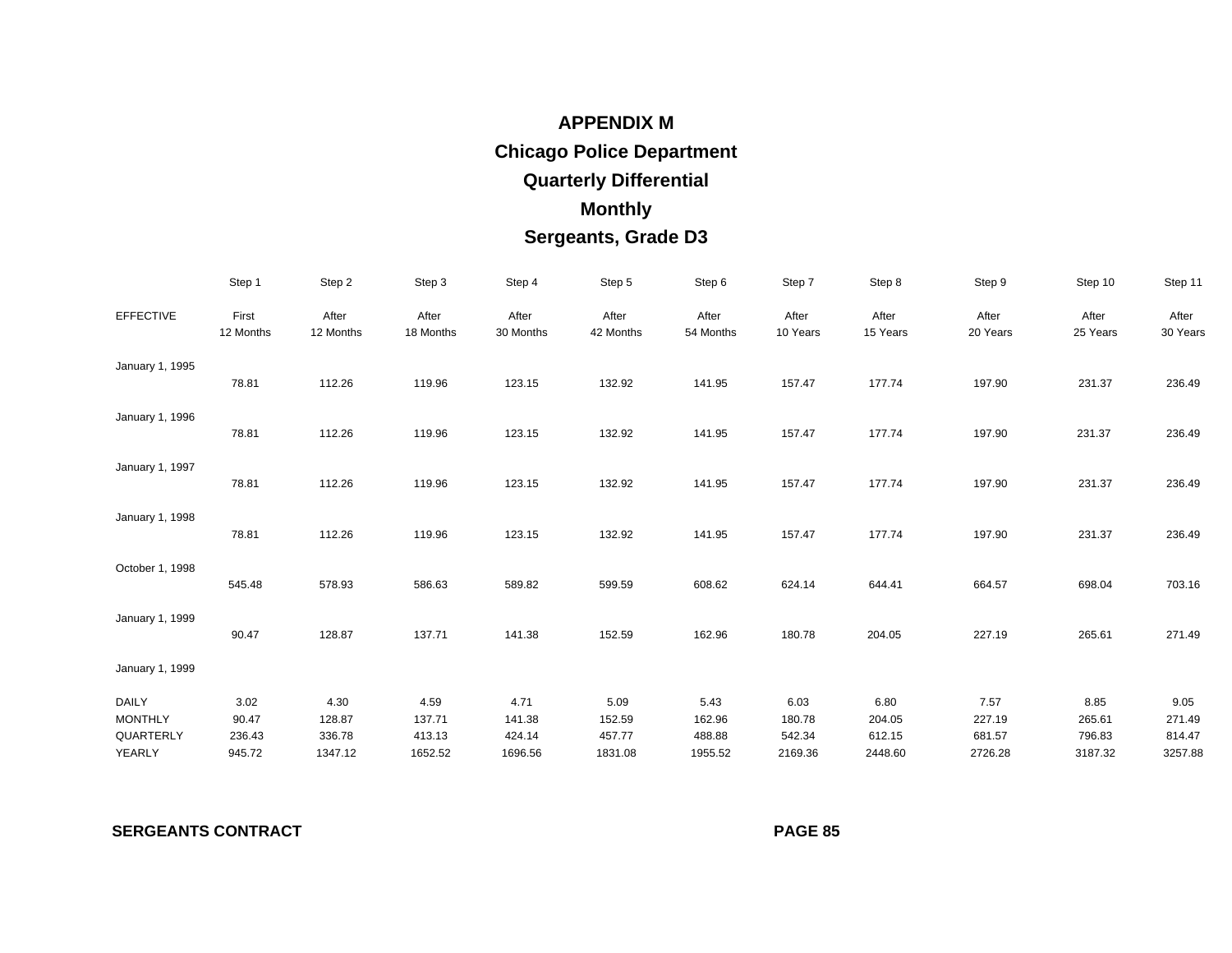# **APPENDIX MChica go Police Department Quarterl y Differential Monthl y Ser geants, Grade D3**

|                                                | Step 1                            | Step 2                              | Step 3                              | Step 4                              | Step 5                              | Step 6                              | Step 7                              | Step 8                              | Step 9                              | Step 10                             | Step 11                             |
|------------------------------------------------|-----------------------------------|-------------------------------------|-------------------------------------|-------------------------------------|-------------------------------------|-------------------------------------|-------------------------------------|-------------------------------------|-------------------------------------|-------------------------------------|-------------------------------------|
| <b>EFFECTIVE</b>                               | First<br>12 Months                | After<br>12 Months                  | After<br>18 Months                  | After<br>30 Months                  | After<br>42 Months                  | After<br>54 Months                  | After<br>10 Years                   | After<br>15 Years                   | After<br>20 Years                   | After<br>25 Years                   | After<br>30 Years                   |
| January 1, 1995                                | 78.81                             | 112.26                              | 119.96                              | 123.15                              | 132.92                              | 141.95                              | 157.47                              | 177.74                              | 197.90                              | 231.37                              | 236.49                              |
| January 1, 1996                                | 78.81                             | 112.26                              | 119.96                              | 123.15                              | 132.92                              | 141.95                              | 157.47                              | 177.74                              | 197.90                              | 231.37                              | 236.49                              |
| January 1, 1997                                | 78.81                             | 112.26                              | 119.96                              | 123.15                              | 132.92                              | 141.95                              | 157.47                              | 177.74                              | 197.90                              | 231.37                              | 236.49                              |
| January 1, 1998                                | 78.81                             | 112.26                              | 119.96                              | 123.15                              | 132.92                              | 141.95                              | 157.47                              | 177.74                              | 197.90                              | 231.37                              | 236.49                              |
| October 1, 1998                                | 545.48                            | 578.93                              | 586.63                              | 589.82                              | 599.59                              | 608.62                              | 624.14                              | 644.41                              | 664.57                              | 698.04                              | 703.16                              |
| January 1, 1999                                | 90.47                             | 128.87                              | 137.71                              | 141.38                              | 152.59                              | 162.96                              | 180.78                              | 204.05                              | 227.19                              | 265.61                              | 271.49                              |
| January 1, 1999                                |                                   |                                     |                                     |                                     |                                     |                                     |                                     |                                     |                                     |                                     |                                     |
| DAILY<br><b>MONTHLY</b><br>QUARTERLY<br>YEARLY | 3.02<br>90.47<br>236.43<br>945.72 | 4.30<br>128.87<br>336.78<br>1347.12 | 4.59<br>137.71<br>413.13<br>1652.52 | 4.71<br>141.38<br>424.14<br>1696.56 | 5.09<br>152.59<br>457.77<br>1831.08 | 5.43<br>162.96<br>488.88<br>1955.52 | 6.03<br>180.78<br>542.34<br>2169.36 | 6.80<br>204.05<br>612.15<br>2448.60 | 7.57<br>227.19<br>681.57<br>2726.28 | 8.85<br>265.61<br>796.83<br>3187.32 | 9.05<br>271.49<br>814.47<br>3257.88 |

**SERGEANTS CONTRACT** 

**PAGE 85**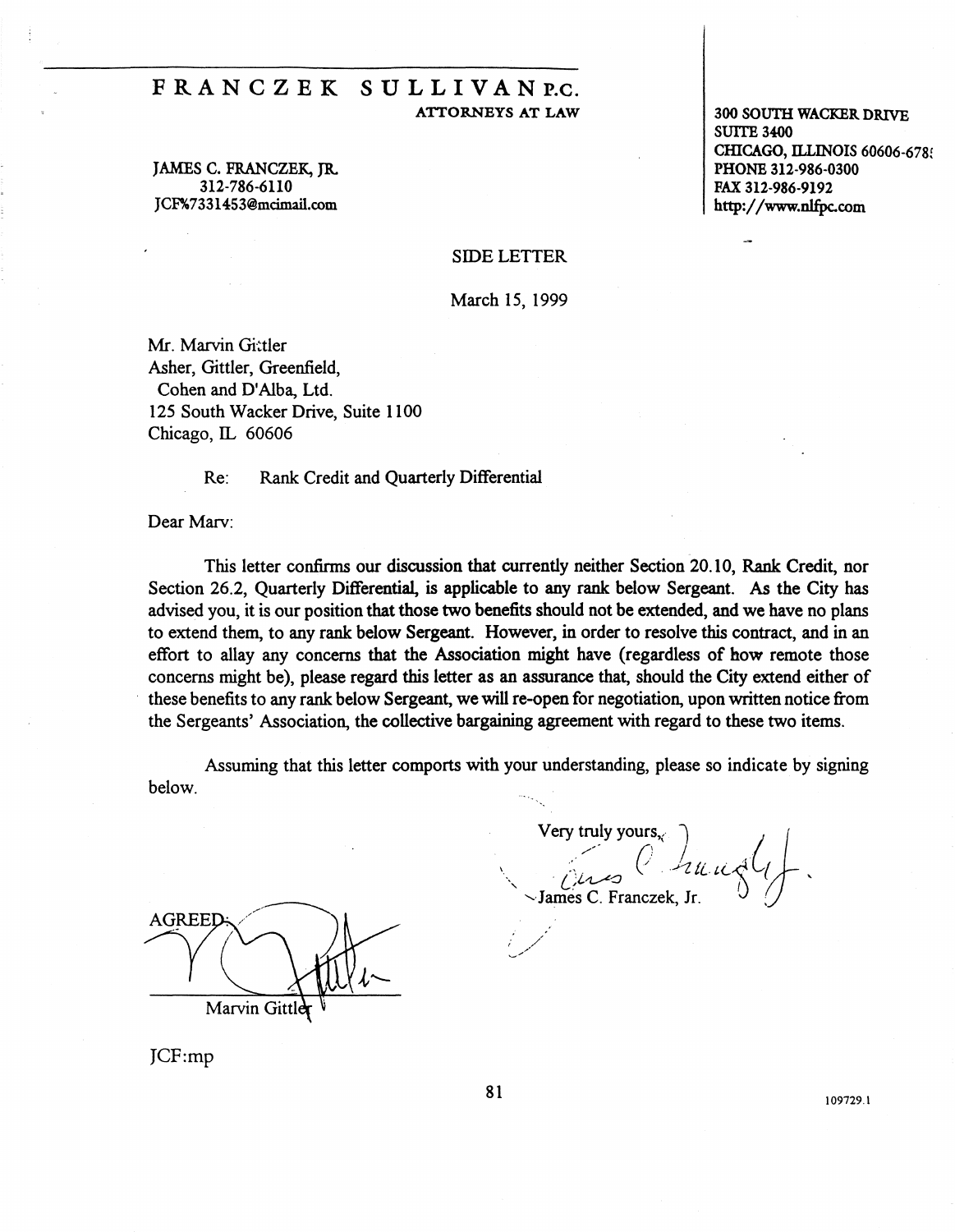# FRANC Z EK SULLIVAN P.c.

JAMES C. FRANCZEK, JR. 312-786-6110 JCF%733 l 453@mcimail.com

ATTORNEYS AT LAW 300 SOUTH WACKER DRIVE SUITE 3400 CHICAGO, ILLINOIS 60606-6789 PHONE 312-986-0300 FAX 312-986-9192 http://www.nlfpc.com

#### SIDE LETTER

March 15, 1999

Mr. Marvin Gittler Asher, Gittler, Greenfield, Cohen and D'Alba, Ltd. 125 South Wacker Drive, Suite 1100 Chicago, IL 60606

Re: Rank Credit and Quarterly Differential

Dear Marv:

This letter confirms our discussion that currently neither Section 20 .10, Rank Credit, nor Section 26.2, Quarterly Differential, is applicable to any rank below Sergeant. As the City has advised you, it is our position that those two benefits should not be extended, and we have no plans to extend them, to any rank below Sergeant. However, in order to resolve this contract, and in an effort to allay any concerns that the Association might have (regardless of how remote those concerns might be), please regard this letter as an assurance that, should the City extend either of these benefits to any rank below Sergeant, we will re-open for negotiation, upon written notice from the Sergeants' Association, the collective bargaining agreement with regard to these two items.

Assuming that this letter comports with your understanding, please so indicate by signing below.

**AGREED** Marvin Gitt

 $\text{Very truly yours.} \begin{pmatrix} \downarrow & \downarrow \downarrow \end{pmatrix}$ I une Charles C. Franczek, Jr.

JCF:mp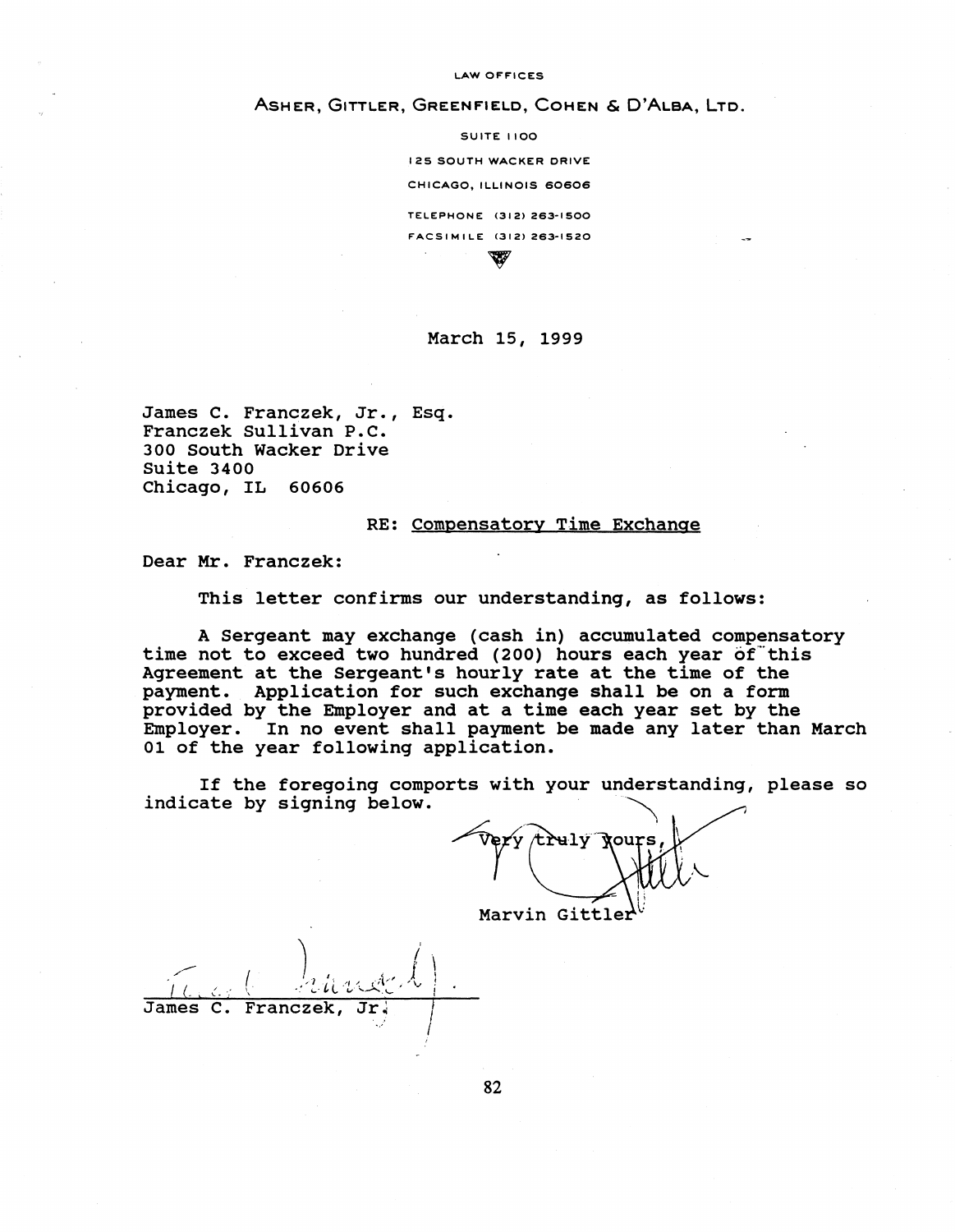LAW OFFICES

#### ASHER, GITTLER, GREENFIELD, COHEN & D'ALBA, LTD.

SUITE 1100 125 SOUTH WACKER ORIVE CHICAGO, ILLINOIS 60606 TELEPHONE (3121 263·1500 FACSIMILE <3121 263-1520 w

#### March 15, 1999

James c. Franczek, Jr., Esq. Franczek Sullivan P.C. 300 South Wacker Drive Suite 3400 Chicago, IL 60606

#### RE: Compensatory Time Exchange

Dear Mr. Franczek:

This letter confirms our understanding, as follows:

A Sergeant may exchange {cash in) accumulated compensatory time not to exceed two hundred (200) hours each year of this Agreement at the Sergeant's hourly rate at the time of the payment. Application for such exchange shall be on a form provided by the Employer and at a time each year set by the Employer. In no event shall payment be made any later than March 01 of the year following application.

If the foregoing comports with your understanding, please so indicate by signing below.

wexa croid Xonta r, I Marvin Gittler

I (. I .:. . -:  $\ell = \ell_{th}$  rode  $l$  ). \ •. i...."' *v-* ..... \_......,.,,, '- <sup>I</sup> James C. Franczek I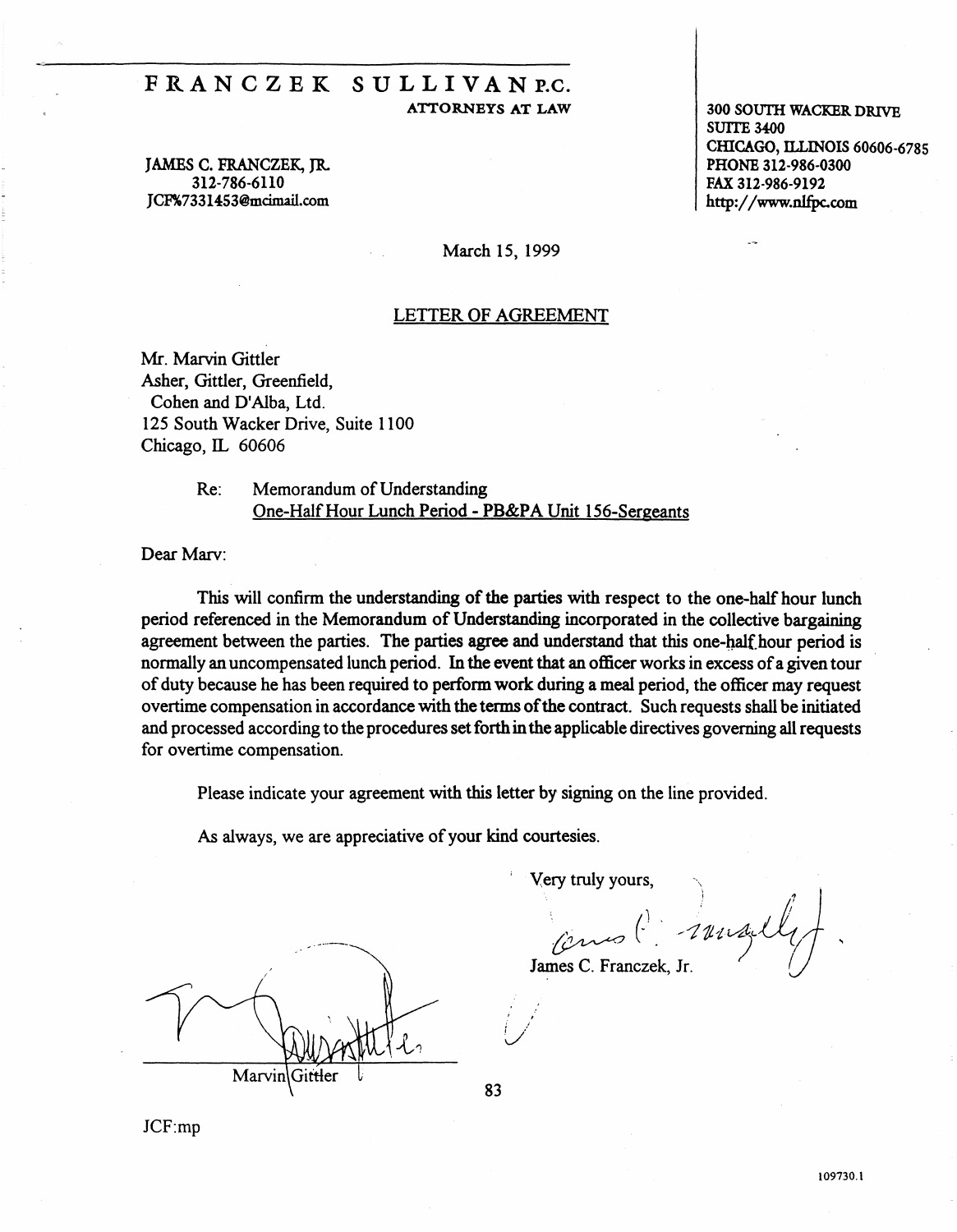## FRANCZEK SULLIVANP.C. ATTORNEYS AT LAW

JAMBS C. FRANCZEK, JR 312-786-6110 JCF%7331453@mcimail.com

300 SOUTII WACKER DRIVE SUITE 3400 CffiCAGO, ILLINOIS 60606-6785 PHONE 312-986-0300 FAX 312-986-9192 http://www.nlfpc.com

March 15, 1999

#### LETTER OF AGREEMENT

Mr. Marvin Gittler Asher, Gittler, Greenfield, Cohen and D'Alba, Ltd. 125 South Wacker Drive, Suite 1100 Chicago, IL 60606

> Re: Memorandum of Understanding One-Half Hour Lunch Period-PB&PA Unit 156-Sergeants

Dear Marv:

This will confirm the understanding of the parties with respect to the one-half hour lunch period referenced in the Memorandum of Understanding incorporated in the collective bargaining agreement between the parties. The parties agree and understand that this one-half hour period is normally an uncompensated lunch period. In the event that an officer works in excess of a given tour of duty because he has been required to perform work during a meal period, the officer may request overtime compensation in accordance with the terms of the contract. Such requests shall be initiated and processed according to the procedures set forth in the applicable directives governing all requests for overtime compensation.

Please indicate your agreement with this letter by signing on the line provided.

*As* always, we are appreciative of your kind courtesies.

Very truly yours,

 $\qquad \qquad \alpha \sim (1 + \alpha \log(1/\alpha))$ James C. Franczek, Jr.  $\bigcup$ 

Marvin

JCF:mp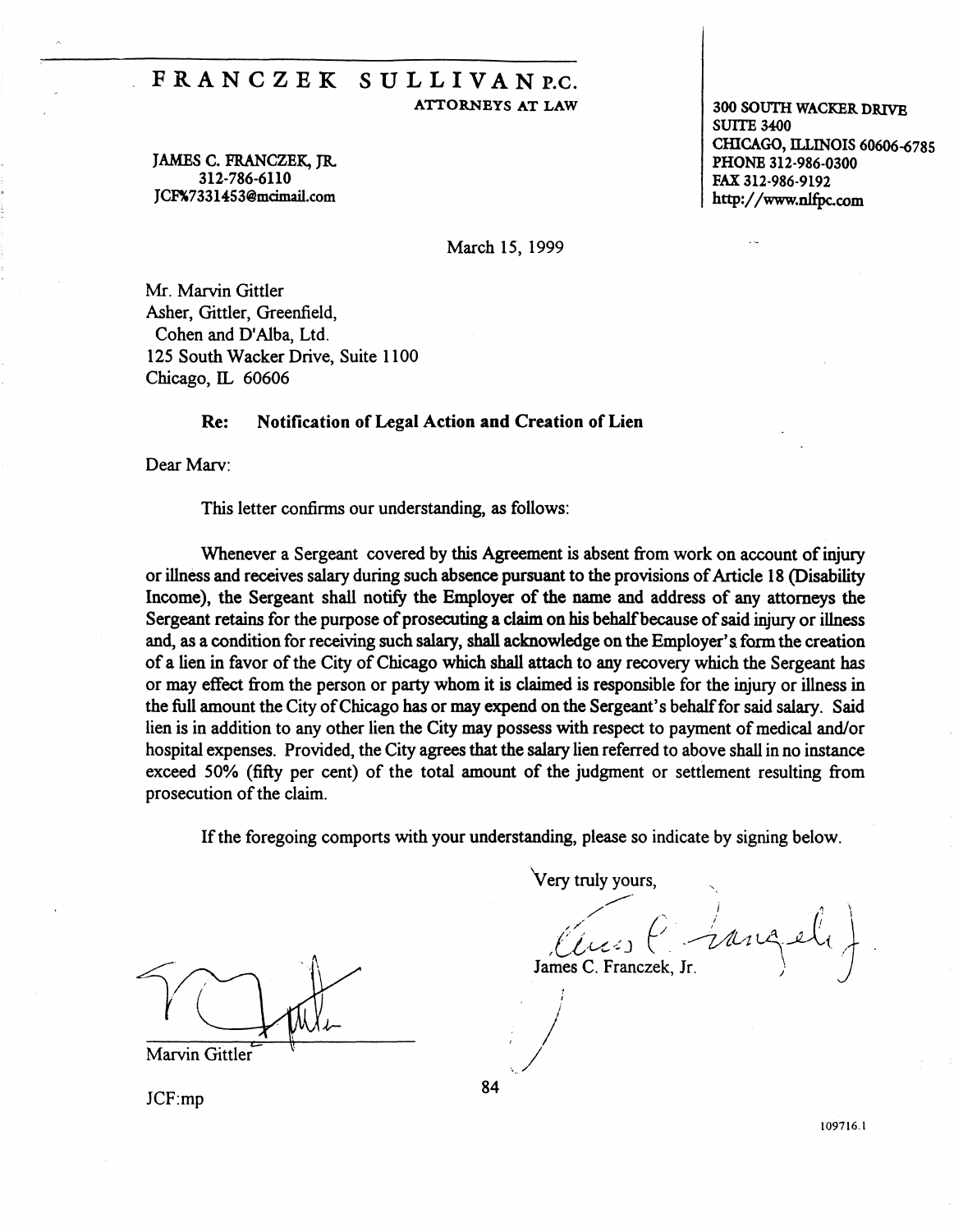# FRANCZEK SULLIVANR.C. ATTORNEYS AT LAW

JAMES C. FRANCZEK, JR. 312-786-6110 JCF%7331453@mcimail.com

300 SOUTH WACKER DRIVE SUITE 3400 CHICAGO, ILLINOIS 60606-6785 PHONE 312·986-0300 FAX 312-986-9192 http://www.nlfpc.com

March 15, 1999

Mr. Marvin Gittler Asher, Gittler, Greenfield, Cohen and D'Alba, Ltd. 125 South Wacker Drive, Suite 1100 Chicago, IL 60606

#### Re: Notification of Legal Action **and** Creation of Lien

Dear Marv:

This letter confirms our understanding, *as* follows:

Whenever a Sergeant covered by this Agreement is absent from work on account of injury or illness and receives salary during such absence pursuant to the provisions of Article 18 (Disability Income), the Sergeant shall notify the Employer of the name and address of any attorneys the Sergeant retains for the purpose of prosecuting a claim on his behalf because of said injury or illness and, *as* a condition for receiving such salary, shall acknowledge on the Employer's. form the creation of a lien in favor of the City of Chicago which shall attach to any recovery which the Sergeant has or may effect from the person or party whom it is claimed is responsible for the injury or illness in the full amount the City of Chicago has or may expend on the Sergeant's behalf for said salary. Said lien is in addition to any other lien the City may possess with respect to payment of medical and/or hospital expenses. Provided, the City agrees that the salary lien referred to above shall in no instance exceed 50% (fifty per cent) of the total amount of the judgment or settlement resulting from prosecution of the claim.

If the foregoing comports with your understanding, please so indicate by signing below.

 $\frac{1}{1}$   $\frac{1}{1}$   $\frac{1}{1}$   $\frac{1}{1}$   $\frac{1}{1}$   $\frac{1}{1}$   $\frac{1}{1}$   $\frac{1}{1}$   $\frac{1}{1}$   $\frac{1}{1}$   $\frac{1}{1}$   $\frac{1}{1}$   $\frac{1}{1}$   $\frac{1}{1}$   $\frac{1}{1}$   $\frac{1}{1}$   $\frac{1}{1}$   $\frac{1}{1}$   $\frac{1}{1}$   $\frac{1}{1}$   $\frac{1}{1}$   $\frac{1}{1}$ 

Very truly yours,

Tames C. Franczek, Jr.

 $JCF:mp$  84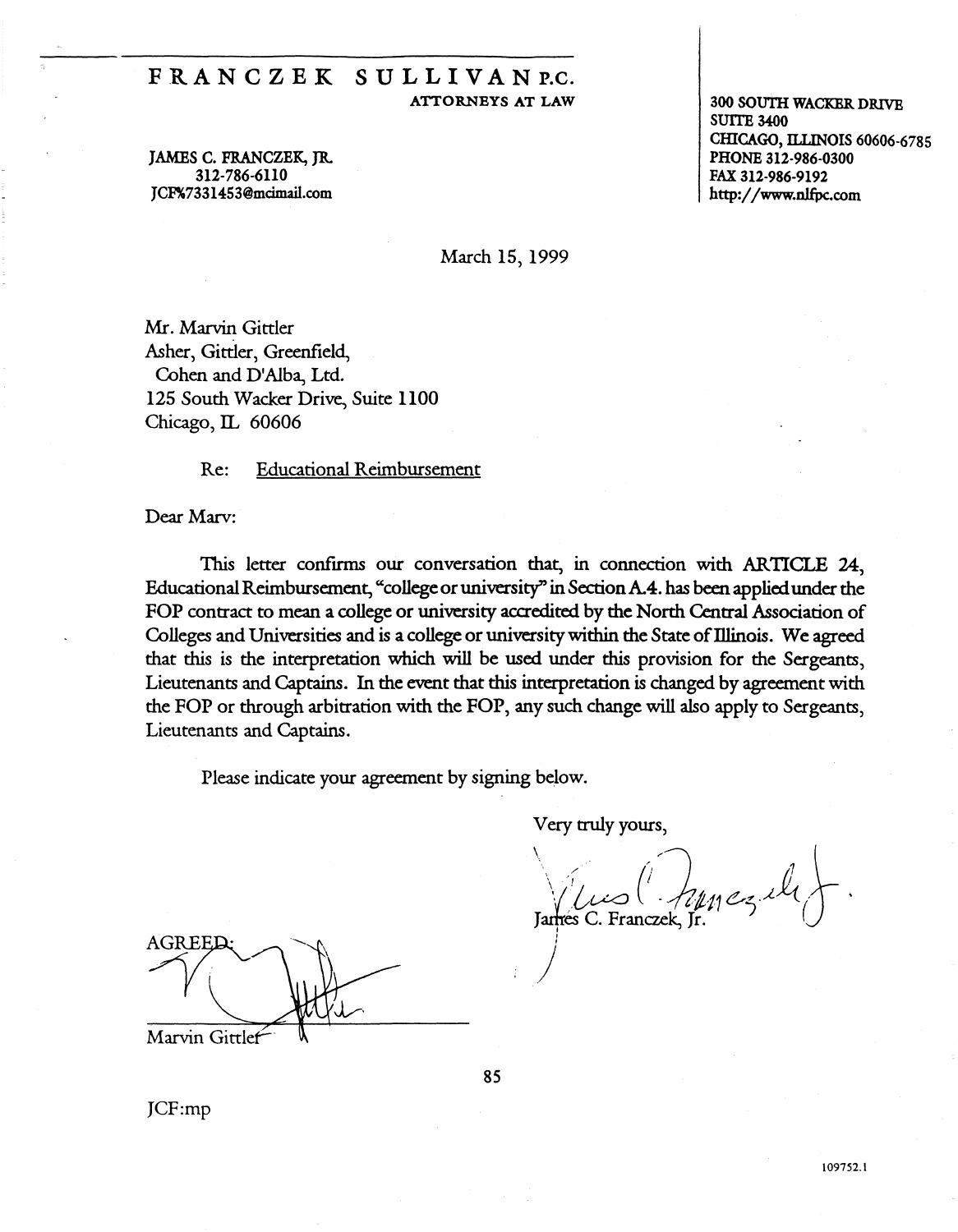## FRANCZEK SULLIVANP.C. ATTORNEYS AT LAW

JAMES C. FRANCZEK, JR. 312-786-6110 JCF%7331453@mcimail.com

300 SOUTH WACKER DRIVE SUITE 3400 CHICAGO, ILLINOIS 60606-6785 PHONE 312-986-0300 FAX 312-986-9192 http:/ /www.nlfpc.com

March 15, 1999

Mr. Marvin Gittler Asher, Gittler, Greenfield, Cohen and D'Alba, Ltd. 125 South Wacker Drive, Suite 1100 Chicago, IL 60606

Re: Educational Reimbursement

Dear Marv:

1bis letter confirms our conversation that, in connection with ARTICLE 24, Educational Reimbursement, "college or university" in Section A.4. has been applied under the FOP contract to mean a college or university accredited by the North Central Association of Colleges and Universities and is a college or university within the State of Illinois. We agreed that this is the interpretation which will be used under this provision for the Sergeants, Lieutenants and Captains. In the event that this interpretation is changed by agreement with the FOP or through arbitration with the FOP, any such change will also apply to Sergeants, Lieutenants and Captains.

Please indicate your agreement by signing below.

Very truly yours,

 $\sqrt{\iota\omega}$  (  $\sqrt{\iota\mu}$   $\epsilon_3$  il  $\}$ . I

AGREED Marvin Gittlef

JCF:mp

' *)*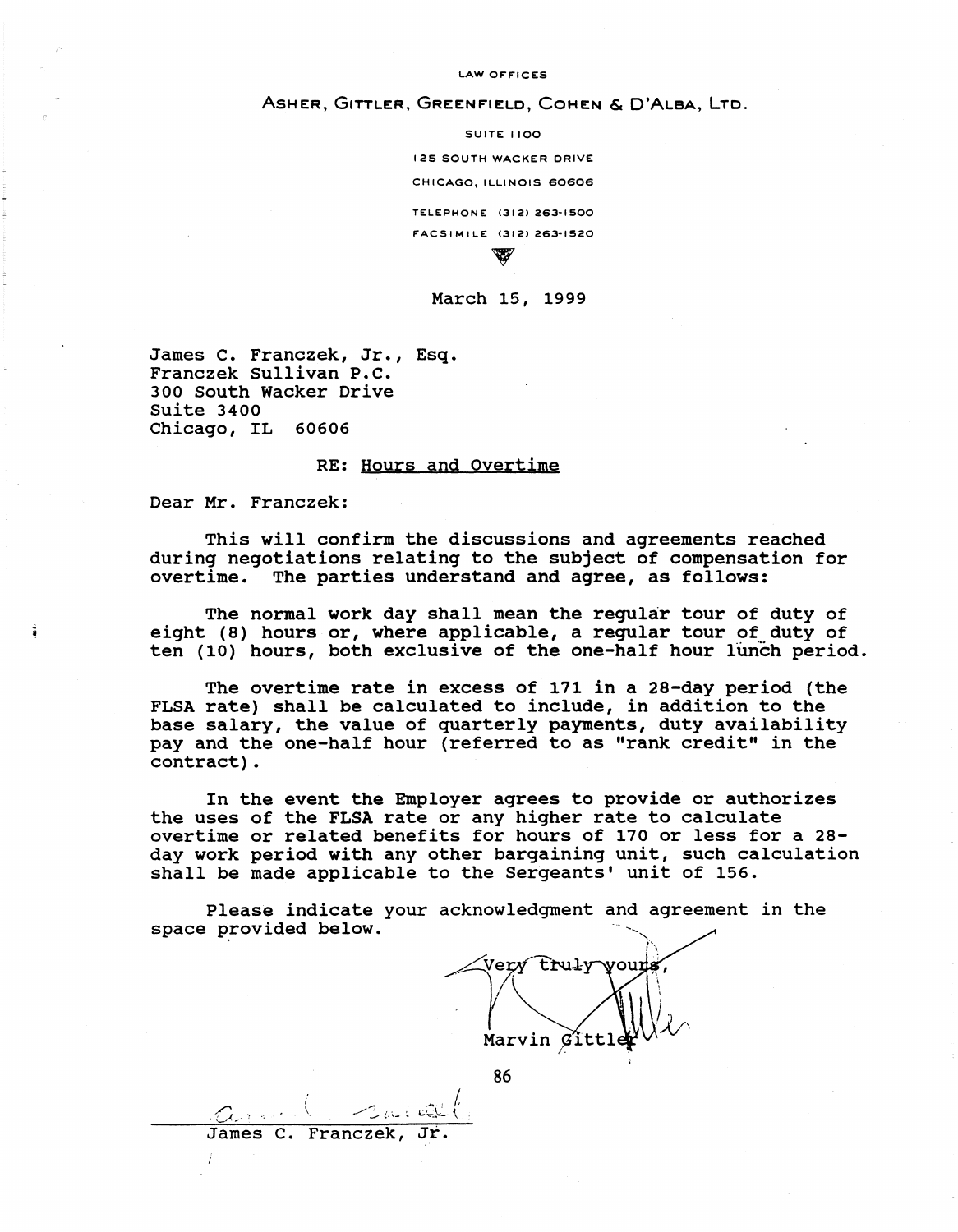#### LAW OFFICES

#### ASHER, GITTLER, GREENFIELD, COHEN & O'ALBA, LTD.

SUITE 1100 125 SOUTH WACKER DRIVE CHICAGO, ILLINOIS 60606 TELEPHONE <312> 263·1500 FACS IMILE (312) 263-1520  $\mathbb{Z}^p$ 

#### March 15, 1999

James c. Franczek, Jr., Esq. Franczek Sullivan P.c. 300 South Wacker Drive Suite 3400 Chicago, IL 60606

James C. Franczek,

#### RE: Hours and Overtime

Dear Mr. Franczek:

This will confirm the discussions and agreements reached during negotiations relating to the subject of compensation for overtime. The parties understand and agree, as follows:

The normal work day shall mean the regular tour of duty of eight (8) hours or, where applicable, a regular tour of duty of ten (10) hours, both exclusive of the one-half hour lunch period.

The overtime rate in excess of 171 in a 28-day period (the FLSA rate) shall be calculated to include, in addition to the base salary, the value of quarterly payments, duty availability pay and the one-half hour (referred to as "rank credit" in the contract) .

In the event the Employer agrees to provide or authorizes the uses of the FLSA rate or any higher rate to calculate overtime or related benefits for hours of 170 or less for a 28 day work period with any other bargaining unit, such calculation shall be made applicable to the Sergeants' unit of 156.

Please indicate your acknowledgment and agreement in the space provided below.

truly Marvin Gitt *I-*

86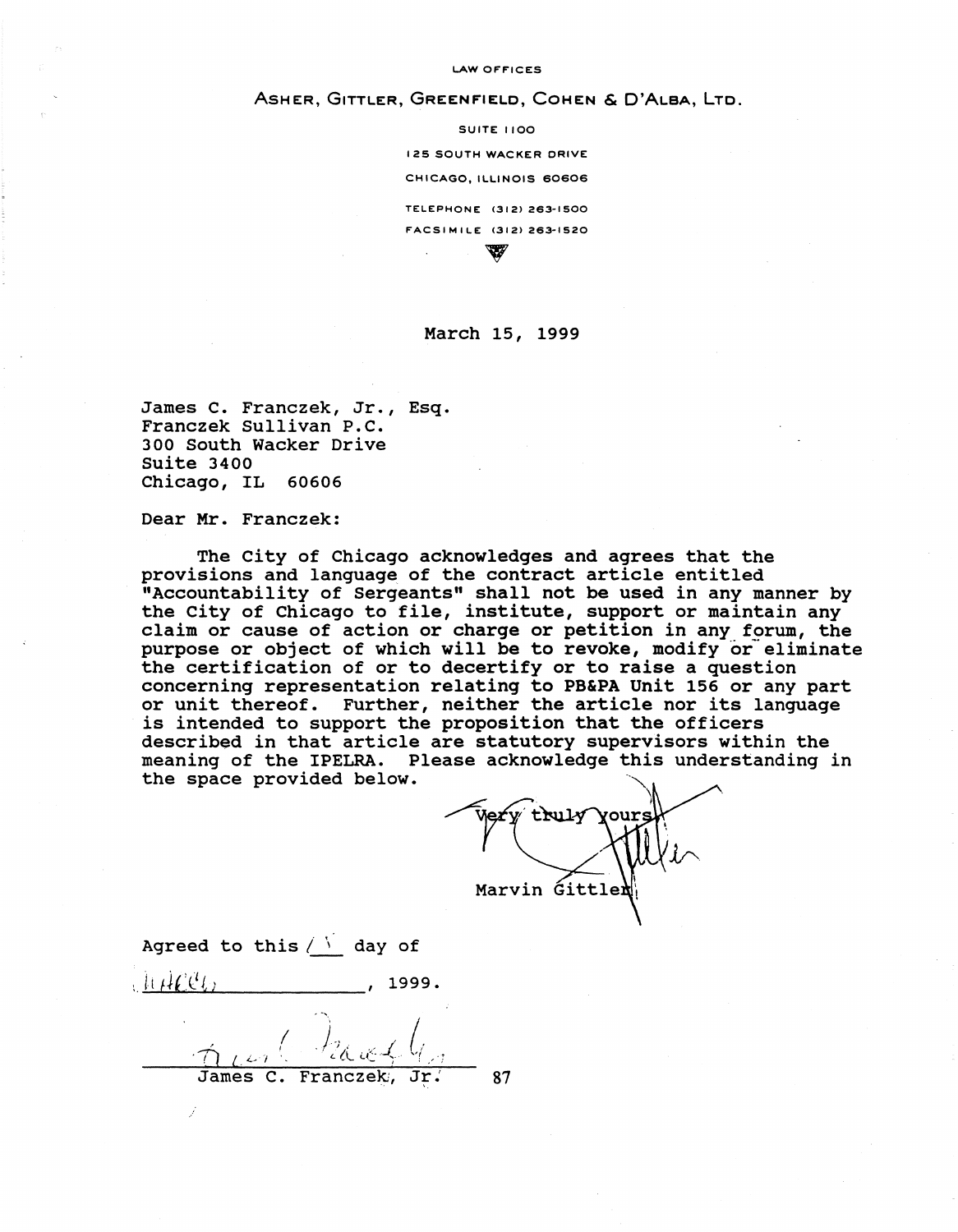LAW OFFICES

ASHER, GITTLER, GREENFIELD, COHEN & D'ALBA, LTO.

SUITE 1100 125 SOUTH WACKER DRIVE CHICAGO, ILLINOIS 60606 TELEPHONE (312) 263-1500 FACSIMILE <3121 263-1520  $\mathbb{Z}$ 

#### March 15, 1999

James c. Franczek, Jr., Esq. Franczek Sullivan P.C. 300 South Wacker Drive Suite 3400 Chicago, IL 60606

Dear Mr. Franczek:

The City of Chicago acknowledges and agrees that the provisions and language of the contract article entitled "Accountability of Sergeants" shall not be used in any manner by the city of Chicago to file, institute, support or maintain any claim or cause of action or charge or petition in any forum, the purpose or object of which will be to revoke, modify or eliminate the certification of or to decertify or to raise a question concerning representation relating to PB&PA Unit 156 or any part or unit thereof. Further, neither the article nor its language is intended to support the proposition that the officers described in that article are statutory supervisors within the meaning of the IPELRA. Please acknowledge this understanding in the space provided below.

Very truly yours Marvin Gittle

Agreed to this  $/$   $\sqrt{ }$  day of  $\frac{11}{100}$ .

 $\Delta$  in  $\ell$ James C. Franczek, 87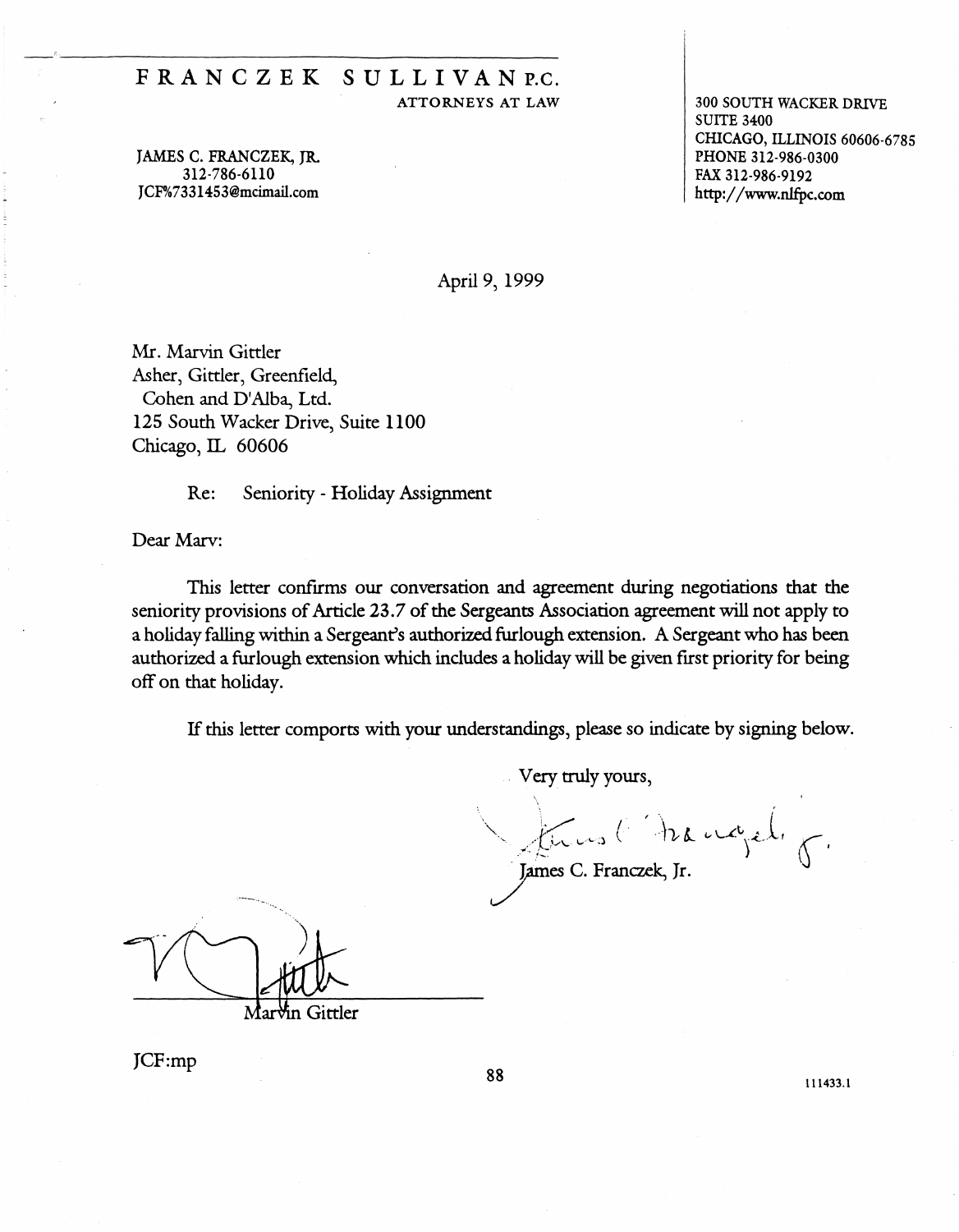## FRANC Z EK SULLIVAN P.C. ATTORNEYS AT LAW

JAMES C. FRANCZEK, JR. 312-786-6110 JCF%7331453@mcimail.com

300 SOUTH WACKER DRIVE SUITE 3400 CHICAGO, ILLINOIS 60606-6785 PHONE 312-986-0300 FAX 312-986-9192 http://www.nlfpc.com

April 9, 1999

Mr. Marvin Gittler Asher, Gittler, Greenfield, Cohen and D'Alba, Ltd. 125 South Wacker Drive, Suite 1100 Chicago, IL 60606

Re: Seniority - Holiday Assignment

Dear Marv:

This letter confirms our conversation and agreement during negotiations that the seniority provisions of Article 23.7 of the Sergeants Association agreement will not apply to a holiday falling within a Sergeant's authorized furlough extension. A Sergeant who has been authorized a furlough extension which includes a holiday will be given first priority for being off on that holiday.

If this letter comports with your understandings, please so indicate by signing below.

Very truly yours,

James C. Franczek, Jr.

⁄in Gittler

JCF:mp 88 111433.l